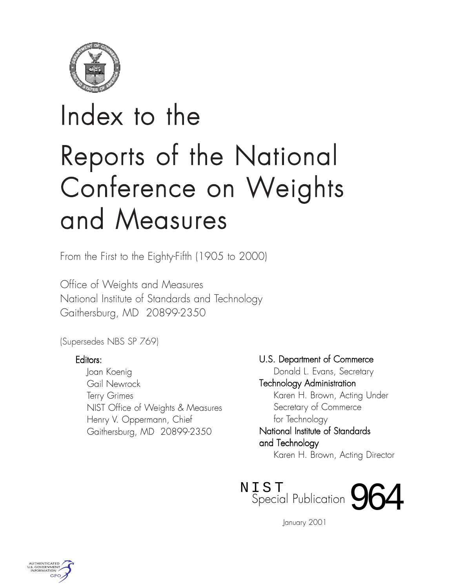

# Index to the Reports of the National Conference on Weights and Measures

From the First to the Eighty-Fifth (1905 to 2000)

Office of Weights and Measures National Institute of Standards and Technology Gaithersburg, MD 20899-2350

(Supersedes NBS SP 769)

## Editors:

Joan Koenig Gail Newrock Terry Grimes NIST Office of Weights & Measures Henry V. Oppermann, Chief Gaithersburg, MD 20899-2350

U.S. Department of Commerce

Donald L. Evans, Secretary Technology Administration Karen H. Brown, Acting Under Secretary of Commerce for Technology

National Institute of Standards and Technology

Karen H. Brown, Acting Director



January 2001

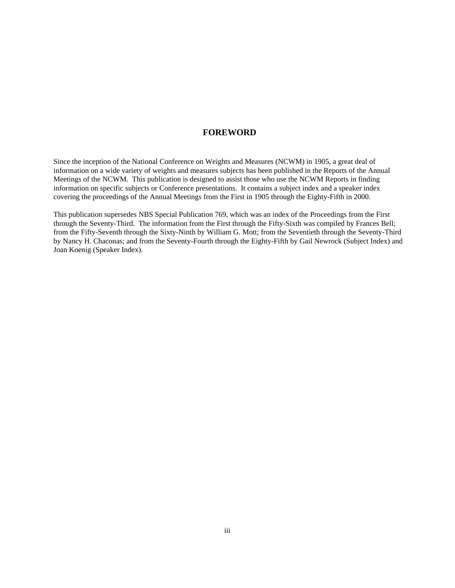#### **FOREWORD**

Since the inception of the National Conference on Weights and Measures (NCWM) in 1905, a great deal of information on a wide variety of weights and measures subjects has been published in the Reports of the Annual Meetings of the NCWM. This publication is designed to assist those who use the NCWM Reports in finding information on specific subjects or Conference presentations. It contains a subject index and a speaker index covering the proceedings of the Annual Meetings from the First in 1905 through the Eighty-Fifth in 2000.

This publication supersedes NBS Special Publication 769, which was an index of the Proceedings from the First through the Seventy-Third. The information from the First through the Fifty-Sixth was compiled by Frances Bell; from the Fifty-Seventh through the Sixty-Ninth by William G. Mott; from the Seventieth through the Seventy-Third by Nancy H. Chaconas; and from the Seventy-Fourth through the Eighty-Fifth by Gail Newrock (Subject Index) and Joan Koenig (Speaker Index).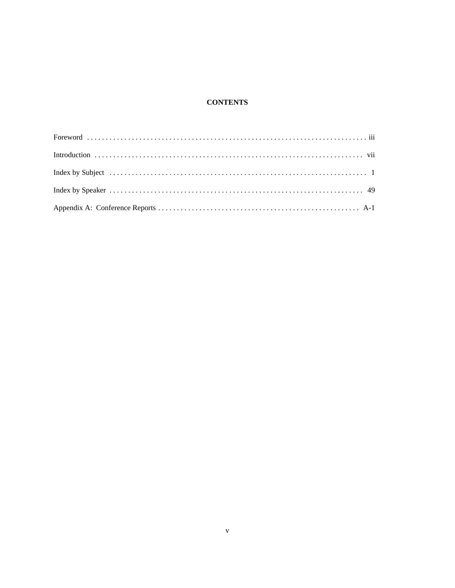#### **CONTENTS**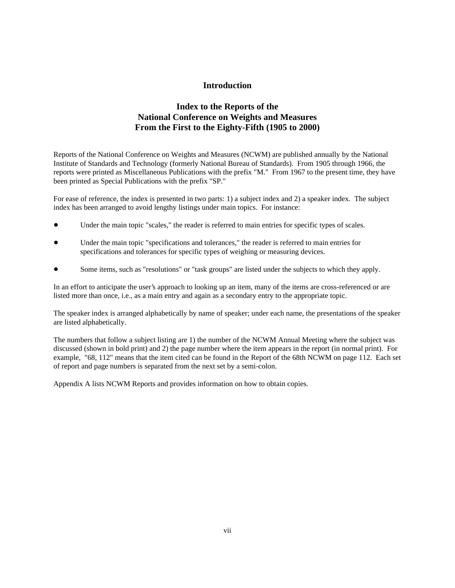#### **Introduction**

### **Index to the Reports of the National Conference on Weights and Measures From the First to the Eighty-Fifth (1905 to 2000)**

Reports of the National Conference on Weights and Measures (NCWM) are published annually by the National Institute of Standards and Technology (formerly National Bureau of Standards). From 1905 through 1966, the reports were printed as Miscellaneous Publications with the prefix "M." From 1967 to the present time, they have been printed as Special Publications with the prefix "SP."

For ease of reference, the index is presented in two parts: 1) a subject index and 2) a speaker index. The subject index has been arranged to avoid lengthy listings under main topics. For instance:

- Under the main topic "scales," the reader is referred to main entries for specific types of scales.
- ! Under the main topic "specifications and tolerances," the reader is referred to main entries for specifications and tolerances for specific types of weighing or measuring devices.
- Some items, such as "resolutions" or "task groups" are listed under the subjects to which they apply.

In an effort to anticipate the user's approach to looking up an item, many of the items are cross-referenced or are listed more than once, i.e., as a main entry and again as a secondary entry to the appropriate topic.

The speaker index is arranged alphabetically by name of speaker; under each name, the presentations of the speaker are listed alphabetically.

The numbers that follow a subject listing are 1) the number of the NCWM Annual Meeting where the subject was discussed (shown in bold print) and 2) the page number where the item appears in the report (in normal print). For example, "68, 112" means that the item cited can be found in the Report of the 68th NCWM on page 112. Each set of report and page numbers is separated from the next set by a semi-colon.

Appendix A lists NCWM Reports and provides information on how to obtain copies.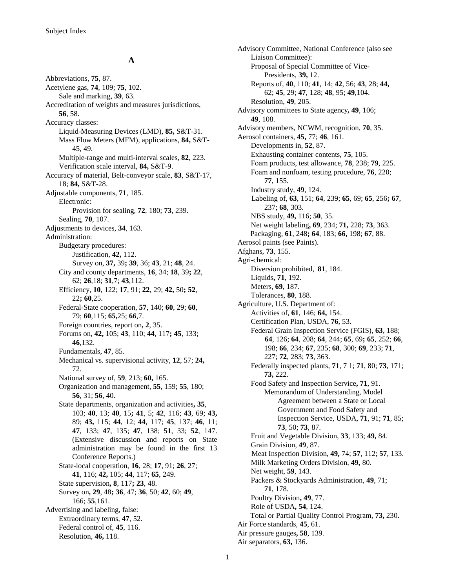#### **A**

Abbreviations, **75**, 87. Acetylene gas, **74**, 109; **75**, 102. Sale and marking, **39**, 63. Accreditation of weights and measures jurisdictions, **56**, 58. Accuracy classes: Liquid-Measuring Devices (LMD), **85,** S&T-31. Mass Flow Meters (MFM), applications, **84,** S&T-45, 49. Multiple-range and multi-interval scales, **82**, 223. Verification scale interval, **84,** S&T-9. Accuracy of material, Belt-conveyor scale, **83**, S&T-17, 18; **84,** S&T-28. Adjustable components, **71**, 185. Electronic: Provision for sealing, **72**, 180; **73**, 239. Sealing, **70**, 107. Adjustments to devices, **34**, 163. Administration: Budgetary procedures: Justification, **42,** 112. Survey on, **37,** 39**; 39**, 36; **43**, 21; **48**, 24. City and county departments, **16**, 34; **18**, 39**; 22**, 62; **26**,18; **31**,7; **43**,112. Efficiency, **10**, 122; **17**, 91; **22**, 29; **42,** 50**; 52**, 22**; 60**,25. Federal-State cooperation, **57**, 140; **60**, 29; **60**, 79; **60**,115; **65,**25; **66**,7. Foreign countries, report on**, 2**, 35. Forums on, **42,** 105; **43**, 110; **44**, 117**; 45**, 133; **46**,132. Fundamentals, **47**, 85. Mechanical vs. supervisional activity, **12**, 57; **24,** 72. National survey of, **59**, 213; **60,** 165. Organization and management, **55**, 159; **55**, 180; **56**, 31; **56**, 40. State departments, organization and activities**, 35**, 103; **40**, 13; **40**, 15**; 41**, 5; **42**, 116; **43**, 69; **43,** 89; **43,** 115; **44**, 12; **44**, 117; **45**, 137; **46**, 11; **47**, 133; **47**, 135; **47**, 138; **51**, 33; **52**, 147. (Extensive discussion and reports on State administration may be found in the first 13 Conference Reports.) State-local cooperation, **16**, 28; **17**, 91; **26**, 27; **41**, 116; **42,** 105; **44**, 117; **65**, 249. State supervision**, 8**, 117**; 23**, 48. Survey on**, 29**, 48**; 36**, 47; **36**, 50; **42**, 60; **49**, 166; **55**,161. Advertising and labeling, false: Extraordinary terms, **47**, 52. Federal control of, **45**, 116. Resolution, **46,** 118.

Advisory Committee, National Conference (also see Liaison Committee): Proposal of Special Committee of Vice-Presidents, **39,** 12. Reports of, **40**, 110; **41**, 14; **42**, 56; **43**, 28; **44,** 62; **45**, 29; **47**, 128; **48**, 95; **49**,104. Resolution, **49**, 205. Advisory committees to State agency**, 49**, 106; **49**, 108. Advisory members, NCWM, recognition, **70**, 35. Aerosol containers, **45,** 77; **46**, 161. Developments in, **52**, 87. Exhausting container contents, **75**, 105. Foam products, test allowance, **78**, 238; **79**, 225. Foam and nonfoam, testing procedure, **76**, 220; **77**, 155. Industry study, **49**, 124. Labeling of, **63**, 151; **64**, 239; **65**, 69; **65**, 256**; 67**, 237; **68**, 303. NBS study, **49,** 116; **50**, 35. Net weight labeling**, 69**, 234; **71,** 228; **73**, 363. Packaging, **61**, 248**; 64**, 183; **66,** 198; **67**, 88. Aerosol paints (see Paints). Afghans, **73**, 155. Agri-chemical: Diversion prohibited, **81**, 184. Liquids**, 71**, 192. Meters, **69**, 187. Tolerances, **80**, 188. Agriculture, U.S. Department of: Activities of, **61**, 146; **64,** 154. Certification Plan, USDA, **76**, 53. Federal Grain Inspection Service (FGIS), **63**, 188; **64**, 126; **64**, 208; **64**, 244; **65**, 69**; 65**, 252; **66**, 198; **66**, 234; **67**, 235; **68**, 300; **69**, 233; **71**, 227; **72**, 283; **73**, 363. Federally inspected plants, **71**, 7 1; **71**, 80; **73**, 171; **73,** 222. Food Safety and Inspection Service**, 71**, 91. Memorandum of Understanding, Model Agreement between a State or Local Government and Food Safety and Inspection Service, USDA, **71**, 91; **71**, 85; **73**, 50; **73**, 87. Fruit and Vegetable Division, **33**, 133; **49,** 84. Grain Division, **49**, 87. Meat Inspection Division, **49,** 74; **57**, 112; **57**, 133. Milk Marketing Orders Division, **49,** 80. Net weight, **59**, 143. Packers & Stockyards Administration, **49**, 71; **71**, 178. Poultry Division**, 49**, 77. Role of USDA**, 54**, 124. Total or Partial Quality Control Program, **73,** 230. Air Force standards, **45**, 61. Air pressure gauges**, 58**, 139. Air separators, **63,** 136.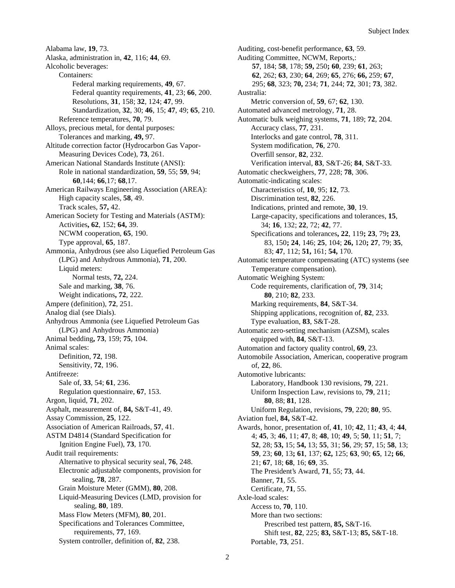Alabama law, **19**, 73. Alaska, administration in, **42**, 116; **44**, 69. Alcoholic beverages: Containers: Federal marking requirements, **49**, 67. Federal quantity requirements, **41**, 23; **66**, 200. Resolutions, **31**, 158; **32**, 124; **47**, 99. Standardization, **32**, 30; **46**, 15; **47**, 49; **65**, 210. Reference temperatures, **70**, 79. Alloys, precious metal, for dental purposes: Tolerances and marking, **49,** 97. Altitude correction factor (Hydrocarbon Gas Vapor-Measuring Devices Code), **73**, 261. American National Standards Institute (ANSI): Role in national standardization, **59**, 55; **59**, 94; **60**,144; **66**,17; **68**,17. American Railways Engineering Association (AREA): High capacity scales, **58**, 49. Track scales, **57,** 42. American Society for Testing and Materials (ASTM): Activities**, 62**, 152; **64,** 39. NCWM cooperation, **65**, 190. Type approval, **65**, 187. Ammonia, Anhydrous (see also Liquefied Petroleum Gas (LPG) and Anhydrous Ammonia), **71**, 200. Liquid meters: Normal tests, **72,** 224. Sale and marking, **38**, 76. Weight indications**, 72**, 222. Ampere (definition), **72**, 251. Analog dial (see Dials). Anhydrous Ammonia (see Liquefied Petroleum Gas (LPG) and Anhydrous Ammonia) Animal bedding**, 73**, 159; **75**, 104. Animal scales: Definition, **72**, 198. Sensitivity, **72**, 196. Antifreeze: Sale of, **33**, 54; **61**, 236. Regulation questionnaire, **67**, 153. Argon, liquid, **71**, 202. Asphalt, measurement of, **84,** S&T-41, 49. Assay Commission, **25**, 122. Association of American Railroads, **57**, 41. ASTM D4814 (Standard Specification for Ignition Engine Fuel), **73**, 170. Audit trail requirements: Alternative to physical security seal, **76**, 248. Electronic adjustable components, provision for sealing, **78**, 287. Grain Moisture Meter (GMM), **80**, 208. Liquid-Measuring Devices (LMD, provision for sealing, **80**, 189. Mass Flow Meters (MFM), **80**, 201. Specifications and Tolerances Committee, requirements, **77**, 169. System controller, definition of, **82**, 238.

Auditing, cost-benefit performance, **63**, 59. Auditing Committee, NCWM, Reports,: **57**, 184; **58**, 178; **59,** 250**; 60**, 239; **61**, 263; **62**, 262; **63**, 230; **64**, 269; **65**, 276; **66,** 259; **67**, 295; **68**, 323; **70,** 234; **71**, 244; **72**, 301; **73**, 382. Australia: Metric conversion of, **59**, 67; **62**, 130. Automated advanced metrology, **71**, 28. Automatic bulk weighing systems, **71**, 189; **72**, 204. Accuracy class, **77**, 231. Interlocks and gate control, **78**, 311. System modification, **76**, 270. Overfill sensor, **82**, 232. Verification interval, **83**, S&T-26; **84**, S&T-33. Automatic checkweighers, **77**, 228; **78**, 306. Automatic-indicating scales: Characteristics of, **10**, 95; **12**, 73. Discrimination test, **82**, 226. Indications, printed and remote, **30**, 19. Large-capacity, specifications and tolerances, **15**, 34; **16**, 132; **22**, 72; **42**, 77. Specifications and tolerances**, 22**, 119**; 23**, 79**; 23**, 83, 150**; 24**, 146; **25**, 104; **26,** 120**; 27**, 79; **35**, 83; **47**, 112; **51,** 161; **54,** 170. Automatic temperature compensating (ATC) systems (see Temperature compensation). Automatic Weighing System: Code requirements, clarification of, **79**, 314; **80**, 210; **82**, 233. Marking requirements, **84**, S&T-34. Shipping applications, recognition of, **82**, 233. Type evaluation, **83**, S&T-28. Automatic zero-setting mechanism (AZSM), scales equipped with, **84**, S&T-13. Automation and factory quality control, **69**, 23. Automobile Association, American, cooperative program of, **22**, 86. Automotive lubricants: Laboratory, Handbook 130 revisions, **79**, 221. Uniform Inspection Law, revisions to, **79**, 211; **80**, 88; **81**, 128. Uniform Regulation, revisions, **79**, 220; **80**, 95. Aviation fuel, **84,** S&T-42. Awards, honor, presentation of, **41**, 10; **42**, 11; **43**, 4; **44**, 4; **45**, 3; **46**, 11; **47**, 8; **48**, 10; **49**, 5; **50**, 11; **51**, 7; **52**, 28; **53,** 15; **54,** 13; **55**, 31; **56**, 29; **57**, 15; **58**, 13; **59**, 23; **60**, 13**; 61**, 137; **62,** 125; **63**, 90; **65**, 12**; 66**, 21; **67**, 18; **68**, 16; **69**, 35. The President's Award, **71**, 55; **73**, 44. Banner, **71**, 55. Certificate, **71**, 55. Axle-load scales: Access to, **70**, 110. More than two sections: Prescribed test pattern, **85,** S&T-16. Shift test, **82**, 225; **83,** S&T-13; **85,** S&T-18. Portable, **73**, 251.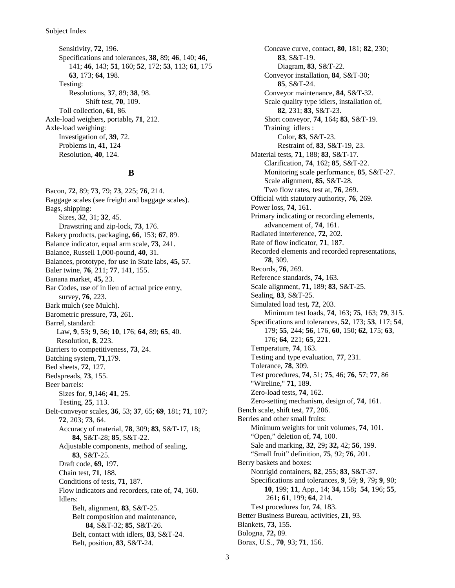Subject Index

Sensitivity, **72**, 196. Specifications and tolerances, **38**, 89; **46**, 140; **46**, 141; **46**, 143; **51**, 160; **52**, 172; **53**, 113; **61**, 175 **63**, 173; **64**, 198. Testing: Resolutions, **37**, 89; **38**, 98. Shift test, **70**, 109. Toll collection, **61**, 86. Axle-load weighers, portable**, 71**, 212. Axle-load weighing: Investigation of, **39**, 72. Problems in, **41**, 124 Resolution, **40**, 124.

#### **B**

Bacon, **72**, 89; **73**, 79; **73**, 225; **76**, 214. Baggage scales (see freight and baggage scales). Bags, shipping: Sizes, **32**, 31; **32**, 45. Drawstring and zip-lock, **73**, 176. Bakery products, packaging**, 66**, 153; **67**, 89. Balance indicator, equal arm scale, **73**, 241. Balance, Russell 1,000-pound, **40**, 31. Balances, prototype, for use in State labs, **45,** 57. Baler twine, **76**, 211; **77**, 141, 155. Banana market, **45,** 23. Bar Codes, use of in lieu of actual price entry, survey, **76**, 223. Bark mulch (see Mulch). Barometric pressure, **73**, 261. Barrel, standard: Law, **9**, 53**; 9**, 56; **10**, 176; **64**, 89; **65**, 40. Resolution, **8**, 223. Barriers to competitiveness, **73**, 24. Batching system, **71**,179. Bed sheets, **72**, 127. Bedspreads, **73**, 155. Beer barrels: Sizes for, **9**,146; **41**, 25. Testing, **25**, 113. Belt-conveyor scales, **36**, 53; **37**, 65; **69**, 181; **71**, 187; **72**, 203; **73**, 64. Accuracy of material, **78**, 309; **83**, S&T-17, 18; **84**, S&T-28; **85**, S&T-22. Adjustable components, method of sealing, **83**, S&T-25. Draft code, **69,** 197. Chain test, **71**, 188. Conditions of tests, **71**, 187. Flow indicators and recorders, rate of, **74**, 160. Idlers: Belt, alignment, **83**, S&T-25. Belt composition and maintenance, **84**, S&T-32; **85**, S&T-26. Belt, contact with idlers, **83**, S&T-24. Belt, position, **83**, S&T-24.

Concave curve, contact, **80**, 181; **82**, 230; **83**, S&T-19. Diagram, **83**, S&T-22. Conveyor installation, **84**, S&T-30; **85**, S&T-24. Conveyor maintenance, **84**, S&T-32. Scale quality type idlers, installation of, **82**, 231; **83**, S&T-23. Short conveyor, **74**, 164**; 83**, S&T-19. Training idlers : Color, **83**, S&T-23. Restraint of, **83**, S&T-19, 23. Material tests, **71**, 188; **83**, S&T-17. Clarification, **74**, 162; **85**, S&T-22. Monitoring scale performance, **85**, S&T-27. Scale alignment, **85**, S&T-28. Two flow rates, test at, **76**, 269. Official with statutory authority, **76**, 269. Power loss, **74**, 161. Primary indicating or recording elements, advancement of, **74**, 161. Radiated interference, **72**, 202. Rate of flow indicator, **71**, 187. Recorded elements and recorded representations, **78**, 309. Records, **76**, 269. Reference standards, **74,** 163. Scale alignment, **71,** 189; **83**, S&T-25. Sealing, **83**, S&T-25. Simulated load test**, 72**, 203. Minimum test loads, **74**, 163; **75**, 163; **79**, 315. Specifications and tolerances, **52**, 173; **53**, 117; **54**, 179; **55**, 244; **56**, 176, **60**, 150; **62**, 175; **63**, 176; **64**, 221; **65**, 221. Temperature, **74**, 163. Testing and type evaluation, **77**, 231. Tolerance, **78**, 309. Test procedures, **74**, 51; **75**, 46; **76**, 57; **77**, 86 "Wireline," **71**, 189. Zero-load tests, **74**, 162. Zero-setting mechanism, design of, **74**, 161. Bench scale, shift test, **77**, 206. Berries and other small fruits: Minimum weights for unit volumes, **74**, 101. "Open," deletion of, **74**, 100. Sale and marking, **32**, 29**; 32,** 42; **56**, 199. "Small fruit" definition, **75**, 92; **76**, 201. Berry baskets and boxes: Nonrigid containers, **82**, 255; **83**, S&T-37. Specifications and tolerances, **9**, 59; **9**, 79**; 9**, 90; **10**, 199; **11**, App., 14; **34,** 158**; 54**, 196; **55**, 261**; 61**, 199; **64**, 214. Test procedures for, **74**, 183. Better Business Bureau, activities, **21**, 93. Blankets, **73**, 155. Bologna, **72,** 89. Borax, U.S., **70**, 93; **71**, 156.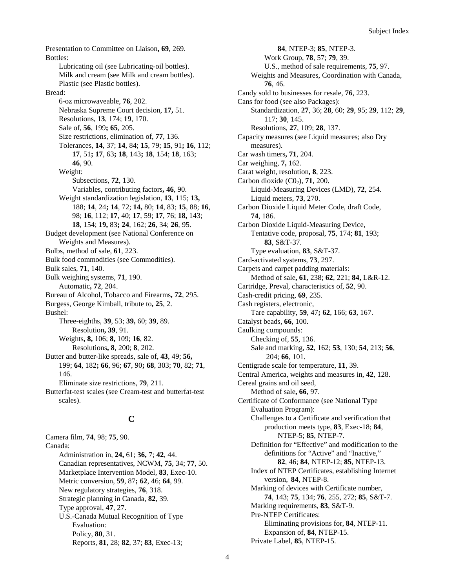Presentation to Committee on Liaison**, 69**, 269. Bottles: Lubricating oil (see Lubricating-oil bottles). Milk and cream (see Milk and cream bottles). Plastic (see Plastic bottles). Bread: 6-oz microwaveable, **76**, 202. Nebraska Supreme Court decision, **17,** 51. Resolutions, **13**, 174; **19**, 170. Sale of, **56**, 199**; 65**, 205. Size restrictions, elimination of, **77**, 136. Tolerances, **14**, 37; **14**, 84; **15**, 79; **15**, 91**; 16**, 112; **17**, 51**; 17**, 63**; 18**, 143**; 18**, 154; **18**, 163; **46**, 90. Weight: Subsections, **72**, 130. Variables, contributing factors**, 46**, 90. Weight standardization legislation, **13**, 115; **13,** 188; **14**, 24**; 14**, 72; **14,** 80; **14**, 83; **15**, 88; **16**, 98; **16**, 112; **17**, 40; **17**, 59; **17**, 76; **18,** 143; **18**, 154; **19,** 83**; 24**, 162; **26**, 34; **26**, 95. Budget development (see National Conference on Weights and Measures). Bulbs, method of sale, **61**, 223. Bulk food commodities (see Commodities). Bulk sales, **71**, 140. Bulk weighing systems, **71**, 190. Automatic**, 72**, 204. Bureau of Alcohol, Tobacco and Firearms**, 72**, 295. Burgess, George Kimball, tribute to**, 25**, 2. Bushel: Three-eighths, **39**, 53; **39,** 60; **39**, 89. Resolution**, 39**, 91. Weights**, 8,** 106; **8,** 109; **16**, 82. Resolutions**, 8**, 200; **8**, 202. Butter and butter-like spreads, sale of, **43**, 49; **56,** 199; **64**, 182**; 66**, 96; **67**, 90**; 68**, 303; **70**, 82; **71**, 146. Eliminate size restrictions, **79**, 211. Butterfat-test scales (see Cream-test and butterfat-test scales).

### **C**

Camera film, **74**, 98; **75**, 90. Canada: Administration in, **24,** 61; **36,** 7; **42**, 44. Canadian representatives, NCWM, **75**, 34; **77**, 50. Marketplace Intervention Model, **83**, Exec-10. Metric conversion, **59**, 87**; 62**, 46; **64**, 99. New regulatory strategies, **76**, 318. Strategic planning in Canada, **82**, 39. Type approval, **47**, 27. U.S.-Canada Mutual Recognition of Type Evaluation: Policy, **80**, 31. Reports, **81**, 28; **82**, 37; **83**, Exec-13;

**84**, NTEP-3; **85**, NTEP-3. Work Group, **78**, 57; **79**, 39. U.S., method of sale requirements, **75**, 97. Weights and Measures, Coordination with Canada, **76**, 46. Candy sold to businesses for resale, **76**, 223. Cans for food (see also Packages): Standardization, **27**, 36; **28**, 60; **29**, 95; **29**, 112; **29**, 117; **30**, 145. Resolutions, **27**, 109; **28**, 137. Capacity measures (see Liquid measures; also Dry measures). Car wash timers**, 71**, 204. Car weighing, **7,** 162. Carat weight, resolution**, 8**, 223. Carbon dioxide  $(C0<sub>2</sub>)$ , **71**, 200. Liquid-Measuring Devices (LMD), **72**, 254. Liquid meters, **73**, 270. Carbon Dioxide Liquid Meter Code, draft Code, **74**, 186. Carbon Dioxide Liquid-Measuring Device, Tentative code, proposal, **75**, 174; **81**, 193; **83**, S&T-37. Type evaluation, **83**, S&T-37. Card-activated systems, **73**, 297. Carpets and carpet padding materials: Method of sale**, 61**, 238; **62**, 221; **84,** L&R-12. Cartridge, Preval, characteristics of, **52**, 90. Cash-credit pricing, **69**, 235. Cash registers, electronic, Tare capability, **59**, 47**; 62**, 166; **63**, 167. Catalyst beads, **66**, 100. Caulking compounds: Checking of, **55**, 136. Sale and marking, **52**, 162; **53**, 130; **54**, 213; **56**, 204; **66**, 101. Centigrade scale for temperature, **11**, 39. Central America, weights and measures in, **42**, 128. Cereal grains and oil seed, Method of sale**, 66**, 97. Certificate of Conformance (see National Type Evaluation Program): Challenges to a Certificate and verification that production meets type, **83**, Exec-18; **84**, NTEP-5; **85**, NTEP-7. Definition for "Effective" and modification to the definitions for "Active" and "Inactive," **82**, 46; **84**, NTEP-12; **85**, NTEP-13. Index of NTEP Certificates, establishing Internet version, **84**, NTEP-8. Marking of devices with Certificate number, **74**, 143; **75**, 134; **76**, 255, 272; **85**, S&T-7. Marking requirements, **83**, S&T-9. Pre-NTEP Certificates: Eliminating provisions for, **84**, NTEP-11. Expansion of, **84**, NTEP-15. Private Label, **85**, NTEP-15.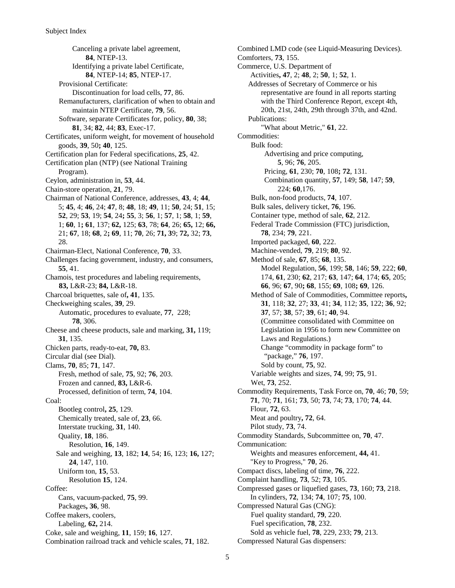Canceling a private label agreement, **84**, NTEP-13. Identifying a private label Certificate, **84**, NTEP-14; **85**, NTEP-17. Provisional Certificate: Discontinuation for load cells, **77**, 86. Remanufacturers, clarification of when to obtain and maintain NTEP Certificate, **79**, 56. Software, separate Certificates for, policy, **80**, 38; **81**, 34; **82**, 44; **83**, Exec-17. Certificates, uniform weight, for movement of household goods, **39**, 50**; 40**, 125. Certification plan for Federal specifications, **25**, 42. Certification plan (NTP) (see National Training Program). Ceylon, administration in, **53**, 44. Chain-store operation, **21**, 79. Chairman of National Conference, addresses, **43**, 4; **44**, 5; **45**, 4; **46**, 24; **47**, 8; **48**, 18; **49**, 11; **50**, 24; **51**, 15; **52**, 29; **53**, 19; **54**, 24**; 55**, 3; **56**, 1; **57**, 1; **58**, 1; **59**, 1; **60**, 1**; 61**, 137; **62,** 125; **63**, 78; **64**, 26; **65,** 12; **66,** 21; **67**, 18; **68**, 2**; 69**, 11; **70**, 26; **71, 3**9; **72,** 32; **73**, 28. Chairman-Elect, National Conference, **70**, 33. Challenges facing government, industry, and consumers, **55**, 41. Chamois, test procedures and labeling requirements, **83,** L&R-23; **84,** L&R-18. Charcoal briquettes, sale of**, 41**, 135. Checkweighing scales, **39**, 29. Automatic, procedures to evaluate, **77**, 228; **78**, 306. Cheese and cheese products, sale and marking, **31,** 119; **31**, 135. Chicken parts, ready-to-eat, **70,** 83. Circular dial (see Dial). Clams, **70**, 85; **71**, 147. Fresh, method of sale, **75**, 92; **76**, 203. Frozen and canned, **83,** L&R-6. Processed, definition of term, **74**, 104. Coal: Bootleg control**, 25**, 129. Chemically treated, sale of, **23**, 66. Interstate trucking, **31**, 140. Quality, **18**, 186. Resolution, **16**, 149. Sale and weighing, **13**, 182; **14**, 54; **1**6, 123; **16,** 127; **24**, 147, 110. Uniform ton, **15**, 53. Resolution **15**, 124. Coffee: Cans, vacuum-packed, **75**, 99. Packages**, 36**, 98. Coffee makers, coolers, Labeling, **62,** 214. Coke, sale and weighing, **11**, 159; **16**, 127. Combination railroad track and vehicle scales, **71**, 182.

Combined LMD code (see Liquid-Measuring Devices). Comforters, **73**, 155. Commerce, U.S. Department of Activities**, 47**, 2; **48**, 2; **50**, 1; **52**, 1. Addresses of Secretary of Commerce or his representative are found in all reports starting with the Third Conference Report, except 4th, 20th, 21st, 24th, 29th through 37th, and 42nd. Publications: "What about Metric," **61**, 22. Commodities: Bulk food: Advertising and price computing, **5**, 96; **76**, 205. Pricing, **61**, 230; **70**, 108**; 72**, 131. Combination quantity, **57**, 149; **58**, 147; **59**, 224; **60**,176. Bulk, non-food products, **74**, 107. Bulk sales, delivery ticket, **76**, 196. Container type, method of sale, **62**, 212. Federal Trade Commission (FTC) jurisdiction, **78**, 234; **79**, 221. Imported packaged, **60**, 222. Machine-vended, **79**, 219; **80**, 92. Method of sale, **67**, 85; **68**, 135. Model Regulation, **56**, 199; **58**, 146; **59**, 222; **60**, 174, **61**, 230; **62**, 217; **63**, 147; **64**, 174; **65**, 205; **66**, 96; **67**, 90**; 68**, 155; **69**, 108**; 69**, 126. Method of Sale of Commodities, Committee reports**, 31**, 118; **32**, 27; **33**, 41; **34**, 112; **35**, 122; **36**, 92; **37**, 57; **38**, 57; **39**, 61; **40**, 94. (Committee consolidated with Committee on Legislation in 1956 to form new Committee on Laws and Regulations.) Change "commodity in package form" to "package," **76**, 197. Sold by count, **75**, 92. Variable weights and sizes, **74**, 99; **75**, 91. Wet, **73**, 252. Commodity Requirements, Task Force on, **70**, 46; **70**, 59; **71**, 70; **71**, 161; **73**, 50; **73**, 74; **73**, 170; **74**, 44. Flour, **72**, 63. Meat and poultry**, 72**, 64. Pilot study, **73**, 74. Commodity Standards, Subcommittee on, **70**, 47. Communication: Weights and measures enforcement, **44,** 41. "Key to Progress," **70**, 26. Compact discs, labeling of time, **76**, 222. Complaint handling, **73**, 52; **73**, 105. Compressed gases or liquefied gases, **73**, 160; **73**, 218. In cylinders, **72**, 134; **74**, 107; **75**, 100. Compressed Natural Gas (CNG): Fuel quality standard, **79**, 220. Fuel specification, **78**, 232. Sold as vehicle fuel, **78**, 229, 233; **79**, 213. Compressed Natural Gas dispensers: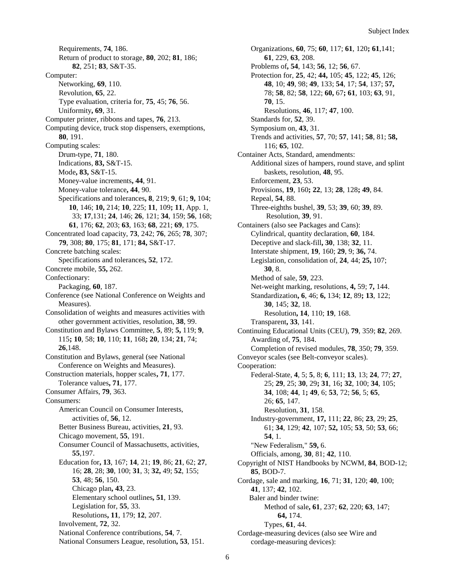Requirements, **74**, 186. Return of product to storage, **80**, 202; **81**, 186; **82**, 251; **83**, S&T-35. Computer: Networking, **69**, 110. Revolution, **65**, 22. Type evaluation, criteria for, **75**, 45; **76**, 56. Uniformity**, 69**, 31. Computer printer, ribbons and tapes, **76**, 213. Computing device, truck stop dispensers, exemptions, **80**, 191. Computing scales: Drum-type, **71**, 180. Indications, **83,** S&T-15. Mode**, 83,** S&T-15. Money-value increments**, 44**, 91. Money-value tolerance**, 44**, 90. Specifications and tolerances**, 8**, 219; **9**, 61; **9,** 104; **10**, 146; **10,** 214; **10**, 225; **11**, 109**; 11**, App. 1, 33; **17**,131; **24**, 146; **26**, 121; **34**, 159; **56**, 168; **61**, 176; **62**, 203; **63**, 163; **68**, 221; **69**, 175. Concentrated load capacity, **73**, 242; **76**, 265; **78**, 307; **79**, 308; **80**, 175; **81**, 171; **84,** S&T-17. Concrete batching scales: Specifications and tolerances**, 52**, 172. Concrete mobile, **55,** 262. Confectionary: Packaging, **60**, 187. Conference (see National Conference on Weights and Measures). Consolidation of weights and measures activities with other government activities, resolution, **38**, 99. Constitution and Bylaws Committee, **5**, 89; **5,** 119; **9**, 115**; 10**, 58; **10**, 110; **11**, 168**; 20**, 134; **21**, 74; **26**,148. Constitution and Bylaws, general (see National Conference on Weights and Measures). Construction materials, hopper scales**, 71**, 177. Tolerance values**, 71**, 177. Consumer Affairs, **79**, 363. Consumers: American Council on Consumer Interests, activities of, **56**, 12. Better Business Bureau, activities, **21**, 93. Chicago movement, **55**, 191. Consumer Council of Massachusetts, activities, **55**,197. Education for**, 13**, 167; **14**, 21; **19**, 86; **21**, 62; **27**, 16; **28**, 28; **30**, 100; **31**, 3; **32,** 49; **52**, 155; **53**, 48; **56**, 150. Chicago plan**, 43**, 23. Elementary school outlines**, 51**, 139. Legislation for, **55**, 33. Resolutions**, 11**, 179; **12**, 207. Involvement, **72**, 32. National Conference contributions, **54**, 7. National Consumers League, resolution**, 53**, 151.

Organizations, **60**, 75; **60**, 117; **61**, 120**; 61**,141; **61**, 229, **63**, 208. Problems of**, 54**, 143; **56**, 12; **56**, 67. Protection for, **25**, 42; **44,** 105; **45**, 122; **45**, 126; **48**, 10; **49**, 98; **49**, 133; **54**, 17; **54**, 137; **57,** 78; **58**, 82; **58**, 122; **60,** 67**; 61**, 103; **63**, 91, **70**, 15. Resolutions, **46**, 117; **47**, 100. Standards for, **52**, 39. Symposium on, **43**, 31. Trends and activities, **57**, 70; **57**, 141; **58**, 81; **58,** 116; **65**, 102. Container Acts, Standard, amendments: Additional sizes of hampers, round stave, and splint baskets, resolution, **48**, 95. Enforcement, **23**, 53. Provisions, **19**, 160**; 22**, 13; **28**, 128**; 49**, 84. Repeal, **54**, 88. Three-eighths bushel, **39**, 53; **39**, 60; **39**, 89. Resolution, **39**, 91. Containers (also see Packages and Cans): Cylindrical, quantity declaration, **60**, 184. Deceptive and slack-fill**, 30**, 138; **32**, 11. Interstate shipment, **19**, 160; **29**, 9; **36,** 74. Legislation, consolidation of, **24**, 44; **25,** 107; **30**, 8. Method of sale, **59**, 223. Net-weight marking, resolutions, **4,** 59; **7,** 144. Standardization**, 6**, 46; **6,** 134; **12**, 89**; 13**, 122; **30**, 145; **32**, 18. Resolution**, 14**, 110; **19**, 168. Transparent**, 33**, 141. Continuing Educational Units (CEU), **79**, 359; **82**, 269. Awarding of, **75**, 184. Completion of revised modules, **78**, 350; **79**, 359. Conveyor scales (see Belt-conveyor scales). Cooperation: Federal-State, **4**, 5; **5**, 8; **6**, 111; **13**, 13; **24**, 77; **27**, 25; **29**, 25; **30**, 29**; 31**, 16**; 32**, 100; **34**, 105; **34**, 108; **44**, 1**; 49**, 6; **53**, 72; **56**, 5; **65**, 26; **65**, 147. Resolution, **31**, 158. Industry-government, **17,** 111; **22**, 86; **23**, 29; **25**, 61; **34**, 129; **42**, 107; **52,** 105; **53**, 50; **53**, 66; **54**, 1. "New Federalism," **59,** 6. Officials, among, **30**, 81; **42**, 110. Copyright of NIST Handbooks by NCWM, **84**, BOD-12; **85**, BOD-7. Cordage, sale and marking, **16**, 71; **31**, 120; **40**, 100; **41**, 137; **42**, 102. Baler and binder twine: Method of sale**, 61**, 237; **62**, 220; **63**, 147; **64,** 174. Types, **61**, 44. Cordage-measuring devices (also see Wire and cordage-measuring devices):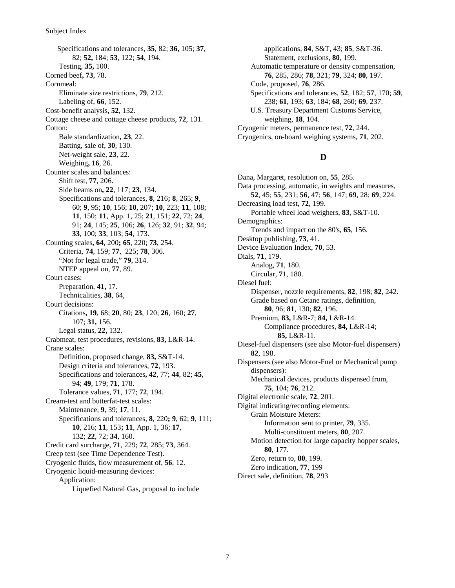Subject Index

Specifications and tolerances, **35**, 82; **36,** 105; **37**, 82; **52,** 184; **53**, 122; **54**, 194. Testing, **35,** 100. Corned beef**, 73**, 78. Cornmeal: Eliminate size restrictions, **79**, 212. Labeling of, **66**, 152. Cost-benefit analysis**, 52**, 132. Cottage cheese and cottage cheese products, **72**, 131. Cotton: Bale standardization**, 23**, 22. Batting, sale of, **30**, 130. Net-weight sale, **23**, 22. Weighing**, 16**, 26. Counter scales and balances: Shift test, **77**, 206. Side beams on**, 22**, 117; **23**, 134. Specifications and tolerances, **8**, 216**; 8**, 265; **9**, 60; **9**, 95; **10**, 156; **10**, 207; **10**, 223; **11**, 108; **11**, 150; **11**, App. 1, 25; **21**, 151; **22**, 72; **24**, 91; **24**, 145; **25**, 106; **26**, 126; **32**, 91; **32**, 94; **33**, 100; **33**, 103; **54**, 173. Counting scales**, 64**, 200**; 65**, 220; **73**, 254. Criteria, **74**, 159; **77**, 225; **78**, 306. "Not for legal trade," **79**, 314. NTEP appeal on, **77**, 89. Court cases: Preparation, **41,** 17. Technicalities, **38**, 64, Court decisions: Citations**, 19**, 68; **20**, 80; **23**, 120; **26**, 160; **27**, 107; **31,** 156. Legal status, **22,** 132. Crabmeat, test procedures, revisions, **83,** L&R-14. Crane scales: Definition, proposed change, **83,** S&T-14. Design criteria and tolerances, **72**, 193. Specifications and tolerances**, 42**, 77; **44**, 82; **45**, 94; **49**, 179; **71**, 178. Tolerance values, **71**, 177; **72**, 194. Cream-test and butterfat-test scales: Maintenance, **9**, 39; **17**, 11. Specifications and tolerances, **8**, 220**; 9**, 62; **9**, 111; **10**, 216; **11**, 153**; 11**, App. 1, 36; **17**, 132; **22**, 72; **34**, 160. Credit card surcharge, **71**, 229; **72**, 285; **73**, 364. Creep test (see Time Dependence Test). Cryogenic fluids, flow measurement of, **56**, 12. Cryogenic liquid-measuring devices: Application: Liquefied Natural Gas, proposal to include

applications, **84**, S&T, 43; **85**, S&T-36. Statement, exclusions, **80**, 199. Automatic temperature or density compensation, **76**, 285, 286; **78**, 321; **79**, 324; **80**, 197. Code, proposed, **76**, 286. Specifications and tolerances, **52**, 182; **57**, 170; **59**, 238; **61**, 193; **63**, 184; **68**, 260; **69**, 237. U.S. Treasury Department Customs Service, weighing, **18**, 104. Cryogenic meters, permanence test, **72**, 244. Cryogenics, on-board weighing systems, **71**, 202.

#### **D**

Dana, Margaret, resolution on, **55**, 285. Data processing, automatic, in weights and measures, **52**, 45; **55**, 231; **56**, 47; **56**, 147; **69**, 28; **69**, 224. Decreasing load test, **72**, 199. Portable wheel load weighers, **83**, S&T-10. Demographics: Trends and impact on the 80's, **65**, 156. Desktop publishing, **73**, 41. Device Evaluation Index, **70**, 53. Dials, **71**, 179. Analog, **71**, 180. Circular, **7**1, 180. Diesel fuel: Dispenser, nozzle requirements, **82**, 198; **82**, 242. Grade based on Cetane ratings, definition, **80**, 96; **81**, 130; **82**, 196. Premium, **83,** L&R-7; **84,** L&R-14. Compliance procedures, **84,** L&R-14; **85,** L&R-11. Diesel-fuel dispensers (see also Motor-fuel dispensers) **82**, 198. Dispensers (see also Motor-Fuel or Mechanical pump dispensers): Mechanical devices, products dispensed from, **75**, 104; **76**, 212. Digital electronic scale, **72**, 201. Digital indicating/recording elements: Grain Moisture Meters: Information sent to printer, **79**, 335. Multi-constituent meters, **80**, 207. Motion detection for large capacity hopper scales, **80**, 177. Zero, return to, **80**, 199. Zero indication, **77**, 199

Direct sale, definition, **78**, 293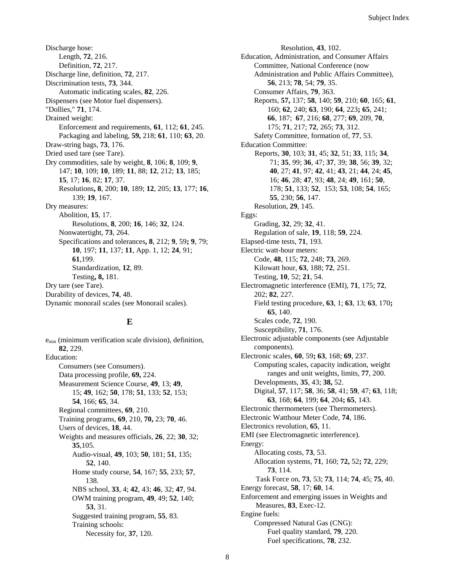Discharge hose: Length, **72**, 216. Definition, **72**, 217. Discharge line, definition, **72**, 217. Discrimination tests, **73**, 344. Automatic indicating scales, **82**, 226. Dispensers (see Motor fuel dispensers). "Dollies," **71**, 174. Drained weight: Enforcement and requirements, **61**, 112; **61**, 245. Packaging and labeling, **59,** 218; **61**, 110; **63**, 20. Draw-string bags, **73**, 176. Dried used tare (see Tare). Dry commodities, sale by weight, **8**, 106; **8**, 109; **9**, 147; **10**, 109; **10**, 189; **11**, 88; **12**, 212; **13**, 185; **15**, 17; **16**, 82; **17**, 37. Resolutions**, 8**, 200; **10**, 189; **12**, 205; **13**, 177; **16**, 139; **19**, 167. Dry measures: Abolition, **15**, 17. Resolutions, **8**, 200; **16**, 146; **32**, 124. Nonwatertight, **73**, 264. Specifications and tolerances**, 8**, 212; **9**, 59**; 9**, 79; **10**, 197; **11**, 137; **11**, App. 1, 12; **24**, 91; **61**,199. Standardization, **12**, 89. Testing**, 8,** 181. Dry tare (see Tare). Durability of devices, **74**, 48. Dynamic monorail scales (see Monorail scales).

#### **E**

 $e_{\min}$  (minimum verification scale division), definition, **82**, 229. Education: Consumers (see Consumers). Data processing profile, **69,** 224. Measurement Science Course, **49**, 13; **49**, 15; **49**, 162; **50**, 178; **51**, 133; **52**, 153; **54**, 166; **65**, 34. Regional committees, **69**, 210. Training programs, **69**, 210, **70,** 23; **70**, 46. Users of devices, **18**, 44. Weights and measures officials, **26**, 22; **30**, 32; **35**,105. Audio-visual, **49**, 103; **50**, 181; **51**, 135; **52**, 140. Home study course, **54**, 167; **55**, 233; **57**, 138. NBS school, **33**, 4; **42**, 43; **46**, 32; **47**, 94. OWM training program, **49**, 49; **52**, 140; **53**, 31. Suggested training program, **55**, 83. Training schools: Necessity for, **37**, 120.

Resolution, **43**, 102. Education, Administration, and Consumer Affairs Committee, National Conference (now Administration and Public Affairs Committee), **56**, 213; **78**, 54; **79**, 35. Consumer Affairs, **79**, 363. Reports, **57,** 137; **58**, 140; **59**, 210; **60**, 165; **61**, 160; **62**, 240; **63**, 190; **64**, 223**; 65**, 241; **66**, 187; **67**, 216; **68**, 277; **69**, 209, **70**, 175; **71**, 217; **72**, 265; **73**, 312. Safety Committee, formation of, **77**, 53. Education Committee: Reports, **30**, 103; **31**, 45; **32**, 51; **33**, 115; **34**, 71; **35**, 99; **36**, 47; **37**, 39; **38**, 56; **39**, 32; **40**, 27; **41**, 97; **42**, 41; **43**, 21; **44**, 24; **45**, 16; **46**, 28; **47**, 93; **48**, 24; **49**, 161; **50**, 178; **51**, 133; **52**, 153; **53**, 108; **54**, 165; **55**, 230; **56**, 147. Resolution, **29**, 145. Eggs: Grading, **32**, 29; **32**, 41. Regulation of sale, **19**, 118; **59**, 224. Elapsed-time tests, **71**, 193. Electric watt-hour meters: Code, **48**, 115; **72**, 248; **73**, 269. Kilowatt hour, **63**, 188; **72**, 251. Testing, **10**, 52; **21**, 54. Electromagnetic interference (EMI), **71**, 175; **72**, 202; **82**, 227. Field testing procedure, **63**, 1; **63**, 13; **63**, 170**; 65**, 140. Scales code, **72**, 190. Susceptibility, **71**, 176. Electronic adjustable components (see Adjustable components). Electronic scales, **60**, 59**; 63**, 168; **69**, 237. Computing scales, capacity indication, weight ranges and unit weights, limits, **77**, 200. Developments, **35**, 43; **38,** 52. Digital, **57**, 117; **58**, 36; **58**, 41; **59**, 47; **63**, 118; **63**, 168; **64**, 199; **64**, 204**; 65**, 143. Electronic thermometers (see Thermometers). Electronic Watthour Meter Code, **74**, 186. Electronics revolution, **65**, 11. EMI (see Electromagnetic interference). Energy: Allocating costs, **73**, 53. Allocation systems, **71**, 160; **72,** 52**; 72**, 229; **73**, 114. Task Force on, **73**, 53; **73**, 114; **74**, 45; **75**, 40. Energy forecast, **58**, 17; **60**, 14. Enforcement and emerging issues in Weights and Measures, **83**, Exec-12. Engine fuels: Compressed Natural Gas (CNG): Fuel quality standard, **79**, 220. Fuel specifications, **78**, 232.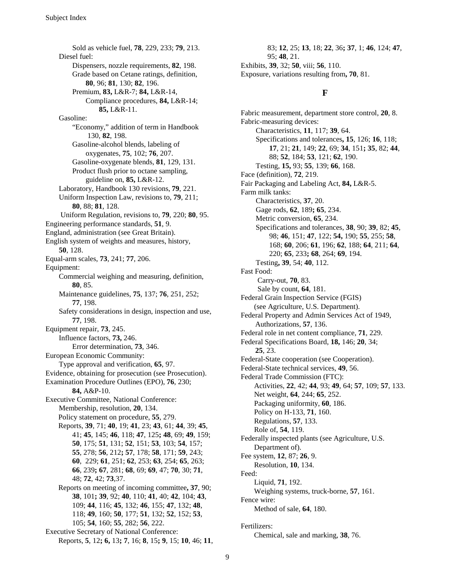Sold as vehicle fuel, **78**, 229, 233; **79**, 213. Diesel fuel: Dispensers, nozzle requirements, **82**, 198. Grade based on Cetane ratings, definition, **80**, 96; **81**, 130; **82**, 196. Premium, **83,** L&R-7; **84,** L&R-14, Compliance procedures, **84,** L&R-14; **85,** L&R-11. Gasoline: "Economy," addition of term in Handbook 130, **82**, 198. Gasoline-alcohol blends, labeling of oxygenates, **75**, 102; **76**, 207. Gasoline-oxygenate blends, **81**, 129, 131. Product flush prior to octane sampling, guideline on, **85,** L&R-12. Laboratory, Handbook 130 revisions, **79**, 221. Uniform Inspection Law, revisions to, **79**, 211; **80**, 88; **81**, 128. Uniform Regulation, revisions to, **79**, 220; **80**, 95. Engineering performance standards, **51**, 9. England, administration (see Great Britain). English system of weights and measures, history, **50**, 128. Equal-arm scales, **73**, 241; **77**, 206. Equipment: Commercial weighing and measuring, definition, **80**, 85. Maintenance guidelines, **75**, 137; **76**, 251, 252; **77**, 198. Safety considerations in design, inspection and use, **77**, 198. Equipment repair, **73**, 245. Influence factors, **73,** 246. Error determination, **73**, 346. European Economic Community: Type approval and verification, **65**, 97. Evidence, obtaining for prosecution (see Prosecution). Examination Procedure Outlines (EPO), **76**, 230; **84,** A&P-10. Executive Committee, National Conference: Membership, resolution, **20**, 134. Policy statement on procedure, **55**, 279. Reports, **39**, 71; **40**, 19; **41**, 23; **43**, 61; **44**, 39; **45**, 41; **45**, 145; **46**, 118; **47**, 125**; 48**, 69; **49**, 159; **50**, 175; **51**, 131; **52**, 151; **53**, 103; **54**, 157; **55**, 278; **56**, 212**; 57**, 178; **58**, 171; **59**, 243; **60**, 229; **61**, 251; **62**, 253; **63**, 254; **65**, 263; **66**, 239**; 67**, 281; **68**, 69; **69**, 47; **70**, 30; **71**, 48; **72**, 42; **73**,37. Reports on meeting of incoming committee**, 37**, 90; **38**, 101**; 39**, 92; **40**, 110; **41**, 40; **42**, 104; **43**, 109; **44**, 116; **45**, 132; **46**, 155; **47**, 132; **48**, 118; **49**, 160; **50**, 177; **51**, 132; **52**, 152; **53**, 105; **54**, 160; **55**, 282; **56**, 222. Executive Secretary of National Conference: Reports, **5**, 12**; 6,** 13**; 7**, 16; **8**, 15**; 9**, 15; **10**, 46; **11**,

83; **12**, 25; **13**, 18; **22**, 36**; 37**, 1; **46**, 124; **47**, 95; **48**, 21. Exhibits, **39**, 32; **50**, viii; **56**, 110. Exposure, variations resulting from**, 70**, 81.

#### **F**

Fabric measurement, department store control, **20**, 8. Fabric-measuring devices: Characteristics, **11**, 117; **39**, 64. Specifications and tolerances**, 15**, 126; **16**, 118; **17**, 21; **21**, 149; **22**, 69; **34**, 151**; 35**, 82; **44**, 88; **52**, 184; **53**, 121; **62**, 190. Testing, **15,** 93; **55**, 139; **66**, 168. Face (definition), **72**, 219. Fair Packaging and Labeling Act, **84,** L&R-5. Farm milk tanks: Characteristics, **37**, 20. Gage rods, **62**, 189**; 65**, 234. Metric conversion, **65**, 234. Specifications and tolerances, **38**, 90; **39**, 82; **45**, 98; **46**, 151; **47**, 122; **54,** 190; **55**, 255; **58**, 168; **60**, 206; **61**, 196; **62**, 188; **64**, 211; **64**, 220; **65**, 233**; 68**, 264; **69**, 194. Testing**, 39**, 54; **40**, 112. Fast Food: Carry-out, **70**, 83. Sale by count, **64**, 181. Federal Grain Inspection Service (FGIS) (see Agriculture, U.S. Department). Federal Property and Admin Services Act of 1949, Authorizations, **57**, 136. Federal role in net content compliance, **71**, 229. Federal Specifications Board, **18,** 146; **20**, 34; **25**, 23. Federal-State cooperation (see Cooperation). Federal-State technical services, **49**, 56. Federal Trade Commission (FTC): Activities, **22**, 42; **44**, 93; **49**, 64; **57**, 109; **57**, 133. Net weight, **64**, 244; **65**, 252. Packaging uniformity, **60**, 186. Policy on H-133, **71**, 160. Regulations, **57**, 133. Role of, **54**, 119. Federally inspected plants (see Agriculture, U.S. Department of). Fee system, **12**, 87; **26**, 9. Resolution, **10**, 134. Feed: Liquid, **71**, 192. Weighing systems, truck-borne, **57**, 161. Fence wire: Method of sale, **64**, 180. Fertilizers:

Chemical, sale and marking, **38**, 76.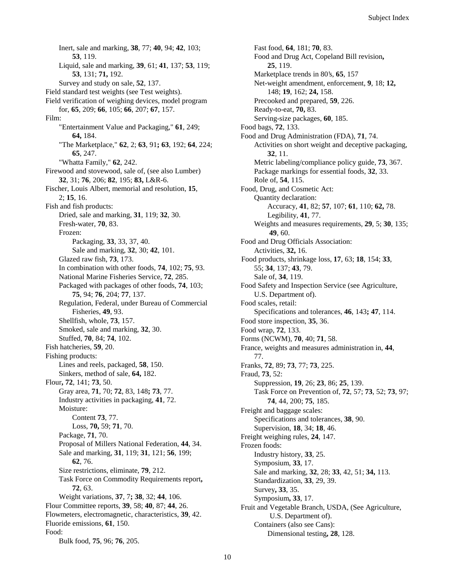Inert, sale and marking, **38**, 77; **40**, 94; **42**, 103; **53**, 119. Liquid, sale and marking, **39**, 61; **41**, 137; **53**, 119; **53**, 131; **71,** 192. Survey and study on sale, **52**, 137. Field standard test weights (see Test weights). Field verification of weighing devices, model program for, **65**, 209; **66**, 105; **66**, 207; **67**, 157. Film: "Entertainment Value and Packaging," **61**, 249; **64,** 184. "The Marketplace," **62**, 2; **63**, 91**; 63**, 192; **64**, 224; **65**, 247. "Whatta Family," **62**, 242. Firewood and stovewood, sale of, (see also Lumber) **32**, 31; **76**, 206; **82**, 195; **83,** L&R-6. Fischer, Louis Albert, memorial and resolution, **15**, 2; **15**, 16. Fish and fish products: Dried, sale and marking, **31**, 119; **32**, 30. Fresh-water, **70**, 83. Frozen: Packaging, **33**, 33, 37, 40. Sale and marking, **32**, 30; **42**, 101. Glazed raw fish, **73**, 173. In combination with other foods, **74**, 102; **75**, 93. National Marine Fisheries Service, **72**, 285. Packaged with packages of other foods, **74**, 103; **75**, 94; **76**, 204; **77**, 137. Regulation, Federal, under Bureau of Commercial Fisheries, **49**, 93. Shellfish, whole, **73**, 157. Smoked, sale and marking, **32**, 30. Stuffed, **70**, 84; **74**, 102. Fish hatcheries, **59**, 20. Fishing products: Lines and reels, packaged, **58**, 150. Sinkers, method of sale, **64,** 182. Flour**, 72**, 141; **73**, 50. Gray area, **71**, 70; **72**, 83, 148**; 73**, 77. Industry activities in packaging, **41**, 72. Moisture: Content **73**, 77. Loss, **70,** 59; **71**, 70. Package, **71**, 70. Proposal of Millers National Federation, **44**, 34. Sale and marking, **31**, 119; **31**, 121; **56**, 199; **62**, 76. Size restrictions, eliminate, **79**, 212. Task Force on Commodity Requirements report**, 72**, 63. Weight variations, **37**, 7**; 38**, 32; **44**, 106. Flour Committee reports, **39**, 58; **40**, 87; **44**, 26. Flowmeters, electromagnetic, characteristics, **39**, 42. Fluoride emissions, **61**, 150. Food: Bulk food, **75**, 96; **76**, 205.

Fast food, **64**, 181; **70**, 83. Food and Drug Act, Copeland Bill revision**, 25**, 119. Marketplace trends in 80's, **65**, 157 Net-weight amendment, enforcement, **9**, 18; **12,** 148; **19**, 162; **24,** 158. Precooked and prepared, **59**, 226. Ready-to-eat, **70,** 83. Serving-size packages, **60**, 185. Food bags, **72**, 133. Food and Drug Administration (FDA), **71**, 74. Activities on short weight and deceptive packaging, **32**, 11. Metric labeling/compliance policy guide, **73**, 367. Package markings for essential foods, **32**, 33. Role of, **54**, 115. Food, Drug, and Cosmetic Act: Quantity declaration: Accuracy, **41**, 82; **57**, 107; **61**, 110; **62,** 78. Legibility, **41**, 77. Weights and measures requirements, **29**, 5; **30**, 135; **49**, 60. Food and Drug Officials Association: Activities, **32,** 16. Food products, shrinkage loss, **17**, 63; **18**, 154; **33**, 55; **34**, 137; **43**, 79. Sale of, **34**, 119. Food Safety and Inspection Service (see Agriculture, U.S. Department of). Food scales, retail: Specifications and tolerances, **46**, 143**; 47**, 114. Food store inspection, **35**, 36. Food wrap, **72**, 133. Forms (NCWM), **70**, 40; **71**, 58. France, weights and measures administration in, **44**, 77. Franks, **72**, 89; **73**, 77; **73**, 225. Fraud, **73**, 52: Suppression, **19**, 26; **23**, 86; **25**, 139. Task Force on Prevention of, **72**, 57; **73**, 52; **73**, 97; **74**, 44, 200; **75**, 185. Freight and baggage scales: Specifications and tolerances, **38**, 90. Supervision, **18**, 34; **18**, 46. Freight weighing rules, **24**, 147. Frozen foods: Industry history, **33**, 25. Symposium, **33**, 17. Sale and marking, **32**, 28; **33**, 42, 51; **34,** 113. Standardization, **33**, 29, 39. Survey**, 33**, 35. Symposium**, 33**, 17. Fruit and Vegetable Branch, USDA, (See Agriculture, U.S. Department of). Containers (also see Cans): Dimensional testing**, 28**, 128.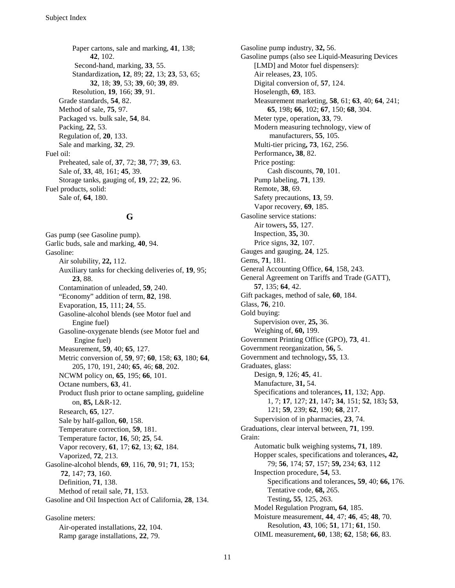Paper cartons, sale and marking, **41**, 138; **42**, 102. Second-hand, marking, **33**, 55. Standardization**, 12**, 89; **22**, 13; **23**, 53, 65; **32**, 18; **39**, 53; **39**, 60; **39**, 89. Resolution, **19**, 166; **39**, 91. Grade standards, **54**, 82. Method of sale, **75**, 97. Packaged vs. bulk sale, **54**, 84. Packing, **22**, 53. Regulation of, **20**, 133. Sale and marking, **32**, 29. Fuel oil: Preheated, sale of, **37**, 72; **38**, 77; **39**, 63. Sale of, **33**, 48, 161; **45**, 39. Storage tanks, gauging of, **19**, 22; **22**, 96. Fuel products, solid: Sale of, **64**, 180.

#### **G**

Gas pump (see Gasoline pump). Garlic buds, sale and marking, **40**, 94. Gasoline: Air solubility, **22,** 112. Auxiliary tanks for checking deliveries of, **19**, 95; **23**, 88. Contamination of unleaded, **59**, 240. "Economy" addition of term, **82**, 198. Evaporation, **15**, 111; **24**, 55. Gasoline-alcohol blends (see Motor fuel and Engine fuel) Gasoline-oxygenate blends (see Motor fuel and Engine fuel) Measurement, **59**, 40; **65**, 127. Metric conversion of, **59**, 97; **60**, 158; **63**, 180; **64**, 205, 170, 191, 240; **65**, 46; **68**, 202. NCWM policy on, **65**, 195; **66**, 101. Octane numbers, **63**, 41. Product flush prior to octane sampling, guideline on, **85,** L&R-12. Research, **65**, 127. Sale by half-gallon, **60**, 158. Temperature correction, **59**, 181. Temperature factor, **16**, 50; **25**, 54. Vapor recovery, **61**, 17; **62**, 13; **62**, 184. Vaporized, **72**, 213. Gasoline-alcohol blends, **69**, 116, **70**, 91; **71**, 153; **72**, 147; **73**, 160. Definition, **71**, 138. Method of retail sale, **71**, 153. Gasoline and Oil Inspection Act of California, **28**, 134.

Gasoline meters: Air-operated installations, **22**, 104. Ramp garage installations, **22**, 79.

Gasoline pump industry, **32,** 56. Gasoline pumps (also see Liquid-Measuring Devices [LMD] and Motor fuel dispensers): Air releases, **23**, 105. Digital conversion of, **57**, 124. Hoselength, **69**, 183. Measurement marketing, **58**, 61; **63**, 40; **64**, 241; **65**, 198**; 66**, 102; **67**, 150; **68**, 304. Meter type, operation**, 33**, 79. Modern measuring technology, view of manufacturers, **55**, 105. Multi-tier pricing**, 73**, 162, 256. Performance**, 38**, 82. Price posting: Cash discounts, **70**, 101. Pump labeling, **71**, 139. Remote, **38**, 69. Safety precautions, **13**, 59. Vapor recovery, **69**, 185. Gasoline service stations: Air towers**, 55**, 127. Inspection, **35,** 30. Price signs, **32**, 107. Gauges and gauging, **24**, 125. Gems, **71**, 181. General Accounting Office, **64**, 158, 243. General Agreement on Tariffs and Trade (GATT), **57**, 135; **64**, 42. Gift packages, method of sale, **60**, 184. Glass, **76**, 210. Gold buying: Supervision over, **25,** 36. Weighing of, **60,** 199. Government Printing Office (GPO), **73**, 41. Government reorganization, **56,** 5. Government and technology**, 55**, 13. Graduates, glass: Design, **9**, 126; **45**, 41. Manufacture, **31,** 54. Specifications and tolerances**, 11**, 132; App. 1, 7; **17**, 127; **21**, 147**; 34**, 151; **52**, 183**; 53**, 121; **59**, 239; **62**, 190; **68**, 217. Supervision of in pharmacies, **23**, 74. Graduations, clear interval between, **71**, 199. Grain: Automatic bulk weighing systems**, 71**, 189. Hopper scales, specifications and tolerances**, 42,** 79; **56**, 174; **57**, 157; **59,** 234; **63**, 112 Inspection procedure, **54,** 53. Specifications and tolerances**, 59**, 40; **66,** 176. Tentative code, **68,** 265. Testing**, 55**, 125, 263. Model Regulation Program**, 64**, 185. Moisture measurement, **44**, 47; **46**, 45; **48**, 70. Resolution, **43**, 106; **51**, 171; **61**, 150. OIML measurement**, 60**, 138; **62**, 158; **66**, 83.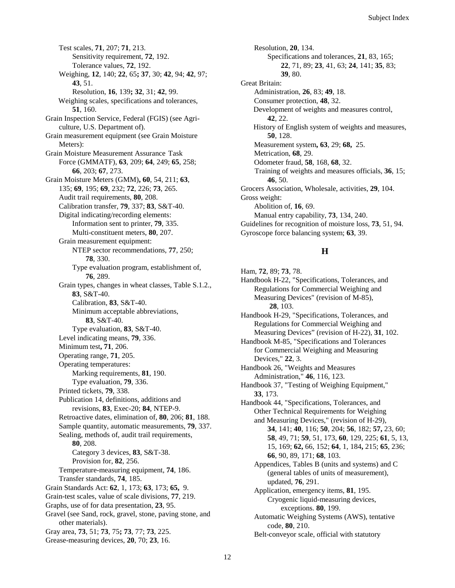Test scales, **71**, 207; **71**, 213. Sensitivity requirement, **72**, 192. Tolerance values, **72**, 192. Weighing, **12**, 140; **22**, 65**; 37**, 30; **42**, 94; **42**, 97; **43**, 51. Resolution, **16**, 139**; 32**, 31; **42**, 99. Weighing scales, specifications and tolerances, **51**, 160. Grain Inspection Service, Federal (FGIS) (see Agriculture, U.S. Department of). Grain measurement equipment (see Grain Moisture Meters): Grain Moisture Measurement Assurance Task Force (GMMATF), **63**, 209; **64**, 249; **65**, 258; **66**, 203; **67**, 273. Grain Moisture Meters (GMM)**, 60**, 54, 211; **63**, 135; **69**, 195; **69**, 232; **72**, 226; **73**, 265. Audit trail requirements, **80**, 208. Calibration transfer, **79**, 337; **83**, S&T-40. Digital indicating/recording elements: Information sent to printer, **79**, 335. Multi-constituent meters, **80**, 207. Grain measurement equipment: NTEP sector recommendations, **77**, 250; **78**, 330. Type evaluation program, establishment of, **76**, 289. Grain types, changes in wheat classes, Table S.1.2., **83**, S&T-40. Calibration, **83**, S&T-40. Minimum acceptable abbreviations, **83**, S&T-40. Type evaluation, **83**, S&T-40. Level indicating means, **79**, 336. Minimum test**, 71**, 206. Operating range, **71**, 205. Operating temperatures: Marking requirements, **81**, 190. Type evaluation, **79**, 336. Printed tickets, **79**, 338. Publication 14, definitions, additions and revisions, **83**, Exec-20; **84**, NTEP-9. Retroactive dates, elimination of, **80**, 206; **81**, 188. Sample quantity, automatic measurements, **79**, 337. Sealing, methods of, audit trail requirements, **80**, 208. Category 3 devices, **83**, S&T-38. Provision for, **82**, 256. Temperature-measuring equipment, **74**, 186. Transfer standards, **74**, 185. Grain Standards Act: **62**, 1, 173; **63**, 173; **65,** 9. Grain-test scales, value of scale divisions, **77**, 219. Graphs, use of for data presentation, **23**, 95. Gravel (see Sand, rock, gravel, stone, paving stone, and other materials). Gray area, **73**, 51; **73**, 75**; 73**, 77; **73**, 225. Grease-measuring devices, **20**, 70; **23**, 16.

Resolution, **20**, 134. Specifications and tolerances, **21**, 83, 165; **22**, 71, 89; **23**, 41, 63; **24**, 141; **35**, 83; **39**, 80. Great Britain: Administration, **26**, 83; **49**, 18. Consumer protection, **48**, 32. Development of weights and measures control, **42**, 22. History of English system of weights and measures, **50**, 128. Measurement system**, 63**, 29; **68,** 25. Metrication, **68**, 29. Odometer fraud, **58**, 168, **68**, 32. Training of weights and measures officials, **36**, 15; **46**, 50. Grocers Association, Wholesale, activities, **29**, 104. Gross weight: Abolition of, **16**, 69. Manual entry capability, **73**, 134, 240. Guidelines for recognition of moisture loss, **73**, 51, 94. Gyroscope force balancing system; **63**, 39.

#### **H**

Ham, **72**, 89; **73**, 78. Handbook H-22, "Specifications, Tolerances, and Regulations for Commercial Weighing and Measuring Devices" (revision of M-85), **28**, 103. Handbook H-29, "Specifications, Tolerances, and Regulations for Commercial Weighing and Measuring Devices" (revision of H-22), **31**, 102. Handbook M-85, "Specifications and Tolerances for Commercial Weighing and Measuring Devices," **22**, 3. Handbook 26, "Weights and Measures Administration," **46**, 116, 123. Handbook 37, "Testing of Weighing Equipment," **33**, 173. Handbook 44, "Specifications, Tolerances, and Other Technical Requirements for Weighing and Measuring Devices," (revision of H-29), **34**, 141; **40**, 116; **50**, 204; **56**, 182; **57,** 23, 60; **58**, 49, 71; **59**, 51, 173, **60**, 129, 225; **61**, 5, 13, 15, 169; **62,** 66, 152; **64**, 1, 184**,** 215; **65**, 236; **66**, 90, 89, 171; **68**, 103. Appendices, Tables B (units and systems) and C (general tables of units of measurement), updated, **76**, 291. Application, emergency items, **81**, 195. Cryogenic liquid-measuring devices, exceptions. **80**, 199. Automatic Weighing Systems (AWS), tentative code, **80**, 210. Belt-conveyor scale, official with statutory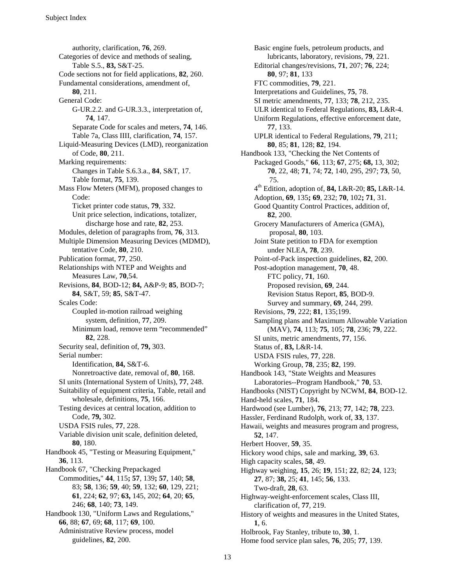authority, clarification, **76**, 269. Categories of device and methods of sealing, Table S.5., **83,** S&T-25. Code sections not for field applications, **82**, 260. Fundamental considerations, amendment of, **80**, 211. General Code: G-UR.2.2. and G-UR.3.3., interpretation of, **74**, 147. Separate Code for scales and meters, **74**, 146. Table 7a, Class IIII, clarification, **74**, 157. Liquid-Measuring Devices (LMD), reorganization of Code, **80**, 211. Marking requirements: Changes in Table S.6.3.a., **84**, S&T, 17. Table format, **75**, 139. Mass Flow Meters (MFM), proposed changes to Code: Ticket printer code status, **79**, 332. Unit price selection, indications, totalizer, discharge hose and rate, **82**, 253. Modules, deletion of paragraphs from, **76**, 313. Multiple Dimension Measuring Devices (MDMD), tentative Code, **80**, 210. Publication format, **77**, 250. Relationships with NTEP and Weights and Measures Law, **70**,54. Revisions, **84**, BOD-12; **84,** A&P-9; **85**, BOD-7; **84**, S&T, 59; **85**, S&T-47. Scales Code: Coupled in-motion railroad weighing system, definition, **77**, 209. Minimum load, remove term "recommended" **82**, 228. Security seal, definition of, **79,** 303. Serial number: Identification, **84,** S&T-6. Nonretroactive date, removal of, **80**, 168. SI units (International System of Units), **77**, 248. Suitability of equipment criteria, Table, retail and wholesale, definitions, **75**, 166. Testing devices at central location, addition to Code, **79,** 302. USDA FSIS rules, **77**, 228. Variable division unit scale, definition deleted, **80**, 180. Handbook 45, "Testing or Measuring Equipment," **36**, 113. Handbook 67, "Checking Prepackaged Commodities**,**" **44**, 115**; 57**, 139**; 57**, 140; **58**, 83; **58**, 136; **59**, 40; **59**, 132; **60**, 129, 221; **61**, 224; **62**, 97; **63,** 145, 202; **64**, 20; **65**, 246; **68**, 140; **73**, 149. Handbook 130, "Uniform Laws and Regulations," **66**, 88; **67**, 69; **68**, 117; **69**, 100. Administrative Review process, model guidelines, **82**, 200.

Basic engine fuels, petroleum products, and lubricants, laboratory, revisions, **79**, 221. Editorial changes/revisions, **71**, 207; **76**, 224; **80**, 97; **81**, 133 FTC commodities, **79**, 221. Interpretations and Guidelines, **75**, 78. SI metric amendments, **77**, 133; **78**, 212, 235. ULR identical to Federal Regulations, **83,** L&R-4. Uniform Regulations, effective enforcement date, **77**, 133. UPLR identical to Federal Regulations, **79**, 211; **80**, 85; **81**, 128; **82**, 194. Handbook 133, "Checking the Net Contents of Packaged Goods," **66**, 113; **67**, 275; **68,** 13, 302; **70**, 22, 48; **71**, 74; **72**, 140, 295, 297; **73**, 50, 75. 4th Edition, adoption of, **84,** L&R-20; **85,** L&R-14. Adoption, **69**, 135**; 69**, 232; **70**, 102**; 71**, 31. Good Quantity Control Practices, addition of, **82**, 200. Grocery Manufacturers of America (GMA), proposal, **80**, 103. Joint State petition to FDA for exemption under NLEA, **78**, 239. Point-of-Pack inspection guidelines, **82**, 200. Post-adoption management, **70**, 48. FTC policy, **71**, 160. Proposed revision, **69**, 244. Revision Status Report, **85**, BOD-9. Survey and summary, **69**, 244, 299. Revisions, **79**, 222; **81**, 135;199. Sampling plans and Maximum Allowable Variation (MAV), **74**, 113; **75**, 105; **78**, 236; **79**, 222. SI units, metric amendments, **77**, 156. Status of, **83,** L&R-14. USDA FSIS rules, **77**, 228. Working Group, **78**, 235; **82**, 199. Handbook 143, "State Weights and Measures Laboratories--Program Handbook," **70**, 53. Handbooks (NIST) Copyright by NCWM, **84**, BOD-12. Hand-held scales, **71**, 184. Hardwood (see Lumber), **76**, 213; **77**, 142; **78**, 223. Hassler, Ferdinand Rudolph, work of, **33**, 137. Hawaii, weights and measures program and progress, **52**, 147. Herbert Hoover, **59**, 35. Hickory wood chips, sale and marking, **39**, 63. High capacity scales, **58**, 49. Highway weighing, **15**, 26; **19**, 151; **22**, 82; **24**, 123; **27**, 87; **38,** 25; **41**, 145; **56**, 133. Two-draft, **28**, 63. Highway-weight-enforcement scales, Class III, clarification of, **77**, 219. History of weights and measures in the United States, **1**, 6. Holbrook, Fay Stanley, tribute to, **30**, 1. Home food service plan sales, **76**, 205; **77**, 139.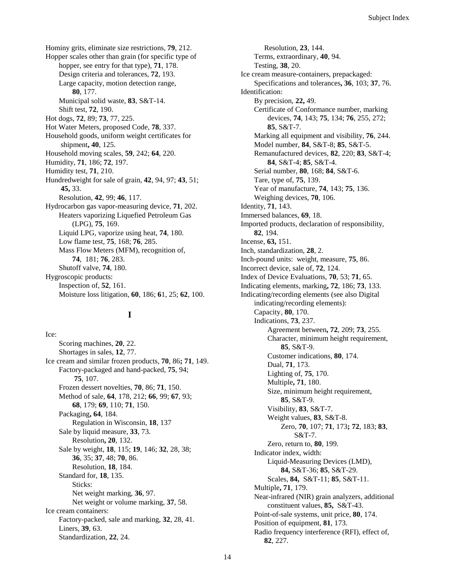Hominy grits, eliminate size restrictions, **79**, 212. Hopper scales other than grain (for specific type of hopper, see entry for that type), **71**, 178. Design criteria and tolerances, **72**, 193. Large capacity, motion detection range, **80**, 177. Municipal solid waste, **83**, S&T-14. Shift test, **72**, 190. Hot dogs, **72**, 89; **73**, 77, 225. Hot Water Meters, proposed Code, **78**, 337. Household goods, uniform weight certificates for shipment**, 40**, 125. Household moving scales, **59**, 242; **64**, 220. Humidity, **71**, 186; **72**, 197. Humidity test, **71**, 210. Hundredweight for sale of grain, **42**, 94, 97; **43**, 51; **45,** 33. Resolution, **42**, 99; **46**, 117. Hydrocarbon gas vapor-measuring device, **71**, 202. Heaters vaporizing Liquefied Petroleum Gas (LPG), **75**, 169. Liquid LPG, vaporize using heat, **74**, 180. Low flame test, **75**, 168; **76**, 285. Mass Flow Meters (MFM), recognition of, **74**, 181; **76**, 283. Shutoff valve, **74**, 180. Hygroscopic products: Inspection of, **52**, 161. Moisture loss litigation, **60**, 186; **6**1, 25; **62**, 100.

**I**

Ice: Scoring machines, **20**, 22. Shortages in sales, **12**, 77. Ice cream and similar frozen products, **70**, 86**; 71**, 149. Factory-packaged and hand-packed, **75**, 94; **75**, 107. Frozen dessert novelties, **70**, 86; **71**, 150. Method of sale, **64**, 178, 212; **66**, 99; **67**, 93; **68**, 179; **69**, 110; **71**, 150. Packaging**, 64**, 184. Regulation in Wisconsin, **18**, 137 Sale by liquid measure, **33**, 73. Resolution**, 20**, 132. Sale by weight, **18**, 115; **19**, 146; **32**, 28, 38; **36**, 35; **37**, 48; **70**, 86. Resolution, **18**, 184. Standard for, **18**, 135. Sticks: Net weight marking, **36**, 97. Net weight or volume marking, **37**, 58. Ice cream containers: Factory-packed, sale and marking, **32**, 28, 41. Liners, **39**, 63. Standardization, **22**, 24.

Resolution, **23**, 144. Terms, extraordinary, **40**, 94. Testing, **38**, 20. Ice cream measure-containers, prepackaged: Specifications and tolerances**, 36**, 103; **37**, 76. Identification: By precision, **22,** 49. Certificate of Conformance number, marking devices, **74**, 143; **75**, 134; **76**, 255, 272; **85**, S&T-7. Marking all equipment and visibility, **76**, 244. Model number, **84**, S&T-8; **85**, S&T-5. Remanufactured devices, **82**, 220; **83**, S&T-4; **84**, S&T-4; **85**, S&T-4. Serial number, **80**, 168; **84**, S&T-6. Tare, type of, **75**, 139. Year of manufacture, **74**, 143; **75**, 136. Weighing devices, **70**, 106. Identity, **71**, 143. Immersed balances, **69**, 18. Imported products, declaration of responsibility, **82**, 194. Incense, **63,** 151. Inch, standardization, **28**, 2. Inch-pound units: weight, measure, **75**, 86. Incorrect device, sale of, **72**, 124. Index of Device Evaluations, **70**, 53; **71**, 65. Indicating elements, marking**, 72**, 186; **73**, 133. Indicating/recording elements (see also Digital indicating/recording elements): Capacity, **80**, 170. Indications, **73**, 237. Agreement between**, 72**, 209; **73**, 255. Character, minimum height requirement, **85**, S&T-9. Customer indications, **80**, 174. Dual, **71**, 173. Lighting of, **75**, 170. Multiple**, 71**, 180. Size, minimum height requirement, **85**, S&T-9. Visibility, **83**, S&T-7. Weight values, **83**, S&T-8. Zero, **70**, 107; **71**, 173**; 72**, 183; **83**, S&T-7. Zero, return to, **80**, 199. Indicator index, width: Liquid-Measuring Devices (LMD), **84,** S&T-36; **85**, S&T-29. Scales, **84,** S&T-11; **85**, S&T-11. Multiple**, 71**, 179. Near-infrared (NIR) grain analyzers, additional constituent values, **85,** S&T-43. Point-of-sale systems, unit price, **80**, 174. Position of equipment, **81**, 173. Radio frequency interference (RFI), effect of, **82**, 227.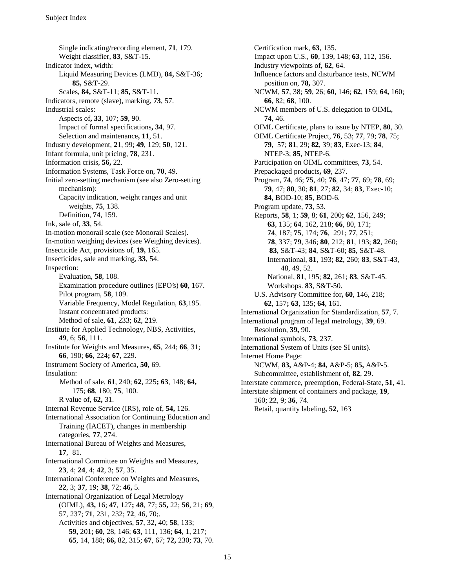Single indicating/recording element, **71**, 179. Weight classifier, **83**, S&T-15. Indicator index, width: Liquid Measuring Devices (LMD), **84,** S&T-36; **85,** S&T-29. Scales, **84,** S&T-11; **85,** S&T-11. Indicators, remote (slave), marking, **73**, 57. Industrial scales: Aspects of**, 33**, 107; **59**, 90. Impact of formal specifications**, 34**, 97. Selection and maintenance**, 11**, 51. Industry development, **2**1, 99; **49**, 129; **50**, 121. Infant formula, unit pricing, **78**, 231. Information crisis, **56,** 22. Information Systems, Task Force on, **70**, 49. Initial zero-setting mechanism (see also Zero-setting mechanism): Capacity indication, weight ranges and unit weights, **75**, 138. Definition, **74**, 159. Ink, sale of, **33**, 54. In-motion monorail scale (see Monorail Scales). In-motion weighing devices (see Weighing devices). Insecticide Act, provisions of, **19,** 165. Insecticides, sale and marking, **33**, 54. Inspection: Evaluation, **58**, 108. Examination procedure outlines (EPO's) **60**, 167. Pilot program, **58**, 109. Variable Frequency, Model Regulation, **63**,195. Instant concentrated products: Method of sale, **61**, 233; **62**, 219. Institute for Applied Technology, NBS, Activities, **49**, 6; **56**, 111. Institute for Weights and Measures, **65**, 244; **66**, 31; **66**, 190; **66**, 224**; 67**, 229. Instrument Society of America, **50**, 69. Insulation: Method of sale, **61**, 240; **62**, 225**; 63**, 148; **64,** 175; **68**, 180; **75**, 100. R value of, **62,** 31. Internal Revenue Service (IRS), role of, **54,** 126. International Association for Continuing Education and Training (IACET), changes in membership categories, **77**, 274. International Bureau of Weights and Measures, **17**, 81. International Committee on Weights and Measures, **23**, 4; **24**, 4; **42**, 3; **57**, 35. International Conference on Weights and Measures, **22**, 3; **37**, 19; **38**, 72; **46,** 5. International Organization of Legal Metrology (OIML), **43,** 16; **47**, 127**; 48**, 77; **55,** 22; **56**, 21; **69**, 57, 237; **71**, 231, 232; **72**, 46, 70;. Activities and objectives, **57**, 32, 40; **58**, 133; **59,** 201; **60**, 28, 146; **63**, 111, 136; **64**, 1, 217; **65**, 14, 188; **66,** 82, 315; **67**, 67; **72,** 230; **73**, 70.

Certification mark, **63**, 135. Impact upon U.S., **60**, 139, 148; **63**, 112, 156. Industry viewpoints of, **62**, 64. Influence factors and disturbance tests, NCWM position on, **78,** 307. NCWM, **57**, 38; **59**, 26; **60**, 146; **62**, 159; **64,** 160; **66**, 82; **68**, 100. NCWM members of U.S. delegation to OIML, **74**, 46. OIML Certificate, plans to issue by NTEP, **80**, 30. OIML Certificate Project, **76**, 53; **77**, 79; **78**, 75; **79**, 57; **81**, 29; **82**, 39; **83**, Exec-13; **84**, NTEP-3; **85**, NTEP-6. Participation on OIML committees, **73**, 54. Prepackaged products**, 69**, 237. Program, **74**, 46; **75**, 40; **76**, 47; **77**, 69; **78**, 69; **79**, 47; **80**, 30; **81**, 27; **82**, 34; **83**, Exec-10; **84**, BOD-10; **85**, BOD-6. Program update, **73**, 53. Reports, **58**, 1; **59**, 8; **61**, 200**; 62**, 156, 249; **63**, 135; **64**, 162, 218; **66**, 80, 171; **74**, 187; **75**, 174; **76**, 291; **77**, 251; **78**, 337; **79**, 346; **80**, 212; **81**, 193; **82**, 260; **83**, S&T-43; **84**, S&T-60; **85**, S&T-48. International, **81**, 193; **82**, 260; **83**, S&T-43, 48, 49, 52. National, **81**, 195; **82**, 261; **83**, S&T-45. Workshops. **83**, S&T-50. U.S. Advisory Committee for**, 60**, 146, 218; **62**, 157**; 63**, 135; **64**, 161. International Organization for Standardization, **57**, 7. International program of legal metrology, **39**, 69. Resolution, **39,** 90. International symbols, **73**, 237. International System of Units (see SI units). Internet Home Page: NCWM, **83,** A&P-4; **84,** A&P-5; **85,** A&P-5. Subcommittee, establishment of, **82**, 29. Interstate commerce, preemption, Federal-State**, 51**, 41. Interstate shipment of containers and package, **19**, 160; **22**, 9; **36**, 74. Retail, quantity labeling**, 52**, 163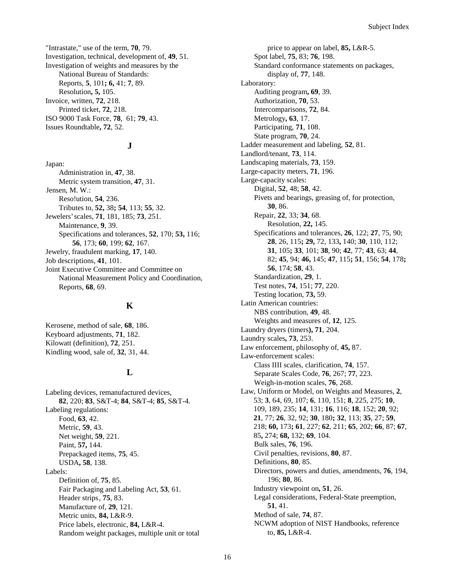"Intrastate," use of the term, **70**, 79. Investigation, technical, development of, **49**, 51. Investigation of weights and measures by the National Bureau of Standards: Reports, **5**, 101**; 6,** 41; **7**, 89. Resolution**, 5,** 105. Invoice, written, **72**, 218. Printed ticket, **72**, 218. ISO 9000 Task Force, **78**, 61; **79**, 43. Issues Roundtable**, 72**, 52.

#### **J**

Japan: Administration in, **47**, 38. Metric system transition, **47**, 31. Jensen, M. W.: Reso!ution, **54**, 236. Tributes to, **52,** 38**; 54**, 113; **55**, 32. Jewelers' scales, **71**, 181, 185; **73**, 251. Maintenance, **9**, 39. Specifications and tolerances, **52**, 170; **53,** 116; **56**, 173; **60**, 199; **62**, 167. Jewelry, fraudulent marking, **17**, 140. Job descriptions, **41**, 101. Joint Executive Committee and Committee on National Measurement Policy and Coordination, Reports, **68**, 69.

#### **K**

Kerosene, method of sale, **68**, 186. Keyboard adjustments, **71**, 182. Kilowatt (definition), **72**, 251. Kindling wood, sale of, **32**, 31, 44.

#### **L**

Labeling devices, remanufactured devices, **82**, 220; **83**, S&T-4; **84**, S&T-4; **85**, S&T-4. Labeling regulations: Food, **63**, 42. Metric, **59**, 43. Net weight, **59**, 221. Paint, **57,** 144. Prepackaged items, **75**, 45. USDA**, 58**, 138. Labels: Definition of, **75**, 85. Fair Packaging and Labeling Act, **53**, 61. Header strips, **75**, 83. Manufacture of, **29**, 121. Metric units, **84,** L&R-9. Price labels, electronic, **84,** L&R-4. Random weight packages, multiple unit or total

price to appear on label, **85,** L&R-5. Spot label, **75**, 83; **76**, 198. Standard conformance statements on packages, display of, **77**, 148. Laboratory: Auditing program**, 69**, 39. Authorization, **70**, 53. Intercomparisons, **72**, 84. Metrology**, 63**, 17. Participating, **71**, 108. State program, **70**, 24. Ladder measurement and labeling, **52**, 81. Landlord/tenant, **73**, 114. Landscaping materials, **73**, 159. Large-capacity meters, **71**, 196. Large-capacity scales: Digital, **52**, 48; **58**, 42. Pivets and bearings, greasing of, for protection, **30**, 86. Repair, **22**, 33; **34**, 68. Resolution, **22,** 145. Specifications and tolerances, **26**, 122; **27**, 75, 90; **28**, 26, 115**; 29,** 72, 133**,** 140; **30**, 110, 112; **31**, 105**; 33**, 101; **38**, 90; **42**, 77; **43**, 63; **44**, 82; **45**, 94; **46,** 145; **47**, 115**; 51**, 156; **54**, 178**; 56**, 174; **58**, 43. Standardization, **29**, 1. Test notes, **74**, 151; **77**, 220. Testing location, **73,** 59. Latin American countries: NBS contribution, **49**, 48. Weights and measures of, **12**, 125. Laundry dryers (timers**), 71**, 204. Laundry scales**, 73**, 253. Law enforcement, philosophy of, **45,** 87. Law-enforcement scales: Class IIII scales, clarification, **74**, 157. Separate Scales Code, **76**, 267; **77**, 223. Weigh-in-motion scales, **76**, 268. Law, Uniform or Model, on Weights and Measures, **2**, 53; **3**, 64, 69, 107; **6**, 110, 151; **8**, 225, 275; **10**, 109, 189, 235; **14**, 131; **16**, 116; **18**, 152; **20**, 92; **21**, 77; **26**, 32, 92; **30**, 180**; 32**, 113; **35**, 27; **59**, 218; **60,** 173**; 61**, 227; **62**, 211; **65**, 202; **66**, 87; **67**, 85**,** 274; **68,** 132; **69**, 104. Bulk sales, **76**, 196. Civil penalties, revisions, **80**, 87. Definitions, **80**, 85. Directors, powers and duties, amendments, **76**, 194, 196; **80**, 86. Industry viewpoint on**, 51**, 26. Legal considerations, Federal-State preemption, **51**, 41. Method of sale, **74**, 87. NCWM adoption of NIST Handbooks, reference to, **85,** L&R-4.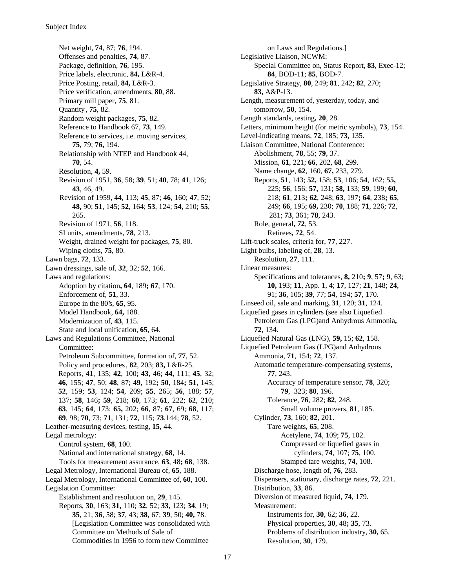Net weight, **74**, 87; **76**, 194. Offenses and penalties, **74**, 87. Package, definition, **76**, 195. Price labels, electronic, **84,** L&R-4. Price Posting, retail, **84,** L&R-3. Price verification, amendments, **80**, 88. Primary mill paper, **75**, 81. Quantity , **75**, 82. Random weight packages, **75**, 82. Reference to Handbook 67, **73**, 149. Reference to services, i.e. moving services, **75**, 79; **76,** 194. Relationship with NTEP and Handbook 44, **70**, 54. Resolution, **4,** 59. Revision of 1951, **36**, 58; **39**, 51; **40**, 78; **41**, 126; **43**, 46, 49. Revision of 1959, **44**, 113; **45**, 87; **46**, 160; **47**, 52; **48,** 90; **51**, 145; **52**, 164; **53**, 124; **54**, 210; **55**, 265. Revision of 1971, **56**, 118. SI units, amendments, **78**, 213. Weight, drained weight for packages, **75**, 80. Wiping cloths, **75**, 80. Lawn bags, **72**, 133. Lawn dressings, sale of, **32**, 32; **52**, 166. Laws and regulations: Adoption by citation**, 64**, 189**; 67**, 170. Enforcement of, **51**, 33. Europe in the 80's, **65**, 95. Model Handbook, **64,** 188. Modernization of, **43**, 115. State and local unification, **65**, 64. Laws and Regulations Committee, National Committee: Petroleum Subcommittee, formation of, **77**, 52. Policy and procedures, **82**, 203; **83,** L&R-25. Reports, **41**, 135; **42**, 100; **43**, 46; **44,** 111; **45**, 32; **46**, 155; **47**, 50; **48**, 87; **49**, 192**; 50**, 184**; 51**, 145; **52**, 159; **53**, 124; **54**, 209; **55**, 265; **56**, 188; **57**, 137; **58**, 146**; 59**, 218; **60**, 173; **61**, 222; **62**, 210; **63**, 145; **64**, 173; **65,** 202; **66**, 87; **67**, 69; **68**, 117; **69**, 98; **70**, 73; **71**, 131; **72**, 115; **73**,144; **78**, 52. Leather-measuring devices, testing, **15**, 44. Legal metrology: Control system, **68**, 100. National and international strategy, **68**, 14. Tools for measurement assurance, **63**, 48**; 68**, 138. Legal Metrology, International Bureau of, **65**, 188. Legal Metrology, International Committee of, **60**, 100. Legislation Committee: Establishment and resolution on, **29**, 145. Reports, **30**, 163; **31,** 110; **32**, 52; **33**, 123; **34**, 19; **35**, 21; **36**, 58; **37**, 43; **38**, 67; **39**, 50; **40,** 78. [Legislation Committee was consolidated with Committee on Methods of Sale of Commodities in 1956 to form new Committee

on Laws and Regulations.] Legislative Liaison, NCWM: Special Committee on, Status Report, **83**, Exec-12; **84**, BOD-11; **85**, BOD-7. Legislative Strategy, **80**, 249; **81**, 242; **82**, 270; **83,** A&P-13. Length, measurement of, yesterday, today, and tomorrow, **50**, 154. Length standards, testing**, 20**, 28. Letters, minimum height (for metric symbols), **73**, 154. Level-indicating means, **72**, 185; **73**, 135. Liaison Committee, National Conference: Abolishment, **78**, 55; **79**, 37. Mission, **61**, 221; **66**, 202, **68**, 299. Name change, **62**, 160, **67,** 233, 279. Reports, **51**, 143; **52,** 158; **53**, 106; **54**, 162; **55,** 225; **56**, 156; **57,** 131; **58,** 133; **59**, 199; **60**, 218; **61**, 213**; 62**, 248; **63**, 197**; 64**, 238**; 65**, 249; **66**, 195; **69,** 230; **70**, 188; **71**, 226; **72**, 281; **73**, 361; **78**, 243. Role, general**, 72**, 53. Retirees**, 72**, 54. Lift-truck scales, criteria for, **77**, 227. Light bulbs, labeling of, **28**, 13. Resolution, **27**, 111. Linear measures: Specifications and tolerances, **8,** 210**; 9**, 57**; 9**, 63; **10,** 193; **11**, App. 1, 4; **17**, 127; **21**, 148; **24**, 91; **36**, 105; **39**, 77; **54**, 194; **57**, 170. Linseed oil, sale and marking**, 31**, 120; **31**, 124. Liquefied gases in cylinders (see also Liquefied Petroleum Gas (LPG)and Anhydrous Ammonia**, 72**, 134. Liquefied Natural Gas (LNG), **59,** 15; **62**, 158. Liquefied Petroleum Gas (LPG)and Anhydrous Ammonia, **71**, 154; **72**, 137. Automatic temperature-compensating systems, **77**, 243. Accuracy of temperature sensor, **78**, 320; **79**, 323; **80**, 196. Tolerance, **76**, 282; **82**, 248. Small volume provers, **81**, 185. Cylinder, **73**, 160; **82**, 201. Tare weights, **65**, 208. Acetylene, **74**, 109; **75**, 102. Compressed or liquefied gases in cylinders, **74**, 107; **75**, 100. Stamped tare weights, **74**, 108. Discharge hose, length of, **76**, 283. Dispensers, stationary, discharge rates, **72**, 221. Distribution, **33**, 86. Diversion of measured liquid, **74**, 179. Measurement: Instruments for, **30**, 62; **36**, 22. Physical properties, **30**, 48**; 35**, 73. Problems of distribution industry, **30,** 65.

Resolution, **30**, 179.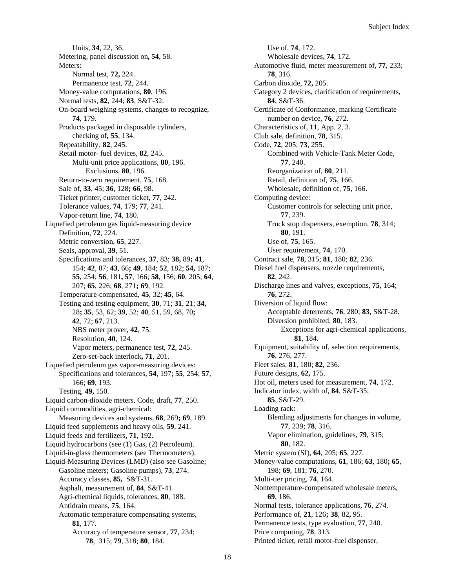Units, **34**, 22, 36. Metering, panel discussion on**, 54**, 58. Meters: Normal test, **72,** 224. Permanence test, **72**, 244. Money-value computations, **80**, 196. Normal tests, **82**, 244; **83**, S&T-32. On-board weighing systems, changes to recognize, **74**, 179. Products packaged in disposable cylinders, checking of**, 55**, 134. Repeatability, **82**, 245. Retail motor- fuel devices, **82**, 245. Multi-unit price applications, **80**, 196. Exclusions, **80**, 196. Return-to-zero requirement, **75**, 168. Sale of, **33**, 45; **36**, 128**; 66**, 98. Ticket printer, customer ticket, **77**, 242. Tolerance values, **74**, 179; **77**, 241. Vapor-return line, **74**, 180. Liquefied petroleum gas liquid-measuring device Definition, **72**, 224. Metric conversion, **65**, 227. Seals, approval, **39**, 51. Specifications and tolerances, **37**, 83; **38,** 89**; 41**, 154; **42**, 87; **43**, 66**; 49**, 184; **52**, 182; **54,** 187; **55**, 254; **56**, 181**, 57**, 166; **58**, 156; **60**, 205; **64**, 207; **65**, 226; **68**, 271**; 69**, 192. Temperature-compensated, **45**, 32; **45**, 64. Testing and testing equipment, **30**, 71; **31**, 21; **34**, 28**; 35**, 53, 62; **39**, 52; **40**, 51, 59, 68, 70**; 42**, 72; **67**, 213. NBS meter prover, **42**, 75. Resolution, **40**, 124. Vapor meters, permanence test, **72**, 245. Zero-set-back interlock**, 71**, 201. Liquefied petroleum gas vapor-measuring devices: Specifications and tolerances, **54**, 197; **55**, 254; **57**, 166; **69**, 193. Testing, **49,** 150. Liquid carbon-dioxide meters, Code, draft, **77**, 250. Liquid commodities, agri-chemical: Measuring devices and systems, **68**, 269**; 69**, 189. Liquid feed supplements and heavy oils, **59**, 241. Liquid feeds and fertilizers**, 71**, 192. Liquid hydrocarbons (see (1) Gas, (2) Petroleum). Liquid-in-glass thermometers (see Thermometers). Liquid-Measuring Devices (LMD) (also see Gasoline; Gasoline meters; Gasoline pumps), **73**, 274. Accuracy classes, **85,** S&T-31. Asphalt, measurement of, **84**, S&T-41. Agri-chemical liquids, tolerances, **80**, 188. Antidrain means, **75**, 164. Automatic temperature compensating systems, **81**, 177. Accuracy of temperature sensor, **77**, 234; **78**, 315; **79**, 318; **80**, 184.

Use of, **74**, 172. Wholesale devices, **74**, 172. Automotive fluid, meter measurement of, **77**, 233; **78**, 316. Carbon dioxide, **72,** 205. Category 2 devices, clarification of requirements, **84**, S&T-36. Certificate of Conformance, marking Certificate number on device, **76**, 272. Characteristics of, **11**, App. 2, 3. Club sale, definition, **78**, 315. Code, **72**, 205; **73**, 255. Combined with Vehicle-Tank Meter Code, **77**, 240. Reorganization of, **80**, 211. Retail, definition of, **75**, 166. Wholesale, definition of, **75**, 166. Computing device: Customer controls for selecting unit price, **77**, 239. Truck stop dispensers, exemption, **78**, 314; **80**, 191. Use of, **75**, 165. User requirement, **74**, 170. Contract sale, **78**, 315; **81**, 180; **82**, 236. Diesel fuel dispensers, nozzle requirements, **82**, 242. Discharge lines and valves, exceptions, **75**, 164; **76**, 272. Diversion of liquid flow: Acceptable deterrents, **76**, 280; **83**, S&T-28. Diversion prohibited, **80**, 183. Exceptions for agri-chemical applications, **81**, 184. Equipment, suitability of, selection requirements, **76**, 276, 277. Fleet sales, **81**, 180; **82**, 236. Future designs, **62,** 175. Hot oil, meters used for measurement, **74**, 172. Indicator index, width of, **84**, S&T-35; **85**, S&T-29. Loading rack: Blending adjustments for changes in volume, **77**, 239; **78**, 316. Vapor elimination, guidelines, **79**, 315; **80**, 182. Metric system (SI), **64**, 205; **65**, 227. Money-value computations, **61**, 186; **63**, 180**; 65**, 198; **69**, 181; **76**, 270. Multi-tier pricing, **74**, 164. Nontemperature-compensated wholesale meters, **69**, 186. Normal tests, tolerance applications, **76**, 274. Performance of, **21**, 126**; 38**, 82**,** 95. Permanence tests, type evaluation, **77**, 240. Price computing, **78**, 313. Printed ticket, retail motor-fuel dispenser,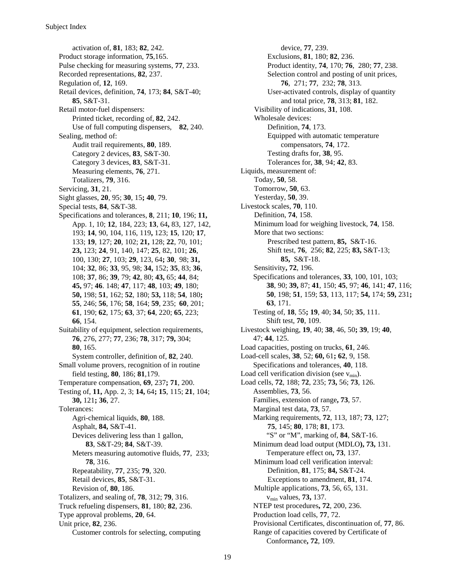activation of, **81**, 183; **82**, 242. Product storage information, **75**,165. Pulse checking for measuring systems, **77**, 233. Recorded representations, **82**, 237. Regulation of, **12**, 169. Retail devices, definition, **74**, 173; **84**, S&T-40; **85**, S&T-31. Retail motor-fuel dispensers: Printed ticket, recording of, **82**, 242. Use of full computing dispensers, **82**, 240. Sealing, method of: Audit trail requirements, **80**, 189. Category 2 devices, **83**, S&T-30. Category 3 devices, **83**, S&T-31. Measuring elements, **76**, 271. Totalizers, **79**, 316. Servicing, **31**, 21. Sight glasses, **20**, 95; **30**, 15**; 40**, 79. Special tests, **84**, S&T-38. Specifications and tolerances, **8**, 211; **10**, 196; **11,** App. 1, 10; **12**, 184, 223; **13**, 64**,** 83, 127, 142, 193; **14**, 90, 104, 116, 119**,** 123; **15**, 120; **17**, 133; **19**, 127; **20**, 102; **21,** 128; **22**, 70, 101; **23,** 123; **24**, 91, 140, 147; **25**, 82, 101; **26**, 100, 130; **27**, 103; **29**, 123, 64**; 30**, 98; **31,** 104; **32**, 86; **33**, 95, 98; **34,** 152; **35**, 83; **36**, 108; **37**, 86; **39**, 79; **42**, 80; **43,** 65; **44**, 84; **45,** 97; **46**. 148; **47**, 117; **48**, 103; **49**, 180; **50,** 198; **51**, 162; **52**, 180; **53,** 118; **54**, 180**; 55**, 246; **56**, 176; **58**, 164; **59**, 235; **60**, 201; **61**, 190; **62**, 175; **63**, 37; **64**, 220; **65**, 223; **66**, 154. Suitability of equipment, selection requirements, **76**, 276, 277; **77**, 236; **78**, 317; **79,** 304; **80**, 165. System controller, definition of, **82**, 240. Small volume provers, recognition of in routine field testing, **80**, 186; **81**,179. Temperature compensation, **69**, 237**; 71**, 200. Testing of, **11,** App. 2, 3; **14,** 64**; 15**, 115; **21**, 104; **30,** 121**; 36**, 27. Tolerances: Agri-chemical liquids, **80**, 188. Asphalt, **84,** S&T-41. Devices delivering less than 1 gallon, **83**, S&T-29; **84**, S&T-39. Meters measuring automotive fluids, **77**, 233; **78**, 316. Repeatability, **77**, 235; **79**, 320. Retail devices, **85**, S&T-31. Revision of, **80**, 186. Totalizers, and sealing of, **78**, 312; **79**, 316. Truck refueling dispensers, **81**, 180; **82**, 236. Type approval problems, **20**, 64. Unit price, **82**, 236. Customer controls for selecting, computing

device, **77**, 239. Exclusions, **81**, 180; **82**, 236. Product identity, **74**, 170; **76**, 280; **77**, 238. Selection control and posting of unit prices, **76**, 271; **77**, 232; **78**, 313. User-activated controls, display of quantity and total price, **78**, 313; **81**, 182. Visibility of indications, **31**, 108. Wholesale devices: Definition, **74**, 173. Equipped with automatic temperature compensators, **74**, 172. Testing drafts for, **38**, 95. Tolerances for, **38**, 94; **42**, 83. Liquids, measurement of: Today, **50**, 58. Tomorrow, **50**, 63. Yesterday, **50**, 39. Livestock scales, **70**, 110. Definition, **74**, 158. Minimum load for weighing livestock, **74**, 158. More that two sections: Prescribed test pattern, **85,** S&T-16. Shift test, **76**, 256; **82**, 225; **83,** S&T-13; **85,** S&T-18. Sensitivity**, 72**, 196. Specifications and tolerances, **33**, 100, 101, 103; **38**, 90; **39,** 87; **41**, 150; **45**, 97; **46**, 141; **47**, 116; **50**, 198; **51**, 159; **53**, 113, 117; **54,** 174; **59,** 231**; 63**, 171. Testing of, **18**, 55**; 19**, 40; **34**, 50; **35**, 111. Shift test, **70**, 109. Livestock weighing, **19**, 40; **38**, 46, 50**; 39**, 19; **40**, 47; **44**, 125. Load capacities, posting on trucks, **61**, 246. Load-cell scales, **38**, 52; **60,** 61**; 62**, 9, 158. Specifications and tolerances, **40**, 118. Load cell verification division (see  $v_{min}$ ). Load cells, **72**, 188; **72**, 235; **73,** 56; **73**, 126. Assemblies, **73**, 56. Families, extension of range**, 73**, 57. Marginal test data, **73**, 57. Marking requirements, **72**, 113, 187; **73**, 127; **75**, 145; **80**, 178; **81**, 173. "S" or "M", marking of, **84**, S&T-16. Minimum dead load output (MDLO**), 73,** 131. Temperature effect on**, 73**, 137. Minimum load cell verification interval: Definition, **81**, 175; **84,** S&T-24. Exceptions to amendment, **81**, 174. Multiple applications, **73**, 56, 65, 131. vmin values, **73,** 137. NTEP test procedures**, 72**, 200, 236. Production load cells, **77**, 72. Provisional Certificates, discontinuation of, **77**, 86. Range of capacities covered by Certificate of Conformance**, 72**, 109.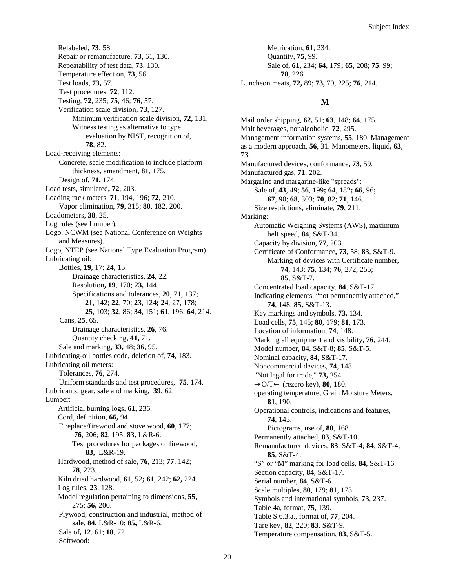Relabeled**, 73**, 58. Repair or remanufacture, **73**, 61, 130. Repeatability of test data, **73**, 130. Temperature effect on, **73**, 56. Test loads, **73,** 57. Test procedures, **72**, 112. Testing, **72**, 235; **75**, 46; **76**, 57. Verification scale division**, 73**, 127. Minimum verification scale division, **72,** 131. Witness testing as alternative to type evaluation by NIST, recognition of, **78**, 82. Load-receiving elements: Concrete, scale modification to include platform thickness, amendment, **81**, 175. Design of**, 71,** 174. Load tests, simulated**, 72**, 203. Loading rack meters, **71**, 194, 196; **72**, 210. Vapor elimination, **79**, 315; **80**, 182, 200. Loadometers, **38**, 25. Log rules (see Lumber). Logo, NCWM (see National Conference on Weights and Measures). Logo, NTEP (see National Type Evaluation Program). Lubricating oil: Bottles, **19**, 17; **24**, 15. Drainage characteristics, **24**, 22. Resolution**, 19**, 170; **23,** 144. Specifications and tolerances, **20**, 71, 137; **21**, 142; **22**, 70; **23**, 124**; 24**, 27, 178; **25**, 103; **32**, 86; **34**, 151; **61**, 196; **64**, 214. Cans, **25**, 65. Drainage characteristics, **26**, 76. Quantity checking, **41,** 71. Sale and marking, **33,** 48; **36**, 95. Lubricating-oil bottles code, deletion of, **74**, 183. Lubricating oil meters: Tolerances, **76**, 274. Uniform standards and test procedures, **75**, 174. Lubricants, gear, sale and marking**, 39**, 62. Lumber: Artificial burning logs, **61**, 236. Cord, definition, **66,** 94. Fireplace/firewood and stove wood, **60**, 177; **76**, 206; **82**, 195; **83,** L&R-6. Test procedures for packages of firewood, **83,** L&R-19. Hardwood, method of sale, **76**, 213; **77**, 142; **78**, 223. Kiln dried hardwood, **61**, 52**; 61**, 242; **62,** 224. Log rules, **23**, 128. Model regulation pertaining to dimensions, **55**, 275; **56,** 200. Plywood, construction and industrial, method of sale, **84,** L&R-10; **85,** L&R-6. Sale of**, 12**, 61; **18**, 72. Softwood:

Metrication, **61**, 234. Quantity, **75**, 99. Sale of**, 61**, 234; **64**, 179**; 65**, 208; **75**, 99; **78**, 226. Luncheon meats, **72,** 89; **73,** 79, 225; **76**, 214.

#### **M**

Mail order shipping, **62,** 51; **63**, 148; **64**, 175. Malt beverages, nonalcoholic, **72**, 295. Management information systems, **55**, 180. Management as a modern approach, **56**, 31. Manometers, liquid**, 63**, 73. Manufactured devices, conformance**, 73**, 59. Manufactured gas, **71**, 202. Margarine and margarine-like "spreads": Sale of, **43**, 49; **56**, 199**; 64**, 182**; 66**, 96**; 67**, 90; **68**, 303; **70**, 82; **71**, 146. Size restrictions, eliminate, **79**, 211. Marking: Automatic Weighing Systems (AWS), maximum belt speed, **84**, S&T-34. Capacity by division, **77**, 203. Certificate of Conformance**, 73**, 58; **83**, S&T-9. Marking of devices with Certificate number, **74**, 143; **75**, 134; **76**, 272, 255; **85**, S&T-7. Concentrated load capacity, **84**, S&T-17. Indicating elements, "not permanently attached," **74**, 148; **85,** S&T-13. Key markings and symbols, **73,** 134. Load cells, **75**, 145; **80**, 179; **81**, 173. Location of information, **74**, 148. Marking all equipment and visibility, **76**, 244. Model number, **84**, S&T-8; **85**, S&T-5. Nominal capacity, **84**, S&T-17. Noncommercial devices, **74**, 148. "Not legal for trade," **73,** 254. →O/T← (rezero key), **80**, 180. operating temperature, Grain Moisture Meters, **81**, 190. Operational controls, indications and features, **74**, 143. Pictograms, use of, **80**, 168. Permanently attached, **83**, S&T-10. Remanufactured devices, **83**, S&T-4; **84**, S&T-4; **85**, S&T-4. "S" or "M" marking for load cells, **84**, S&T-16. Section capacity, **84**, S&T-17. Serial number, **84**, S&T-6. Scale multiples, **80**, 179; **81**, 173. Symbols and international symbols, **73**, 237. Table 4a, format, **75**, 139. Table S.6.3.a., format of, **77**, 204. Tare key, **82**, 220; **83**, S&T-9. Temperature compensation, **83**, S&T-5.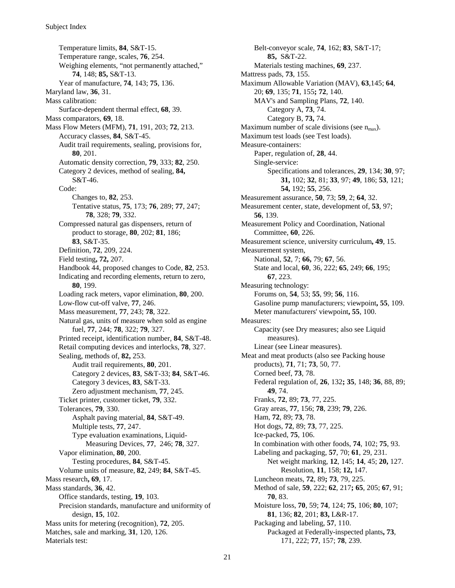Temperature limits, **84**, S&T-15. Temperature range, scales, **76**, 254. Weighing elements, "not permanently attached," **74**, 148; **85,** S&T-13. Year of manufacture, **74**, 143; **75**, 136. Maryland law, **36**, 31. Mass calibration: Surface-dependent thermal effect, **68**, 39. Mass comparators, **69**, 18. Mass Flow Meters (MFM), **71**, 191, 203; **72**, 213. Accuracy classes, **84**, S&T-45. Audit trail requirements, sealing, provisions for, **80**, 201. Automatic density correction, **79**, 333; **82**, 250. Category 2 devices, method of sealing, **84,** S&T-46. Code: Changes to, **82**, 253. Tentative status, **75**, 173; **76**, 289; **77**, 247; **78**, 328; **79**, 332. Compressed natural gas dispensers, return of product to storage, **80**, 202; **81**, 186; **83**, S&T-35. Definition, **72**, 209, 224. Field testing**, 72,** 207. Handbook 44, proposed changes to Code, **82**, 253. Indicating and recording elements, return to zero, **80**, 199. Loading rack meters, vapor elimination, **80**, 200. Low-flow cut-off valve, **77**, 246. Mass measurement, **77**, 243; **78**, 322. Natural gas, units of measure when sold as engine fuel, **77**, 244; **78**, 322; **79**, 327. Printed receipt, identification number, **84**, S&T-48. Retail computing devices and interlocks, **78**, 327. Sealing, methods of, **82,** 253. Audit trail requirements, **80**, 201. Category 2 devices, **83**, S&T-33; **84**, S&T-46. Category 3 devices, **83**, S&T-33. Zero adjustment mechanism, **77**, 245. Ticket printer, customer ticket, **79**, 332. Tolerances, **79**, 330. Asphalt paving material, **84**, S&T-49. Multiple tests, **77**, 247. Type evaluation examinations, Liquid-Measuring Devices, **77**, 246; **78**, 327. Vapor elimination, **80**, 200. Testing procedures, **84**, S&T-45. Volume units of measure, **82**, 249; **84**, S&T-45. Mass research**, 69**, 17. Mass standards, **36**, 42. Office standards, testing, **19**, 103. Precision standards, manufacture and uniformity of design, **15**, 102. Mass units for metering (recognition), **72**, 205. Matches, sale and marking, **31**, 120, 126. Materials test:

Belt-conveyor scale, **74**, 162; **83**, S&T-17; **85,** S&T-22. Materials testing machines, **69**, 237. Mattress pads, **73**, 155. Maximum Allowable Variation (MAV), **63**,145; **64**, 20; **69**, 135; **71**, 155**; 72**, 140. MAV's and Sampling Plans, **72**, 140. Category A, **73**, 74. Category B, **73,** 74. Maximum number of scale divisions (see  $n_{\text{max}}$ ). Maximum test loads (see Test loads). Measure-containers: Paper, regulation of, **28**, 44. Single-service: Specifications and tolerances, **29**, 134; **30**, 97; **31,** 102; **32**, 81; **33**, 97; **49**, 186; **53**, 121; **54,** 192; **55**, 256. Measurement assurance, **50**, 73; **59**, 2; **64**, 32. Measurement center, state, development of, **53**, 97; **56**, 139. Measurement Policy and Coordination, National Committee, **60**, 226. Measurement science, university curriculum**, 49**, 15. Measurement system, National, **52**, 7; **66,** 79; **67**, 56. State and local, **60**, 36, 222; **65**, 249; **66**, 195; **67**, 223. Measuring technology: Forums on, **54**, 53; **55**, 99; **56**, 116. Gasoline pump manufacturers; viewpoint**, 55**, 109. Meter manufacturers' viewpoint**, 55**, 100. Measures: Capacity (see Dry measures; also see Liquid measures). Linear (see Linear measures). Meat and meat products (also see Packing house products), **71**, 71; **73**, 50, 77. Corned beef, **73**, 78. Federal regulation of, **26**, 132**; 35**, 148; **36**, 88, 89; **49**, 74. Franks, **72**, 89; **73**, 77, 225. Gray areas, **77**, 156; **78**, 239; **79**, 226. Ham, **72**, 89; **73**, 78. Hot dogs, **72**, 89; **73**, 77, 225. Ice-packed, **75**, 106. In combination with other foods, **74**, 102; **75**, 93. Labeling and packaging, **57**, 70; **61**, 29, 231. Net weight marking, **12**, 145; **14**, 45; **20,** 127. Resolution, **11**, 158; **12,** 147. Luncheon meats, **72**, 89**; 73**, 79, 225. Method of sale, **59**, 222; **62**, 217**; 65**, 205; **67**, 91; **70**, 83. Moisture loss, **70**, 59; **74**, 124; **75**, 106; **80**, 107; **81**, 136; **82**, 201; **83,** L&R-17. Packaging and labeling, **57**, 110. Packaged at Federally-inspected plants**, 73**, 171, 222; **77**, 157; **78**, 239.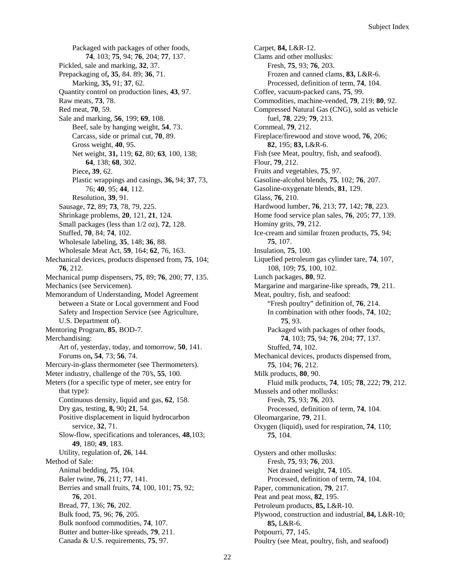Packaged with packages of other foods, **74**, 103; **75**, 94; **76**, 204; **77**, 137. Pickled, sale and marking, **32**, 37. Prepackaging of**, 35**, 84. 89; **36**, 71. Marking, **35,** 91; **37**, 62. Quantity control on production lines, **43**, 97. Raw meats, **73**, 78. Red meat, **70**, 59. Sale and marking, **56**, 199; **69**, 108. Beef, sale by hanging weight, **54**, 73. Carcass, side or primal cut, **70**, 89. Gross weight, **40**, 95. Net weight, **31,** 119; **62**, 80; **63**, 100, 138; **64**, 138; **68**, 302. Piece**, 39**, 62. Plastic wrappings and casings, **36,** 94; **37**, 73, 76; **40**, 95; **44**, 112. Resolution, **39**, 91. Sausage, **72**, 89; **73**, 78, 79, 225. Shrinkage problems, **20**, 121, **21**, 124. Small packages (less than 1/2 oz), **72**, 128. Stuffed, **70**, 84; **74**, 102. Wholesale labeling, **35**, 148; **36**, 88. Wholesale Meat Act, **59**, 164; **62**, 76, 163. Mechanical devices, products dispensed from, **75**, 104; **76**, 212. Mechanical pump dispensers, **75**, 89; **76**, 200; **77**, 135. Mechanics (see Servicemen). Memorandum of Understanding, Model Agreement between a State or Local government and Food Safety and Inspection Service (see Agriculture, U.S. Department of). Mentoring Program, **85**, BOD-7. Merchandising: Art of, yesterday, today, and tomorrow, **50**, 141. Forums on**, 54**, 73; **56**, 74. Mercury-in-glass thermometer (see Thermometers). Meter industry, challenge of the 70's, **55**, 100. Meters (for a specific type of meter, see entry for that type): Continuous density, liquid and gas, **62**, 158. Dry gas, testing, **8,** 90**; 21**, 54. Positive displacement in liquid hydrocarbon service, **32**, 71. Slow-flow, specifications and tolerances, **48**,103; **49**, 180; **49**, 183. Utility, regulation of, **26**, 144. Method of Sale: Animal bedding, **75**, 104. Baler twine, **76**, 211; **77**, 141. Berries and small fruits, **74**, 100, 101; **75**, 92; **76**, 201. Bread, **77**, 136; **76**, 202. Bulk food, **75**, 96; **76**, 205. Bulk nonfood commodities, **74**, 107. Butter and butter-like spreads, **79**, 211. Canada & U.S. requirements, **75**, 97.

Carpet, **84,** L&R-12. Clams and other mollusks: Fresh, **75**, 93; **76**, 203. Frozen and canned clams, **83,** L&R-6. Processed, definition of term, **74**, 104. Coffee, vacuum-packed cans, **75**, 99. Commodities, machine-vended, **79**, 219; **80**, 92. Compressed Natural Gas (CNG), sold as vehicle fuel, **78**, 229; **79**, 213. Cornmeal, **79**, 212. Fireplace/firewood and stove wood, **76**, 206; **82**, 195; **83,** L&R-6. Fish (see Meat, poultry, fish, and seafood). Flour, **79**, 212. Fruits and vegetables, **75**, 97. Gasoline-alcohol blends, **75**, 102; **76**, 207. Gasoline-oxygenate blends, **81**, 129. Glass, **76**, 210. Hardwood lumber, **76**, 213; **77**, 142; **78**, 223. Home food service plan sales, **76**, 205; **77**, 139. Hominy grits, **79**, 212. Ice-cream and similar frozen products, **75**, 94; **75**, 107. Insulation, **75**, 100. Liquefied petroleum gas cylinder tare, **74**, 107, 108, 109; **75**, 100, 102. Lunch packages, **80**, 92. Margarine and margarine-like spreads, **79**, 211. Meat, poultry, fish, and seafood: "Fresh poultry" definition of, **76**, 214. In combination with other foods, **74**, 102; **75**, 93. Packaged with packages of other foods, **74**, 103; **75**, 94; **76**, 204; **77**, 137. Stuffed, **74**, 102. Mechanical devices, products dispensed from, **75**, 104; **76**, 212. Milk products, **80**, 90. Fluid milk products, **74**, 105; **78**, 222; **79**, 212. Mussels and other mollusks: Fresh, **75**, 93; **76**, 203. Processed, definition of term, **74**, 104. Oleomargarine, **79**, 211. Oxygen (liquid), used for respiration, **74**, 110; **75**, 104. Oysters and other mollusks: Fresh, **75**, 93; **76**, 203. Net drained weight, **74**, 105. Processed, definition of term, **74**, 104. Paper, communication, **79**, 217. Peat and peat moss, **82**, 195. Petroleum products, **85,** L&R-10. Plywood, construction and industrial, **84,** L&R-10; **85,** L&R-6. Potpourri, **77**, 145. Poultry (see Meat, poultry, fish, and seafood)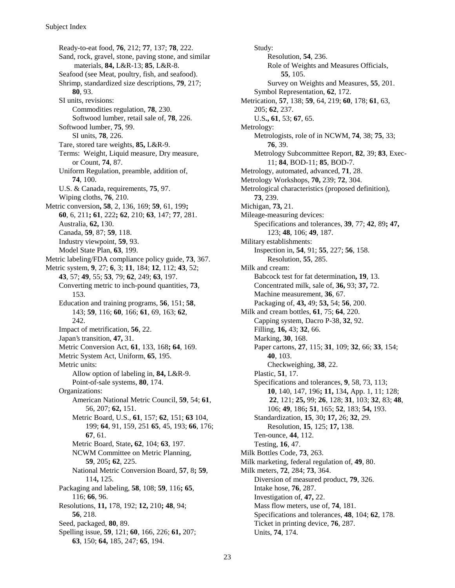Ready-to-eat food, **76**, 212; **77**, 137; **78**, 222. Sand, rock, gravel, stone, paving stone, and similar materials, **84,** L&R-13; **85**, L&R-8. Seafood (see Meat, poultry, fish, and seafood). Shrimp, standardized size descriptions, **79**, 217; **80**, 93. SI units, revisions: Commodities regulation, **78**, 230. Softwood lumber, retail sale of, **78**, 226. Softwood lumber, **75**, 99. SI units, **78**, 226. Tare, stored tare weights, **85,** L&R-9. Terms: Weight, Liquid measure, Dry measure, or Count, **74**, 87. Uniform Regulation, preamble, addition of, **74**, 100. U.S. & Canada, requirements, **75**, 97. Wiping cloths, **76**, 210. Metric conversion**, 58**, 2, 136, 169; **59**, 61, 199**; 60**, 6, 211**; 61**, 222**; 62**, 210; **63**, 147; **77**, 281. Australia, **62,** 130. Canada, **59**, 87; **59**, 118. Industry viewpoint, **59**, 93. Model State Plan, **63**, 199. Metric labeling/FDA compliance policy guide, **73**, 367. Metric system, **9**, 27; **6**, 3; **11**, 184; **12**, 112; **43**, 52; **43**, 57; **49**, 55; **53**, 79; **62**, 249; **63**, 197. Converting metric to inch-pound quantities, **73**, 153. Education and training programs, **56**, 151; **58**, 143; **59**, 116; **60**, 166; **61**, 69, 163; **62**, 242. Impact of metrification, **56**, 22. Japan's transition, **47,** 31. Metric Conversion Act, **61**, 133, 168**; 64**, 169. Metric System Act, Uniform, **65**, 195. Metric units: Allow option of labeling in, **84,** L&R-9. Point-of-sale systems, **80**, 174. Organizations: American National Metric Council, **59**, 54; **61**, 56, 207; **62,** 151. Metric Board, U.S., **61**, 157; **62**, 151; **63** 104, 199; **64**, 91, 159, 251 **65**, 45, 193; **66**, 176; **67**, 61. Metric Board, State**, 62**, 104; **63**, 197. NCWM Committee on Metric Planning, **59**, 205**; 62**, 225. National Metric Conversion Board, **57**, 8**; 59**, 114**,** 125. Packaging and labeling, **58**, 108; **59**, 116**; 65**, 116; **66**, 96. Resolutions, **11,** 178, 192; **12,** 210**; 48**, 94; **56**, 218. Seed, packaged, **80**, 89. Spelling issue, **59**, 121; **60**, 166, 226; **61,** 207; **63**, 150; **64,** 185, 247; **65**, 194.

Study: Resolution, **54**, 236. Role of Weights and Measures Officials, **55**, 105. Survey on Weights and Measures, **55**, 201. Symbol Representation, **62**, 172. Metrication, **57**, 138; **59**, 64, 219; **60**, 178; **61**, 63, 205; **62**, 237. U.S**., 61**, 53; **67**, 65. Metrology: Metrologists, role of in NCWM, **74**, 38; **75**, 33; **76**, 39. Metrology Subcommittee Report, **82**, 39; **83**, Exec-11; **84**, BOD-11; **85**, BOD-7. Metrology, automated, advanced, **71**, 28. Metrology Workshops, **70,** 239; **72**, 304. Metrological characteristics (proposed definition), **73**, 239. Michigan, **73,** 21. Mileage-measuring devices: Specifications and tolerances, **39**, 77; **42**, 89**; 47,** 123; **48**, 106; **49**, 187. Military establishments: Inspection in, **54**, 91; **55**, 227; **56**, 158. Resolution, **55**, 285. Milk and cream: Babcock test for fat determination**, 19**, 13. Concentrated milk, sale of, **36,** 93; **37,** 72. Machine measurement, **36**, 67. Packaging of, **43,** 49; **53,** 54; **56**, 200. Milk and cream bottles, **61**, 75; **64**, 220. Capping system, Dacro P-38, **32**, 92. Filling, **16,** 43; **32**, 66. Marking, **30**, 168. Paper cartons, **27**, 115; **31**, 109; **32**, 66; **33**, 154; **40**, 103. Checkweighing, **38**, 22. Plastic, **51**, 17. Specifications and tolerances, **9**, 58, 73, 113; **10**, 140, 147, 196**; 11,** 134**,** App. 1, 11; 128; **22**, 121; **25,** 99; **26**, 128; **31**, 103; **32**, 83; **48**, 106; **49**, 186**; 51**, 165; **52**, 183; **54,** 193. Standardization, **15**, 30**; 17,** 26; **32**, 29. Resolution, **15**, 125; **17,** 138. Ten-ounce, **44**, 112. Testing, **16**, 47. Milk Bottles Code, **73**, 263. Milk marketing, federal regulation of, **49**, 80. Milk meters, **72**, 284; **73**, 364. Diversion of measured product, **79**, 326. Intake hose, **76**, 287. Investigation of, **47,** 22. Mass flow meters, use of, **74**, 181. Specifications and tolerances, **48**, 104; **62**, 178. Ticket in printing device, **76**, 287. Units, **74**, 174.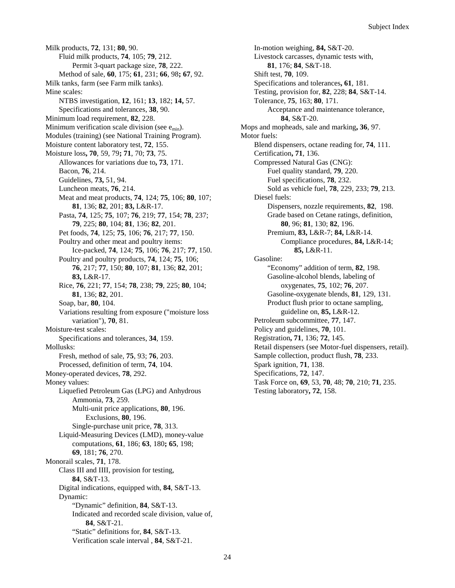Milk products, **72**, 131; **80**, 90. Fluid milk products, **74**, 105; **79**, 212. Permit 3-quart package size, **78**, 222. Method of sale, **60**, 175; **61**, 231; **66**, 98**; 67**, 92. Milk tanks, farm (see Farm milk tanks). Mine scales: NTBS investigation, **12**, 161; **13**, 182; **14,** 57. Specifications and tolerances, **38**, 90. Minimum load requirement, **82**, 228. Minimum verification scale division (see  $e_{min}$ ). Modules (training) (see National Training Program). Moisture content laboratory test, **72**, 155. Moisture loss**, 70**, 59, 79**; 71**, 70; **73**, 75. Allowances for variations due to**, 73**, 171. Bacon, **76**, 214. Guidelines, **73,** 51, 94. Luncheon meats, **76**, 214. Meat and meat products, **74**, 124; **75**, 106; **80**, 107; **81**, 136; **82**, 201; **83,** L&R-17. Pasta, **74**, 125; **75**, 107; **76**, 219; **77**, 154; **78**, 237; **79**, 225; **80**, 104; **81**, 136; **82**, 201. Pet foods, **74**, 125; **75**, 106; **76**, 217; **77**, 150. Poultry and other meat and poultry items: Ice-packed, **74**, 124; **75**, 106; **76**, 217; **77**, 150. Poultry and poultry products, **74**, 124; **75**, 106; **76**, 217; **77**, 150; **80**, 107; **81**, 136; **82**, 201; **83,** L&R-17. Rice, **76**, 221; **77**, 154; **78**, 238; **79**, 225; **80**, 104; **81**, 136; **82**, 201. Soap, bar, **80**, 104. Variations resulting from exposure ("moisture loss variation"), **70**, 81. Moisture-test scales: Specifications and tolerances, **34**, 159. Mollusks: Fresh, method of sale, **75**, 93; **76**, 203. Processed, definition of term, **74**, 104. Money-operated devices, **78**, 292. Money values: Liquefied Petroleum Gas (LPG) and Anhydrous Ammonia, **73**, 259. Multi-unit price applications, **80**, 196. Exclusions, **80**, 196. Single-purchase unit price, **78**, 313. Liquid-Measuring Devices (LMD), money-value computations, **61**, 186; **63**, 180**; 65**, 198; **69**, 181; **76**, 270. Monorail scales, **71**, 178. Class III and IIII, provision for testing, **84**, S&T-13. Digital indications, equipped with, **84**, S&T-13. Dynamic: "Dynamic" definition, **84**, S&T-13. Indicated and recorded scale division, value of, **84**, S&T-21. "Static" definitions for, **84**, S&T-13. Verification scale interval , **84**, S&T-21.

In-motion weighing, **84,** S&T-20. Livestock carcasses, dynamic tests with, **81**, 176; **84**, S&T-18. Shift test, **70**, 109. Specifications and tolerances**, 61**, 181. Testing, provision for, **82**, 228; **84**, S&T-14. Tolerance, **75**, 163; **80**, 171. Acceptance and maintenance tolerance, **84**, S&T-20. Mops and mopheads, sale and marking**, 36**, 97. Motor fuels: Blend dispensers, octane reading for, **74**, 111. Certification**, 71**, 136. Compressed Natural Gas (CNG): Fuel quality standard, **79**, 220. Fuel specifications, **78**, 232. Sold as vehicle fuel, **78**, 229, 233; **79**, 213. Diesel fuels: Dispensers, nozzle requirements, **82**, 198. Grade based on Cetane ratings, definition, **80**, 96; **81**, 130; **82**, 196. Premium, **83,** L&R-7; **84,** L&R-14. Compliance procedures, **84,** L&R-14; **85,** L&R-11. Gasoline: "Economy" addition of term, **82**, 198. Gasoline-alcohol blends, labeling of oxygenates, **75**, 102; **76**, 207. Gasoline-oxygenate blends, **81**, 129, 131. Product flush prior to octane sampling, guideline on, **85,** L&R-12. Petroleum subcommittee, **77**, 147. Policy and guidelines, **70**, 101. Registration**, 71**, 136; **72**, 145. Retail dispensers (see Motor-fuel dispensers, retail). Sample collection, product flush, **78**, 233. Spark ignition, **71**, 138. Specifications, **72**, 147. Task Force on, **69**, 53, **70**, 48; **70**, 210; **71**, 235. Testing laboratory**, 72**, 158.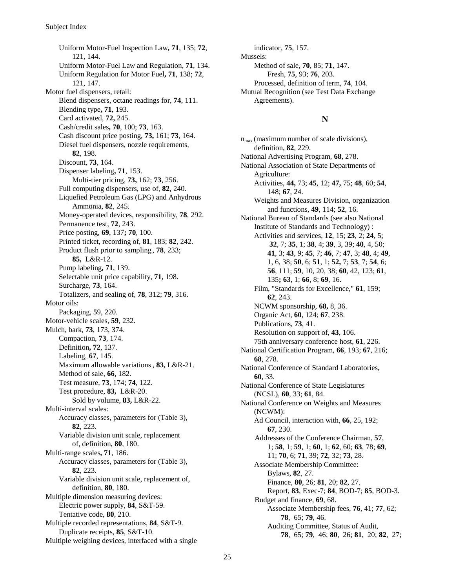Uniform Motor-Fuel Inspection Law**, 71**, 135; **72**, 121, 144. Uniform Motor-Fuel Law and Regulation, **71**, 134. Uniform Regulation for Motor Fuel**, 71**, 138; **72**, 121, 147. Motor fuel dispensers, retail: Blend dispensers, octane readings for, **74**, 111. Blending type**, 71**, 193. Card activated, **72,** 245. Cash/credit sales**, 70**, 100; **73**, 163. Cash discount price posting, **73,** 161; **73**, 164. Diesel fuel dispensers, nozzle requirements, **82**, 198. Discount, **73**, 164. Dispenser labeling**, 71**, 153. Multi-tier pricing, **73,** 162; **73**, 256. Full computing dispensers, use of, **82**, 240. Liquefied Petroleum Gas (LPG) and Anhydrous Ammonia, **82**, 245. Money-operated devices, responsibility, **78**, 292. Permanence test, **72**, 243. Price posting, **69**, 137**; 70**, 100. Printed ticket, recording of, **81**, 183; **82**, 242. Product flush prior to sampling , **78**, 233; **85,** L&R-12. Pump labeling**, 71**, 139. Selectable unit price capability, **71**, 198. Surcharge, **73**, 164. Totalizers, and sealing of, **78**, 312; **79**, 316. Motor oils: Packaging, **5**9, 220. Motor-vehicle scales, **59**, 232. Mulch, bark, **73**, 173, 374. Compaction, **73**, 174. Definition**, 72**, 137. Labeling, **67**, 145. Maximum allowable variations , **83,** L&R-21. Method of sale, **66**, 182. Test measure, **73**, 174; **74**, 122. Test procedure, **83,** L&R-20. Sold by volume, **83,** L&R-22. Multi-interval scales: Accuracy classes, parameters for (Table 3), **82**, 223. Variable division unit scale, replacement of, definition, **80**, 180. Multi-range scales**, 71**, 186. Accuracy classes, parameters for (Table 3), **82**, 223. Variable division unit scale, replacement of, definition, **80**, 180. Multiple dimension measuring devices: Electric power supply, **84**, S&T-59. Tentative code, **80**, 210. Multiple recorded representations, **84**, S&T-9. Duplicate receipts, **85**, S&T-10. Multiple weighing devices, interfaced with a single

indicator, **75**, 157. Mussels: Method of sale, **70**, 85; **71**, 147. Fresh, **75**, 93; **76**, 203. Processed, definition of term, **74**, 104. Mutual Recognition (see Test Data Exchange Agreements).

### **N**

 $n_{\text{max}}$  (maximum number of scale divisions), definition, **82**, 229. National Advertising Program, **68**, 278. National Association of State Departments of Agriculture: Activities, **44,** 73; **45**, 12; **47,** 75; **48**, 60; **54**, 148; **67**, 24. Weights and Measures Division, organization and functions, **49**, 114; **52**, 16. National Bureau of Standards (see also National Institute of Standards and Technology) : Activities and services, **12**, 15; **23**, 2; **24**, 5; **32**, 7; **35**, 1; **38**, 4; **39**, 3, 39; **40**, 4, 50; **41**, 3; **43**, 9; **45**, 7; **46**, 7; **47**, 3; **48**, 4; **49**, 1, 6, 38; **50**, 6; **51**, 1; **52,** 7; **53**, 7; **54**, 6; **56**, 111; **59**, 10, 20, 38; **60**, 42, 123; **61**, 135**; 63**, 1; **66**, 8; **69**, 16. Film, "Standards for Excellence," **61**, 159; **62**, 243. NCWM sponsorship, **68,** 8, 36. Organic Act, **60**, 124; **67**, 238. Publications, **73**, 41. Resolution on support of, **43**, 106. 75th anniversary conference host, **61**, 226. National Certification Program, **66**, 193; **67**, 216; **68**, 278. National Conference of Standard Laboratories, **60**, 33. National Conference of State Legislatures (NCSL), **60**, 33; **61**, 84. National Conference on Weights and Measures (NCWM): Ad Council, interaction with, **66**, 25, 192; **67**, 230. Addresses of the Conference Chairman, **57**, 1; **58**, 1; **59**, 1; **60**, 1; **62**, 60; **63**, 78; **69**, 11; **70**, 6; **71**, 39; **72**, 32; **73**, 28. Associate Membership Committee: Bylaws, **82**, 27. Finance, **80**, 26; **81**, 20; **82**, 27. Report, **83**, Exec-7; **84**, BOD-7; **85**, BOD-3. Budget and finance, **69**, 68. Associate Membership fees, **76**, 41; **77**, 62; **78**, 65; **79**, 46. Auditing Committee, Status of Audit, **78**, 65; **79**, 46; **80**, 26; **81**, 20; **82**, 27;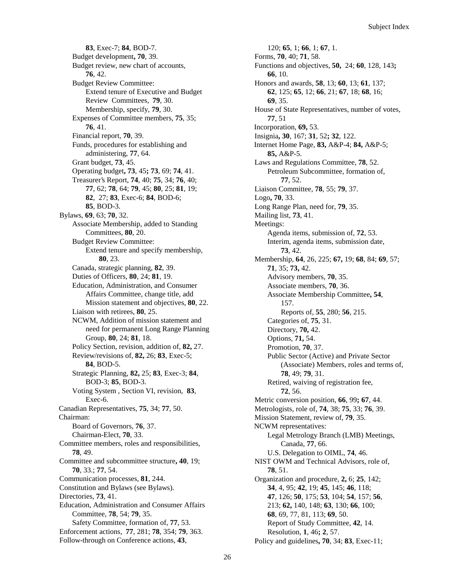**83**, Exec-7; **84**, BOD-7. Budget development**, 70**, 39. Budget review, new chart of accounts, **76**, 42. Budget Review Committee: Extend tenure of Executive and Budget Review Committees, **79**, 30. Membership, specify, **79**, 30. Expenses of Committee members, **75**, 35; **76**, 41. Financial report, **70**, 39. Funds, procedures for establishing and administering, **77**, 64. Grant budget, **73**, 45. Operating budget**, 73**, 45**; 73**, 69; **74**, 41. Treasurer's Report, **74**, 40; **75**, 34; **76**, 40; **77**, 62; **78**, 64; **79**, 45; **80**, 25; **81**, 19; **82**, 27; **83**, Exec-6; **84**, BOD-6; **85**, BOD-3. Bylaws, **69**, 63; **70**, 32. Associate Membership, added to Standing Committees, **80**, 20. Budget Review Committee: Extend tenure and specify membership, **80**, 23. Canada, strategic planning, **82**, 39. Duties of Officers, **80**, 24; **81**, 19. Education, Administration, and Consumer Affairs Committee, change title, add Mission statement and objectives, **80**, 22. Liaison with retirees, **80**, 25. NCWM, Addition of mission statement and need for permanent Long Range Planning Group, **80**, 24; **81**, 18. Policy Section, revision, addition of, **82,** 27. Review/revisions of, **82,** 26; **83**, Exec-5; **84**, BOD-5. Strategic Planning, **82,** 25; **83**, Exec-3; **84**, BOD-3; **85**, BOD-3. Voting System , Section VI, revision, **83**, Exec-6. Canadian Representatives, **75**, 34; **77**, 50. Chairman: Board of Governors, **76**, 37. Chairman-Elect, **70**, 33. Committee members, roles and responsibilities, **78**, 49. Committee and subcommittee structure**, 40**, 19; **70**, 33.; **77**, 54. Communication processes, **81**, 244. Constitution and Bylaws (see Bylaws). Directories, **73**, 41. Education, Administration and Consumer Affairs Committee, **78**, 54; **79**, 35. Safety Committee, formation of, **77**, 53. Enforcement actions, **77**, 281; **78**, 354; **79**, 363.

Follow-through on Conference actions, **43**,

120; **65**, 1; **66**, 1; **67**, 1. Forms, **70**, 40; **71**, 58. Functions and objectives, **50,** 24; **60**, 128, 143**; 66**, 10. Honors and awards, **58**, 13; **60**, 13; **61**, 137; **62**, 125; **65**, 12; **66**, 21; **67**, 18; **68**, 16; **69**, 35. House of State Representatives, number of votes, **77**, 51 Incorporation, **69,** 53. Insignia**, 30**, 167; **31**, 52**; 32**, 122. Internet Home Page, **83,** A&P-4; **84,** A&P-5; **85,** A&P-5. Laws and Regulations Committee, **78**, 52. Petroleum Subcommittee, formation of, **77**, 52. Liaison Committee, **78**, 55; **79**, 37. Logo**, 70**, 33. Long Range Plan, need for, **79**, 35. Mailing list, **73**, 41. Meetings: Agenda items, submission of, **72**, 53. Interim, agenda items, submission date, **73**, 42. Membership, **64**, 26, 225; **67,** 19; **68**, 84; **69**, 57; **71**, 35; **73,** 42. Advisory members, **70**, 35. Associate members, **70**, 36. Associate Membership Committee**, 54**, 157. Reports of, **55**, 280; **56**, 215. Categories of, **75**, 31. Directory, **70,** 42. Options, **71,** 54. Promotion, **70**, 37. Public Sector (Active) and Private Sector (Associate) Members, roles and terms of, **78**, 49; **79**, 31. Retired, waiving of registration fee, **72**, 56. Metric conversion position, **66**, 99**; 67**, 44. Metrologists, role of, **74**, 38; **75**, 33; **76**, 39. Mission Statement, review of, **79**, 35. NCWM representatives: Legal Metrology Branch (LMB) Meetings, Canada, **77**, 66. U.S. Delegation to OIML, **74**, 46. NIST OWM and Technical Advisors, role of, **78**, 51. Organization and procedure, **2,** 6; **25**, 142; **34**, 4, 95; **42**, 19; **45**, 145; **46**, 118; **47**, 126; **50**, 175; **53**, 104; **54**, 157; **56**, 213; **62,** 140, 148; **63**, 130; **66**, 100; **68**, 69, 77, 81, 113; **69**, 50. Report of Study Committee, **42**, 14. Resolution, **1**, 46**; 2**, 57. Policy and guidelines**, 70**, 34; **83**, Exec-11;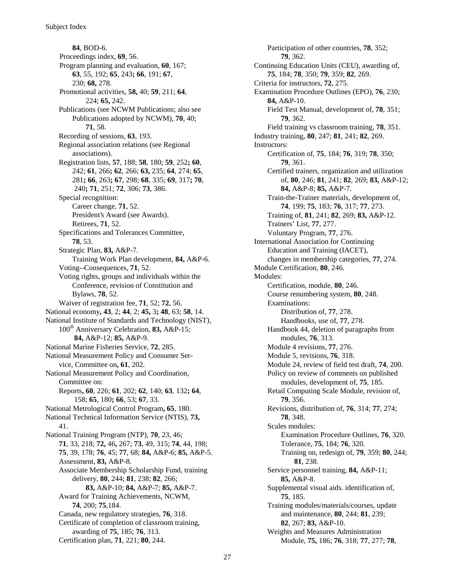**84**, BOD-6. Proceedings index, **69**, 56. Program planning and evaluation, **60**, 167; **63**, 55, 192; **65**, 243**; 66**, 191; **67**, 230; **68,** 278. Promotional activities, **58,** 40; **59**, 211; **64**, 224; **65,** 242. Publications (see NCWM Publications; also see Publications adopted by NCWM), **70**, 40; **71**, 58. Recording of sessions, **63**, 193. Regional association relations (see Regional associations). Registration lists, **57**, 188; **58**, 180; **59**, 252**; 60**, 242; **61**, 266**; 62**, 266; **63,** 235; **64**, 274; **65**, 281**; 66**, 263**; 67**, 298; **68**, 335; **69**, 317**; 70**, 240**; 71**, 251; **72**, 306; **73**, 386. Special recognition: Career change, **71**, 52. President's Award (see Awards). Retirees, **71**, 52. Specifications and Tolerances Committee, **78**, 53. Strategic Plan, **83,** A&P-7. Training Work Plan development, **84,** A&P-6. Voting--Consequences, **71**, 52. Voting rights, groups and individuals within the Conference, revision of Constitution and Bylaws, **78**, 52. Waiver of registration fee, **71**, 52; **72**, 56. National economy**, 43**, 2; **44**, 2; **45,** 3**; 48**, 63; **58**, 14. National Institute of Standards and Technology (NIST), 100th Anniversary Celebration, **83,** A&P-15; **84,** A&P-12; **85,** A&P-9. National Marine Fisheries Service, **72**, 285. National Measurement Policy and Consumer Service, Committee on**, 61**, 202. National Measurement Policy and Coordination, Committee on: Reports**, 60**, 226; **61**, 202; **62**, 140; **63**, 132**; 64**, 158; **65**, 180**; 66**, 53; **67**, 33. National Metrological Control Program**, 65**, 180. National Technical Information Service (NTIS), **73,** 41. National Training Program (NTP), **70**, 23, 46; **71**, 33, 218; **72,** 46**,** 267; **73**, 49, 315; **74**, 44, 198; **75**, 39, 178; **76**, 45; **77**, 68; **84,** A&P-6; **85,** A&P-5. Assessment, **83,** A&P-8. Associate Membership Scholarship Fund, training delivery, **80**, 244; **81**, 238; **82**, 266; **83,** A&P-10; **84,** A&P-7; **85,** A&P-7. Award for Training Achievements, NCWM, **74**, 200; **75**,184. Canada, new regulatory strategies, **76**, 318. Certificate of completion of classroom training, awarding of **75**, 185; **76**, 313. Certification plan, **71**, 221; **80**, 244.

Participation of other countries, **78**, 352; **79**, 362. Continuing Education Units (CEU), awarding of, **75**, 184; **78**, 350; **79**, 359; **82**, 269. Criteria for instructors, **72**, 275. Examination Procedure Outlines (EPO), **76**, 230; **84,** A&P-10. Field Test Manual, development of, **78**, 351; **79**, 362. Field training vs classroom training, **78**, 351. Industry training, **80**, 247; **81**, 241; **82**, 269. Instructors: Certification of, **75**, 184; **76**, 319; **78**, 350; **79**, 361. Certified trainers, organization and utilization of, **80**, 246; **81**, 241; **82**, 269; **83,** A&P-12; **84,** A&P-8; **85,** A&P-7. Train-the-Trainer materials, development of, **74**, 199; **75**, 183; **76**, 317; **77**, 273. Training of, **81**, 241; **82**, 269; **83,** A&P-12. Trainers' List, **77**, 277. Voluntary Program, **77**, 276. International Association for Continuing Education and Training (IACET), changes in membership categories, **77**, 274. Module Certification, **80**, 246. Modules: Certification, module, **80**, 246. Course renumbering system, **80**, 248. Examinations: Distribution of, **77**, 278. Handbooks, use of, **77**, 278. Handbook 44, deletion of paragraphs from modules, **76**, 313. Module 4 revisions, **77**, 276. Module 5, revisions, **76**, 318. Module 24, review of field test draft, **74**, 200. Policy on review of comments on published modules, development of, **75**, 185. Retail Computing Scale Module, revision of, **79**, 356. Revisions, distribution of, **76**, 314; **77**, 274; **78**, 348. Scales modules: Examination Procedure Outlines, **76**, 320. Tolerance, **75**, 184; **76**, 320. Training on, redesign of, **79**, 359; **80**, 244; **81**, 238. Service personnel training, **84,** A&P-11; **85,** A&P-8. Supplemental visual aids. identification of, **75**, 185. Training modules/materials/courses, update and maintenance, **80**, 244; **81**, 239; **82**, 267; **83,** A&P-10. Weights and Measures Administration Module, **75,** 186; **76**, 318; **77**, 277; **78**,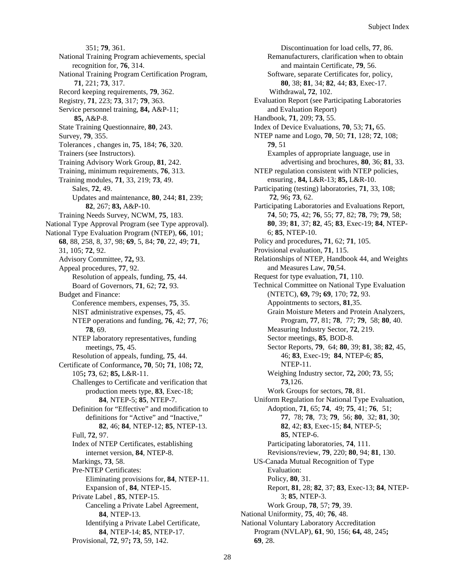351; **79**, 361. National Training Program achievements, special recognition for, **76**, 314. National Training Program Certification Program, **71**, 221; **73**, 317. Record keeping requirements, **79**, 362. Registry, **71**, 223; **73**, 317; **79**, 363. Service personnel training, **84,** A&P-11; **85,** A&P-8. State Training Questionnaire, **80**, 243. Survey, **79**, 355. Tolerances , changes in, **75**, 184; **76**, 320. Trainers (see Instructors). Training Advisory Work Group, **81**, 242. Training, minimum requirements, **76**, 313. Training modules, **71**, 33, 219; **73**, 49. Sales, **72**, 49. Updates and maintenance, **80**, 244; **81**, 239; **82**, 267; **83,** A&P-10. Training Needs Survey, NCWM, **75**, 183. National Type Approval Program (see Type approval). National Type Evaluation Program (NTEP), **66**, 101; **68**, 88, 258, 8, 37, 98; **69**, 5, 84; **70**, 22, 49; **71**, 31, 105; **72**, 92. Advisory Committee, **72,** 93. Appeal procedures, **77**, 92. Resolution of appeals, funding, **75**, 44. Board of Governors, **71**, 62; **72**, 93. Budget and Finance: Conference members, expenses, **75**, 35. NIST administrative expenses, **75**, 45. NTEP operations and funding, **76**, 42; **77**, 76; **78**, 69. NTEP laboratory representatives, funding meetings, **75**, 45. Resolution of appeals, funding, **75**, 44. Certificate of Conformance**, 70**, 50**; 71**, 108**; 72**, 105**; 73**, 62; **85,** L&R-11. Challenges to Certificate and verification that production meets type, **83**, Exec-18; **84**, NTEP-5; **85**, NTEP-7. Definition for "Effective" and modification to definitions for "Active" and "Inactive," **82**, 46; **84**, NTEP-12; **85**, NTEP-13. Full, **72**, 97. Index of NTEP Certificates, establishing internet version, **84**, NTEP-8. Markings, **73**, 58. Pre-NTEP Certificates: Eliminating provisions for, **84**, NTEP-11. Expansion of, **84**, NTEP-15. Private Label , **85**, NTEP-15. Canceling a Private Label Agreement, **84**, NTEP-13. Identifying a Private Label Certificate, **84**, NTEP-14; **85**, NTEP-17.

Provisional, **72**, 97**; 73**, 59, 142.

Discontinuation for load cells, **77**, 86. Remanufacturers, clarification when to obtain and maintain Certificate, **79**, 56. Software, separate Certificates for, policy, **80**, 38; **81**, 34; **82**, 44; **83**, Exec-17. Withdrawal**, 72**, 102. Evaluation Report (see Participating Laboratories and Evaluation Report) Handbook, **71**, 209; **73**, 55. Index of Device Evaluations, **70**, 53; **71,** 65. NTEP name and Logo, **70**, 50; **71**, 128; **72**, 108; **79**, 51 Examples of appropriate language, use in advertising and brochures, **80**, 36; **81**, 33. NTEP regulation consistent with NTEP policies, ensuring , **84,** L&R-13; **85,** L&R-10. Participating (testing) laboratories, **71**, 33, 108;  **72**, 96**; 73**, 62. Participating Laboratories and Evaluations Report, **74**, 50; **75**, 42; **76**, 55; **77**, 82; **78**, 79; **79**, 58; **80**, 39; **81**, 37; **82**, 45; **83**, Exec-19; **84**, NTEP-6; **85**, NTEP-10. Policy and procedures**, 71**, 62; **71**, 105. Provisional evaluation, **71**, 115. Relationships of NTEP, Handbook 44, and Weights and Measures Law, **70**,54. Request for type evaluation, **71**, 110. Technical Committee on National Type Evaluation (NTETC), **69,** 79**; 69**, 170; **72**, 93. Appointments to sectors, **81**,35. Grain Moisture Meters and Protein Analyzers, Program, **77**, 81; **78**, 77; **79**, 58; **80**, 40. Measuring Industry Sector, **72**, 219. Sector meetings, **85**, BOD-8. Sector Reports, **79**, 64; **80**, 39; **81**, 38; **82**, 45, 46; **83**, Exec-19; **84**, NTEP-6; **85**, NTEP-11. Weighing Industry sector, **72,** 200; **73**, 55; **73**,126. Work Groups for sectors, **78**, 81. Uniform Regulation for National Type Evaluation, Adoption, **71**, 65; **74**, 49; **75**, 41; **76**, 51; **77**, 78; **78**, 73; **79**, 56; **80**, 32; **81**, 30; **82**, 42; **83**, Exec-15; **84**, NTEP-5; **85**, NTEP-6. Participating laboratories, **74**, 111. Revisions/review, **79**, 220; **80**, 94; **81**, 130. US-Canada Mutual Recognition of Type Evaluation: Policy, **80**, 31. Report, **81**, 28; **82**, 37; **83**, Exec-13; **84**, NTEP-3; **85**, NTEP-3. Work Group, **78**, 57; **79**, 39. National Uniformity, **75**, 40; **76**, 48. National Voluntary Laboratory Accreditation Program (NVLAP), **61**, 90, 156; **64,** 48, 245**; 69**, 28.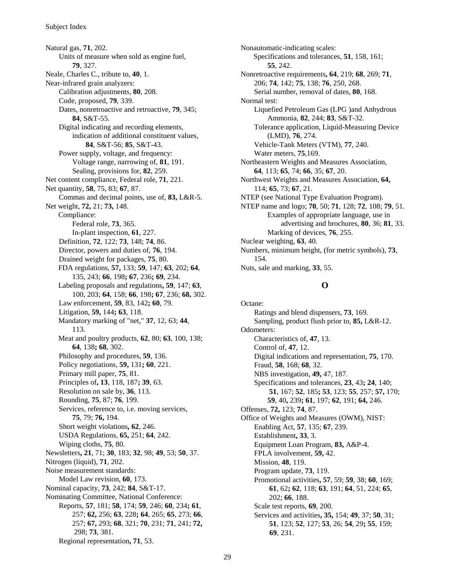Natural gas, **71**, 202. Units of measure when sold as engine fuel, **79**, 327. Neale, Charles C., tribute to, **40**, 1. Near-infrared grain analyzers: Calibration adjustments, **80**, 208. Code, proposed, **79**, 339. Dates, nonretroactive and retroactive, **79**, 345; **84**, S&T-55. Digital indicating and recording elements, indication of additional constituent values, **84**, S&T-56; **85**, S&T-43. Power supply, voltage, and frequency: Voltage range, narrowing of, **81**, 191. Sealing, provisions for, **82**, 259. Net content compliance, Federal role, **71**, 221. Net quantity, **58**, 75, 83; **67**, 87. Commas and decimal points, use of, **83,** L&R-5. Net weight, **72,** 21; **73,** 148. Compliance: Federal role, **73**, 365. In-plant inspection, **61**, 227. Definition, **72**, 122; **73**, 148; **74**, 86. Director, powers and duties of, **76**, 194. Drained weight for packages, **75**, 80. FDA regulations, **57,** 133; **59**, 147; **63**, 202; **64**, 135, 243; **66**, 198**; 67**, 236**; 69**, 234. Labeling proposals and regulations**, 59**, 147; **63**, 100, 203; **64**, 158; **66**, 198**; 67**, 236; **68,** 302. Law enforcement, **59**, 83, 142**; 60**, 79. Litigation, **59,** 144**; 63**, 118. Mandatory marking of "net," **37**, 12, 63; **44**, 113. Meat and poultry products, **62**, 80; **63**, 100, 138; **64**, 138**; 68**, 302. Philosophy and procedures, **59**, 136. Policy negotiations, **59,** 131**; 60**, 221. Primary mill paper, **75**, 81. Principles of**, 13**, 118, 187**; 39**, 63. Resolution on sale by, **36**, 113. Rounding, **75**, 87; **76**, 199. Services, reference to, i.e. moving services, **75**, 79; **76,** 194. Short weight violations**, 62**, 246. USDA Regulations, **65,** 251; **64**, 242. Wiping cloths, **75**, 80. Newsletters**, 21**, 71; **30**, 183; **32**, 98; **49**, 53; **50**, 37. Nitrogen (liquid), **71**, 202. Noise measurement standards: Model Law revision, **60**, 173. Nominal capacity, **73**, 242; **84**, S&T-17. Nominating Committee, National Conference: Reports, **57**, 181; **58**, 174; **59**, 246; **60**, 234**; 61**, 257; **62,** 256; **63**, 228**; 64**, 265; **65**, 273; **66**, 257; **67,** 293; **68**, 321; **70**, 231; **71**, 241; **72,** 298; **73**, 381. Regional representation**, 71**, 53.

Nonautomatic-indicating scales: Specifications and tolerances, **51**, 158, 161; **55**, 242. Nonretroactive requirements**, 64**, 219; **68**, 269; **71**, 206; **74**, 142; **75**, 138; **76**, 250, 268. Serial number, removal of dates, **80**, 168. Normal test: Liquefied Petroleum Gas (LPG )and Anhydrous Ammonia, **82**, 244; **83**, S&T-32. Tolerance application, Liquid-Measuring Device (LMD), **76**, 274. Vehicle-Tank Meters (VTM), **77**, 240. Water meters, **75**,169. Northeastern Weights and Measures Association, **64**, 113; **65**, 74; **66**, 35; **67**, 20. Northwest Weights and Measures Association, **64,** 114; **65**, 73; **67**, 21. NTEP (see National Type Evaluation Program). NTEP name and logo; **70**, 50; **71**, 128; **72**, 108; **79**, 51. Examples of appropriate language, use in advertising and brochures, **80**, 36; **81**, 33. Marking of devices, **76**, 255. Nuclear weighing, **63**, 40. Numbers, minimum height, (for metric symbols), **73**, 154. Nuts, sale and marking, **33**, 55.

#### **O**

Octane: Ratings and blend dispensers, **73**, 169. Sampling, product flush prior to, **85,** L&R-12. Odometers: Characteristics of, **47**, 13. Control of, **47**, 12. Digital indications and representation, **75**, 170. Fraud, **58**, 168; **68**, 32. NBS investigation, **49,** 47, 187. Specifications and tolerances, **23**, 43**; 24**, 140; **51**, 167; **52**, 185**; 53**, 123; **55**, 257; **57,** 170; **59**, 40**,** 239**; 61**, 197; **62**, 191; **64,** 246. Offenses, **72,** 123; **74**, 87. Office of Weights and Measures (OWM), NIST: Enabling Act, **57**, 135; **67**, 239. Establishment**, 33**, 3. Equipment Loan Program, **83,** A&P-4. FPLA involvement, **59,** 42. Mission, **48**, 119. Program update, **73**, 119. Promotional activities**, 57**, 59; **59**, 38; **60**, 169; **61**, 62**; 62**, 118; **63**, 191; **64**, 51, 224; **65**, 202; **66**, 188. Scale test reports, **69**, 200. Services and activities**, 35,** 154; **49**, 37; **50**, 31; **51**, 123; **52**, 127; **53**, 26; **54**, 29**; 55**, 159; **69**, 231.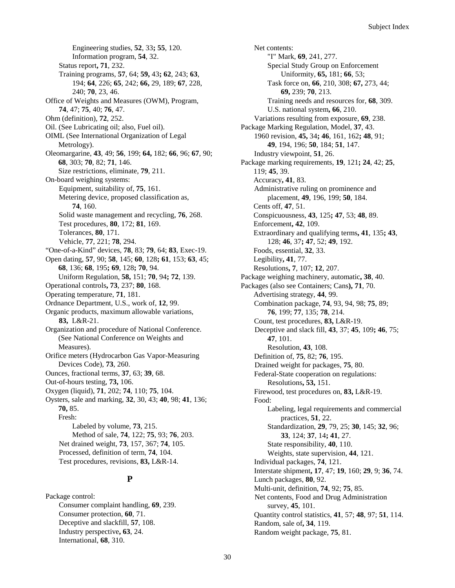Engineering studies, **52**, 33**; 55**, 120. Information program, **54**, 32. Status report**, 71**, 232. Training programs, **57**, 64; **59,** 43**; 62**, 243; **63**, 194; **64**, 226; **65**, 242; **66,** 29, 189; **67**, 228, 240; **70**, 23, 46. Office of Weights and Measures (OWM), Program, **74**, 47; **75**, 40; **76**, 47. Ohm (definition), **72**, 252. Oil. (See Lubricating oil; also, Fuel oil). OIML (See International Organization of Legal Metrology). Oleomargarine, **43**, 49; **56**, 199; **64,** 182; **66**, 96; **67**, 90; **68**, 303; **70**, 82; **71**, 146. Size restrictions, eliminate, **79**, 211. On-board weighing systems: Equipment, suitability of, **75**, 161. Metering device, proposed classification as, **74**, 160. Solid waste management and recycling, **76**, 268. Test procedures, **80**, 172; **81**, 169. Tolerances, **80**, 171. Vehicle, **77**, 221; **78**, 294. "One-of-a-Kind" devices, **78**, 83; **79**, 64; **83**, Exec-19. Open dating, **57**, 90; **58**, 145; **60**, 128**; 61**, 153; **63**, 45; **68**, 136; **68**, 195**; 69**, 128**; 70**, 94. Uniform Regulation, **58,** 151; **70**, 94**; 72**, 139. Operational controls**, 73**, 237; **80**, 168. Operating temperature, **71**, 181. Ordnance Department, U.S., work of, **12**, 99. Organic products, maximum allowable variations, **83,** L&R-21. Organization and procedure of National Conference. (See National Conference on Weights and Measures). Orifice meters (Hydrocarbon Gas Vapor-Measuring Devices Code), **73**, 260. Ounces, fractional terms, **37**, 63; **39**, 68. Out-of-hours testing, **73,** 106. Oxygen (liquid), **71**, 202; **74**, 110; **75**, 104. Oysters, sale and marking, **32**, 30, 43; **40**, 98; **41**, 136; **70,** 85. Fresh: Labeled by volume, **73**, 215. Method of sale, **74**, 122; **75**, 93; **76**, 203. Net drained weight, **73**, 157, 367; **74**, 105. Processed, definition of term, **74**, 104. Test procedures, revisions, **83,** L&R-14.

#### **P**

Package control: Consumer complaint handling, **69**, 239. Consumer protection, **60**, 71. Deceptive and slackfill, **57**, 108. Industry perspective**, 63**, 24. International, **68**, 310.

Net contents: "I" Mark, **69**, 241, 277. Special Study Group on Enforcement Uniformity, **65,** 181; **66**, 53; Task force on, **66**, 210, 308; **67,** 273, 44; **69,** 239; **70**, 213. Training needs and resources for, **68**, 309. U.S. national system**, 66**, 210. Variations resulting from exposure, **69**, 238. Package Marking Regulation, Model, **37**, 43. 1960 revision, **45,** 34**; 46**, 161, 162**; 48**, 91; **49**, 194, 196; **50**, 184; **51**, 147. Industry viewpoint, **51**, 26. Package marking requirements, **19**, 121**; 24**, 42; **25**, 119; **45**, 39. Accuracy**, 41**, 83. Administrative ruling on prominence and placement, **49**, 196, 199; **50**, 184. Cents off, **47**, 51. Conspicuousness, **43**, 125**; 47**, 53; **48**, 89. Enforcement**, 42**, 109. Extraordinary and qualifying terms**, 41**, 135**; 43**, 128; **46**, 37**; 47**, 52; **49**, 192. Foods, essential, **32**, 33. Legibility**, 41**, 77. Resolutions**, 7**, 107; **12**, 207. Package weighing machinery, automatic**, 38**, 40. Packages (also see Containers; Cans**), 71**, 70. Advertising strategy, **44**, 99. Combination package, **74**, 93, 94, 98; **75**, 89; **76**, 199; **77**, 135; **78**, 214. Count, test procedures, **83,** L&R-19. Deceptive and slack fill, **43**, 37; **45**, 109**; 46**, 75; **47**, 101. Resolution, **43**, 108. Definition of, **75**, 82; **76**, 195. Drained weight for packages, **75**, 80. Federal-State cooperation on regulations: Resolutions**, 53,** 151. Firewood, test procedures on, **83,** L&R-19. Food: Labeling, legal requirements and commercial practices, **51**, 22. Standardization, **29**, 79, 25; **30**, 145; **32**, 96; **33**, 124; **37**, 14**; 41**, 27. State responsibility, **40**, 110. Weights, state supervision, **44**, 121. Individual packages, **74**, 121. Interstate shipment**, 17**, 47; **19**, 160; **29**, 9; **36**, 74. Lunch packages, **80**, 92. Multi-unit, definition, **74**, 92; **75**, 85. Net contents, Food and Drug Administration survey, **45**, 101. Quantity control statistics, **41**, 57; **48**, 97; **51**, 114. Random, sale of**, 34**, 119. Random weight package, **75**, 81.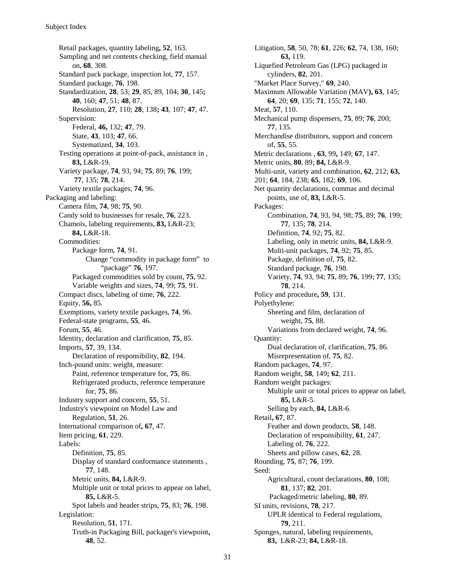Retail packages, quantity labeling**, 52**, 163. Sampling and net contents checking, field manual on, **68**, 308. Standard pack package, inspection lot, **77**, 157. Standard package, **76**, 198. Standardization, **28**, 53; **29**, 85, 89, 104; **30**, 145**; 40**, 160; **47**, 51; **48**, 87. Resolution, **27**, 110; **28**, 138**; 43**, 107; **47**, 47. Supervision: Federal, **46,** 132; **47**, 79. State, **43**, 103; **47**, 66. Systematized, **34**, 103. Testing operations at point-of-pack, assistance in , **83,** L&R-19. Variety package, **74**, 93, 94; **75**, 89; **76**, 199; **77**, 135; **78**, 214. Variety textile packages, **74**, 96. Packaging and labeling: Camera film, **74**, 98; **75**, 90. Candy sold to businesses for resale, **76**, 223. Chamois, labeling requirements, **83,** L&R-23; **84,** L&R-18. Commodities: Package form, **74**, 91. Change "commodity in package form" to "package" **76**, 197. Packaged commodities sold by count, **75**, 92. Variable weights and sizes, **74**, 99; **75**, 91. Compact discs, labeling of time, **76**, 222. Equity, **56,** 85. Exemptions, variety textile packages, **74**, 96. Federal-state programs, **55**, 46. Forum, **55**, 46. Identity, declaration and clarification, **75**, 85. Imports, **57**, 39, 134. Declaration of responsibility, **82**, 194. Inch-pound units: weight, measure: Paint, reference temperature for, **75**, 86. Refrigerated products, reference temperature for, **75**, 86. Industry support and concern, **55**, 51. Industry's viewpoint on Model Law and Regulation, **51**, 26. International comparison of**, 67**, 47. Item pricing, **61**, 229. Labels: Definition, **75**, 85. Display of standard conformance statements , **77**, 148. Metric units, **84,** L&R-9. Multiple unit or total prices to appear on label, **85,** L&R-5. Spot labels and header strips, **75**, 83; **76**, 198. Legislation: Resolution, **51**, 171. Truth-in Packaging Bill, packager's viewpoint**, 48**, 52.

Litigation, **58**, 50, 78; **61**, 226; **62**, 74, 138, 160; **63,** 119. Liquefied Petroleum Gas (LPG) packaged in cylinders, **82**, 201. "Market Place Survey," **69**, 240. Maximum Allowable Variation (MAV**), 63**, 145; **64**, 20; **69**, 135; **71**, 155; **72**, 140. Meat, **57**, 110. Mechanical pump dispensers, **75**, 89; **76**, 200; **77**, 135. Merchandise distributors, support and concern of, **55**, 55. Metric declarations , **63**, 99**,** 149; **67**, 147. Metric units, **80**, 89; **84,** L&R-9. Multi-unit, variety and combination, **62**, 212; **63,** 201; **64**, 184, 238; **65**, 182; **69**, 106. Net quantity declarations, commas and decimal points, use of, **83,** L&R-5. Packages: Combination, **74**, 93, 94, 98; **75**, 89; **76**, 199; **77**, 135; **78**, 214. Definition, **74**, 92; **75**, 82. Labeling, only in metric units, **84,** L&R-9. Multi-unit packages, **74**, 92; **75**, 85. Package, definition of, **75**, 82. Standard package, **76**, 198. Variety, **74**, 93, 94; **75**, 89; **76**, 199; **77**, 135; **78**, 214. Policy and procedure**, 59**, 131. Polyethylene: Sheeting and film, declaration of weight, **75**, 88. Variations from declared weight, **74**, 96. Quantity: Dual declaration of, clarification, **75**, 86. Misrepresentation of, **75**, 82. Random packages, **74**, 97. Random weight, **58**, 149**; 62**, 211. Random weight packages: Multiple unit or total prices to appear on label, **85,** L&R-5. Selling by each, **84,** L&R-6. Retail**, 67**, 87. Feather and down products, **58**, 148. Declaration of responsibility, **61**, 247. Labeling of, **76**, 222. Sheets and pillow cases, **62**, 28. Rounding, **75**, 87; **76**, 199. Seed: Agricultural, count declarations, **80**, 108; **81**, 137; **82**, 201. Packaged/metric labeling, **80**, 89. SI units, revisions, **78**, 217. UPLR identical to Federal regulations, **79**, 211. Sponges, natural, labeling requirements, **83,** L&R-23; **84,** L&R-18.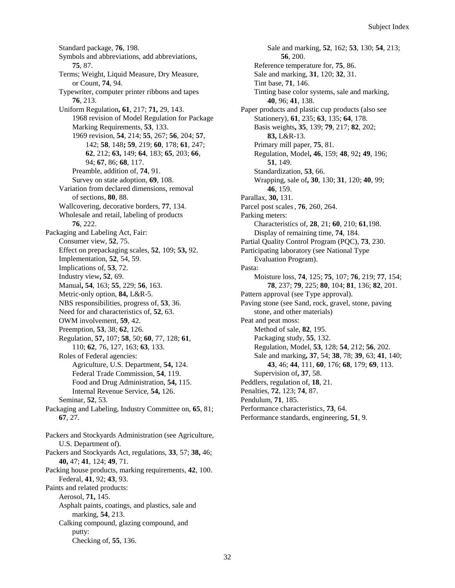Standard package, **76**, 198. Symbols and abbreviations, add abbreviations, **75**, 87. Terms; Weight, Liquid Measure, Dry Measure, or Count, **74**, 94. Typewriter, computer printer ribbons and tapes **76**, 213. Uniform Regulation**, 61**, 217; **71,** 29, 143. 1968 revision of Model Regulation for Package Marking Requirements, **53**, 133. 1969 revision, **54**, 214; **55**, 267; **56**, 204; **57**, 142; **58**, 148**; 59**, 219; **60**, 178; **61**, 247; **62**, 212; **63,** 149; **64**, 183; **65**, 203; **66**, 94; **67**, 86; **68**, 117. Preamble, addition of, **74**, 91. Survey on state adoption, **69**, 108. Variation from declared dimensions, removal of sections, **80**, 88. Wallcovering, decorative borders, **77**, 134. Wholesale and retail, labeling of products **76**, 222. Packaging and Labeling Act, Fair: Consumer view, **52**, 75. Effect on prepackaging scales, **52**, 109; **53,** 92. Implementation, **52**, 54, 59. Implications of, **53**, 72. Industry view**, 52**, 69. Manual**, 54**, 163; **55**, 229; **56**, 163. Metric-only option, **84,** L&R-5. NBS responsibilities, progress of, **53**, 36. Need for and characteristics of, **52**, 63. OWM involvement, **59**, 42. Preemption, **53**, 38; **62**, 126. Regulation, **57,** 107; **58**, 50; **60**, 77, 128; **61**, 110; **62**, 76, 127, 163; **63**, 133. Roles of Federal agencies: Agriculture, U.S. Department, **54,** 124. Federal Trade Commission, **54**, 119. Food and Drug Administration, **54,** 115. Internal Revenue Service, **54,** 126. Seminar, **52**, 53. Packaging and Labeling, Industry Committee on, **65**, 81; **67**, 27. Packers and Stockyards Administration (see Agriculture, U.S. Department of). Packers and Stockyards Act, regulations, **33**, 57; **38,** 46; **40,** 47; **41**, 124; **49**, 71. Packing house products, marking requirements, **42**, 100. Federal, **41**, 92; **43**, 93. Paints and related products: Aerosol, **71,** 145. Asphalt paints, coatings, and plastics, sale and marking, **54**, 213.

Calking compound, glazing compound, and

Checking of, **55**, 136.

putty:

Sale and marking, **52**, 162; **53**, 130; **54**, 213; **56**, 200. Reference temperature for, **75**, 86. Sale and marking, **31**, 120; **32**, 31. Tint base, **71**, 146. Tinting base color systems, sale and marking, **40**, 96; **41**, 138. Paper products and plastic cup products (also see Stationery), **61**, 235; **63**, 135; **64**, 178. Basis weights**, 35**, 139; **79**, 217; **82**, 202; **83,** L&R-13. Primary mill paper, **75**, 81. Regulation, Model**, 46**, 159; **48**, 92**; 49**, 196; **51**, 149. Standardization, **53**, 66. Wrapping, sale of**, 30**, 130; **31**, 120; **40**, 99; **46**, 159. Parallax, **30,** 131. Parcel post scales , **76**, 260, 264. Parking meters: Characteristics of, **28**, 21; **60**, 210; **61**,198. Display of remaining time, **74**, 184. Partial Quality Control Program (PQC), **73**, 230. Participating laboratory (see National Type Evaluation Program). Pasta: Moisture loss, **74**, 125; **75**, 107; **76**, 219; **77**, 154; **78**, 237; **79**, 225; **80**, 104; **81**, 136; **82**, 201. Pattern approval (see Type approval). Paving stone (see Sand, rock, gravel, stone, paving stone, and other materials) Peat and peat moss: Method of sale, **82**, 195. Packaging study, **55**, 132. Regulation, Model, **53**, 128; **54**, 212; **56**, 202. Sale and marking**, 37**, 54; **38**, 78; **39**, 63; **41**, 140; **43**, 46; **44**, 111, **60**, 176; **68**, 179; **69**, 113. Supervision of**, 37**, 58. Peddlers, regulation of, **18**, 21. Penalties, **72**, 123; **74**, 87. Pendulum, **71**, 185. Performance characteristics, **73**, 64. Performance standards, engineering, **51**, 9.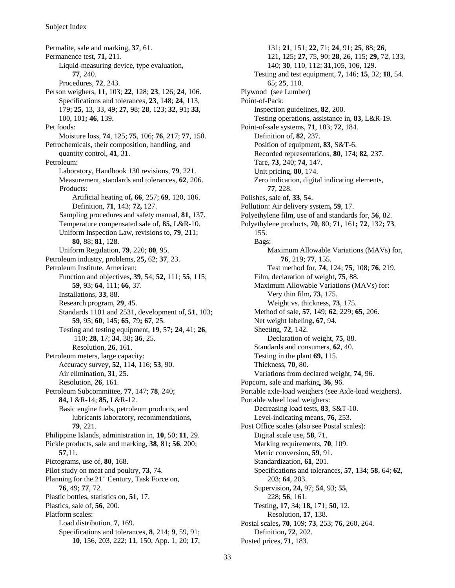Permalite, sale and marking, **37**, 61. Permanence test, **71,** 211. Liquid-measuring device, type evaluation, **77**, 240. Procedures, **72**, 243. Person weighers, **11**, 103; **22**, 128; **23**, 126; **24**, 106. Specifications and tolerances, **23**, 148; **24**, 113, 179; **25**, 13, 33, 49; **27**, 98; **28**, 123; **32**, 91**; 33**, 100, 101**; 46**, 139. Pet foods: Moisture loss, **74**, 125; **75**, 106; **76**, 217; **77**, 150. Petrochemicals, their composition, handling, and quantity control, **41**, 31. Petroleum: Laboratory, Handbook 130 revisions, **79**, 221. Measurement, standards and tolerances, **62**, 206. Products: Artificial heating of**, 66**, 257; **69**, 120, 186. Definition, **71**, 143; **72,** 127. Sampling procedures and safety manual, **81**, 137. Temperature compensated sale of, **85,** L&R-10. Uniform Inspection Law, revisions to, **79**, 211; **80**, 88; **81**, 128. Uniform Regulation, **79**, 220; **80**, 95. Petroleum industry, problems, **25,** 62; **37**, 23. Petroleum Institute, American: Function and objectives**, 39**, 54; **52,** 111; **55**, 115; **59**, 93; **64**, 111; **66**, 37. Installations, **33**, 88. Research program, **29**, 45. Standards 1101 and 2531, development of, **51**, 103; **59**, 95; **60**, 145; **65**, 79**; 67**, 25. Testing and testing equipment, **19**, 57**; 24**, 41; **26**, 110; **28**, 17; **34**, 38**; 36**, 25. Resolution, **26**, 161. Petroleum meters, large capacity: Accuracy survey, **52**, 114, 116; **53**, 90. Air elimination, **31**, 25. Resolution, **26**, 161. Petroleum Subcommittee, **77**, 147; **78**, 240; **84,** L&R-14; **85,** L&R-12. Basic engine fuels, petroleum products, and lubricants laboratory, recommendations, **79**, 221. Philippine Islands, administration in, **10**, 50; **11**, 29. Pickle products, sale and marking, **38**, 81**; 56**, 200; **57**,11. Pictograms, use of, **80**, 168. Pilot study on meat and poultry, **73**, 74. Planning for the  $21<sup>st</sup>$  Century, Task Force on, **76**, 49; **77**, 72. Plastic bottles, statistics on, **51**, 17. Plastics, sale of, **56**, 200. Platform scales: Load distribution, **7**, 169. Specifications and tolerances, **8**, 214; **9**, 59, 91; **10**, 156, 203, 222; **11**, 150, App. 1, 20; **17**,

131; **21**, 151; **22**, 71; **24**, 91; **25**, 88; **26**, 121, 125**; 27**, 75, 90; **28**, 26, 115; **29,** 72, 133, 140; **30**, 110, 112; **31**,105, 106, 129. Testing and test equipment, **7,** 146; **15**, 32; **18**, 54. 65; **25**, 110. Plywood (see Lumber) Point-of-Pack: Inspection guidelines, **82**, 200. Testing operations, assistance in, **83,** L&R-19. Point-of-sale systems, **71**, 183; **72**, 184. Definition of, **82**, 237. Position of equipment, **83**, S&T-6. Recorded representations, **80**, 174; **82**, 237. Tare, **73**, 240; **74**, 147. Unit pricing, **80**, 174. Zero indication, digital indicating elements, **77**, 228. Polishes, sale of, **33**, 54. Pollution: Air delivery system**, 59**, 17. Polyethylene film, use of and standards for, **56**, 82. Polyethylene products, **70**, 80; **71**, 161**; 72**, 132**; 73**, 155. Bags: Maximum Allowable Variations (MAVs) for, **76**, 219; **77**, 155. Test method for, **74**, 124; **75**, 108; **76**, 219. Film, declaration of weight, **75**, 88. Maximum Allowable Variations (MAVs) for: Very thin film**, 73**, 175. Weight vs. thickness, **73**, 175. Method of sale, **57**, 149; **62**, 229; **65**, 206. Net weight labeling**, 67**, 94. Sheeting, **72**, 142. Declaration of weight, **75**, 88. Standards and consumers, **62**, 40. Testing in the plant **69,** 115. Thickness, **70**, 80. Variations from declared weight, **74**, 96. Popcorn, sale and marking, **36**, 96. Portable axle-load weighers (see Axle-load weighers). Portable wheel load weighers: Decreasing load tests, **83**, S&T-10. Level-indicating means, **76**, 253. Post Office scales (also see Postal scales): Digital scale use, **58**, 71. Marking requirements, **70**, 109. Metric conversion**, 59**, 91. Standardization, **61**, 201. Specifications and tolerances, **57**, 134; **58**, 64; **62**, 203; **64**, 203. Supervision**, 24,** 97; **54**, 93; **55**, 228; **56**, 161. Testing**, 17**, 34; **18,** 171; **50**, 12. Resolution, **17**, 138. Postal scales**, 70**, 109; **73**, 253; **76**, 260, 264. Definition**, 72**, 202. Posted prices, **71**, 183.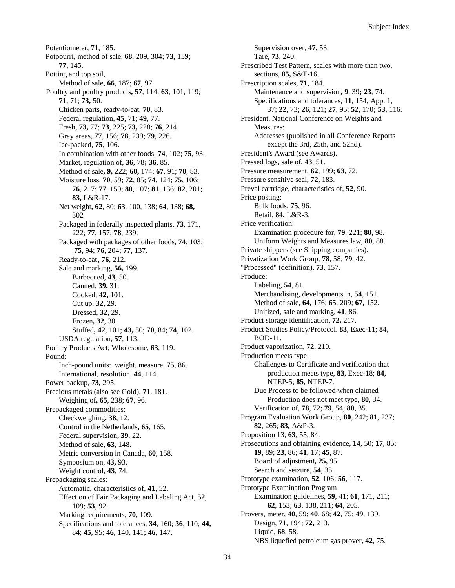Potentiometer, **71**, 185. Potpourri, method of sale, **68**, 209, 304; **73**, 159; **77**, 145. Potting and top soil, Method of sale, **66**, 187; **67**, 97. Poultry and poultry products**, 57**, 114; **63**, 101, 119; **71**, 71; **73,** 50. Chicken parts, ready-to-eat, **70**, 83. Federal regulation, **45,** 71; **49**, 77. Fresh, **73,** 77; **73**, 225; **73,** 228; **76**, 214. Gray areas, **77**, 156; **78**, 239; **79**, 226. Ice-packed, **75**, 106. In combination with other foods, **74**, 102; **75**, 93. Market, regulation of, **36**, 78**; 36**, 85. Method of sale**, 9,** 222; **60,** 174; **67**, 91; **70**, 83. Moisture loss, **70**, 59; **72**, 85; **74**, 124; **75**, 106; **76**, 217; **77**, 150; **80**, 107; **81**, 136; **82**, 201; **83,** L&R-17. Net weight**, 62**, 80; **63**, 100, 138; **64**, 138; **68,** 302 Packaged in federally inspected plants, **73**, 171, 222; **77**, 157; **78**, 239. Packaged with packages of other foods, **74**, 103; **75**, 94; **76**, 204; **77**, 137. Ready-to-eat, **76**, 212. Sale and marking, **56,** 199. Barbecued, **43**, 50. Canned, **39,** 31. Cooked, **42,** 101. Cut up, **32**, 29. Dressed, **32**, 29. Frozen**, 32**, 30. Stuffed**, 42**, 101; **43,** 50; **70**, 84; **74**, 102. USDA regulation, **57**, 113. Poultry Products Act; Wholesome, **63**, 119. Pound: Inch-pound units: weight, measure, **75**, 86. International, resolution, **44**, 114. Power backup, **73,** 295. Precious metals (also see Gold), **71**. 181. Weighing of**, 65**, 238; **67**, 96. Prepackaged commodities: Checkweighing**, 38**, 12. Control in the Netherlands**, 65**, 165. Federal supervision**, 39**, 22. Method of sale**, 63**, 148. Metric conversion in Canada, **60**, 158. Symposium on, **43,** 93. Weight control, **43**, 74. Prepackaging scales: Automatic, characteristics of, **41**, 52. Effect on of Fair Packaging and Labeling Act, **52**, 109; **53**, 92. Marking requirements, **70,** 109. Specifications and tolerances, **34**, 160; **36**, 110; **44,** 84; **45**, 95; **46**, 140**,** 141**; 46**, 147.

Supervision over, **47,** 53. Tare**, 73**, 240. Prescribed Test Pattern, scales with more than two, sections, **85,** S&T-16. Prescription scales, **71**, 184. Maintenance and supervision**, 9**, 39**; 23**, 74. Specifications and tolerances, **11**, 154, App. 1, 37; **22**, 73; **26**, 121**; 27**, 95; **52**, 170**; 53**, 116. President, National Conference on Weights and Measures: Addresses (published in all Conference Reports except the 3rd, 25th, and 52nd). President's Award (see Awards). Pressed logs, sale of, **43**, 51. Pressure measurement, **62**, 199; **63**, 72. Pressure sensitive seal**, 72,** 183. Preval cartridge, characteristics of, **52**, 90. Price posting: Bulk foods, **75**, 96. Retail, **84,** L&R-3. Price verification: Examination procedure for, **79**, 221; **80**, 98. Uniform Weights and Measures law, **80**, 88. Private shippers (see Shipping companies). Privatization Work Group, **78**, 58; **79**, 42. "Processed" (definition), **73**, 157. Produce: Labeling, **54**, 81. Merchandising, developments in, **54**, 151. Method of sale, **64,** 176; **65**, 209; **67,** 152. Unitized, sale and marking, **41**, 86. Product storage identification, **72,** 217. Product Studies Policy/Protocol. **83**, Exec-11; **84**, BOD-11. Product vaporization, **72**, 210. Production meets type: Challenges to Certificate and verification that production meets type, **83**, Exec-18; **84**, NTEP-5; **85**, NTEP-7. Due Process to be followed when claimed Production does not meet type, **80**, 34. Verification of, **78**, 72; **79**, 54; **80**, 35. Program Evaluation Work Group, **80**, 242; **81**, 237; **82**, 265; **83,** A&P-3. Proposition 13, **63**, 55, 84. Prosecutions and obtaining evidence, **14**, 50; **17**, 85; **19**, 89; **23**, 86; **41**, 17; **45**, 87. Board of adjustment**, 25,** 95. Search and seizure, **54**, 35. Prototype examination, **52**, 106; **56**, 117. Prototype Examination Program Examination guidelines, **59**, 41; **61**, 171, 211; **62**, 153; **63**, 138, 211; **64**, 205. Provers, meter, **40**, 59; **40**, 68; **42**, 75; **49**, 139. Design, **71**, 194; **72,** 213. Liquid, **68**, 58. NBS liquefied petroleum gas prover**, 42**, 75.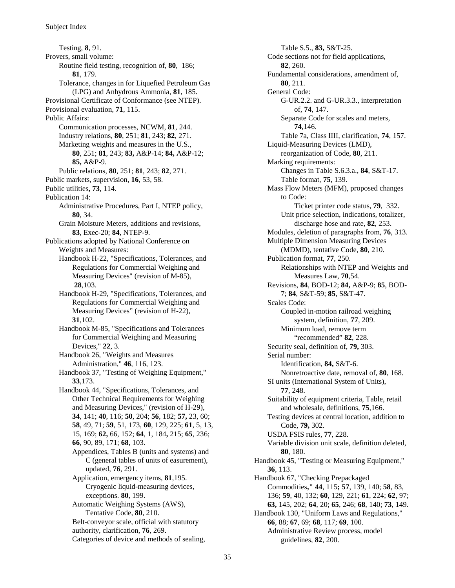Testing, **8**, 91. Provers, small volume: Routine field testing, recognition of, **80**, 186; **81**, 179. Tolerance, changes in for Liquefied Petroleum Gas (LPG) and Anhydrous Ammonia, **81**, 185. Provisional Certificate of Conformance (see NTEP). Provisional evaluation, **71**, 115. Public Affairs: Communication processes, NCWM, **81**, 244. Industry relations, **80**, 251; **81**, 243; **82**, 271. Marketing weights and measures in the U.S., **80**, 251; **81**, 243; **83,** A&P-14; **84,** A&P-12; **85,** A&P-9. Public relations, **80**, 251; **81**, 243; **82**, 271. Public markets, supervision, **16**, 53, 58. Public utilities**, 73**, 114. Publication 14: Administrative Procedures, Part I, NTEP policy, **80**, 34. Grain Moisture Meters, additions and revisions, **83**, Exec-20; **84**, NTEP-9. Publications adopted by National Conference on Weights and Measures: Handbook H-22, "Specifications, Tolerances, and Regulations for Commercial Weighing and Measuring Devices" (revision of M-85), **28**,103. Handbook H-29, "Specifications, Tolerances, and Regulations for Commercial Weighing and Measuring Devices" (revision of H-22), **31**,102. Handbook M-85, "Specifications and Tolerances for Commercial Weighing and Measuring Devices," **22**, 3. Handbook 26, "Weights and Measures Administration," **46**, 116, 123. Handbook 37, "Testing of Weighing Equipment," **33**,173. Handbook 44, "Specifications, Tolerances, and Other Technical Requirements for Weighing and Measuring Devices," (revision of H-29), **34**, 141; **40**, 116; **50**, 204; **56**, 182; **57,** 23, 60; **58**, 49, 71; **59**, 51, 173, **60**, 129, 225; **61**, 5, 13, 15, 169; **62,** 66, 152; **64**, 1, 184**,** 215; **65**, 236; **66**, 90, 89, 171; **68**, 103. Appendices, Tables B (units and systems) and C (general tables of units of easurement), updated, **76**, 291. Application, emergency items, **81**,195. Cryogenic liquid-measuring devices, exceptions. **80**, 199. Automatic Weighing Systems (AWS), Tentative Code, **80**, 210. Belt-conveyor scale, official with statutory authority, clarification, **76**, 269. Categories of device and methods of sealing,

Table S.5., **83,** S&T-25. Code sections not for field applications, **82**, 260. Fundamental considerations, amendment of, **80**, 211. General Code: G-UR.2.2. and G-UR.3.3., interpretation of, **74**, 147. Separate Code for scales and meters, **74**,146. Table 7a, Class IIII, clarification, **74**, 157. Liquid-Measuring Devices (LMD), reorganization of Code, **80**, 211. Marking requirements: Changes in Table S.6.3.a., **84**, S&T-17. Table format, **75**, 139. Mass Flow Meters (MFM), proposed changes to Code: Ticket printer code status, **79**, 332. Unit price selection, indications, totalizer, discharge hose and rate, **82**, 253. Modules, deletion of paragraphs from, **76**, 313. Multiple Dimension Measuring Devices (MDMD), tentative Code, **80**, 210. Publication format, **77**, 250. Relationships with NTEP and Weights and Measures Law, **70**,54. Revisions, **84**, BOD-12; **84,** A&P-9; **85**, BOD-7; **84**, S&T-59; **85**, S&T-47. Scales Code: Coupled in-motion railroad weighing system, definition, **77**, 209. Minimum load, remove term "recommended" **82**, 228. Security seal, definition of, **79,** 303. Serial number: Identification, **84,** S&T-6. Nonretroactive date, removal of, **80**, 168. SI units (International System of Units), **77**, 248. Suitability of equipment criteria, Table, retail and wholesale, definitions, **75**,166. Testing devices at central location, addition to Code, **79,** 302. USDA FSIS rules, **77**, 228. Variable division unit scale, definition deleted, **80**, 180. Handbook 45, "Testing or Measuring Equipment," **36**, 113. Handbook 67, "Checking Prepackaged Commodities**," 44**, 115**; 57**, 139, 140; **58**, 83, 136; **59**, 40, 132; **60**, 129, 221; **61**, 224; **62**, 97; **63,** 145, 202; **64**, 20; **65**, 246; **68**, 140; **73**, 149. Handbook 130, "Uniform Laws and Regulations," **66**, 88; **67**, 69; **68**, 117; **69**, 100. Administrative Review process, model guidelines, **82**, 200.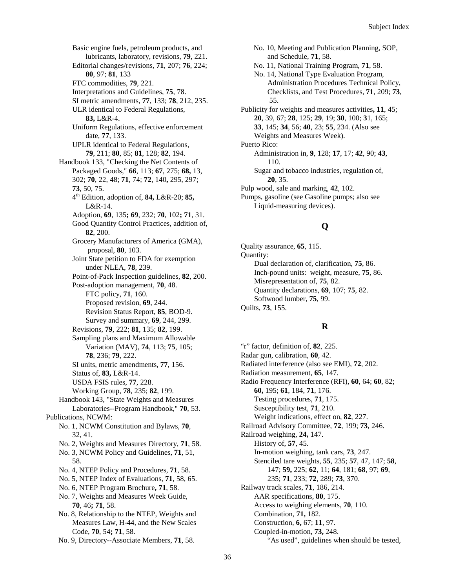Basic engine fuels, petroleum products, and lubricants, laboratory, revisions, **79**, 221. Editorial changes/revisions, **71**, 207; **76**, 224; **80**, 97; **81**, 133 FTC commodities, **79**, 221. Interpretations and Guidelines, **75**, 78. SI metric amendments, **77**, 133; **78**, 212, 235. ULR identical to Federal Regulations, **83,** L&R-4. Uniform Regulations, effective enforcement date, **77**, 133. UPLR identical to Federal Regulations, **79**, 211; **80**, 85; **81**, 128; **82**, 194. Handbook 133, "Checking the Net Contents of Packaged Goods," **66**, 113; **67**, 275; **68,** 13, 302; **70**, 22, 48; **71**, 74; **72**, 140**,** 295, 297; **73**, 50, 75. 4th Edition, adoption of, **84,** L&R-20; **85,** L&R-14. Adoption, **69**, 135**; 69**, 232; **70**, 102**; 71**, 31. Good Quantity Control Practices, addition of, **82**, 200. Grocery Manufacturers of America (GMA), proposal, **80**, 103. Joint State petition to FDA for exemption under NLEA, **78**, 239. Point-of-Pack Inspection guidelines, **82**, 200. Post-adoption management, **70**, 48. FTC policy, **71**, 160. Proposed revision, **69**, 244. Revision Status Report, **85**, BOD-9. Survey and summary, **69**, 244, 299. Revisions, **79**, 222; **81**, 135; **82**, 199. Sampling plans and Maximum Allowable Variation (MAV), **74**, 113; **75**, 105; **78**, 236; **79**, 222. SI units, metric amendments, **77**, 156. Status of, **83,** L&R-14. USDA FSIS rules, **77**, 228. Working Group, **78**, 235; **82**, 199. Handbook 143, "State Weights and Measures Laboratories--Program Handbook," **70**, 53. Publications, NCWM: No. 1, NCWM Constitution and Bylaws, **70**, 32, 41. No. 2, Weights and Measures Directory, **71**, 58. No. 3, NCWM Policy and Guidelines, **71**, 51, 58. No. 4, NTEP Policy and Procedures, **71**, 58. No. 5, NTEP Index of Evaluations, **71**, 58, 65. No. 6, NTEP Program Brochure**, 71**, 58. No. 7, Weights and Measures Week Guide, **70**, 46**; 71**, 58. No. 8, Relationship to the NTEP, Weights and Measures Law, H-44, and the New Scales Code, **70**, 54**; 71**, 58.

No. 9, Directory--Associate Members, **71**, 58.

No. 10, Meeting and Publication Planning, SOP, and Schedule, **71**, 58.

- No. 11, National Training Program, **71**, 58.
- No. 14, National Type Evaluation Program, Administration Procedures Technical Policy, Checklists, and Test Procedures, **71**, 209; **73**, 55.

Publicity for weights and measures activities**, 11**, 45; **20**, 39, 67; **28**, 125; **29**, 19; **30**, 100; **3**1, 165; **33**, 145; **34**, 56; **40**, 23; **55**, 234. (Also see Weights and Measures Week). Puerto Rico: Administration in, **9**, 128; **17**, 17; **42**, 90; **43**, 110. Sugar and tobacco industries, regulation of, **20**, 35.

Pulp wood, sale and marking, **42**, 102.

Pumps, gasoline (see Gasoline pumps; also see Liquid-measuring devices).

# **Q**

Quality assurance, **65**, 115. Quantity: Dual declaration of, clarification, **75**, 86. Inch-pound units: weight, measure, **75**, 86. Misrepresentation of, **75**, 82. Quantity declarations, **69**, 107; **75**, 82. Softwood lumber, **75**, 99. Quilts, **73**, 155.

# **R**

"r" factor, definition of, **82**, 225. Radar gun, calibration, **60**, 42. Radiated interference (also see EMI), **72**, 202. Radiation measurement, **65**, 147. Radio Frequency Interference (RFI), **60**, 64; **60**, 82; **60,** 195; **61**, 184, **71**, 176. Testing procedures, **71**, 175. Susceptibility test, **71**, 210. Weight indications, effect on, **82**, 227. Railroad Advisory Committee, **72**, 199; **73**, 246. Railroad weighing, **24,** 147. History of, **57**, 45. In-motion weighing, tank cars, **73**, 247. Stenciled tare weights, **55**, 235; **57**, 47, 147; **58**, 147; **59,** 225; **62**, 11; **64**, 181; **68**, 97; **69**, 235; **71**, 233; **72**, 289; **73**, 370. Railway track scales, **71**, 186, 214. AAR specifications, **80**, 175. Access to weighing elements, **70**, 110. Combination, **71,** 182. Construction, **6,** 67; **11**, 97. Coupled-in-motion, **73,** 248. "As used", guidelines when should be tested,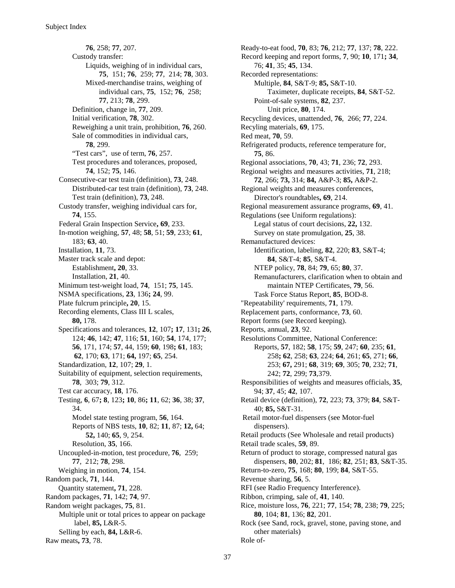**76**, 258; **77**, 207. Custody transfer: Liquids, weighing of in individual cars, **75**, 151; **76**, 259; **77**, 214; **78**, 303. Mixed-merchandise trains, weighing of individual cars, **75**, 152; **76**, 258; **77**, 213; **78**, 299. Definition, change in, **77**, 209. Initial verification, **78**, 302. Reweighing a unit train, prohibition, **76**, 260. Sale of commodities in individual cars, **78**, 299. "Test cars", use of term, **76**, 257. Test procedures and tolerances, proposed, **74**, 152; **75**, 146. Consecutive-car test train (definition), **73**, 248. Distributed-car test train (definition), **73**, 248. Test train (definition), **73**, 248. Custody transfer, weighing individual cars for, **74**, 155. Federal Grain Inspection Service**, 69**, 233. In-motion weighing, **57**, 48; **58**, 51; **59**, 233; **61**, 183; **63**, 40. Installation, **11**, 73. Master track scale and depot: Establishment**, 20**, 33. Installation, **21**, 40. Minimum test-weight load, **74**, 151; **75**, 145. NSMA specifications, **23**, 136**; 24**, 99. Plate fulcrum principle**, 20**, 15. Recording elements, Class III L scales, **80,** 178. Specifications and tolerances, **12**, 107**; 17**, 131**; 26**, 124; **46**, 142; **47**, 116; **51**, 160; **54**, 174, 177; **56**, 171, 174; **57**, 44, 159; **60**, 198**; 61**, 183; **62**, 170; **63**, 171; **64,** 197; **65**, 254. Standardization, **12**, 107; **29**, 1. Suitability of equipment, selection requirements, **78**, 303; **79**, 312. Test car accuracy, **18**, 176. Testing, **6**, 67**; 8**, 123**; 10**, 86**; 11**, 62; **36**, 38; **37**, 34. Model state testing program, **56**, 164. Reports of NBS tests, **10**, 82; **11**, 87; **12,** 64; **52,** 140; **65**, 9, 254. Resolution, **35**, 166. Uncoupled-in-motion, test procedure, **76**, 259; **77**, 212; **78**, 298. Weighing in motion, **74**, 154. Random pack, **71**, 144. Quantity statement**, 71**, 228. Random packages, **71**, 142; **74**, 97. Random weight packages, **75**, 81. Multiple unit or total prices to appear on package label, **85,** L&R-5. Selling by each, **84,** L&R-6. Raw meats**, 73**, 78.

Ready-to-eat food, **70**, 83; **76**, 212; **77**, 137; **78**, 222. Record keeping and report forms, **7**, 90; **10**, 171**; 34**, 76; **41**, 35; **45**, 134. Recorded representations: Multiple, **84**, S&T-9; **85,** S&T-10. Taximeter, duplicate receipts, **84**, S&T-52. Point-of-sale systems, **82**, 237. Unit price, **80**, 174. Recycling devices, unattended, **76**, 266; **77**, 224. Recyling materials, **69**, 175. Red meat, **70**, 59. Refrigerated products, reference temperature for, **75**, 86. Regional associations, **70**, 43; **71**, 236; **72**, 293. Regional weights and measures activities, **71**, 218; **72**, 266; **73,** 314; **84,** A&P-3; **85,** A&P-2. Regional weights and measures conferences, Director's roundtables**, 69**, 214. Regional measurement assurance programs, **69**, 41. Regulations (see Uniform regulations): Legal status of court decisions, **22,** 132. Survey on state promulgation, **25**, 38. Remanufactured devices: Identification, labeling, **82**, 220; **83**, S&T-4; **84**, S&T-4; **85**, S&T-4. NTEP policy, **78**, 84; **79**, 65; **80**, 37. Remanufacturers, clarification when to obtain and maintain NTEP Certificates, **79**, 56. Task Force Status Report, **85**, BOD-8. "Repeatability' requirements, **71**, 179. Replacement parts, conformance, **73**, 60. Report forms (see Record keeping). Reports, annual, **23**, 92. Resolutions Committee, National Conference: Reports, **57**, 182; **58**, 175; **59**, 247; **60**, 235; **61**, 258**; 62**, 258; **63**, 224; **64**, 261; **65**, 271; **66**, 253; **67,** 291; **68**, 319; **69**, 305; **70**, 232; **71**, 242; **72**, 299; **73**,379. Responsibilities of weights and measures officials, **35**, 94; **37**, 45; **42**, 107. Retail device (definition), **72**, 223; **73**, 379; **84**, S&T-40; **85,** S&T-31. Retail motor-fuel dispensers (see Motor-fuel dispensers). Retail products (See Wholesale and retail products) Retail trade scales, **59**, 89. Return of product to storage, compressed natural gas dispensers, **80**, 202; **81**, 186; **82**, 251; **83**, S&T-35. Return-to-zero, **75**, 168; **80**, 199; **84**, S&T-55. Revenue sharing, **56**, 5. RFI (see Radio Frequency Interference). Ribbon, crimping, sale of, **41**, 140. Rice, moisture loss, **76**, 221; **77**, 154; **78**, 238; **79**, 225; **80**, 104; **81**, 136; **82**, 201. Rock (see Sand, rock, gravel, stone, paving stone, and other materials) Role of-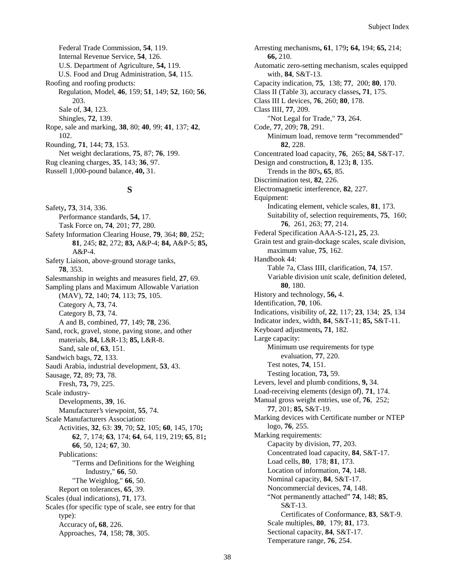Federal Trade Commission, **54**, 119. Internal Revenue Service, **54**, 126. U.S. Department of Agriculture, **54,** 119. U.S. Food and Drug Administration, **54**, 115. Roofing and roofing products: Regulation, Model, **46**, 159; **51**, 149; **52**, 160; **56**, 203. Sale of, **34**, 123. Shingles, **72**, 139. Rope, sale and marking, **38**, 80; **40**, 99; **41**, 137; **42**, 102. Rounding, **71**, 144; **73**, 153. Net weight declarations, **75**, 87; **76**, 199. Rug cleaning charges, **35**, 143; **36**, 97. Russell 1,000-pound balance, **40,** 31.

# **S**

Safety**, 73**, 314, 336. Performance standards, **54,** 17. Task Force on, **74**, 201; **77**, 280. Safety Information Clearing House, **79**, 364; **80**, 252; **81**, 245; **82**, 272; **83,** A&P-4; **84,** A&P-5; **85,** A&P-4. Safety Liaison, above-ground storage tanks, **78**, 353. Salesmanship in weights and measures field, **27**, 69. Sampling plans and Maximum Allowable Variation (MAV), **72**, 140; **74**, 113; **75**, 105. Category A, **73**, 74. Category B, **73**, 74. A and B, combined, **77**, 149; **78**, 236. Sand, rock, gravel, stone, paving stone, and other materials, **84,** L&R-13; **85,** L&R-8. Sand, sale of, **63**, 151. Sandwich bags, **72**, 133. Saudi Arabia, industrial development, **53**, 43. Sausage, **72**, 89; **73**, 78. Fresh, **73,** 79, 225. Scale industry-Developments, **39**, 16. Manufacturer's viewpoint, **55**, 74. Scale Manufacturers Association: Activities, **32**, 63: **39**, 70; **52**, 105; **60**, 145, 170**; 62**, 7, 174; **63**, 174; **64**, 64, 119, 219; **65**, 81**; 66**, 50, 124; **67**, 30. Publications: "Terms and Definitions for the Weighing Industry," **66**, 50. "The Weighlog," **66**, 50. Report on tolerances, **65**, 39. Scales (dual indications), **71**, 173. Scales (for specific type of scale, see entry for that type): Accuracy of**, 68**, 226. Approaches, **74**, 158; **78**, 305.

Arresting mechanisms**, 61**, 179**; 64,** 194; **65,** 214; **66,** 210. Automatic zero-setting mechanism, scales equipped with, **84**, S&T-13. Capacity indication, **75**, 138; **77**, 200; **80**, 170. Class II (Table 3), accuracy classes**, 71**, 175. Class III L devices, **76**, 260; **80**, 178. Class IIII, **77**, 209. "Not Legal for Trade," **73**, 264. Code, **77**, 209; **78**, 291. Minimum load, remove term "recommended" **82**, 228. Concentrated load capacity, **76**, 265; **84**, S&T-17. Design and construction**, 8**, 123**; 8**, 135. Trends in the 80's**, 65**, 85. Discrimination test, **82**, 226. Electromagnetic interference, **82**, 227. Equipment: Indicating element, vehicle scales, **81**, 173. Suitability of, selection requirements, **75**, 160; **76**, 261, 263; **77**, 214. Federal Specification AAA-S-121**, 25**, 23. Grain test and grain-dockage scales, scale division, maximum value, **75**, 162. Handbook 44: Table 7a, Class IIII, clarification, **74**, 157. Variable division unit scale, definition deleted, **80**, 180. History and technology, **56,** 4. Identification, **70**, 106. Indications, visibility of, **22**, 117; **23**, 134; **25**, 134 Indicator index, width, **84**, S&T-11; **85,** S&T-11. Keyboard adjustments**, 71**, 182. Large capacity: Minimum use requirements for type evaluation, **77**, 220. Test notes, **74**, 151. Testing location, **73,** 59. Levers, level and plumb conditions, **9,** 34. Load-receiving elements (design of), **71**, 174. Manual gross weight entries, use of, **76**, 252; **77**, 201; **85,** S&T-19. Marking devices with Certificate number or NTEP logo, **76**, 255. Marking requirements: Capacity by division, **77**, 203. Concentrated load capacity, **84**, S&T-17. Load cells, **80**, 178; **81**, 173. Location of information, **74**, 148. Nominal capacity, **84**, S&T-17. Noncommercial devices, **74**, 148. "Not permanently attached" **74**, 148; **85**, S&T-13. Certificates of Conformance, **83**, S&T-9. Scale multiples, **80**, 179; **81**, 173. Sectional capacity, **84**, S&T-17. Temperature range, **76**, 254.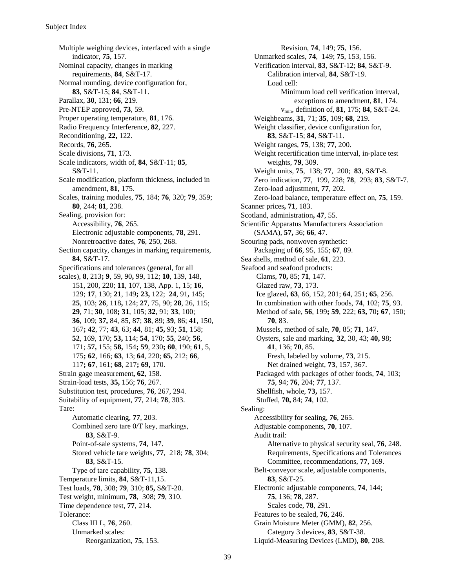Multiple weighing devices, interfaced with a single indicator, **75**, 157. Nominal capacity, changes in marking requirements, **84**, S&T-17. Normal rounding, device configuration for, **83**, S&T-15; **84**, S&T-11. Parallax, **30**, 131; **66**, 219. Pre-NTEP approved**, 73**, 59. Proper operating temperature, **81**, 176. Radio Frequency Interference, **82**, 227. Reconditioning, **22,** 122. Records, **76**, 265. Scale divisions**, 71**, 173. Scale indicators, width of, **84**, S&T-11; **85**, S&T-11. Scale modification, platform thickness, included in amendment, **81**, 175. Scales, training modules, **75**, 184; **76**, 320; **79**, 359; **80**, 244; **81**, 238. Sealing, provision for: Accessibility, **76**, 265. Electronic adjustable components, **78**, 291. Nonretroactive dates, **76**, 250, 268. Section capacity, changes in marking requirements, **84**, S&T-17. Specifications and tolerances (general, for all scales), **8**, 213**; 9**, 59, 90**,** 99, 112; **10**, 139, 148, 151, 200, 220; **11**, 107, 138, App. 1, 15; **16**, 129; **17**, 130; **21**, 149**; 23,** 122; **24**, 91**,** 145; **25**, 103; **26**, 118**,** 124; **27**, 75, 90; **28**, 26, 115; **29**, 71; **30**, 108**; 31**, 105; **32**, 91; **33**, 100; **36**, 109; **37,** 84, 85, 87; **38**, 89; **39**, 86; **41**, 150, 167**; 42**, 77; **43**, 63; **44**, 81; **45,** 93; **51**, 158; **52**, 169, 170; **53,** 114; **54**, 170; **55**, 240; **56**, 171; **57,** 155; **58,** 154**; 59**, 230**; 60**, 190; **61**, 5, 175**; 62**, 166; **63**, 13; **64**, 220; **65,** 212; **66**, 117**; 67**, 161; **68**, 217**; 69,** 170. Strain gage measurement**, 62**, 158. Strain-load tests, **35,** 156; **76**, 267. Substitution test, procedures, **76**, 267, 294. Suitability of equipment, **77**, 214; **78**, 303. Tare: Automatic clearing, **77**, 203. Combined zero tare 0/T key, markings, **83**, S&T-9. Point-of-sale systems, **74**, 147. Stored vehicle tare weights, **77**, 218; **78**, 304; **83**, S&T-15. Type of tare capability, **75**, 138. Temperature limits, **84**, S&T-11,15. Test loads, **78**, 308; **79**, 310; **85,** S&T-20. Test weight, minimum, **78**, 308; **79**, 310. Time dependence test, **77**, 214. Tolerance: Class III L, **76**, 260. Unmarked scales: Reorganization, **75**, 153.

Revision, **74**, 149; **75**, 156. Unmarked scales, **74**, 149; **75**, 153, 156. Verification interval, **83**, S&T-12; **84**, S&T-9. Calibration interval, **84**, S&T-19. Load cell: Minimum load cell verification interval, exceptions to amendment, **81**, 174. vmin, definition of, **81**, 175; **84**, S&T-24. Weighbeams, **31**, 71; **35**, 109; **68**, 219. Weight classifier, device configuration for, **83**, S&T-15; **84**, S&T-11. Weight ranges, **75**, 138; **77**, 200. Weight recertification time interval, in-place test weights, **79**, 309. Weight units, **75**, 138; **77**, 200; **83**, S&T-8. Zero indication, **77**, 199, 228; **78**, 293; **83**, S&T-7. Zero-load adjustment, **77**, 202. Zero-load balance, temperature effect on, **75**, 159. Scanner prices**, 71**, 183. Scotland, administration**, 47**, 55. Scientific Apparatus Manufacturers Association (SAMA), **57,** 36; **66**, 47. Scouring pads, nonwoven synthetic: Packaging of **66**, 95, 155; **67**, 89. Sea shells, method of sale, **61**, 223. Seafood and seafood products: Clams, **70,** 85; **71**, 147. Glazed raw, **73**, 173. Ice glazed**, 63**, 66, 152, 201; **64**, 251; **65**, 256. In combination with other foods, **74**, 102; **75**, 93. Method of sale, **56**, 199**; 59**, 222; **63,** 70**; 67**, 150; **70**, 83. Mussels, method of sale, **70**, 85; **71**, 147. Oysters, sale and marking, **32**, 30, 43; **40,** 98; **41**, 136; **70**, 85. Fresh, labeled by volume, **73**, 215. Net drained weight, **73**, 157, 367. Packaged with packages of other foods, **74**, 103; **75**, 94; **76**, 204; **77**, 137. Shellfish, whole, **73,** 157. Stuffed, **70,** 84; **74**, 102. Sealing: Accessibility for sealing, **76**, 265. Adjustable components, **70**, 107. Audit trail: Alternative to physical security seal, **76**, 248. Requirements, Specifications and Tolerances Committee, recommendations, **77**, 169. Belt-conveyor scale, adjustable components, **83**, S&T-25. Electronic adjustable components, **74**, 144; **75**, 136; **78**, 287. Scales code, **78**, 291. Features to be sealed, **76**, 246. Grain Moisture Meter (GMM), **82**, 256. Category 3 devices, **83**, S&T-38. Liquid-Measuring Devices (LMD), **80**, 208.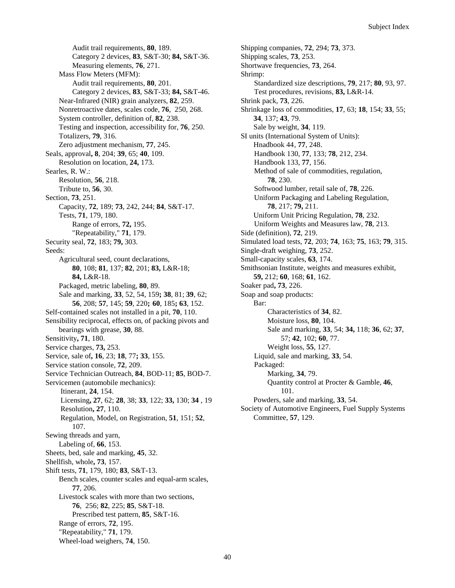Audit trail requirements, **80**, 189. Category 2 devices, **83**, S&T-30; **84,** S&T-36. Measuring elements, **76**, 271. Mass Flow Meters (MFM): Audit trail requirements, **80**, 201. Category 2 devices, **83**, S&T-33; **84,** S&T-46. Near-Infrared (NIR) grain analyzers, **82**, 259. Nonretroactive dates, scales code, **76**, 250, 268. System controller, definition of, **82**, 238. Testing and inspection, accessibility for, **76**, 250. Totalizers, **79**, 316. Zero adjustment mechanism, **77**, 245. Seals, approval**, 8**, 204; **39**, 65; **40**, 109. Resolution on location, **24,** 173. Searles, R. W.: Resolution, **56**, 218. Tribute to, **56**, 30. Section, **73**, 251. Capacity, **72**, 189; **73**, 242, 244; **84**, S&T-17. Tests, **71**, 179, 180. Range of errors, **72,** 195. "Repeatability," **71**, 179. Security seal, **72**, 183; **79,** 303. Seeds: Agricultural seed, count declarations, **80**, 108; **81**, 137; **82**, 201; **83,** L&R-18; **84,** L&R-18. Packaged, metric labeling, **80**, 89. Sale and marking, **33**, 52, 54, 159**; 38**, 81; **39**, 62; **56**, 208; **57**, 145; **59**, 220**; 60**, 185**; 63**, 152. Self-contained scales not installed in a pit, **70**, 110. Sensibility reciprocal, effects on, of packing pivots and bearings with grease, **30**, 88. Sensitivity**, 71**, 180. Service charges, **73,** 253. Service, sale of**, 16**, 23; **18**, 77**; 33**, 155. Service station console, **72**, 209. Service Technician Outreach, **84**, BOD-11; **85**, BOD-7. Servicemen (automobile mechanics): Itinerant, **24**, 154. Licensing**, 27**, 62; **28**, 38; **33**, 122; **33,** 130; **34** , 19 Resolution**, 27**, 110. Regulation, Model, on Registration, **51**, 151; **52**, 107. Sewing threads and yarn, Labeling of, **66**, 153. Sheets, bed, sale and marking, **45**, 32. Shellfish, whole**, 73**, 157. Shift tests, **71**, 179, 180; **83**, S&T-13. Bench scales, counter scales and equal-arm scales, **77**, 206. Livestock scales with more than two sections, **76**, 256; **82**, 225; **85**, S&T-18. Prescribed test pattern, **85**, S&T-16. Range of errors, **72**, 195. "Repeatability," **71**, 179. Wheel-load weighers, **74**, 150.

Shipping companies, **72**, 294; **73**, 373. Shipping scales, **73**, 253. Shortwave frequencies, **73**, 264. Shrimp: Standardized size descriptions, **79**, 217; **80**, 93, 97. Test procedures, revisions, **83,** L&R-14. Shrink pack, **73**, 226. Shrinkage loss of commodities, **17**, 63; **18**, 154; **33**, 55; **34**, 137; **43**, 79. Sale by weight, **34**, 119. SI units (International System of Units): Hnadbook 44, **77**, 248. Handbook 130, **77**, 133; **78**, 212, 234. Handbook 133, **77**, 156. Method of sale of commodities, regulation, **78**, 230. Softwood lumber, retail sale of, **78**, 226. Uniform Packaging and Labeling Regulation, **78**, 217; **79,** 211. Uniform Unit Pricing Regulation, **78**, 232. Uniform Weights and Measures law, **78**, 213. Side (definition), **72**, 219. Simulated load tests, **72**, 203; **74**, 163; **75**, 163; **79**, 315. Single-draft weighing, **73**, 252. Small-capacity scales, **63**, 174. Smithsonian Institute, weights and measures exhibit, **59,** 212; **60**, 168; **61**, 162. Soaker pad**, 73**, 226. Soap and soap products: Bar: Characteristics of **34**, 82. Moisture loss, **80**, 104. Sale and marking, **33**, 54; **34,** 118; **36**, 62; **37**, 57; **42**, 102; **60**, 77. Weight loss, **55**, 127. Liquid, sale and marking, **33**, 54. Packaged: Marking, **34**, 79. Quantity control at Procter & Gamble, **46**, 101. Powders, sale and marking, **33**, 54. Society of Automotive Engineers, Fuel Supply Systems Committee, **57**, 129.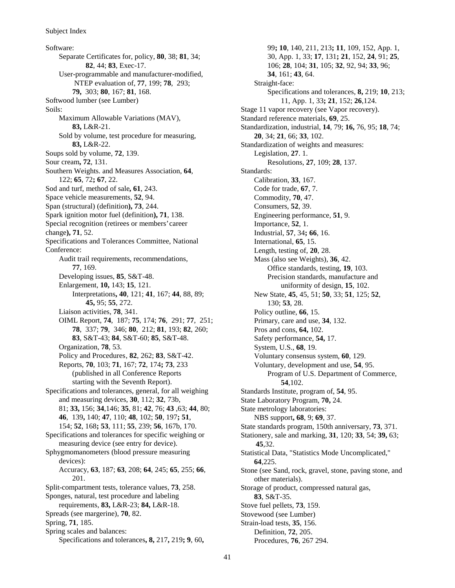Software: Separate Certificates for, policy, **80**, 38; **81**, 34; **82**, 44; **83**, Exec-17. User-programmable and manufacturer-modified, NTEP evaluation of, **77**, 199; **78**, 293; **79,** 303; **80**, 167; **81**, 168. Softwood lumber (see Lumber) Soils: Maximum Allowable Variations (MAV), **83,** L&R-21. Sold by volume, test procedure for measuring, **83,** L&R-22. Soups sold by volume, **72**, 139. Sour cream**, 72**, 131. Southern Weights. and Measures Association, **64**, 122; **65**, 72**; 67**, 22. Sod and turf, method of sale**, 61**, 243. Space vehicle measurements, **52**, 94. Span (structural) (definition**), 73**, 244. Spark ignition motor fuel (definition**), 71**, 138. Special recognition (retirees or members' career change**), 71**, 52. Specifications and Tolerances Committee, National Conference: Audit trail requirements, recommendations, **77**, 169. Developing issues, **85**, S&T-48. Enlargement, **10,** 143; **15**, 121. Interpretations**, 40**, 121; **41**, 167; **44**, 88, 89; **45,** 95; **55**, 272. Liaison activities, **78**, 341. OIML Report, **74**, 187; **75**, 174; **76**, 291; **77**, 251; **78**, 337; **79**, 346; **80**, 212; **81**, 193; **82**, 260; **83**, S&T-43; **84**, S&T-60; **85**, S&T-48. Organization, **78**, 53. Policy and Procedures, **82**, 262; **83**, S&T-42. Reports, **70**, 103; **71**, 167; **72**, 174**; 73**, 233 (published in all Conference Reports starting with the Seventh Report). Specifications and tolerances, general, for all weighing and measuring devices, **30**, 112; **32**, 73b, 81; **33,** 156; **34**,146; **35**, 81; **42**, 76; **43** ,63; **44**, 80; **46**, 139**,** 140; **47**, 110; **48**, 102; **50**, 197**; 51**, 154; **52**, 168**; 53**, 111; **55**, 239; **56**, 167b, 170. Specifications and tolerances for specific weighing or measuring device (see entry for device). Sphygmomanometers (blood pressure measuring devices): Accuracy, **63**, 187; **63**, 208; **64**, 245; **65**, 255; **66**, 201. Split-compartment tests, tolerance values, **73**, 258. Sponges, natural, test procedure and labeling requirements, **83,** L&R-23; **84,** L&R-18. Spreads (see margerine), **70**, 82. Spring, **71**, 185. Spring scales and balances: Specifications and tolerances**, 8,** 217**,** 219**; 9**, 60**,**

99**; 10**, 140, 211, 213**; 11**, 109, 152, App. 1, 30, App. 1, 33; **17**, 131**; 21**, 152, **24**, 91; **25**, 106; **28**, 104; **31**, 105; **32**, 92, 94; **33**, 96; **34**, 161; **43**, 64. Straight-face: Specifications and tolerances, **8,** 219; **10**, 213; 11, App. 1, 33**; 21**, 152; **26**,124. Stage 11 vapor recovery (see Vapor recovery). Standard reference materials, **69**, 25. Standardization, industrial, **14**, 79; **16,** 76, 95; **18**, 74; **20**, 34; **21**, 66; **33**, 102. Standardization of weights and measures: Legislation, **27**. 1. Resolutions, **27**, 109; **28**, 137. Standards: Calibration, **33**, 167. Code for trade, **67**, 7. Commodity, **70**, 47. Consumers, **52**, 39. Engineering performance, **51**, 9. Importance, **52**, 1. Industrial, **57**, 34**; 66**, 16. International, **65**, 15. Length, testing of, **20**, 28. Mass (also see Weights), **36**, 42. Office standards, testing, **19**, 103. Precision standards, manufacture and uniformity of design, **15**, 102. New State, **45**, 45, 51; **50**, 33; **51**, 125; **52**, 130; **53**, 28. Policy outline, **66**, 15. Primary, care and use, **34**, 132. Pros and cons, **64,** 102. Safety performance, **54,** 17. System, U.S., **68**, 19. Voluntary consensus system, **60**, 129. Voluntary, development and use, **54**, 95. Program of U.S. Department of Commerce, **54**,102. Standards Institute, program of, **54**, 95. State Laboratory Program, **70,** 24. State metrology laboratories: NBS support**, 68**, 9; **69**, 37. State standards program, 150th anniversary, **73**, 371. Stationery, sale and marking, **31**, 120; **33**, 54; **39,** 63; **45**,32. Statistical Data, "Statistics Mode Uncomplicated," **64**,225. Stone (see Sand, rock, gravel, stone, paving stone, and other materials). Storage of product, compressed natural gas, **83**, S&T-35. Stove fuel pellets, **73**, 159. Stovewood (see Lumber) Strain-load tests, **35**, 156. Definition, **72**, 205. Procedures, **76**, 267 294.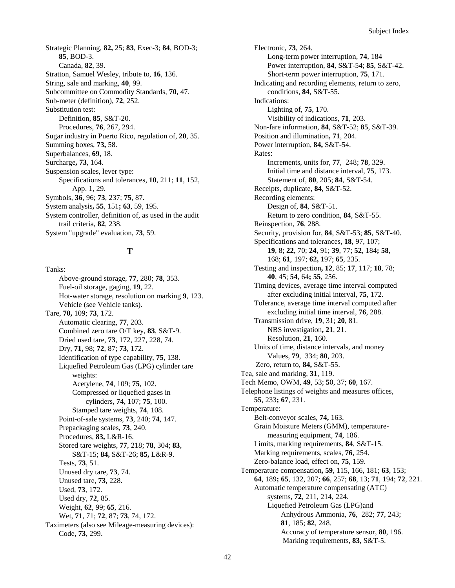Strategic Planning, **82,** 25; **83**, Exec-3; **84**, BOD-3; **85**, BOD-3. Canada, **82**, 39. Stratton, Samuel Wesley, tribute to, **16**, 136. String, sale and marking, **40**, 99. Subcommittee on Commodity Standards, **70**, 47. Sub-meter (definition), **72**, 252. Substitution test: Definition, **85**, S&T-20. Procedures, **76**, 267, 294. Sugar industry in Puerto Rico, regulation of, **20**, 35. Summing boxes, **73,** 58. Superbalances, **69**, 18. Surcharge**, 73**, 164. Suspension scales, lever type: Specifications and tolerances, **10**, 211; **11**, 152, App. 1, 29. Symbols, **36**, 96; **73**, 237; **75**, 87. System analysis**, 55**, 151**; 63**, 59, 195. System controller, definition of, as used in the audit trail criteria, **82**, 238. System "upgrade" evaluation, **73**, 59.

# **T**

Tanks: Above-ground storage, **77**, 280; **78**, 353. Fuel-oil storage, gaging, **19**, 22. Hot-water storage, resolution on marking **9**, 123. Vehicle (see Vehicle tanks). Tare, **70,** 109; **73**, 172. Automatic clearing, **77**, 203. Combined zero tare O/T key, **83**, S&T-9. Dried used tare, **73**, 172, 227, 228, 74. Dry, **71,** 98; **72**, 87; **73**, 172. Identification of type capability, **75**, 138. Liquefied Petroleum Gas (LPG) cylinder tare weights: Acetylene, **74**, 109; **75**, 102. Compressed or liquefied gases in cylinders, **74**, 107; **75**, 100. Stamped tare weights, **74**, 108. Point-of-sale systems, **73**, 240; **74**, 147. Prepackaging scales, **73**, 240. Procedures, **83,** L&R-16. Stored tare weights, **77**, 218; **78**, 304; **83**, S&T-15; **84,** S&T-26; **85,** L&R-9. Tests, **73**, 51. Unused dry tare, **73**, 74. Unused tare, **73**, 228. Used, **73**, 172. Used dry, **72**, 85. Weight, **62**, 99; **65**, 216. Wet, **71**, 71; **72**, 87; **73**, 74, 172. Taximeters (also see Mileage-measuring devices): Code, **73**, 299.

Electronic, **73**, 264. Long-term power interruption, **74**, 184 Power interruption, **84**, S&T-54; **85**, S&T-42. Short-term power interruption, **75**, 171. Indicating and recording elements, return to zero, conditions, **84**, S&T-55. Indications: Lighting of, **75**, 170. Visibility of indications, **71**, 203. Non-fare information, **84**, S&T-52; **85**, S&T-39. Position and illumination**, 71**, 204. Power interruption, **84,** S&T-54. Rates: Increments, units for, **77**, 248; **78**, 329. Initial time and distance interval, **75**, 173. Statement of, **80**, 205; **84**, S&T-54. Receipts, duplicate, **84**, S&T-52. Recording elements: Design of, **84**, S&T-51. Return to zero condition, **84**, S&T-55. Reinspection, **76**, 288. Security, provision for, **84**, S&T-53; **85**, S&T-40. Specifications and tolerances, **18**, 97, 107; **19**, 8; **22**, 70; **24**, 91; **39**, 77; **52**, 184**; 58**, 168; **61**, 197; **62,** 197; **65**, 235. Testing and inspection**, 12**, 85; **17**, 117; **18**, 78; **40**, 45; **54**, 64**; 55**, 256. Timing devices, average time interval computed after excluding initial interval, **75**, 172. Tolerance, average time interval computed after excluding initial time interval, **76**, 288. Transmission drive, **19**, 31; **20**, 81. NBS investigation**, 21**, 21. Resolution, **21**, 160. Units of time, distance intervals, and money Values, **79**, 334; **80**, 203. Zero, return to, **84,** S&T-55. Tea, sale and marking, **31**, 119. Tech Memo, OWM, **49**, 53; **5**0, 37; **60**, 167. Telephone listings of weights and measures offices, **55**, 233**; 67**, 231. Temperature: Belt-conveyor scales, **74,** 163. Grain Moisture Meters (GMM), temperaturemeasuring equipment, **74**, 186. Limits, marking requirements, **84**, S&T-15. Marking requirements, scales, **76**, 254. Zero-balance load, effect on, **75**, 159. Temperature compensation**, 59**, 115, 166, 181; **63**, 153; **64**, 189**; 65**, 132, 207; **66**, 257; **68**, 13; **71**, 194; **72**, 221. Automatic temperature compensating (ATC) systems, **72**, 211, 214, 224. Liquefied Petroleum Gas (LPG)and Anhydrous Ammonia, **76**, 282; **77**, 243; **81**, 185; **82**, 248. Accuracy of temperature sensor, **80**, 196. Marking requirements, **83**, S&T-5.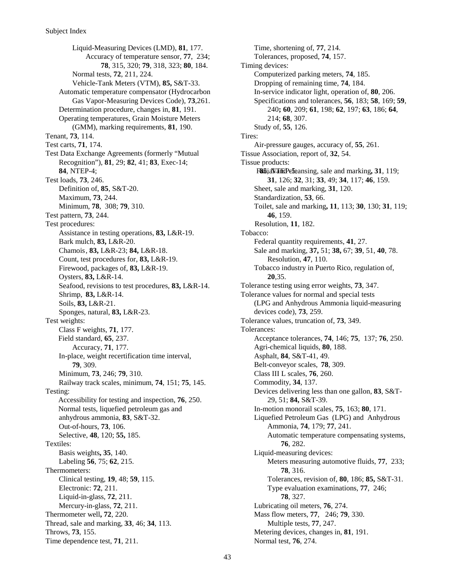Liquid-Measuring Devices (LMD), **81**, 177. Accuracy of temperature sensor, **77**, 234; **78**, 315, 320; **79**, 318, 323; **80**, 184. Normal tests, **72**, 211, 224. Vehicle-Tank Meters (VTM), **85,** S&T-33. Automatic temperature compensator (Hydrocarbon Gas Vapor-Measuring Devices Code), **73**,261. Determination procedure, changes in, **81**, 191. Operating temperatures, Grain Moisture Meters (GMM), marking requirements, **81**, 190. Tenant, **73**, 114. Test carts, **71**, 174. Test Data Exchange Agreements (formerly "Mutual Recognition"), **81**, 29; **82**, 41; **83**, Exec-14; Test loads, **73**, 246. Definition of, **85**, S&T-20. Maximum, **73**, 244. Minimum, **78**, 308; **79**, 310. Test pattern, **73**, 244. Test procedures: Assistance in testing operations, **83,** L&R-19. Bark mulch, **83,** L&R-20. Chamois, **83,** L&R-23; **84,** L&R-18. Count, test procedures for, **83,** L&R-19. Firewood, packages of, **83,** L&R-19. Oysters, **83,** L&R-14. Seafood, revisions to test procedures, **83,** L&R-14. Shrimp, **83,** L&R-14. Soils, **83,** L&R-21. Sponges, natural, **83,** L&R-23. Test weights: Class F weights, **71**, 177. Field standard, **65**, 237. Accuracy, **71**, 177. In-place, weight recertification time interval, **79**, 309. Minimum, **73**, 246; **79**, 310. Railway track scales, minimum, **74**, 151; **75**, 145. Testing: Accessibility for testing and inspection, **76**, 250. Normal tests, liquefied petroleum gas and anhydrous ammonia, **83**, S&T-32. Out-of-hours, **73**, 106. Selective, **48**, 120; **55,** 185. Textiles: Basis weights**, 35**, 140. Labeling **56**, 75; **62**, 215. Thermometers: Clinical testing, **19**, 48; **59**, 115. Electronic: **72**, 211. Liquid-in-glass, **72**, 211. Mercury-in-glass, **72**, 211. Thermometer well**, 72**, 220. Thread, sale and marking, **33**, 46; **34**, 113. Throws, **73**, 155. Time dependence test, **71**, 211.

**84**, NTEP-4; **85**, **85**, **85**, **85**, **85**, **85**, **85**, **85**, **85**, **85**, **85**, **85**, **85**, **85**, **85** Time, shortening of, **77**, 214. Tolerances, proposed, **74**, 157. Timing devices: Computerized parking meters, **74**, 185. Dropping of remaining time, **74**, 184. In-service indicator light, operation of, **80**, 206. Specifications and tolerances, **56**, 183; **58**, 169; **59**, 240**; 60**, 209; **61**, 198; **62**, 197; **63**, 186; **64**, 214; **68**, 307. Study of, **55**, 126. Tires: Air-pressure gauges, accuracy of, **55**, 261. Tissue Association, report of, **32**, 54. Tissue products: **31**, 126; **32**, 31; **33**, 49; **34**, 117; **46**, 159. Sheet, sale and marking, **31**, 120. Standardization, **53**, 66. Toilet, sale and marking**, 11**, 113; **30**, 130; **31**, 119; **46**, 159. Resolution, **11**, 182. Tobacco: Federal quantity requirements, **41**, 27. Sale and marking, **37,** 51; **38,** 67; **39**, 51, **40**, 78. Resolution, **47**, 110. Tobacco industry in Puerto Rico, regulation of, **20**,35. Tolerance testing using error weights, **73**, 347. Tolerance values for normal and special tests (LPG and Anhydrous Ammonia liquid-measuring devices code), **73**, 259. Tolerance values, truncation of, **73**, 349. Tolerances: Acceptance tolerances, **74**, 146; **75**, 137; **76**, 250. Agri-chemical liquids, **80**, 188. Asphalt, **84**, S&T-41, 49. Belt-conveyor scales, **78**, 309. Class III L scales, **76**, 260. Commodity, **34**, 137. Devices delivering less than one gallon, **83**, S&T-29, 51; **84,** S&T-39. In-motion monorail scales, **75**, 163; **80**, 171. Liquefied Petroleum Gas (LPG) and Anhydrous Ammonia, **74**, 179; **77**, 241. Automatic temperature compensating systems, **76**, 282. Liquid-measuring devices: Meters measuring automotive fluids, **77**, 233; **78**, 316. Tolerances, revision of, **80**, 186; **85,** S&T-31. Type evaluation examinations, **77**, 246; **78**, 327. Lubricating oil meters, **76**, 274. Mass flow meters, **77**, 246; **79**, 330. Multiple tests, **77**, 247. Metering devices, changes in, **81**, 191. Normal test, **76**, 274.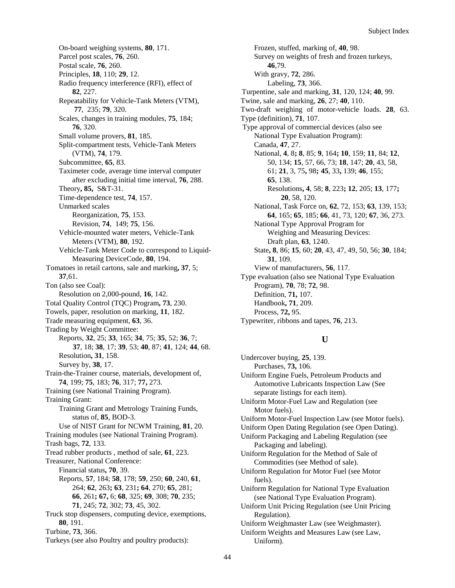On-board weighing systems, **80**, 171. Parcel post scales, **76**, 260. Postal scale, **76**, 260. Principles, **18**, 110; **29**, 12. Radio frequency interference (RFI), effect of **82**, 227. Repeatability for Vehicle-Tank Meters (VTM), **77**, 235; **79**, 320. Scales, changes in training modules, **75**, 184; **76**, 320. Small volume provers, **81**, 185. Split-compartment tests, Vehicle-Tank Meters (VTM), **74**, 179. Subcommittee, **65**, 83. Taximeter code, average time interval computer after excluding initial time interval, **76**, 288. Theory**, 85,** S&T-31. Time-dependence test, **74**, 157. Unmarked scales Reorganization, **75**, 153. Revision, **74**, 149; **75**, 156. Vehicle-mounted water meters, Vehicle-Tank Meters (VTM), **80**, 192. Vehicle-Tank Meter Code to correspond to Liquid-Measuring DeviceCode, **80**, 194. Tomatoes in retail cartons, sale and marking**, 37**, 5; **37**,61. Ton (also see Coal): Resolution on 2,000-pound, **16**, 142. Total Quality Control (TQC) Program**, 73**, 230. Towels, paper, resolution on marking, **11**, 182. Trade measuring equipment, **63**, 36. Trading by Weight Committee: Reports, **32**, 25; **33**, 165; **34**, 75; **35**, 52; **36**, 7; **37**, 18; **38**, 17; **39**, 53; **40**, 87; **41**, 124; **44**, 68. Resolution**, 31**, 158. Survey by, **38**, 17. Train-the-Trainer course, materials, development of, **74**, 199; **75**, 183; **76**, 317; **77,** 273. Training (see National Training Program). Training Grant: Training Grant and Metrology Training Funds, status of, **85**, BOD-3. Use of NIST Grant for NCWM Training, **81**, 20. Training modules (see National Training Program). Trash bags, **72**, 133. Tread rubber products , method of sale, **61**, 223. Treasurer, National Conference: Financial status**, 70**, 39. Reports, **57**, 184; **58**, 178; **59**, 250; **60**, 240, **61**, 264; **62**, 263**; 63**, 231**; 64**, 270; **65**, 281; **66**, 261**; 67,** 6; **68**, 325; **69**, 308; **70**, 235; **71**, 245; **72**, 302; **73**, 45, 302. Truck stop dispensers, computing device, exemptions, **80**, 191. Turbine, **73**, 366. Turkeys (see also Poultry and poultry products):

Frozen, stuffed, marking of, **40**, 98. Survey on weights of fresh and frozen turkeys, **46**,79. With gravy, **72**, 286. Labeling, **73**, 366. Turpentine, sale and marking, **31**, 120, 124; **40**, 99. Twine, sale and marking, **26**, 27; **40**, 110. Two-draft weighing of motor-vehicle loads. **28**, 63. Type (definition), **71**, 107. Type approval of commercial devices (also see National Type Evaluation Program): Canada, **47**, 27. National, **4**, 8**; 8**, 85; **9**, 164**; 10**, 159; **11**, 84; **12**, 50, 134; **15**, 57, 66, 73; **18**, 147; **20**, 43, 58, 61; **21**, 3, 75**,** 98**; 45**, 33**,** 139; **46**, 155; **65**, 138. Resolutions**, 4**, 58; **8**, 223**; 12**, 205; **13**, 177**; 20**, 58, 120. National, Task Force on, **62**, 72, 153; **63**, 139, 153; **64**, 165; **65**, 185; **66**, 41, 73, 120; **67**, 36, 273. National Type Approval Program for Weighing and Measuring Devices: Draft plan, **63**, 1240. State**, 8**, 86; **15**, 60; **20**, 43, 47, 49, 50, 56; **30**, 184; **31**, 109. View of manufacturers, **56**, 117. Type evaluation (also see National Type Evaluation Program), **70**, 78; **72**, 98. Definition, **71,** 107. Handbook**, 71**, 209. Process, **72,** 95. Typewriter, ribbons and tapes, **76**, 213.

# **U**

Undercover buying, **25**, 139. Purchases, **73,** 106. Uniform Engine Fuels, Petroleum Products and Automotive Lubricants Inspection Law (See separate listings for each item). Uniform Motor-Fuel Law and Regulation (see Motor fuels). Uniform Motor-Fuel Inspection Law (see Motor fuels). Uniform Open Dating Regulation (see Open Dating). Uniform Packaging and Labeling Regulation (see Packaging and labeling). Uniform Regulation for the Method of Sale of Commodities (see Method of sale). Uniform Regulation for Motor Fuel (see Motor fuels). Uniform Regulation for National Type Evaluation (see National Type Evaluation Program). Uniform Unit Pricing Regulation (see Unit Pricing Regulation). Uniform Weighmaster Law (see Weighmaster). Uniform Weights and Measures Law (see Law, Uniform).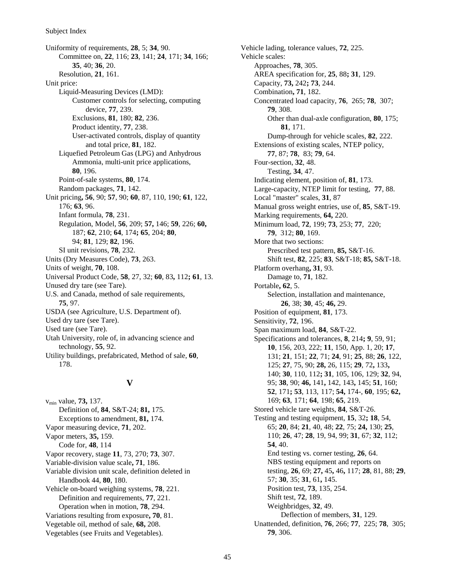Uniformity of requirements, **28**, 5; **34**, 90. Committee on, **22**, 116; **23**, 141; **24**, 171; **34**, 166; **35**, 40; **36**, 20. Resolution, **21**, 161. Unit price: Liquid-Measuring Devices (LMD): Customer controls for selecting, computing device, **77**, 239. Exclusions, **81**, 180; **82**, 236. Product identity, **77**, 238. User-activated controls, display of quantity and total price, **81**, 182. Liquefied Petroleum Gas (LPG) and Anhydrous Ammonia, multi-unit price applications, **80**, 196. Point-of-sale systems, **80**, 174. Random packages, **71**, 142. Unit pricing**, 56**, 90; **57**, 90; **60**, 87, 110, 190; **61**, 122, 176; **63**, 96. Infant formula, **78**, 231. Regulation, Model, **56**, 209; **57,** 146; **59**, 226; **60,** 187; **62**, 210; **64**, 174**; 65**, 204; **80**, 94; **81**, 129; **82**, 196. SI unit revisions, **78**, 232. Units (Dry Measures Code), **73**, 263. Units of weight, **70**, 108. Universal Product Code, **58**, 27, 32; **60**, 83**,** 112**; 61**, 13. Unused dry tare (see Tare). U.S. and Canada, method of sale requirements, **75**, 97. USDA (see Agriculture, U.S. Department of). Used dry tare (see Tare). Used tare (see Tare). Utah University, role of, in advancing science and technology, **55**, 92. Utility buildings, prefabricated, Method of sale, **60**, 178.

## **V**

vmin value, **73,** 137. Definition of, **84**, S&T-24; **81,** 175. Exceptions to amendment, **81,** 174. Vapor measuring device, **71**, 202. Vapor meters, **35,** 159. Code for, **48**, 114 Vapor recovery, stage **11**, 73, 270; **73**, 307. Variable-division value scale**, 71**, 186. Variable division unit scale, definition deleted in Handbook 44, **80**, 180. Vehicle on-board weighing systems, **78**, 221. Definition and requirements, **77**, 221. Operation when in motion, **78**, 294. Variations resulting from exposure**, 70**, 81. Vegetable oil, method of sale, **68,** 208. Vegetables (see Fruits and Vegetables).

Vehicle lading, tolerance values, **72**, 225. Vehicle scales: Approaches, **78**, 305. AREA specification for, **25**, 88**; 31**, 129. Capacity, **73,** 242**; 73**, 244. Combination**, 71**, 182. Concentrated load capacity, **76**, 265; **78**, 307; **79**, 308. Other than dual-axle configuration, **80**, 175; **81**, 171. Dump-through for vehicle scales, **82**, 222. Extensions of existing scales, NTEP policy, **77**, 87; **78**, 83; **79**, 64. Four-section, **32**, 48. Testing, **34**, 47. Indicating element, position of, **81**, 173. Large-capacity, NTEP limit for testing, **77**, 88. Local "master" scales, **31**, 87 Manual gross weight entries, use of, **85**, S&T-19. Marking requirements, **64,** 220. Minimum load, **72**, 199; **73**, 253; **77**, 220; **79**, 312; **80**, 169. More that two sections: Prescribed test pattern, **85,** S&T-16. Shift test, **82**, 225; **83**, S&T-18; **85,** S&T-18. Platform overhang**, 31**, 93. Damage to, **71**, 182. Portable**, 62**, 5. Selection, installation and maintenance, **26**, 38; **30**, 45; **46,** 29. Position of equipment, **81**, 173. Sensitivity, **72**, 196. Span maximum load, **84**, S&T-22. Specifications and tolerances, **8**, 214**; 9**, 59, 91; **10**, 156, 203, 222; **11**, 150, App. 1, 20; **17**, 131; **21**, 151; **22**, 71; **24**, 91; **25**, 88; **26**, 122, 125; **27**, 75, 90; **28,** 26, 115; **29**, 72**,** 133**,** 140; **30**, 110, 112**; 31**, 105, 106, 129; **32**, 94, 95; **38**, 90; **46,** 141**,** 142, 143**,** 145; **51**, 160; **52**, 171**; 53**, 113, 117; **54,** 174-, **60**, 195; **62,** 169; **63**, 171; **64**, 198; **65**, 219. Stored vehicle tare weights, **84**, S&T-26. Testing and testing equipment, **15**, 32**; 18**, 54, 65; **20**, 84; **21**, 40, 48; **22**, 75; **24,** 130; **25**, 110; **26**, 47; **28**, 19, 94, 99; **31**, 67; **32**, 112; **54**, 40. End testing vs. corner testing, **26**, 64. NBS testing equipment and reports on testing, **26**, 69; **27,** 45**,** 46**,** 117; **28**, 81, 88; **29**, 57; **30**, 35; **31**, 61**,** 145. Position test, **73**, 135, 254. Shift test, **72**, 189. Weighbridges, **32**, 49. Deflection of members, **31**, 129. Unattended, definition, **76**, 266; **77**, 225; **78**, 305; **79**, 306.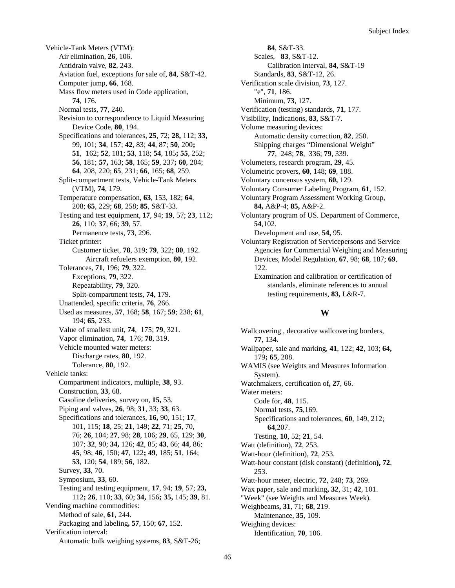Vehicle-Tank Meters (VTM): Air elimination, **26**, 106. Antidrain valve, **82**, 243. Aviation fuel, exceptions for sale of, **84**, S&T-42. Computer jump, **66**, 168. Mass flow meters used in Code application, **74**, 176. Normal tests, **77**, 240. Revision to correspondence to Liquid Measuring Device Code, **80**, 194. Specifications and tolerances, **25**, 72; **28,** 112; **33**, 99, 101; **34**, 157; **42**, 83; **44**, 87; **50**, 200**; 51**, 162; **52**, 181; **53**, 118; **54**, 185**; 55**, 252; **56**, 181; **57,** 163; **58**, 165; **59**, 237**; 60**, 204; **64**, 208, 220; **65**, 231; **66**, 165; **68**, 259. Split-compartment tests, Vehicle-Tank Meters (VTM), **74**, 179. Temperature compensation, **63**, 153, 182; **64**, 208; **65**, 229; **68**, 258; **85**, S&T-33. Testing and test equipment, **17**, 94; **19**, 57; **23**, 112; **26**, 110; **37**, 66; **39**, 57. Permanence tests, **73**, 296. Ticket printer: Customer ticket, **78**, 319; **79**, 322; **80**, 192. Aircraft refuelers exemption, **80**, 192. Tolerances, **71**, 196; **79**, 322. Exceptions, **79**, 322. Repeatability, **79**, 320. Split-compartment tests, **74**, 179. Unattended, specific criteria, **76**, 266. Used as measures, **57**, 168; **58**, 167; **59**; 238; **61**, 194; **65**, 233. Value of smallest unit, **74**, 175; **79**, 321. Vapor elimination, **74**, 176; **78**, 319. Vehicle mounted water meters: Discharge rates, **80**, 192. Tolerance, **80**, 192. Vehicle tanks: Compartment indicators, multiple, **38**, 93. Construction, **33**, 68. Gasoline deliveries, survey on, **15,** 53. Piping and valves, **26**, 98; **31**, 33; **33**, 63. Specifications and tolerances, **16,** 90, 151; **17**, 101, 115; **18**, 25; **21**, 149; **22**, 71; **25**, 70, 76; **26**, 104; **27**, 98; **28**, 106; **29**, 65, 129; **30**, 107; **32**, 90; **34,** 126; **42**, 85; **43**, 66; **44**, 86; **45**, 98; **46**, 150; **47**, 122**; 49**, 185; **51**, 164; **53**, 120; **54**, 189; **56**, 182. Survey, **33**, 70. Symposium, **33**, 60. Testing and testing equipment, **17**, 94; **19**, 57; **23,** 112**; 26**, 110; **33**, 60; **34,** 156**; 35,** 145; **39**, 81. Vending machine commodities: Method of sale, **61**, 244. Packaging and labeling**, 57**, 150; **67**, 152. Verification interval: Automatic bulk weighing systems, **83**, S&T-26;

**84**, S&T-33. Scales, **83**, S&T-12. Calibration interval, **84**, S&T-19 Standards, **83**, S&T-12, 26. Verification scale division, **73**, 127. "e", **71**, 186. Minimum, **73**, 127. Verification (testing) standards, **71**, 177. Visibility, Indications, **83**, S&T-7. Volume measuring devices: Automatic density correction, **82**, 250. Shipping charges "Dimensional Weight" **77**, 248; **78**, 336; **79**, 339. Volumeters, research program, **29**, 45. Volumetric provers, **60**, 148; **69**, 188. Voluntary concensus system, **60,** 129. Voluntary Consumer Labeling Program, **61**, 152. Voluntary Program Assessment Working Group, **84,** A&P-4; **85,** A&P-2. Voluntary program of US. Department of Commerce, **54**,102. Development and use, **54,** 95. Voluntary Registration of Servicepersons and Service Agencies for Commercial Weighing and Measuring Devices, Model Regulation, **67**, 98; **68**, 187; **69**, 122. Examination and calibration or certification of standards, eliminate references to annual testing requirements, **83,** L&R-7.

#### **W**

Wallcovering , decorative wallcovering borders, **77**, 134. Wallpaper, sale and marking, **41**, 122; **42**, 103; **64,** 179**; 65**, 208. WAMIS (see Weights and Measures Information System). Watchmakers, certification of**, 27**, 66. Water meters: Code for, **48**, 115. Normal tests, **75**,169. Specifications and tolerances, **60**, 149, 212; **64**,207. Testing, **10**, 52; **21**, 54. Watt (definition), **72**, 253. Watt-hour (definition), **72**, 253. Watt-hour constant (disk constant) (definition**), 72**, 253. Watt-hour meter, electric, **72**, 248; **73**, 269. Wax paper, sale and marking**, 32**, 31; **42**, 101. "Week" (see Weights and Measures Week). Weighbeams**, 31**, 71; **68**, 219. Maintenance, **35**, 109. Weighing devices: Identification, **70**, 106.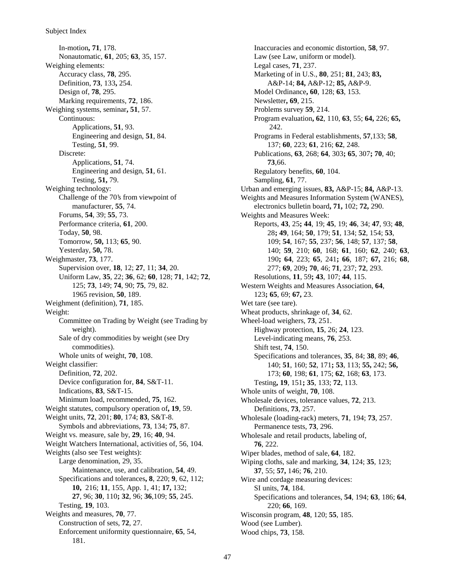#### Subject Index

In-motion**, 71**, 178. Nonautomatic, **61**, 205; **63**, 35, 157. Weighing elements: Accuracy class, **78**, 295. Definition, **73**, 133**,** 254. Design of, **78**, 295. Marking requirements, **72**, 186. Weighing systems, seminar**, 51**, 57. Continuous: Applications, **51**, 93. Engineering and design, **51**, 84. Testing, **51**, 99. Discrete: Applications, **51**, 74. Engineering and design, **51**, 61. Testing, **51,** 79. Weighing technology: Challenge of the 70's from viewpoint of manufacturer, **55**, 74. Forums, **54**, 39; **55**, 73. Performance criteria, **61**, 200. Today, **50**, 98. Tomorrow, **50,** 113; **65**, 90. Yesterday, **50,** 78. Weighmaster, **73**, 177. Supervision over, **18**, 12; **27**, 11; **34**, 20. Uniform Law, **35**, 22; **36**, 62; **60**, 128; **71**, 142; **72**, 125; **73**, 149; **74**, 90; **75**, 79, 82. 1965 revision, **50**, 189. Weighment (definition), **71**, 185. Weight: Committee on Trading by Weight (see Trading by weight). Sale of dry commodities by weight (see Dry commodities). Whole units of weight, **70**, 108. Weight classifier: Definition, **72**, 202. Device configuration for, **84**, S&T-11. Indications, **83**, S&T-15. Minimum load, recommended, **75**, 162. Weight statutes, compulsory operation of**, 19**, 59. Weight units, **72**, 201; **80**, 174; **83**, S&T-8. Symbols and abbreviations, **73**, 134; **75**, 87. Weight vs. measure, sale by, **29**, 16; **40**, 94. Weight Watchers International, activities of, 56, 104. Weights (also see Test weights): Large denomination, 29, 35. Maintenance, use, and calibration, **54**, 49. Specifications and tolerances**, 8**, 220; **9**, 62, 112; **10,** 216; **11**, 155, App. 1, 41; **17,** 132; **27**, 96; **30**, 110**; 32**, 96; **36**,109; **55**, 245. Testing, **19**, 103. Weights and measures, **70**, 77. Construction of sets, **72**, 27. Enforcement uniformity questionnaire, **65**, 54, 181.

Inaccuracies and economic distortion, **58**, 97. Law (see Law, uniform or model). Legal cases, **71**, 237. Marketing of in U.S., **80**, 251; **81**, 243; **83,** A&P-14; **84,** A&P-12; **85,** A&P-9. Model Ordinance**, 60**, 128; **63**, 153. Newsletter**, 69**, 215. Problems survey **59**, 214. Program evaluation**, 62**, 110, **63**, 55; **64,** 226; **65,** 242. Programs in Federal establishments, **57**,133; **58**, 137; **60**, 223; **61**, 216; **62**, 248. Publications, **63**, 268; **64**, 303**; 65**, 307**; 70**, 40; **73**,66. Regulatory benefits, **60**, 104. Sampling, **61**, 77. Urban and emerging issues, **83,** A&P-15; **84,** A&P-13. Weights and Measures Information System (WANES), electronics bulletin board**, 71,** 102; **72,** 290. Weights and Measures Week: Reports, **43**, 25**; 44**, 19; **45**, 19; **46**, 34; **47**, 93; **48**, 28**; 49**, 164; **50**, 179; **51**, 134; **52**, 154; **53**, 109; **54**, 167; **55**, 237; **56**, 148; **57**, 137; **58**, 140; **59**, 210; **60**, 168; **61**, 160; **62**, 240; **63**, 190**; 64**, 223; **65**, 241**; 66**, 187; **67,** 216; **68**, 277; **69**, 209**; 70**, 46; **71**, 237; **72**, 293. Resolutions, **11**, 59**; 43**, 107; **44**, 115. Western Weights and Measures Association, **64**, 123**; 65**, 69; **67,** 23. Wet tare (see tare). Wheat products, shrinkage of, **34**, 62. Wheel-load weighers, **73**, 251. Highway protection, **15**, 26; **24**, 123. Level-indicating means, **76**, 253. Shift test, **74**, 150. Specifications and tolerances, **35**, 84; **38**, 89; **46**, 140; **51**, 160; **52**, 171**; 53**, 113; **55,** 242; **56,** 173; **60**, 198; **61**, 175; **62**, 168; **63**, 173. Testing**, 19**, 151**; 35**, 133; **72**, 113. Whole units of weight, **70**, 108. Wholesale devices, tolerance values, **72**, 213. Definitions, **73**, 257. Wholesale (loading-rack) meters, **71**, 194; **73**, 257. Permanence tests, **73**, 296. Wholesale and retail products, labeling of, **76**, 222. Wiper blades, method of sale, **64**, 182. Wiping cloths, sale and marking, **34**, 124; **35**, 123; **37**, 55; **57,** 146; **76**, 210. Wire and cordage measuring devices: SI units, **74**, 184. Specifications and tolerances, **54**, 194; **63**, 186; **64**, 220; **66**, 169. Wisconsin program, **48**, 120; **55**, 185. Wood (see Lumber). Wood chips, **73**, 158.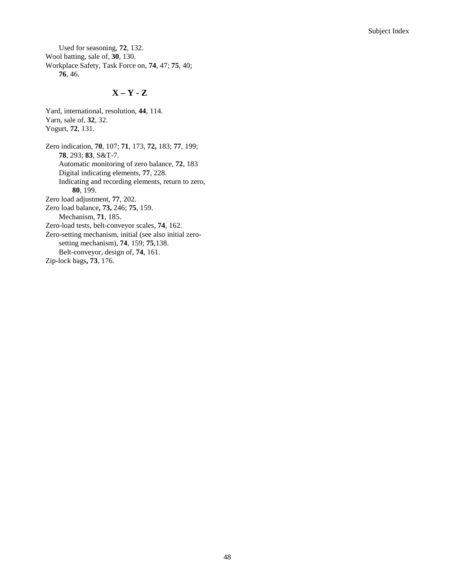Used for seasoning, **72**, 132. Wool batting, sale of, **30**, 130. Workplace Safety, Task Force on, **74**, 47; **75**, 40; **76**, 46.

Yard, international, resolution, **44**, 114.

# **X – Y - Z**

Yarn, sale of, **32**, 32. Yogurt, **72**, 131. Zero indication, **70**, 107; **71**, 173, **72,** 183; **77**, 199; **78**, 293; **83**, S&T-7. Automatic monitoring of zero balance, **72**, 183 Digital indicating elements, **77**, 228. Indicating and recording elements, return to zero, **80**, 199. Zero load adjustment, **77**, 202. Zero load balance**, 73,** 246; **75**, 159. Mechanism, **71**, 185. Zero-load tests, belt-conveyor scales, **74**, 162. Zero-setting mechanism, initial (see also initial zerosetting mechanism), **74**, 159; **75**,138. Belt-conveyor, design of, **74**, 161. Zip-lock bags**, 73**, 176.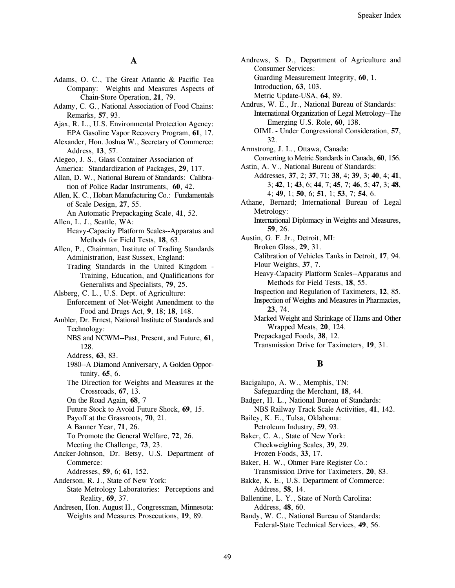#### $\mathbf{A}$

- Adams, O. C., The Great Atlantic & Pacific Tea Company: Weights and Measures Aspects of Chain-Store Operation, 21, 79.
- Adamy, C. G., National Association of Food Chains: Remarks, 57, 93.
- Ajax, R. L., U.S. Environmental Protection Agency: EPA Gasoline Vapor Recovery Program, 61, 17.
- Alexander, Hon. Joshua W., Secretary of Commerce: Address, 13, 57.
- Alegeo, J. S., Glass Container Association of
- America: Standardization of Packages, 29, 117.
- Allan, D. W., National Bureau of Standards: Calibration of Police Radar Instruments, 60, 42.
- Allen, K. C., Hobart Manufacturing Co.: Fundamentals of Scale Design, 27, 55.
- An Automatic Prepackaging Scale, 41, 52. Allen, L. J., Seattle, WA:
	- Heavy-Capacity Platform Scales--Apparatus and Methods for Field Tests, 18, 63.
- Allen, P., Chairman, Institute of Trading Standards Administration, East Sussex, England:
- Trading Standards in the United Kingdom -Training, Education, and Qualifications for Generalists and Specialists, 79, 25.
- Alsberg, C. L., U.S. Dept. of Agriculture: Enforcement of Net-Weight Amendment to the Food and Drugs Act, 9, 18; 18, 148.
- Ambler, Dr. Ernest, National Institute of Standards and Technology:
	- NBS and NCWM--Past, Present, and Future, 61, 128.
	- Address, 63, 83.
	- 1980--A Diamond Anniversary, A Golden Opportunity, 65, 6.
	- The Direction for Weights and Measures at the Crossroads, 67, 13.
	- On the Road Again, 68, 7
	- Future Stock to Avoid Future Shock, 69, 15.
	- Payoff at the Grassroots, 70, 21.
	- A Banner Year, 71, 26.
	- To Promote the General Welfare, 72, 26.
	- Meeting the Challenge, 73, 23.
- Ancker-Johnson, Dr. Betsy, U.S. Department of Commerce:
	- Addresses, 59, 6; 61, 152.
- Anderson, R. J., State of New York: State Metrology Laboratories: Perceptions and Reality, 69, 37.
- Andresen, Hon. August H., Congressman, Minnesota: Weights and Measures Prosecutions, 19, 89.

Andrews, S. D., Department of Agriculture and **Consumer Services:** Guarding Measurement Integrity, 60, 1. Introduction, 63, 103. Metric Update-USA, 64, 89. Andrus, W. E., Jr., National Bureau of Standards: International Organization of Legal Metrology--The Emerging U.S. Role, 60, 138. OIML - Under Congressional Consideration, 57, 32. Armstrong, J. L., Ottawa, Canada: Converting to Metric Standards in Canada, 60, 156. Astin, A. V., National Bureau of Standards: Addresses, 37, 2; 37, 71; 38, 4; 39, 3; 40, 4; 41,  $3; 42, 1; 43, 6; 44, 7; 45, 7; 46, 5; 47, 3; 48,$ 4; 49, 1; 50, 6; 51, 1; 53, 7; 54, 6. Athane, Bernard; International Bureau of Legal Metrology: International Diplomacy in Weights and Measures, 59, 26. Austin, G. F. Jr., Detroit, MI: Broken Glass, 29, 31. Calibration of Vehicles Tanks in Detroit, 17, 94. Flour Weights, 37, 7.

- Heavy-Capacity Platform Scales--Apparatus and Methods for Field Tests, 18, 55.
- Inspection and Regulation of Taximeters, 12, 85. Inspection of Weights and Measures in Pharmacies, 23, 74.
- Marked Weight and Shrinkage of Hams and Other Wrapped Meats, 20, 124.
- Prepackaged Foods, 38, 12.
- Transmission Drive for Taximeters, 19, 31.

#### B

- Bacigalupo, A. W., Memphis, TN: Safeguarding the Merchant, 18, 44. Badger, H. L., National Bureau of Standards: NBS Railway Track Scale Activities, 41, 142. Bailey, K. E., Tulsa, Oklahoma: Petroleum Industry, 59, 93. Baker, C. A., State of New York: Checkweighing Scales, 39, 29. Frozen Foods, 33, 17. Baker, H. W., Ohmer Fare Register Co.: Transmission Drive for Taximeters, 20, 83. Bakke, K. E., U.S. Department of Commerce: Address, 58, 14. Ballentine, L. Y., State of North Carolina: Address, 48, 60.
- Bandy, W. C., National Bureau of Standards: Federal-State Technical Services, 49, 56.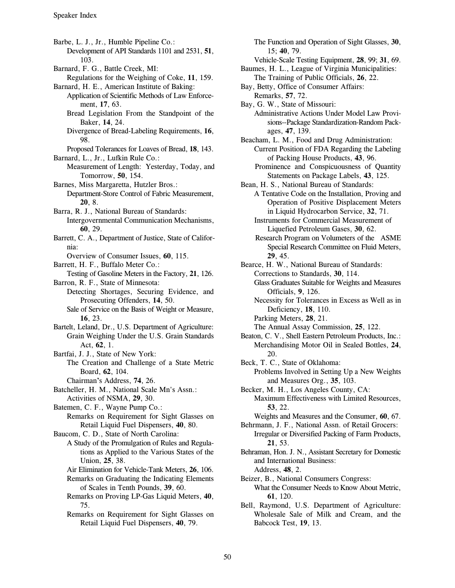Barbe, L. J., Jr., Humble Pipeline Co.: Development of API Standards 1101 and 2531, 51, 103.

- Barnard, F. G., Battle Creek, MI:
- Regulations for the Weighing of Coke, 11, 159. Barnard, H. E., American Institute of Baking:
	- Application of Scientific Methods of Law Enforcement, 17, 63.
		- Bread Legislation From the Standpoint of the Baker, 14, 24.
		- Divergence of Bread-Labeling Requirements, 16, 98.
- Proposed Tolerances for Loaves of Bread, 18, 143. Barnard, L., Jr., Lufkin Rule Co.:

Measurement of Length: Yesterday, Today, and Tomorrow, 50, 154.

- Barnes, Miss Margaretta, Hutzler Bros.:
	- Department-Store Control of Fabric Measurement,  $20.8.$
- Barra, R. J., National Bureau of Standards: Intergovernmental Communication Mechanisms,
- 60, 29. Barrett, C. A., Department of Justice, State of Califor-
- nia:
	- Overview of Consumer Issues, 60, 115.
- Barrett, H. F., Buffalo Meter Co.:
- Testing of Gasoline Meters in the Factory, 21, 126. Barron, R. F., State of Minnesota:
- Detecting Shortages, Securing Evidence, and Prosecuting Offenders, 14, 50.
	- Sale of Service on the Basis of Weight or Measure, 16, 23.
- Bartelt, Leland, Dr., U.S. Department of Agriculture: Grain Weighing Under the U.S. Grain Standards Act. 62. 1.
- Bartfai, J. J., State of New York: The Creation and Challenge of a State Metric Board, 62, 104.
	- Chairman's Address, 74, 26.
- Batcheller, H. M., National Scale Mn's Assn.: Activities of NSMA, 29, 30.
- Batemen, C. F., Wayne Pump Co.:
	- Remarks on Requirement for Sight Glasses on Retail Liquid Fuel Dispensers, 40, 80.
- Baucom, C. D., State of North Carolina:
	- A Study of the Promulgation of Rules and Regulations as Applied to the Various States of the Union, 25, 38.
		- Air Elimination for Vehicle-Tank Meters, 26, 106.
	- Remarks on Graduating the Indicating Elements of Scales in Tenth Pounds, 39, 60.
	- Remarks on Proving LP-Gas Liquid Meters, 40, 75.
	- Remarks on Requirement for Sight Glasses on Retail Liquid Fuel Dispensers, 40, 79.

The Function and Operation of Sight Glasses, 30, 15:40.79.

- Vehicle-Scale Testing Equipment, 28, 99; 31, 69. Baumes, H. L., League of Virginia Municipalities:
- The Training of Public Officials, 26, 22.
- Bay, Betty, Office of Consumer Affairs: Remarks, 57, 72.
- Bay, G. W., State of Missouri: Administrative Actions Under Model Law Provisions--Package Standardization-Random Packages, 47, 139.
- Beacham, L. M., Food and Drug Administration: Current Position of FDA Regarding the Labeling of Packing House Products, 43, 96.
	- Prominence and Conspicuousness of Quantity Statements on Package Labels, 43, 125.
- Bean, H. S., National Bureau of Standards:
	- A Tentative Code on the Installation, Proving and Operation of Positive Displacement Meters in Liquid Hydrocarbon Service, 32, 71.
	- Instruments for Commercial Measurement of Liquefied Petroleum Gases, 30, 62.
	- Research Program on Volumeters of the ASME Special Research Committee on Fluid Meters, 29.45.

Bearce, H. W., National Bureau of Standards: Corrections to Standards, 30, 114.

- **Glass Graduates Suitable for Weights and Measures** Officials, 9, 126.
- Necessity for Tolerances in Excess as Well as in Deficiency, 18, 110.
- Parking Meters, 28, 21.
- The Annual Assay Commission, 25, 122.
- Beaton, C. V., Shell Eastern Petroleum Products, Inc.: Merchandising Motor Oil in Sealed Bottles, 24, 20.
- Beck, T. C., State of Oklahoma: Problems Involved in Setting Up a New Weights and Measures Org., 35, 103.
- Becker, M. H., Los Angeles County, CA: Maximum Effectiveness with Limited Resources, 53, 22.
- Weights and Measures and the Consumer, 60, 67.
- Behrmann, J. F., National Assn. of Retail Grocers: Irregular or Diversified Packing of Farm Products, 21.53.
- Behraman, Hon. J. N., Assistant Secretary for Domestic and International Business: Address, 48, 2.
- Beizer, B., National Consumers Congress: What the Consumer Needs to Know About Metric, 61.120.
- Bell, Raymond, U.S. Department of Agriculture: Wholesale Sale of Milk and Cream, and the Babcock Test, 19, 13.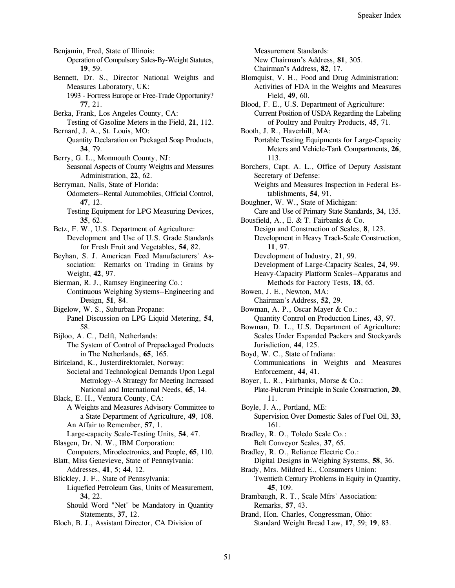Benjamin, Fred, State of Illinois:

Operation of Compulsory Sales-By-Weight Statutes, 19.59.

- Bennett, Dr. S., Director National Weights and Measures Laboratory, UK:
	- 1993 Fortress Europe or Free-Trade Opportunity? 77, 21.
- Berka, Frank, Los Angeles County, CA:
- Testing of Gasoline Meters in the Field, 21, 112. Bernard, J. A., St. Louis, MO:

Quantity Declaration on Packaged Soap Products, 34.79.

- Berry, G. L., Monmouth County, NJ: Seasonal Aspects of County Weights and Measures Administration, 22, 62.
- Berryman, Nalls, State of Florida: Odometers--Rental Automobiles, Official Control, 47, 12.
	- Testing Equipment for LPG Measuring Devices, 35.62.
- Betz, F. W., U.S. Department of Agriculture: Development and Use of U.S. Grade Standards for Fresh Fruit and Vegetables, 54, 82.
- Beyhan, S. J. American Feed Manufacturers' Association: Remarks on Trading in Grains by Weight, 42, 97.
- Bierman, R. J., Ramsey Engineering Co.: Continuous Weighing Systems--Engineering and Design, 51, 84.
- Bigelow, W. S., Suburban Propane: Panel Discussion on LPG Liquid Metering, 54, 58.
- Bijloo, A. C., Delft, Netherlands:
	- The System of Control of Prepackaged Products in The Netherlands, 65, 165.
- Birkeland, K., Justerdirektoralet, Norway: Societal and Technological Demands Upon Legal Metrology--A Strategy for Meeting Increased National and International Needs, 65, 14.
- Black, E. H., Ventura County, CA: A Weights and Measures Advisory Committee to a State Department of Agriculture, 49, 108.
	- An Affair to Remember, 57, 1.
	- Large-capacity Scale-Testing Units, 54, 47.
- Blasgen, Dr. N. W., IBM Corporation: Computers, Miroelectronics, and People, 65, 110. Blatt, Miss Genevieve, State of Pennsylvania: Addresses, 41, 5; 44, 12. Blickley, J. F., State of Pennsylvania:
- Liquefied Petroleum Gas, Units of Measurement, 34.22.
	- Should Word "Net" be Mandatory in Quantity Statements, 37, 12.
- Bloch, B. J., Assistant Director, CA Division of

**Measurement Standards:** New Chairman's Address, 81, 305. Chairman's Address, 82, 17. Blomquist, V. H., Food and Drug Administration: Activities of FDA in the Weights and Measures Field, 49, 60. Blood, F. E., U.S. Department of Agriculture: Current Position of USDA Regarding the Labeling of Poultry and Poultry Products, 45, 71. Booth, J. R., Haverhill, MA: Portable Testing Equipments for Large-Capacity Meters and Vehicle-Tank Compartments, 26, 113. Borchers, Capt. A. L., Office of Deputy Assistant Secretary of Defense: Weights and Measures Inspection in Federal Establishments, 54, 91. Boughner, W. W., State of Michigan: Care and Use of Primary State Standards, 34, 135. Bousfield, A., E. & T. Fairbanks & Co. Design and Construction of Scales, 8, 123. Development in Heavy Track-Scale Construction, 11.97. Development of Industry, 21, 99. Development of Large-Capacity Scales, 24, 99. Heavy-Capacity Platform Scales--Apparatus and Methods for Factory Tests, 18, 65. Bowen, J. E., Newton, MA: Chairman's Address, 52, 29. Bowman, A. P., Oscar Mayer & Co.: Quantity Control on Production Lines, 43, 97. Bowman, D. L., U.S. Department of Agriculture: Scales Under Expanded Packers and Stockyards Jurisdiction, 44, 125. Boyd, W. C., State of Indiana: Communications in Weights and Measures Enforcement, 44, 41. Boyer, L. R., Fairbanks, Morse & Co.: Plate-Fulcrum Principle in Scale Construction, 20, 11. Boyle, J. A., Portland, ME: Supervision Over Domestic Sales of Fuel Oil, 33, 161. Bradley, R. O., Toledo Scale Co.: Belt Conveyor Scales, 37, 65. Bradley, R. O., Reliance Electric Co.: Digital Designs in Weighing Systems, 58, 36. Brady, Mrs. Mildred E., Consumers Union: Twentieth Century Problems in Equity in Quantity,

- 45.109. Brambaugh, R. T., Scale Mfrs' Association: Remarks, 57, 43.
- Brand, Hon. Charles, Congressman, Ohio: Standard Weight Bread Law, 17, 59; 19, 83.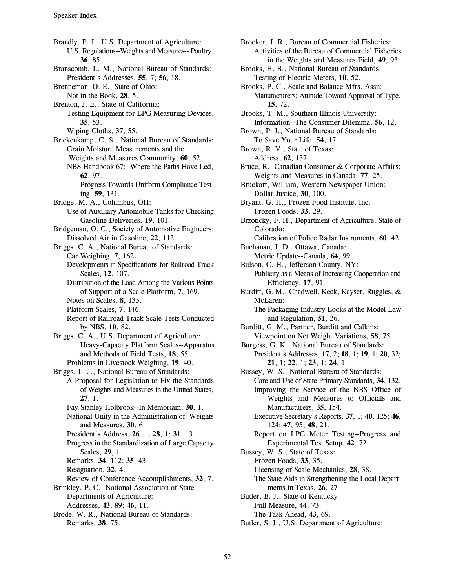Brandly, P. J., U.S. Department of Agriculture: U.S. Regulations--Weights and Measures-- Poultry,  $36.85.$ Branscomb, L. M., National Bureau of Standards: President's Addresses, 55, 7; 56, 18. Brenneman, O. E., State of Ohio: Not in the Book, 28, 5. Brenton, J. E., State of California: Testing Equipment for LPG Measuring Devices, 35, 53. Wiping Cloths, 37, 55. Brickenkamp, C. S., National Bureau of Standards: Grain Moisture Measurements and the Weights and Measures Community, 60, 52. NBS Handbook 67: Where the Paths Have Led, 62, 97. Progress Towards Uniform Compliance Testing, 59, 131. Bridge, M. A., Columbus, OH: Use of Auxiliary Automobile Tanks for Checking Gasoline Deliveries, 19, 101. Bridgeman, O. C., Society of Automotive Engineers: Dissolved Air in Gasoline, 22, 112. Briggs, C. A., National Bureau of Standards: Car Weighing, 7, 162. Developments in Specifications for Railroad Track Scales, 12, 107. Distribution of the Load Among the Various Points of Support of a Scale Platform, 7, 169. Notes on Scales, 8, 135. Platform Scales, 7, 146. Report of Railroad Track Scale Tests Conducted by NBS, 10, 82. Briggs, C. A., U.S. Department of Agriculture: **Heavy-Capacity Platform Scales--Apparatus** and Methods of Field Tests, 18, 55. Problems in Livestock Weighing, 19, 40. Briggs, L. J., National Bureau of Standards: A Proposal for Legislation to Fix the Standards of Weights and Measures in the United States,  $27.1.$ Fay Stanley Holbrook--In Memoriam, 30, 1. National Unity in the Administration of Weights and Measures, 30, 6. President's Address, 26, 1; 28, 1; 31, 13. Progress in the Standardization of Large Capacity Scales, 29, 1. Remarks, 34, 112; 35, 43. Resignation, 32, 4. Review of Conference Accomplishments, 32, 7. Brinkley, P. C., National Association of State Departments of Agriculture: Addresses, 43, 89; 46, 11. Brode, W. R., National Bureau of Standards: Remarks, 38, 75.

Brooker, J. R., Bureau of Commercial Fisheries: Activities of the Bureau of Commercial Fisheries in the Weights and Measures Field, 49, 93. Brooks, H. B., National Bureau of Standards: Testing of Electric Meters, 10, 52. Brooks, P. C., Scale and Balance Mfrs. Assn: Manufacturers; Attitude Toward Approval of Type, 15, 72. Brooks, T. M., Southern Illinois University: Information--The Consumer Dilemma, 56, 12. Brown, P. J., National Bureau of Standards: To Save Your Life, 54, 17. Brown, R. V., State of Texas: Address, 62, 137. Bruce, R., Canadian Consumer & Corporate Affairs: Weights and Measures in Canada, 77, 25. Bruckart, William, Western Newspaper Union: Dollar Justice, 30, 100. Bryant, G. H., Frozen Food Institute, Inc. Frozen Foods, 33, 29. Brzoticky, F. H., Department of Agriculture, State of Colorado: Calibration of Police Radar Instruments, 60, 42. Buchanan, J. D., Ottawa, Canada: Metric Update--Canada, 64, 99. Bulson, C. H., Jefferson County, NY: Publicity as a Means of Increasing Cooperation and Efficiency, 17, 91. Burditt, G. M., Chadwell, Keck, Kayser, Ruggles, & McLaren: The Packaging Industry Looks at the Model Law and Regulation, 51, 26. Burditt, G. M., Partner, Burditt and Calkins: Viewpoint on Net Weight Variations, 58, 75. Burgess, G. K., National Bureau of Standards: President's Addresses, 17, 2; 18, 1; 19, 1; 20, 32;  $21, 1; 22, 1; 23, 1; 24, 1.$ Bussey, W. S., National Bureau of Standards: Care and Use of State Primary Standards, 34, 132. Improving the Service of the NBS Office of Weights and Measures to Officials and Manufacturers, 35, 154. Executive Secretary's Reports, 37, 1; 40, 125; 46, 124; 47, 95; 48, 21. Report on LPG Meter Testing--Progress and Experimental Test Setup, 42, 72. Bussey, W. S., State of Texas: Frozen Foods, 33, 35. Licensing of Scale Mechanics, 28, 38. The State Aids in Strengthening the Local Departments in Texas, 26, 27. Butler, B. J., State of Kentucky: Full Measure, 44, 73. The Task Ahead, 43, 69. Butler, S. J., U.S. Department of Agriculture: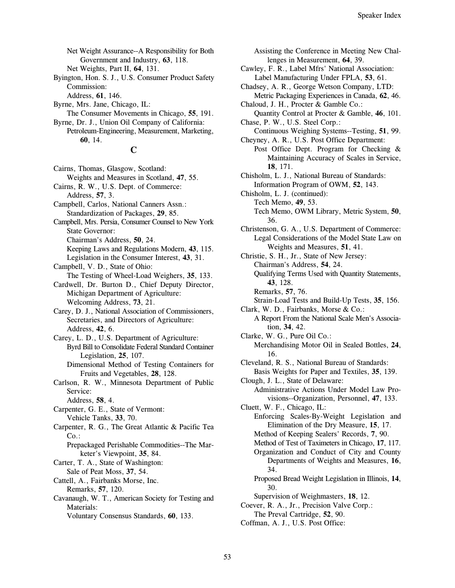Net Weight Assurance--A Responsibility for Both Government and Industry, 63, 118. Net Weights, Part II, 64, 131.

Byington, Hon. S. J., U.S. Consumer Product Safety Commission:

Address, 61, 146.

Byrne, Mrs. Jane, Chicago, IL: The Consumer Movements in Chicago, 55, 191.

Byrne, Dr. J., Union Oil Company of California: Petroleum-Engineering, Measurement, Marketing, 60, 14.

#### C

Cairns, Thomas, Glasgow, Scotland: Weights and Measures in Scotland, 47, 55.

Cairns, R. W., U.S. Dept. of Commerce: Address, 57, 3.

- Campbell, Carlos, National Canners Assn.: Standardization of Packages, 29, 85.
- Campbell, Mrs. Persia, Consumer Counsel to New York **State Governor:**

Chairman's Address, 50, 24.

- Keeping Laws and Regulations Modern, 43, 115. Legislation in the Consumer Interest, 43, 31.
- Campbell, V. D., State of Ohio: The Testing of Wheel-Load Weighers, 35, 133.

Cardwell, Dr. Burton D., Chief Deputy Director, Michigan Department of Agriculture:

Welcoming Address, 73, 21.

Carey, D. J., National Association of Commissioners, Secretaries, and Directors of Agriculture: Address, 42, 6.

- Carey, L. D., U.S. Department of Agriculture: Byrd Bill to Consolidate Federal Standard Container Legislation, 25, 107.
	- Dimensional Method of Testing Containers for Fruits and Vegetables, 28, 128.
- Carlson, R. W., Minnesota Department of Public Service:

Address, 58, 4.

Carpenter, G. E., State of Vermont: Vehicle Tanks, 33, 70.

- Carpenter, R. G., The Great Atlantic & Pacific Tea  $Co.$ :
	- Prepackaged Perishable Commodities--The Marketer's Viewpoint, 35, 84.

Carter, T. A., State of Washington: Sale of Peat Moss, 37, 54.

- Cattell, A., Fairbanks Morse, Inc. Remarks, 57, 120.
- Cavanaugh, W. T., American Society for Testing and Materials:

Voluntary Consensus Standards, 60, 133.

Assisting the Conference in Meeting New Challenges in Measurement, 64, 39. Cawley, F. R., Label Mfrs' National Association: Label Manufacturing Under FPLA, 53, 61. Chadsey, A. R., George Wetson Company, LTD: Metric Packaging Experiences in Canada, 62, 46. Chaloud, J. H., Procter & Gamble Co.: Quantity Control at Procter & Gamble, 46, 101. Chase, P. W., U.S. Steel Corp.: Continuous Weighing Systems--Testing, 51, 99. Cheyney, A. R., U.S. Post Office Department: Post Office Dept. Program for Checking & Maintaining Accuracy of Scales in Service, 18.171. Chisholm, L. J., National Bureau of Standards: Information Program of OWM, 52, 143. Chisholm, L. J. (continued): Tech Memo, 49, 53. Tech Memo, OWM Library, Metric System, 50, 36. Christenson, G. A., U.S. Department of Commerce: Legal Considerations of the Model State Law on Weights and Measures, 51, 41. Christie, S. H., Jr., State of New Jersey: Chairman's Address, 54, 24. Qualifying Terms Used with Quantity Statements, 43.128. Remarks, 57, 76. Strain-Load Tests and Build-Up Tests, 35, 156. Clark, W. D., Fairbanks, Morse & Co.: A Report From the National Scale Men's Association, 34, 42. Clarke, W. G., Pure Oil Co.: Merchandising Motor Oil in Sealed Bottles, 24, 16. Cleveland, R. S., National Bureau of Standards: Basis Weights for Paper and Textiles, 35, 139. Clough, J. L., State of Delaware: Administrative Actions Under Model Law Provisions--Organization, Personnel, 47, 133. Cluett, W. F., Chicago, IL: Enforcing Scales-By-Weight Legislation and Elimination of the Dry Measure, 15, 17. Method of Keeping Sealers' Records, 7, 90. Method of Test of Taximeters in Chicago, 17, 117. Organization and Conduct of City and County Departments of Weights and Measures, 16, 34. Proposed Bread Weight Legislation in Illinois, 14, 30. Supervision of Weighmasters, 18, 12. Coever, R. A., Jr., Precision Valve Corp.: The Preval Cartridge, 52, 90.

Coffman, A. J., U.S. Post Office: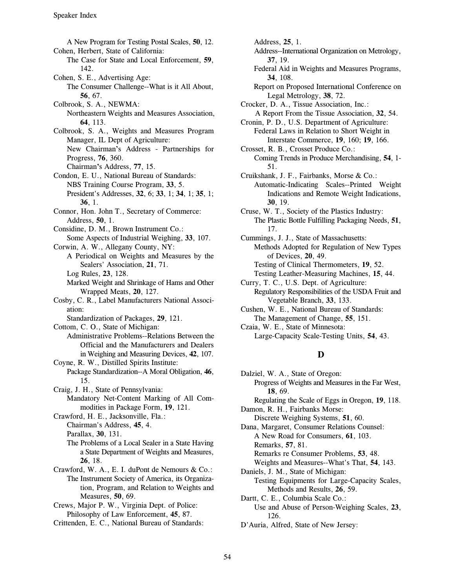A New Program for Testing Postal Scales, 50, 12. Address, 25, 1. Cohen, Herbert, State of California: Address-International Organization on Metrology, The Case for State and Local Enforcement, 59, 37, 19. 142. Federal Aid in Weights and Measures Programs, Cohen, S. E., Advertising Age: 34, 108. The Consumer Challenge--What is it All About, Report on Proposed International Conference on  $56, 67.$  Legal Metrology,  $38, 72.$ Colbrook, S. A., NEWMA: Crocker, D. A., Tissue Association, Inc.: 64, 113. Cronin, P. D., U.S. Department of Agriculture: Colbrook, S. A., Weights and Measures Program Federal Laws in Relation to Short Weight in New Chairman's Address - Partnerships for Crosset, R. B., Crosset Produce Co.: Chairman's Address, 77, 15. 51. Condon, E. U., National Bureau of Standards: Cruikshank, J. F., Fairbanks, Morse & Co.: **36**, 1. **30**, 19. Connor, Hon. John T., Secretary of Commerce: Cruse, W. T., Society of the Plastics Industry: Considine, D. M., Brown Instrument Co.: 17. Some Aspects of Industrial Weighing, 33, 107. Cummings, J. J., State of Massachusetts: Corwin, A. W., Allegany County, NY: Methods Adopted for Regulation of New Types A Periodical on Weights and Measures by the of Devices, 20, 49. Sealers' Association, 21, 71. Testing of Clinical Thermometers, 19, 52. Log Rules, 23, 128. Testing Leather-Measuring Machines, 15, 44. Marked Weight and Shrinkage of Hams and Other Curry, T. C., U.S. Dept. of Agriculture: Cosby, C. R., Label Manufacturers National Associ-<br>
Vegetable Branch, 33, 133. ation: Cushen, W. E., National Bureau of Standards: Standardization of Packages, 29, 121. The Management of Change, 55, 151. Cottom, C. O., State of Michigan: Czaia, W. E., State of Minnesota: Administrative Problems--Relations Between the Large-Capacity Scale-Testing Units, 54, 43. Official and the Manufacturers and Dealers in Weighing and Measuring Devices, 42, 107. Coyne, R. W., Distilled Spirits Institute: Package Standardization--A Moral Obligation, 46, 15. Craig, J. H., State of Pennsylvania: Mandatory Net-Content Marking of All Commodities in Package Form, 19, 121. Crawford, H. E., Jacksonville, Fla.: Chairman's Address, 45, 4. Parallax, 30, 131. The Problems of a Local Sealer in a State Having a State Department of Weights and Measures, 26. 18. Crawford, W. A., E. I. duPont de Nemours & Co.: The Instrument Society of America, its Organization, Program, and Relation to Weights and Measures, 50, 69. Crews, Major P. W., Virginia Dept. of Police:

Philosophy of Law Enforcement, 45, 87. Crittenden, E. C., National Bureau of Standards:

- 
- 
- 
- Northeastern Weights and Measures Association, A Report From the Tissue Association, 32, 54.
- Manager, IL Dept of Agriculture: Interstate Commerce, 19, 160; 19, 166.
- Progress, 76, 360. Coming Trends in Produce Merchandising, 54, 1-
- NBS Training Course Program, 33, 5. Automatic-Indicating Scales--Printed Weight President's Addresses,  $32, 6, 33, 1, 34, 1, 35, 1$ ; Indications and Remote Weight Indications,
- Address, 50, 1. The Plastic Bottle Fulfilling Packaging Needs, 51,
	-
	-
	- Wrapped Meats, 20, 127. The Secondary Responsibilities of the USDA Fruit and Valley Responsibilities of the USDA Fruit and
		-
		-

# $\bf{D}$

Dalziel, W. A., State of Oregon: Progress of Weights and Measures in the Far West, 18, 69. Regulating the Scale of Eggs in Oregon, 19, 118. Damon, R. H., Fairbanks Morse: Discrete Weighing Systems, 51, 60. Dana, Margaret, Consumer Relations Counsel: A New Road for Consumers, 61, 103. Remarks, 57, 81. Remarks re Consumer Problems, 53, 48. Weights and Measures--What's That, 54, 143. Daniels, J. M., State of Michigan: Testing Equipments for Large-Capacity Scales, Methods and Results, 26, 59. Dartt, C. E., Columbia Scale Co.: Use and Abuse of Person-Weighing Scales, 23, 126. D'Auria, Alfred, State of New Jersey: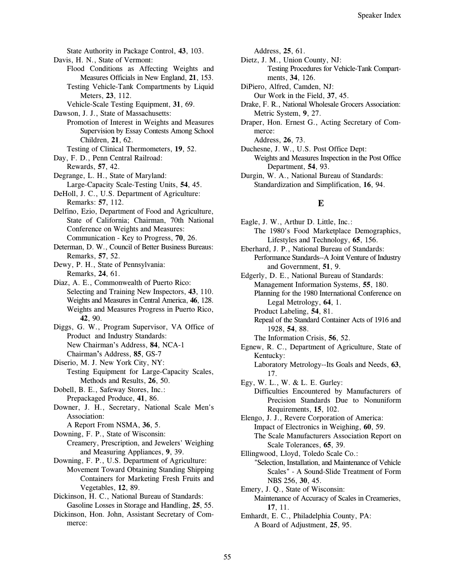State Authority in Package Control, 43, 103.

- Davis, H. N., State of Vermont:
	- Flood Conditions as Affecting Weights and Measures Officials in New England, 21, 153.
	- Testing Vehicle-Tank Compartments by Liquid Meters, 23, 112.
	- Vehicle-Scale Testing Equipment, 31, 69.

Dawson, J. J., State of Massachusetts:

- Promotion of Interest in Weights and Measures Supervision by Essay Contests Among School Children, 21, 62.
- Testing of Clinical Thermometers, 19, 52. Day, F. D., Penn Central Railroad:
- Rewards, 57, 42.
- Degrange, L. H., State of Maryland: Large-Capacity Scale-Testing Units, 54, 45. DeHoll, J. C., U.S. Department of Agriculture:
- Remarks: 57, 112.
- Delfino, Ezio, Department of Food and Agriculture, State of California; Chairman, 70th National Conference on Weights and Measures: Communication - Key to Progress, 70, 26.
- Determan, D. W., Council of Better Business Bureaus: Remarks, 57, 52.
- Dewy, P. H., State of Pennsylvania: Remarks, 24, 61.
- Diaz, A. E., Commonwealth of Puerto Rico: Selecting and Training New Inspectors, 43, 110. Weights and Measures in Central America, 46, 128. Weights and Measures Progress in Puerto Rico, 42, 90.
- Diggs, G. W., Program Supervisor, VA Office of Product and Industry Standards: New Chairman's Address, 84, NCA-1 Chairman's Address, 85, GS-7
- Diserio, M. J. New York City, NY:
- Testing Equipment for Large-Capacity Scales, Methods and Results, 26, 50.
- Dobell, B. E., Safeway Stores, Inc.: Prepackaged Produce, 41, 86.
- Downer, J. H., Secretary, National Scale Men's Association:
	- A Report From NSMA, 36, 5.
- Downing, F. P., State of Wisconsin: Creamery, Prescription, and Jewelers' Weighing and Measuring Appliances, 9, 39.
- Downing, F. P., U.S. Department of Agriculture: Movement Toward Obtaining Standing Shipping Containers for Marketing Fresh Fruits and Vegetables, 12, 89.
- Dickinson, H. C., National Bureau of Standards: Gasoline Losses in Storage and Handling, 25, 55.
- Dickinson, Hon. John, Assistant Secretary of Commerce:

Address, 25, 61.

- Dietz, J. M., Union County, NJ: Testing Procedures for Vehicle-Tank Compartments, 34, 126.
- DiPiero, Alfred, Camden, NJ: Our Work in the Field, 37, 45.
- Drake, F. R., National Wholesale Grocers Association: Metric System, 9, 27.
- Draper, Hon. Ernest G., Acting Secretary of Commerce:

Address, 26, 73.

- Duchesne, J. W., U.S. Post Office Dept: Weights and Measures Inspection in the Post Office Department, 54, 93.
- Durgin, W. A., National Bureau of Standards: Standardization and Simplification, 16, 94.

## E

- Eagle, J. W., Arthur D. Little, Inc.: The 1980's Food Marketplace Demographics, Lifestyles and Technology, 65, 156.
- Eberhard, J. P., National Bureau of Standards: Performance Standards--A Joint Venture of Industry and Government, 51, 9.
- Edgerly, D. E., National Bureau of Standards: Management Information Systems, 55, 180. Planning for the 1980 International Conference on Legal Metrology, 64, 1. Product Labeling, 54, 81.
	- Repeal of the Standard Container Acts of 1916 and 1928. 54. 88.

The Information Crisis, 56, 52.

- Egnew, R. C., Department of Agriculture, State of Kentucky: Laboratory Metrology--Its Goals and Needs, 63,
- 17. Egy, W. L., W. & L. E. Gurley:
	- Difficulties Encountered by Manufacturers of Precision Standards Due to Nonuniform Requirements, 15, 102.
- Elengo, J. J., Revere Corporation of America: Impact of Electronics in Weighing, 60, 59. The Scale Manufacturers Association Report on Scale Tolerances, 65, 39.
- Ellingwood, Lloyd, Toledo Scale Co.: "Selection, Installation, and Maintenance of Vehicle Scales" - A Sound-Slide Treatment of Form NBS 256, 30, 45.
- Emery, J. Q., State of Wisconsin: Maintenance of Accuracy of Scales in Creameries, 17, 11.
- Emhardt, E. C., Philadelphia County, PA: A Board of Adjustment, 25, 95.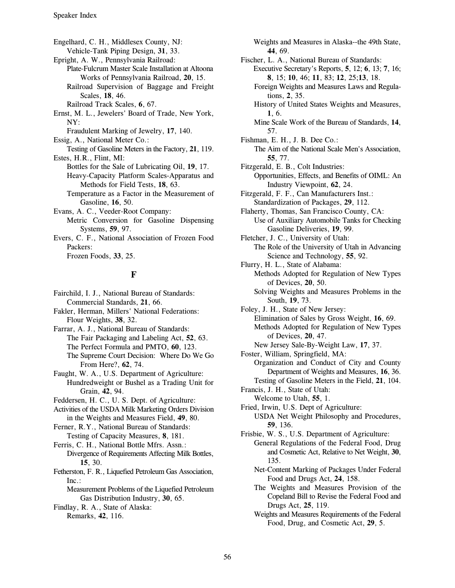Engelhard, C. H., Middlesex County, NJ: Vehicle-Tank Piping Design, 31, 33. Epright, A. W., Pennsylvania Railroad: Plate-Fulcrum Master Scale Installation at Altoona Works of Pennsylvania Railroad, 20, 15. Railroad Supervision of Baggage and Freight Scales, 18, 46. Railroad Track Scales, 6, 67. Ernst, M. L., Jewelers' Board of Trade, New York, NY: Fraudulent Marking of Jewelry, 17, 140. Essig, A., National Meter Co.: Testing of Gasoline Meters in the Factory, 21, 119. Estes, H.R., Flint, MI: Bottles for the Sale of Lubricating Oil, 19, 17. Heavy-Capacity Platform Scales-Apparatus and Methods for Field Tests, 18, 63. Temperature as a Factor in the Measurement of Gasoline, 16, 50. Evans, A. C., Veeder-Root Company: Metric Conversion for Gasoline Dispensing Systems, 59, 97. Evers, C. F., National Association of Frozen Food Packers:

Frozen Foods, 33, 25.

## F

Fairchild, I. J., National Bureau of Standards: Commercial Standards, 21, 66. Fakler, Herman, Millers' National Federations: Flour Weights, 38, 32.

Farrar, A. J., National Bureau of Standards: The Fair Packaging and Labeling Act, 52, 63. The Perfect Formula and PMTO, 60, 123. The Supreme Court Decision: Where Do We Go From Here?, 62, 74.

Faught, W. A., U.S. Department of Agriculture: Hundredweight or Bushel as a Trading Unit for Grain, 42, 94.

Feddersen, H. C., U. S. Dept. of Agriculture:

Activities of the USDA Milk Marketing Orders Division in the Weights and Measures Field, 49, 80.

Ferner, R.Y., National Bureau of Standards: Testing of Capacity Measures, 8, 181.

Ferris, C. H., National Bottle Mfrs. Assn.: Divergence of Requirements Affecting Milk Bottles, 15, 30.

Fetherston, F. R., Liquefied Petroleum Gas Association,  $Inc.$ :

Measurement Problems of the Liquefied Petroleum Gas Distribution Industry, 30, 65.

Findlay, R. A., State of Alaska: Remarks, 42, 116.

Weights and Measures in Alaska--the 49th State, 44.69.

Fischer, L. A., National Bureau of Standards: Executive Secretary's Reports, 5, 12; 6, 13; 7, 16; 8, 15; 10, 46; 11, 83; 12, 25; 13, 18.

Foreign Weights and Measures Laws and Regulations, 2, 35.

History of United States Weights and Measures, 1.6.

Mine Scale Work of the Bureau of Standards, 14, 57.

Fishman, E. H., J. B. Dee Co.: The Aim of the National Scale Men's Association, 55, 77.

Fitzgerald, E. B., Colt Industries: Opportunities, Effects, and Benefits of OIML: An Industry Viewpoint, 62, 24.

Fitzgerald, F. F., Can Manufacturers Inst.: Standardization of Packages, 29, 112.

Flaherty, Thomas, San Francisco County, CA: Use of Auxiliary Automobile Tanks for Checking Gasoline Deliveries, 19, 99.

Fletcher, J. C., University of Utah: The Role of the University of Utah in Advancing Science and Technology, 55, 92.

Flurry, H. L., State of Alabama: Methods Adopted for Regulation of New Types of Devices, 20, 50.

Solving Weights and Measures Problems in the South, 19, 73.

Foley, J. H., State of New Jersey: Elimination of Sales by Gross Weight, 16, 69. Methods Adopted for Regulation of New Types of Devices, 20, 47.

New Jersey Sale-By-Weight Law, 17, 37.

Foster, William, Springfield, MA: Organization and Conduct of City and County Department of Weights and Measures, 16, 36. Testing of Gasoline Meters in the Field, 21, 104.

Francis, J. H., State of Utah:

Welcome to Utah, 55, 1.

Fried, Irwin, U.S. Dept of Agriculture:

USDA Net Weight Philosophy and Procedures, 59, 136.

Frisbie, W. S., U.S. Department of Agriculture: General Regulations of the Federal Food, Drug and Cosmetic Act, Relative to Net Weight, 30,

135. Net-Content Marking of Packages Under Federal Food and Drugs Act, 24, 158.

The Weights and Measures Provision of the Copeland Bill to Revise the Federal Food and Drugs Act, 25, 119.

Weights and Measures Requirements of the Federal Food, Drug, and Cosmetic Act, 29, 5.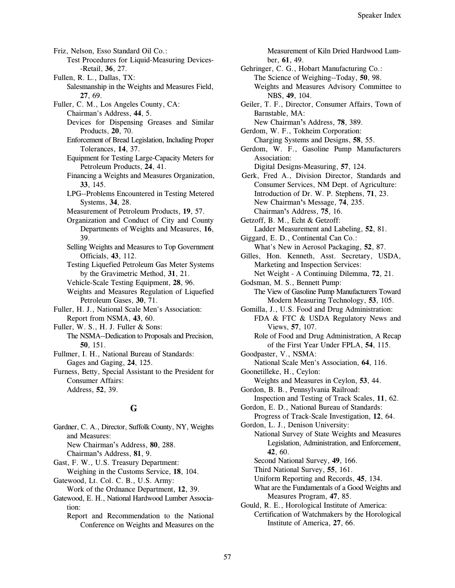Friz, Nelson, Esso Standard Oil Co.: Test Procedures for Liquid-Measuring Devices--Retail, 36, 27. Fullen, R. L., Dallas, TX: Salesmanship in the Weights and Measures Field, 27.69. Fuller, C. M., Los Angeles County, CA: Chairman's Address, 44, 5. Devices for Dispensing Greases and Similar Products, 20, 70. Enforcement of Bread Legislation, Including Proper Tolerances, 14, 37. Equipment for Testing Large-Capacity Meters for Petroleum Products, 24, 41. Financing a Weights and Measures Organization, 33. 145. LPG--Problems Encountered in Testing Metered Systems, 34, 28. Measurement of Petroleum Products, 19, 57. Organization and Conduct of City and County Departments of Weights and Measures, 16, 39. Selling Weights and Measures to Top Government Officials, 43, 112. **Testing Liquefied Petroleum Gas Meter Systems** by the Gravimetric Method, 31, 21. Vehicle-Scale Testing Equipment, 28, 96. Weights and Measures Regulation of Liquefied Petroleum Gases, 30, 71. Fuller, H. J., National Scale Men's Association: Report from NSMA, 43, 60. Fuller, W. S., H. J. Fuller & Sons: The NSMA--Dedication to Proposals and Precision, 50.151. Fullmer, I. H., National Bureau of Standards: Gages and Gaging, 24, 125. Furness, Betty, Special Assistant to the President for **Consumer Affairs:** Address, 52, 39. G Gardner, C. A., Director, Suffolk County, NY, Weights and Measures: New Chairman's Address, 80, 288.

Chairman's Address, 81, 9.

Gast, F. W., U.S. Treasury Department:

Weighing in the Customs Service, 18, 104. Gatewood, Lt. Col. C. B., U.S. Army:

Work of the Ordnance Department, 12, 39.

Gatewood, E. H., National Hardwood Lumber Association:

Report and Recommendation to the National Conference on Weights and Measures on the Measurement of Kiln Dried Hardwood Lumber, 61, 49.

- Gehringer, C. G., Hobart Manufacturing Co.: The Science of Weighing--Today, 50, 98. Weights and Measures Advisory Committee to NBS, 49, 104.
- Geiler, T. F., Director, Consumer Affairs, Town of Barnstable, MA:
- New Chairman's Address, 78, 389.

Gerdom, W. F., Tokheim Corporation: Charging Systems and Designs, 58, 55.

Gerdom, W. F., Gasoline Pump Manufacturers Association:

Digital Designs-Measuring, 57, 124. Gerk, Fred A., Division Director, Standards and Consumer Services, NM Dept. of Agriculture: Introduction of Dr. W. P. Stephens, 71, 23. New Chairman's Message, 74, 235. Chairman's Address, 75, 16.

Getzoff, B. M., Echt & Getzoff: Ladder Measurement and Labeling, 52, 81.

- Giggard, E. D., Continental Can Co.: What's New in Aerosol Packaging, 52, 87.
- Gilles, Hon. Kenneth, Asst. Secretary, USDA, Marketing and Inspection Services: Net Weight - A Continuing Dilemma, 72, 21.
- Godsman, M. S., Bennett Pump: The View of Gasoline Pump Manufacturers Toward Modern Measuring Technology, 53, 105.

Gomilla, J., U.S. Food and Drug Administration: FDA & FTC & USDA Regulatory News and Views, 57, 107.

Role of Food and Drug Administration, A Recap of the First Year Under FPLA, 54, 115.

- Goodpaster, V., NSMA: National Scale Men's Association, 64, 116. Goonetilleke, H., Ceylon:
- Weights and Measures in Ceylon, 53, 44.
- Gordon, B. B., Pennsylvania Railroad: Inspection and Testing of Track Scales, 11, 62.
- Gordon, E. D., National Bureau of Standards: Progress of Track-Scale Investigation, 12, 64.

Gordon, L. J., Denison University: National Survey of State Weights and Measures Legislation, Administration, and Enforcement, 42.60.

Second National Survey, 49, 166.

Third National Survey, 55, 161.

Uniform Reporting and Records, 45, 134.

What are the Fundamentals of a Good Weights and Measures Program, 47, 85.

Gould, R. E., Horological Institute of America: Certification of Watchmakers by the Horological Institute of America, 27, 66.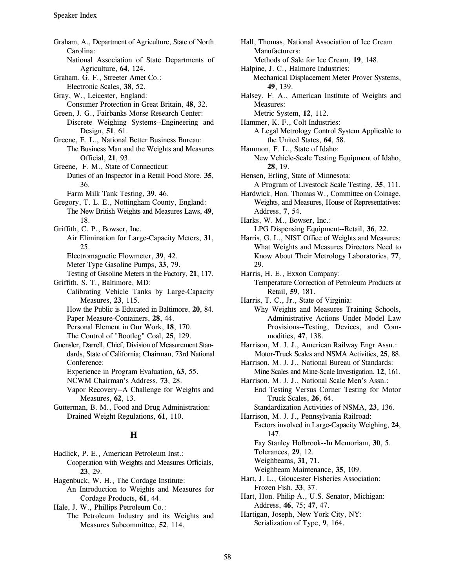Graham, A., Department of Agriculture, State of North Carolina: National Association of State Departments of Agriculture, 64, 124. Graham, G. F., Streeter Amet Co.: Electronic Scales, 38, 52. Gray, W., Leicester, England: Consumer Protection in Great Britain, 48, 32. Green, J. G., Fairbanks Morse Research Center: Discrete Weighing Systems--Engineering and Design, 51, 61. Greene, E. L., National Better Business Bureau: The Business Man and the Weights and Measures Official, 21, 93. Greene, F. M., State of Connecticut: Duties of an Inspector in a Retail Food Store, 35, 36. Farm Milk Tank Testing, 39, 46. Gregory, T. L. E., Nottingham County, England: The New British Weights and Measures Laws, 49, 18. Griffith, C. P., Bowser, Inc. Air Elimination for Large-Capacity Meters, 31, 25. Electromagnetic Flowmeter, 39, 42. Meter Type Gasoline Pumps, 33, 79. Testing of Gasoline Meters in the Factory, 21, 117. Griffith, S. T., Baltimore, MD: Calibrating Vehicle Tanks by Large-Capacity Measures, 23, 115. How the Public is Educated in Baltimore, 20, 84. Paper Measure-Containers, 28, 44. Personal Element in Our Work, 18, 170. The Control of "Bootleg" Coal, 25, 129. Guensler, Darrell, Chief, Division of Measurement Standards, State of California; Chairman, 73rd National Conference: Experience in Program Evaluation, 63, 55. NCWM Chairman's Address, 73, 28. Vapor Recovery--A Challenge for Weights and Measures, 62, 13. Gutterman, B. M., Food and Drug Administration: Drained Weight Regulations, 61, 110.  $H$ 

Hadlick, P. E., American Petroleum Inst.: Cooperation with Weights and Measures Officials, 23.29.

Hagenbuck, W. H., The Cordage Institute: An Introduction to Weights and Measures for Cordage Products, 61, 44.

Hale, J. W., Phillips Petroleum Co.:

The Petroleum Industry and its Weights and Measures Subcommittee, 52, 114.

Hall, Thomas, National Association of Ice Cream Manufacturers: Methods of Sale for Ice Cream, 19, 148. Halpine, J. C., Halmore Industries: Mechanical Displacement Meter Prover Systems, 49. 139. Halsey, F. A., American Institute of Weights and Measures: Metric System, 12, 112. Hammer, K. F., Colt Industries: A Legal Metrology Control System Applicable to the United States, 64, 58. Hammon, F. L., State of Idaho: New Vehicle-Scale Testing Equipment of Idaho, 28.19. Hensen, Erling, State of Minnesota: A Program of Livestock Scale Testing, 35, 111. Hardwick, Hon. Thomas W., Committee on Coinage, Weights, and Measures, House of Representatives: Address, 7, 54. Harks, W. M., Bowser, Inc.: LPG Dispensing Equipment--Retail, 36, 22. Harris, G. L., NIST Office of Weights and Measures: What Weights and Measures Directors Need to Know About Their Metrology Laboratories, 77, 29. Harris, H. E., Exxon Company: Temperature Correction of Petroleum Products at Retail, 59, 181. Harris, T. C., Jr., State of Virginia: Why Weights and Measures Training Schools, Administrative Actions Under Model Law Provisions--Testing, Devices, and Commodities, 47, 138. Harrison, M. J. J., American Railway Engr Assn.: Motor-Truck Scales and NSMA Activities, 25, 88.

- Harrison, M. J. J., National Bureau of Standards:
- Mine Scales and Mine-Scale Investigation, 12, 161. Harrison, M. J. J., National Scale Men's Assn.:

End Testing Versus Corner Testing for Motor Truck Scales, 26, 64.

Standardization Activities of NSMA, 23, 136.

Harrison, M. J. J., Pennsylvania Railroad: Factors involved in Large-Capacity Weighing, 24, 147.

Fay Stanley Holbrook--In Memoriam, 30, 5.

Tolerances, 29, 12.

Weighbeams, 31, 71.

Weighbeam Maintenance, 35, 109.

- Hart, J. L., Gloucester Fisheries Association: Frozen Fish, 33, 37.
- Hart, Hon. Philip A., U.S. Senator, Michigan: Address, 46, 75; 47, 47.

Hartigan, Joseph, New York City, NY: Serialization of Type, 9, 164.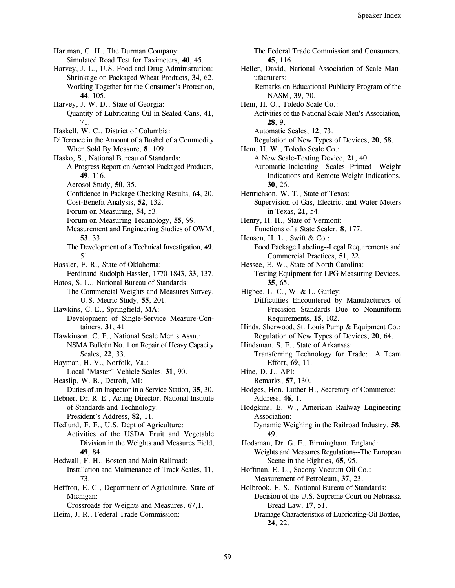Hartman, C. H., The Durman Company: Simulated Road Test for Taximeters, 40, 45. Harvey, J. L., U.S. Food and Drug Administration: Shrinkage on Packaged Wheat Products, 34, 62. Working Together for the Consumer's Protection, 44. 105. Harvey, J. W. D., State of Georgia: Quantity of Lubricating Oil in Sealed Cans, 41, 71. Haskell, W. C., District of Columbia: Difference in the Amount of a Bushel of a Commodity When Sold By Measure, 8, 109. Hasko, S., National Bureau of Standards: A Progress Report on Aerosol Packaged Products, 49, 116. Aerosol Study, 50, 35. Confidence in Package Checking Results, 64, 20. Cost-Benefit Analysis, 52, 132. Forum on Measuring, 54, 53. Forum on Measuring Technology, 55, 99. Measurement and Engineering Studies of OWM, 53, 33. The Development of a Technical Investigation, 49, 51. Hassler, F. R., State of Oklahoma: Ferdinand Rudolph Hassler, 1770-1843, 33, 137. Hatos, S. L., National Bureau of Standards: The Commercial Weights and Measures Survey, U.S. Metric Study, 55, 201. Hawkins, C. E., Springfield, MA: Development of Single-Service Measure-Containers, 31, 41. Hawkinson, C. F., National Scale Men's Assn.: NSMA Bulletin No. 1 on Repair of Heavy Capacity Scales, 22, 33. Hayman, H. V., Norfolk, Va.: Local "Master" Vehicle Scales, 31, 90. Heaslip, W. B., Detroit, MI: Duties of an Inspector in a Service Station, 35, 30. Hebner, Dr. R. E., Acting Director, National Institute of Standards and Technology: President's Address, 82, 11. Hedlund, F. F., U.S. Dept of Agriculture: Activities of the USDA Fruit and Vegetable Division in the Weights and Measures Field, 49.84. Hedwall, F. H., Boston and Main Railroad: Installation and Maintenance of Track Scales, 11, 73. Heffron, E. C., Department of Agriculture, State of Michigan: Crossroads for Weights and Measures, 67,1. Heim, J. R., Federal Trade Commission:

The Federal Trade Commission and Consumers, 45.116. Heller, David, National Association of Scale Manufacturers: Remarks on Educational Publicity Program of the NASM, 39, 70. Hem, H. O., Toledo Scale Co.: Activities of the National Scale Men's Association, 28.9. Automatic Scales, 12, 73. Regulation of New Types of Devices, 20, 58. Hem, H. W., Toledo Scale Co.: A New Scale-Testing Device, 21, 40. Automatic-Indicating Scales--Printed Weight Indications and Remote Weight Indications, 30.26. Henrichson, W. T., State of Texas: Supervision of Gas, Electric, and Water Meters in Texas, 21, 54. Henry, H. H., State of Vermont: Functions of a State Sealer, 8, 177. Hensen, H. L., Swift & Co.: Food Package Labeling--Legal Requirements and Commercial Practices, 51, 22. Hessee, E. W., State of North Carolina: Testing Equipment for LPG Measuring Devices,  $35.65.$ Higbee, L. C., W. & L. Gurley: Difficulties Encountered by Manufacturers of Precision Standards Due to Nonuniform Requirements, 15, 102. Hinds, Sherwood, St. Louis Pump & Equipment Co.: Regulation of New Types of Devices, 20, 64. Hindsman, S. F., State of Arkansas: Transferring Technology for Trade: A Team Effort, 69, 11. Hine, D. J., API: Remarks, 57, 130. Hodges, Hon. Luther H., Secretary of Commerce: Address, 46, 1. Hodgkins, E. W., American Railway Engineering Association: Dynamic Weighing in the Railroad Industry, 58, 49. Hodsman, Dr. G. F., Birmingham, England: Weights and Measures Regulations--The European Scene in the Eighties, 65, 95. Hoffman, E. L., Socony-Vacuum Oil Co.: Measurement of Petroleum, 37, 23. Holbrook, F. S., National Bureau of Standards: Decision of the U.S. Supreme Court on Nebraska Bread Law, 17, 51. Drainage Characteristics of Lubricating-Oil Bottles,

24, 22.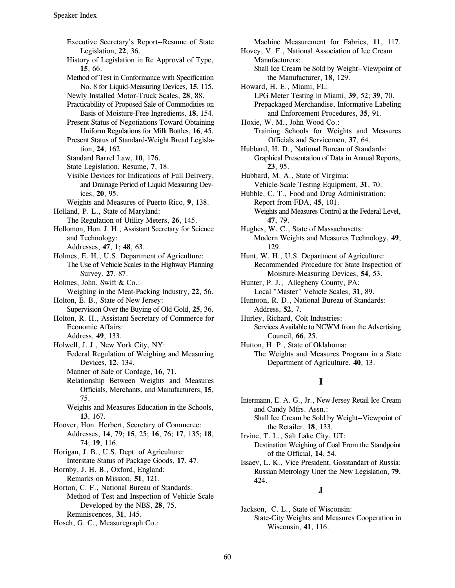Executive Secretary's Report--Resume of State Legislation, 22, 36.

- History of Legislation in Re Approval of Type, 15.66.
- Method of Test in Conformance with Specification No. 8 for Liquid-Measuring Devices, 15, 115.

Newly Installed Motor-Truck Scales, 28, 88. Practicability of Proposed Sale of Commodities on

Basis of Moisture-Free Ingredients, 18, 154. Present Status of Negotiations Toward Obtaining Uniform Regulations for Milk Bottles, 16, 45.

Present Status of Standard-Weight Bread Legislation. 24, 162.

- Standard Barrel Law, 10, 176.
- State Legislation, Resume, 7, 18.
- Visible Devices for Indications of Full Delivery, and Drainage Period of Liquid Measuring Devices, 20, 95.
- Weights and Measures of Puerto Rico, 9, 138.

Holland, P. L., State of Maryland:

The Regulation of Utility Meters, 26, 145.

Hollomon, Hon. J. H., Assistant Secretary for Science and Technology:

Addresses, 47, 1; 48, 63.

- Holmes, E. H., U.S. Department of Agriculture: The Use of Vehicle Scales in the Highway Planning Survey, 27, 87.
- Holmes, John, Swift & Co.:
- Weighing in the Meat-Packing Industry, 22, 56. Holton, E. B., State of New Jersey:
- Supervision Over the Buying of Old Gold, 25, 36. Holton, R. H., Assistant Secretary of Commerce for

Economic Affairs: Address, 49, 133.

Holwell, J. J., New York City, NY: Federal Regulation of Weighing and Measuring Devices, 12, 134.

- Manner of Sale of Cordage, 16, 71.
- Relationship Between Weights and Measures Officials, Merchants, and Manufacturers, 15, 75.

Weights and Measures Education in the Schools, 13, 167.

Hoover, Hon. Herbert, Secretary of Commerce: Addresses, 14, 79; 15, 25; 16, 76; 17, 135; 18, 74; 19, 116.

Horigan, J. B., U.S. Dept. of Agriculture: Interstate Status of Package Goods, 17, 47.

Hornby, J. H. B., Oxford, England: Remarks on Mission, 51, 121.

Horton, C. F., National Bureau of Standards: Method of Test and Inspection of Vehicle Scale Developed by the NBS, 28, 75. Reminiscences, 31, 145.

Hosch, G. C., Measuregraph Co.:

Machine Measurement for Fabrics, 11, 117. Hovey, V. F., National Association of Ice Cream Manufacturers: Shall Ice Cream be Sold by Weight--Viewpoint of the Manufacturer, 18, 129. Howard, H. E., Miami, FL: LPG Meter Testing in Miami, 39, 52; 39, 70. Prepackaged Merchandise, Informative Labeling and Enforcement Procedures, 35, 91. Hoxie, W. M., John Wood Co.: Training Schools for Weights and Measures Officials and Servicemen, 37, 64. Hubbard, H. D., National Bureau of Standards: Graphical Presentation of Data in Annual Reports, 23, 95. Hubbard, M. A., State of Virginia: Vehicle-Scale Testing Equipment, 31, 70. Hubble, C. T., Food and Drug Administration: Report from FDA, 45, 101. Weights and Measures Control at the Federal Level, 47, 79. Hughes, W. C., State of Massachusetts: Modern Weights and Measures Technology, 49, 129. Hunt, W. H., U.S. Department of Agriculture: Recommended Procedure for State Inspection of Moisture-Measuring Devices, 54, 53.

- Hunter, P. J., Allegheny County, PA: Local "Master" Vehicle Scales, 31, 89.
- Huntoon, R. D., National Bureau of Standards: Address, 52, 7.

Hurley, Richard, Colt Industries: Services Available to NCWM from the Advertising Council, 66, 25.

Hutton, H. P., State of Oklahoma: The Weights and Measures Program in a State Department of Agriculture, 40, 13.

# $\mathbf I$

Intermann, E. A. G., Jr., New Jersey Retail Ice Cream and Candy Mfrs. Assn.: Shall Ice Cream be Sold by Weight--Viewpoint of

the Retailer, 18, 133. Irvine, T. L., Salt Lake City, UT: Destination Weighing of Coal From the Standpoint of the Official, 14, 54.

Issaev, L. K., Vice President, Gosstandart of Russia: Russian Metrology Uner the New Legislation, 79, 424.

## $\bf J$

Jackson, C. L., State of Wisconsin: State-City Weights and Measures Cooperation in Wisconsin, 41, 116.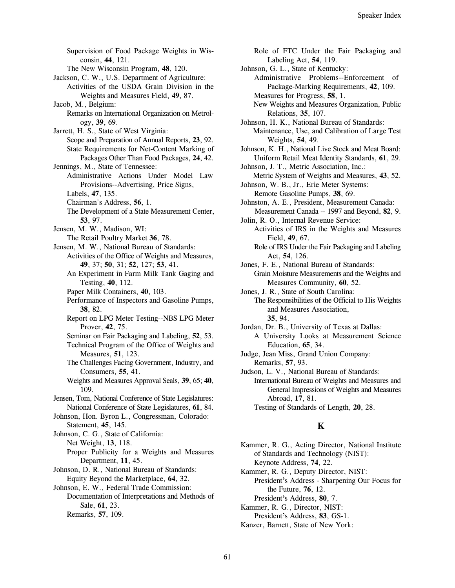Supervision of Food Package Weights in Wisconsin, 44, 121. The New Wisconsin Program, 48, 120. Jackson, C. W., U.S. Department of Agriculture: Activities of the USDA Grain Division in the Weights and Measures Field, 49, 87. Jacob, M., Belgium: Remarks on International Organization on Metrology, 39, 69. Jarrett, H. S., State of West Virginia: Scope and Preparation of Annual Reports, 23, 92. State Requirements for Net-Content Marking of Packages Other Than Food Packages, 24, 42. Jennings, M., State of Tennessee: Administrative Actions Under Model Law Provisions--Advertising, Price Signs, Labels, 47, 135. Chairman's Address, 56, 1. The Development of a State Measurement Center, 53, 97. Jensen, M. W., Madison, WI: The Retail Poultry Market 36, 78. Jensen, M. W., National Bureau of Standards: Activities of the Office of Weights and Measures, 49, 37; 50, 31; 52, 127; 53, 41. An Experiment in Farm Milk Tank Gaging and Testing, 40, 112. Paper Milk Containers, 40, 103. Performance of Inspectors and Gasoline Pumps, 38, 82. Report on LPG Meter Testing--NBS LPG Meter Prover, 42, 75. Seminar on Fair Packaging and Labeling, 52, 53. Technical Program of the Office of Weights and Measures, 51, 123. The Challenges Facing Government, Industry, and Consumers, 55, 41. Weights and Measures Approval Seals, 39, 65; 40, 109. Jensen, Tom, National Conference of State Legislatures: National Conference of State Legislatures, 61, 84. Johnson, Hon. Byron L., Congressman, Colorado: Statement, 45, 145. Johnson, C. G., State of California: Net Weight, 13, 118. Proper Publicity for a Weights and Measures Department, 11, 45. Johnson, D. R., National Bureau of Standards: Equity Beyond the Marketplace, 64, 32. Johnson, E. W., Federal Trade Commission: Documentation of Interpretations and Methods of Sale, 61, 23. Remarks, 57, 109.

Role of FTC Under the Fair Packaging and Labeling Act, 54, 119. Johnson, G. L., State of Kentucky: Administrative Problems--Enforcement of Package-Marking Requirements, 42, 109. Measures for Progress, 58, 1. New Weights and Measures Organization, Public Relations, 35, 107. Johnson, H. K., National Bureau of Standards: Maintenance, Use, and Calibration of Large Test Weights, 54, 49. Johnson, K. H., National Live Stock and Meat Board: Uniform Retail Meat Identity Standards, 61, 29. Johnson, J. T., Metric Association, Inc.: Metric System of Weights and Measures, 43, 52.

Johnson, W. B., Jr., Erie Meter Systems: Remote Gasoline Pumps, 38, 69.

Johnston, A. E., President, Measurement Canada: Measurement Canada -- 1997 and Beyond, 82, 9.

Jolin, R. O., Internal Revenue Service: Activities of IRS in the Weights and Measures Field, 49, 67.

Role of IRS Under the Fair Packaging and Labeling Act, 54, 126.

Jones, F. E., National Bureau of Standards:

Grain Moisture Measurements and the Weights and Measures Community, 60, 52.

- Jones, J. R., State of South Carolina: The Responsibilities of the Official to His Weights and Measures Association, 35.94.
- Jordan, Dr. B., University of Texas at Dallas: A University Looks at Measurement Science Education. 65, 34.
- Judge, Jean Miss, Grand Union Company: Remarks, 57, 93.

Judson, L. V., National Bureau of Standards: International Bureau of Weights and Measures and General Impressions of Weights and Measures Abroad, 17, 81.

Testing of Standards of Length, 20, 28.

# K

Kammer, R. G., Acting Director, National Institute of Standards and Technology (NIST): Keynote Address, 74, 22.

Kammer, R. G., Deputy Director, NIST: President's Address - Sharpening Our Focus for the Future, 76, 12.

President's Address, 80, 7.

Kammer, R. G., Director, NIST: President's Address, 83, GS-1.

Kanzer, Barnett, State of New York: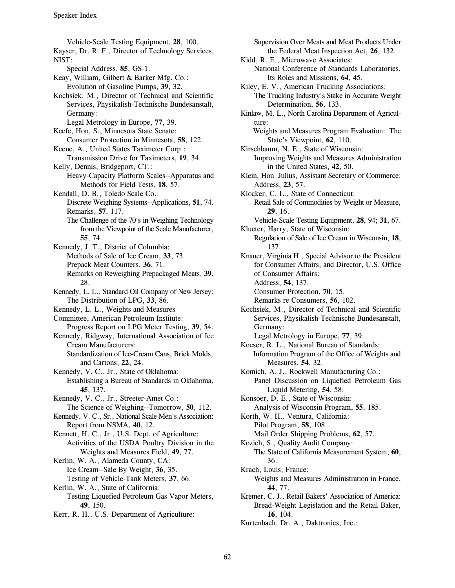Vehicle-Scale Testing Equipment, 28, 100. Kayser, Dr. R. F., Director of Technology Services, NIST: Special Address, 85, GS-1. Keay, William, Gilbert & Barker Mfg. Co.: Evolution of Gasoline Pumps, 39, 32. Kochsiek, M., Director of Technical and Scientific Services, Physikalish-Technische Bundesanstalt, Germany: Legal Metrology in Europe, 77, 39. Keefe, Hon. S., Minnesota State Senate: Consumer Protection in Minnesota, 58, 122. Keene, A., United States Taximeter Corp.: Transmission Drive for Taximeters, 19, 34. Kelly, Dennis, Bridgeport, CT.: Heavy-Capacity Platform Scales--Apparatus and Methods for Field Tests, 18, 57. Kendall, D. B., Toledo Scale Co.: Discrete Weighing Systems--Applications, 51, 74. Remarks, 57, 117. The Challenge of the 70's in Weighing Technology from the Viewpoint of the Scale Manufacturer, 55, 74. Kennedy, J. T., District of Columbia: Methods of Sale of Ice Cream, 33, 73. Prepack Meat Counters, 36, 71. Remarks on Reweighing Prepackaged Meats, 39, 28. Kennedy, L. L., Standard Oil Company of New Jersey: The Distribution of LPG, 33, 86. Kennedy, L. L., Weights and Measures Committee, American Petroleum Institute: Progress Report on LPG Meter Testing, 39, 54. Kennedy, Ridgway, International Association of Ice **Cream Manufacturers:** Standardization of Ice-Cream Cans, Brick Molds, and Cartons, 22, 24. Kennedy, V. C., Jr., State of Oklahoma: Establishing a Bureau of Standards in Oklahoma, 45. 137. Kennedy, V. C., Jr., Streeter-Amet Co.: The Science of Weighing--Tomorrow, 50, 112. Kennedy, V. C., Sr., National Scale Men's Association: Report from NSMA, 40, 12. Kennett, H. C., Jr., U.S. Dept. of Agriculture: Activities of the USDA Poultry Division in the Weights and Measures Field, 49, 77. Kerlin, W. A., Alameda County, CA: Ice Cream--Sale By Weight, 36, 35. Testing of Vehicle-Tank Meters, 37, 66. Kerlin, W. A., State of California: Testing Liquefied Petroleum Gas Vapor Meters, 49, 150. Kerr, R. H., U.S. Department of Agriculture:

Supervision Over Meats and Meat Products Under the Federal Meat Inspection Act, 26, 132. Kidd, R. E., Microwave Associates: National Conference of Standards Laboratories, Its Roles and Missions, 64, 45. Kiley, E. V., American Trucking Associations: The Trucking Industry's Stake in Accurate Weight Determination, 56, 133. Kinlaw, M. L., North Carolina Department of Agriculture: Weights and Measures Program Evaluation: The State's Viewpoint, 62, 110. Kirschbaum, N. E., State of Wisconsin: Improving Weights and Measures Administration in the United States, 42, 50. Klein, Hon. Julius, Assistant Secretary of Commerce: Address, 23, 57. Klocker, C. L., State of Connecticut: Retail Sale of Commodities by Weight or Measure, 29, 16. Vehicle-Scale Testing Equipment, 28, 94; 31, 67. Klueter, Harry, State of Wisconsin: Regulation of Sale of Ice Cream in Wisconsin, 18, 137. Knauer, Virginia H., Special Advisor to the President for Consumer Affairs, and Director, U.S. Office of Consumer Affairs: Address, 54, 137. Consumer Protection, 70, 15. Remarks re Consumers, 56, 102. Kochsiek, M., Director of Technical and Scientific Services, Physikalish-Technische Bundesanstalt, Germany: Legal Metrology in Europe, 77, 39. Koeser, R. L., National Bureau of Standards: Information Program of the Office of Weights and Measures, 54, 32. Komich, A. J., Rockwell Manufacturing Co.: Panel Discussion on Liquefied Petroleum Gas Liquid Metering, 54, 58. Konsoer, D. E., State of Wisconsin: Analysis of Wisconsin Program, 55, 185. Korth, W. H., Ventura, California: Pilot Program, 58, 108. Mail Order Shipping Problems, 62, 57. Kozich, S., Quality Audit Company: The State of California Measurement System, 60, 36. Krach, Louis, France: Weights and Measures Administration in France, 44.77. Kremer, C. J., Retail Bakers' Association of America: Bread-Weight Legislation and the Retail Baker, 16, 104.

Kurtenbach, Dr. A., Daktronics, Inc.: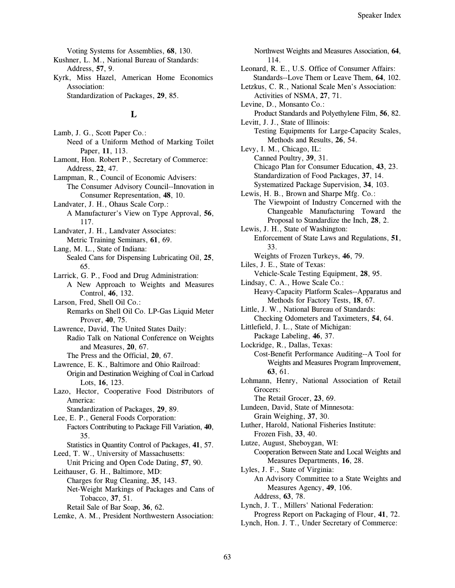Voting Systems for Assemblies, 68, 130.

- Kushner, L. M., National Bureau of Standards: Address, 57, 9.
- Kyrk, Miss Hazel, American Home Economics Association:

Standardization of Packages, 29, 85.

## L

Lamb, J. G., Scott Paper Co.: Need of a Uniform Method of Marking Toilet Paper, 11, 113. Lamont, Hon. Robert P., Secretary of Commerce: Address, 22, 47. Lampman, R., Council of Economic Advisers: The Consumer Advisory Council--Innovation in Consumer Representation, 48, 10. Landvater, J. H., Ohaus Scale Corp.: A Manufacturer's View on Type Approval, 56, 117. Landvater, J. H., Landvater Associates: Metric Training Seminars, 61, 69. Lang, M. L., State of Indiana: Sealed Cans for Dispensing Lubricating Oil, 25, 65. Larrick, G. P., Food and Drug Administration: A New Approach to Weights and Measures Control, 46, 132. Larson, Fred, Shell Oil Co.: Remarks on Shell Oil Co. LP-Gas Liquid Meter Prover, 40, 75. Lawrence, David, The United States Daily: Radio Talk on National Conference on Weights and Measures, 20, 67. The Press and the Official, 20, 67. Lawrence, E. K., Baltimore and Ohio Railroad: Origin and Destination Weighing of Coal in Carload Lots, 16, 123. Lazo, Hector, Cooperative Food Distributors of America: Standardization of Packages, 29, 89. Lee, E. P., General Foods Corporation: Factors Contributing to Package Fill Variation, 40, 35. Statistics in Quantity Control of Packages, 41, 57. Leed, T. W., University of Massachusetts: Unit Pricing and Open Code Dating, 57, 90. Leithauser, G. H., Baltimore, MD: Charges for Rug Cleaning, 35, 143. Net-Weight Markings of Packages and Cans of Tobacco, 37, 51. Retail Sale of Bar Soap, 36, 62. Lemke, A. M., President Northwestern Association:

Northwest Weights and Measures Association, 64, 114. Leonard, R. E., U.S. Office of Consumer Affairs: Standards--Love Them or Leave Them, 64, 102. Letzkus, C. R., National Scale Men's Association: Activities of NSMA, 27, 71. Levine, D., Monsanto Co.: Product Standards and Polyethylene Film, 56, 82. Levitt, J. J., State of Illinois: Testing Equipments for Large-Capacity Scales, Methods and Results, 26, 54. Levy, I. M., Chicago, IL: Canned Poultry, 39, 31. Chicago Plan for Consumer Education, 43, 23. Standardization of Food Packages, 37, 14. Systematized Package Supervision, 34, 103. Lewis, H. B., Brown and Sharpe Mfg. Co.: The Viewpoint of Industry Concerned with the Changeable Manufacturing Toward the Proposal to Standardize the Inch, 28, 2. Lewis, J. H., State of Washington: Enforcement of State Laws and Regulations, 51, 33. Weights of Frozen Turkeys, 46, 79. Liles, J. E., State of Texas: Vehicle-Scale Testing Equipment, 28, 95. Lindsay, C. A., Howe Scale Co.: Heavy-Capacity Platform Scales--Apparatus and Methods for Factory Tests, 18, 67. Little, J. W., National Bureau of Standards: Checking Odometers and Taximeters, 54, 64. Littlefield, J. L., State of Michigan: Package Labeling, 46, 37. Lockridge, R., Dallas, Texas: Cost-Benefit Performance Auditing--A Tool for Weights and Measures Program Improvement, 63, 61. Lohmann, Henry, National Association of Retail Grocers: The Retail Grocer, 23, 69. Lundeen, David, State of Minnesota: Grain Weighing, 37, 30. Luther, Harold, National Fisheries Institute: Frozen Fish, 33, 40. Lutze, August, Sheboygan, WI: Cooperation Between State and Local Weights and Measures Departments, 16, 28. Lyles, J. F., State of Virginia: An Advisory Committee to a State Weights and Measures Agency, 49, 106. Address, 63, 78. Lynch, J. T., Millers' National Federation: Progress Report on Packaging of Flour, 41, 72. Lynch, Hon. J. T., Under Secretary of Commerce: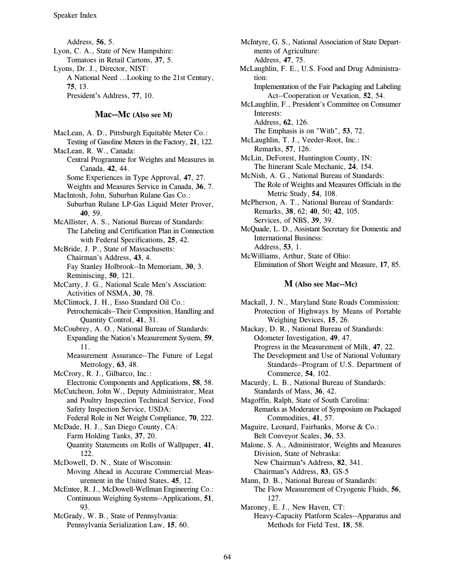Address, 56, 5. Lyon, C. A., State of New Hampshire: Tomatoes in Retail Cartons, 37, 5. Lyons, Dr. J., Director, NIST: A National Need ...Looking to the 21st Century, 75.13. President's Address, 77, 10.

# Mac--Mc (Also see M)

MacLean, A. D., Pittsburgh Equitable Meter Co.: Testing of Gasoline Meters in the Factory, 21, 122. MacLean, R. W., Canada: Central Programme for Weights and Measures in Canada, 42, 44. Some Experiences in Type Approval, 47, 27. Weights and Measures Service in Canada, 36, 7. MacIntosh, John, Suburban Rulane Gas Co.: Suburban Rulane LP-Gas Liquid Meter Prover, 40, 59. McAllister, A. S., National Bureau of Standards: The Labeling and Certification Plan in Connection with Federal Specifications, 25, 42. McBride, J. P., State of Massachusetts: Chairman's Address, 43, 4. Fay Stanley Holbrook--In Memoriam, 30, 3. Reminiscing, 50, 121. McCarty, J. G., National Scale Men's Assciation: Activities of NSMA, 30, 78. McClintock, J. H., Esso Standard Oil Co.: Petrochemicals--Their Composition, Handling and Quantity Control, 41, 31. McCoubrey, A. O., National Bureau of Standards: Expanding the Nation's Measurement System, 59,  $11.$ Measurement Assurance--The Future of Legal Metrology, 63, 48. McCrory, R. J., Gilbarco, Inc.: Electronic Components and Applications, 58, 58. McCutcheon, John W., Deputy Administrator, Meat and Poultry Inspection Technical Service, Food Safety Inspection Service, USDA: Federal Role in Net Weight Compliance, 70, 222. McDade, H. J., San Diego County, CA: Farm Holding Tanks, 37, 20. Quantity Statements on Rolls of Wallpaper, 41, 122. McDowell, D. N., State of Wisconsin: Moving Ahead in Accurate Commercial Measurement in the United States, 45, 12. McEntee, R. J., McDowell-Wellman Engineering Co.: Continuous Weighing Systems--Applications, 51, 93. McGrady, W. B., State of Pennsylvania: Pennsylvania Serialization Law, 15, 60.

McIntyre, G. S., National Association of State Departments of Agriculture: Address, 47, 75. McLaughlin, F. E., U.S. Food and Drug Administration: Implementation of the Fair Packaging and Labeling Act--Cooperation or Vexation, 52, 54. McLaughlin, F., President's Committee on Consumer Interests: Address, 62, 126. The Emphasis is on "With", 53, 72. McLaughlin, T. J., Veeder-Root, Inc.: Remarks, 57, 126. McLin, DeForest, Huntington County, IN: The Itinerant Scale Mechanic, 24, 154. McNish, A. G., National Bureau of Standards: The Role of Weights and Measures Officials in the Metric Study, 54, 108. McPherson, A. T., National Bureau of Standards: Remarks, 38, 62; 40, 50; 42, 105. Services, of NBS, 39, 39. McQuade, L. D., Assistant Secretary for Domestic and **International Business:** 

Address, 53, 1. McWilliams, Arthur, State of Ohio: Elimination of Short Weight and Measure, 17, 85.

#### M (Also see Mac--Mc)

Mackall, J. N., Maryland State Roads Commission: Protection of Highways by Means of Portable Weighing Devices, 15, 26.

Mackay, D. R., National Bureau of Standards: Odometer Investigation, 49, 47. Progress in the Measurement of Milk, 47, 22. The Development and Use of National Voluntary Standards--Program of U.S. Department of Commerce, 54, 102.

Macurdy, L. B., National Bureau of Standards: Standards of Mass, 36, 42.

Magoffin, Ralph, State of South Carolina: Remarks as Moderator of Symposium on Packaged Commodities, 41, 57.

Maguire, Leonard, Fairbanks, Morse & Co.: Belt Conveyor Scales, 36, 53.

Malone, S. A., Administrator, Weights and Measures Division, State of Nebraska: New Chairman's Address, 82, 341. Chairman's Address, 83, GS-5

Mann, D. B., National Bureau of Standards: The Flow Measurement of Cryogenic Fluids, 56, 127.

Maroney, E. J., New Haven, CT: Heavy-Capacity Platform Scales--Apparatus and Methods for Field Test, 18, 58.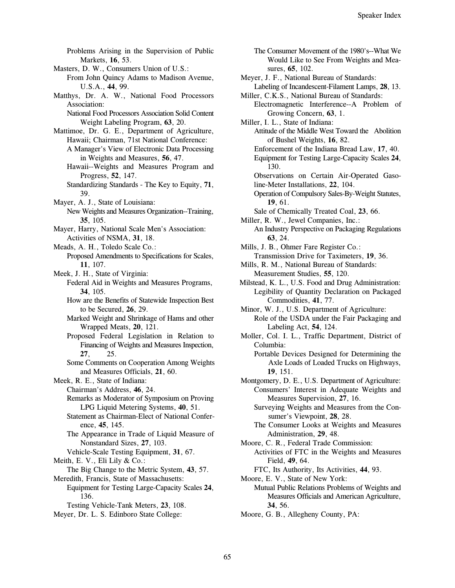Problems Arising in the Supervision of Public Markets, 16, 53. Masters, D. W., Consumers Union of U.S.: From John Quincy Adams to Madison Avenue, U.S.A., 44, 99. Matthys, Dr. A. W., National Food Processors Association: National Food Processors Association Solid Content Weight Labeling Program, 63, 20. Mattimoe, Dr. G. E., Department of Agriculture, Hawaii; Chairman, 71st National Conference: A Manager's View of Electronic Data Processing in Weights and Measures, 56, 47. Hawaii--Weights and Measures Program and Progress, 52, 147. Standardizing Standards - The Key to Equity, 71, 39. Mayer, A. J., State of Louisiana: New Weights and Measures Organization--Training, 35. 105. Mayer, Harry, National Scale Men's Association: Activities of NSMA, 31, 18. Meads, A. H., Toledo Scale Co.: Proposed Amendments to Specifications for Scales, 11, 107. Meek, J. H., State of Virginia: Federal Aid in Weights and Measures Programs, 34. 105. How are the Benefits of Statewide Inspection Best to be Secured, 26, 29. Marked Weight and Shrinkage of Hams and other Wrapped Meats, 20, 121. Proposed Federal Legislation in Relation to Financing of Weights and Measures Inspection, 27, 25. Some Comments on Cooperation Among Weights and Measures Officials, 21, 60. Meek, R. E., State of Indiana: Chairman's Address, 46, 24. Remarks as Moderator of Symposium on Proving LPG Liquid Metering Systems, 40, 51. Statement as Chairman-Elect of National Conference, 45, 145. The Appearance in Trade of Liquid Measure of Nonstandard Sizes, 27, 103. Vehicle-Scale Testing Equipment, 31, 67. Meith, E. V., Eli Lily & Co.: The Big Change to the Metric System, 43, 57. Meredith, Francis, State of Massachusetts: Equipment for Testing Large-Capacity Scales 24, 136. Testing Vehicle-Tank Meters, 23, 108. Meyer, Dr. L. S. Edinboro State College:

The Consumer Movement of the 1980's--What We Would Like to See From Weights and Measures, 65, 102. Meyer, J. F., National Bureau of Standards: Labeling of Incandescent-Filament Lamps, 28, 13. Miller, C.K.S., National Bureau of Standards: Electromagnetic Interference--A Problem of Growing Concern, 63, 1. Miller, I. L., State of Indiana: Attitude of the Middle West Toward the Abolition of Bushel Weights, 16, 82. Enforcement of the Indiana Bread Law, 17, 40. Equipment for Testing Large-Capacity Scales 24, 130. Observations on Certain Air-Operated Gasoline-Meter Installations, 22, 104. Operation of Compulsory Sales-By-Weight Statutes, 19.61. Sale of Chemically Treated Coal, 23, 66. Miller, R. W., Jewel Companies, Inc.: An Industry Perspective on Packaging Regulations 63.24. Mills, J. B., Ohmer Fare Register Co.: Transmission Drive for Taximeters, 19, 36. Mills, R. M., National Bureau of Standards: Measurement Studies, 55, 120. Milstead, K. L., U.S. Food and Drug Administration: Legibility of Quantity Declaration on Packaged Commodities, 41, 77. Minor, W. J., U.S. Department of Agriculture: Role of the USDA under the Fair Packaging and Labeling Act, 54, 124. Moller, Col. I. L., Traffic Department, District of Columbia: Portable Devices Designed for Determining the Axle Loads of Loaded Trucks on Highways, 19, 151. Montgomery, D. E., U.S. Department of Agriculture: Consumers' Interest in Adequate Weights and Measures Supervision, 27, 16. Surveying Weights and Measures from the Consumer's Viewpoint, 28, 28. The Consumer Looks at Weights and Measures Administration, 29, 48. Moore, C. R., Federal Trade Commission: Activities of FTC in the Weights and Measures Field, 49, 64. FTC, Its Authority, Its Activities, 44, 93. Moore, E. V., State of New York: Mutual Public Relations Problems of Weights and

Measures Officials and American Agriculture,

34, 56.

Moore, G. B., Allegheny County, PA: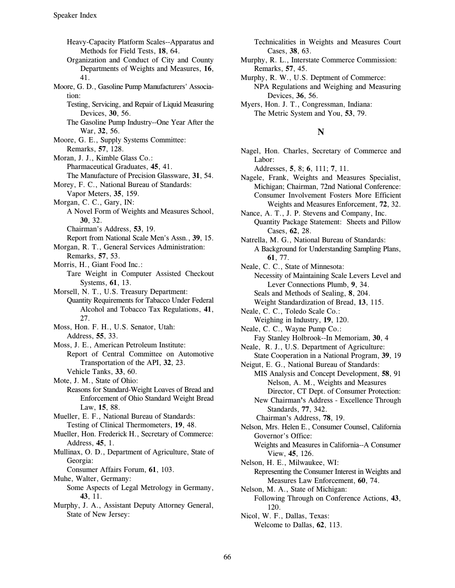Heavy-Capacity Platform Scales--Apparatus and Methods for Field Tests, 18, 64. Organization and Conduct of City and County Departments of Weights and Measures, 16, 41. Moore, G. D., Gasoline Pump Manufacturers' Association: Testing, Servicing, and Repair of Liquid Measuring Devices, 30, 56. The Gasoline Pump Industry--One Year After the War, 32, 56. Moore, G. E., Supply Systems Committee: Remarks, 57, 128. Moran, J. J., Kimble Glass Co.: Pharmaceutical Graduates, 45, 41. The Manufacture of Precision Glassware, 31, 54. Morey, F. C., National Bureau of Standards: Vapor Meters, 35, 159. Morgan, C. C., Gary, IN: A Novel Form of Weights and Measures School, 30, 32. Chairman's Address, 53, 19. Report from National Scale Men's Assn., 39, 15. Morgan, R. T., General Services Administration: Remarks, 57, 53. Morris, H., Giant Food Inc.: Tare Weight in Computer Assisted Checkout Systems, 61, 13. Morsell, N. T., U.S. Treasury Department: Quantity Requirements for Tabacco Under Federal Alcohol and Tobacco Tax Regulations, 41, 27. Moss, Hon. F. H., U.S. Senator, Utah: Address, 55, 33. Moss, J. E., American Petroleum Institute: Report of Central Committee on Automotive Transportation of the API, 32, 23. Vehicle Tanks, 33, 60. Mote, J. M., State of Ohio: Reasons for Standard-Weight Loaves of Bread and Enforcement of Ohio Standard Weight Bread Law, 15, 88. Mueller, E. F., National Bureau of Standards: Testing of Clinical Thermometers, 19, 48. Mueller, Hon. Frederick H., Secretary of Commerce: Address, 45, 1. Mullinax, O. D., Department of Agriculture, State of Georgia: Consumer Affairs Forum, 61, 103. Muhe, Walter, Germany: Some Aspects of Legal Metrology in Germany, 43, 11. Murphy, J. A., Assistant Deputy Attorney General, State of New Jersey:

Technicalities in Weights and Measures Court Cases, 38, 63.

- Murphy, R. L., Interstate Commerce Commission: Remarks, 57, 45.
- Murphy, R. W., U.S. Deptment of Commerce: NPA Regulations and Weighing and Measuring Devices, 36, 56.
- Myers, Hon. J. T., Congressman, Indiana: The Metric System and You, 53, 79.

# N

Nagel, Hon. Charles, Secretary of Commerce and Labor:

Addresses, 5, 8; 6, 111; 7, 11.

- Nagele, Frank, Weights and Measures Specialist, Michigan; Chairman, 72nd National Conference: Consumer Involvement Fosters More Efficient Weights and Measures Enforcement, 72, 32.
- Nance, A. T., J. P. Stevens and Company, Inc. **Ouantity Package Statement: Sheets and Pillow** Cases, 62, 28.
- Natrella, M. G., National Bureau of Standards: A Background for Understanding Sampling Plans, 61, 77.

Neale, C. C., State of Minnesota:

- Necessity of Maintaining Scale Levers Level and Lever Connections Plumb, 9, 34. Seals and Methods of Sealing, 8, 204.
	- Weight Standardization of Bread, 13, 115.
- Neale, C. C., Toledo Scale Co.: Weighing in Industry, 19, 120.
- Neale, C. C., Wayne Pump Co.: Fay Stanley Holbrook--In Memoriam, 30, 4
- Neale, R. J., U.S. Department of Agriculture: State Cooperation in a National Program, 39, 19
- Neigut, E. G., National Bureau of Standards: MIS Analysis and Concept Development, 58, 91 Nelson, A. M., Weights and Measures Director, CT Dept. of Consumer Protection:
	- New Chairman's Address Excellence Through Standards, 77, 342.

Chairman's Address, 78, 19.

- Nelson, Mrs. Helen E., Consumer Counsel, California Governor's Office: Weights and Measures in California--A Consumer View, 45, 126.
- Nelson, H. E., Milwaukee, WI: Representing the Consumer Interest in Weights and Measures Law Enforcement, 60, 74.
- Nelson, M. A., State of Michigan: Following Through on Conference Actions, 43, 120.
- Nicol, W. F., Dallas, Texas: Welcome to Dallas, 62, 113.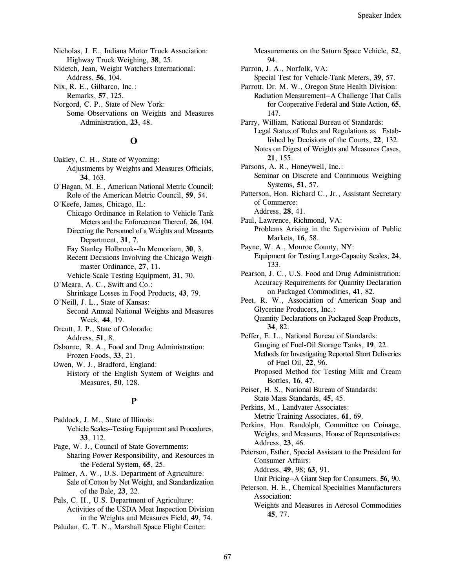Nicholas, J. E., Indiana Motor Truck Association: Highway Truck Weighing, 38, 25.

Nidetch, Jean, Weight Watchers International: Address, 56, 104.

Nix, R. E., Gilbarco, Inc.: Remarks, 57, 125.

Norgord, C. P., State of New York: Some Observations on Weights and Measures Administration, 23, 48.

## $\Omega$

Oakley, C. H., State of Wyoming: Adjustments by Weights and Measures Officials, 34. 163. O'Hagan, M. E., American National Metric Council:

Role of the American Metric Council, 59, 54. O'Keefe, James, Chicago, IL:

- Chicago Ordinance in Relation to Vehicle Tank Meters and the Enforcement Thereof, 26, 104.
- Directing the Personnel of a Weights and Measures Department, 31, 7.

Fay Stanley Holbrook--In Memoriam, 30, 3.

Recent Decisions Involving the Chicago Weighmaster Ordinance, 27, 11.

Vehicle-Scale Testing Equipment, 31, 70.

O'Meara, A. C., Swift and Co.:

Shrinkage Losses in Food Products, 43, 79. O'Neill, J. L., State of Kansas:

Second Annual National Weights and Measures Week, 44, 19.

Orcutt, J. P., State of Colorado: Address, 51, 8.

Osborne, R. A., Food and Drug Administration: Frozen Foods, 33, 21.

Owen, W. J., Bradford, England:

History of the English System of Weights and Measures, 50, 128.

## $\mathbf{p}$

Paddock, J. M., State of Illinois: Vehicle Scales--Testing Equipment and Procedures, 33, 112. Page, W. J., Council of State Governments: Sharing Power Responsibility, and Resources in

the Federal System, 65, 25. Palmer, A. W., U.S. Department of Agriculture:

Sale of Cotton by Net Weight, and Standardization of the Bale, 23, 22.

Pals, C. H., U.S. Department of Agriculture: Activities of the USDA Meat Inspection Division in the Weights and Measures Field, 49, 74.

Paludan, C. T. N., Marshall Space Flight Center:

Measurements on the Saturn Space Vehicle, 52, 94.

Parron, J. A., Norfolk, VA:

Special Test for Vehicle-Tank Meters, 39, 57. Parrott, Dr. M. W., Oregon State Health Division:

Radiation Measurement--A Challenge That Calls for Cooperative Federal and State Action, 65, 147.

Parry, William, National Bureau of Standards: Legal Status of Rules and Regulations as Established by Decisions of the Courts, 22, 132. Notes on Digest of Weights and Measures Cases, 21, 155.

Parsons, A. R., Honeywell, Inc.:

Seminar on Discrete and Continuous Weighing Systems, 51, 57.

Patterson, Hon. Richard C., Jr., Assistant Secretary of Commerce: Address, 28, 41.

Paul, Lawrence, Richmond, VA: Problems Arising in the Supervision of Public

Markets, 16, 58. Payne, W. A., Monroe County, NY: Equipment for Testing Large-Capacity Scales, 24,

133.

Pearson, J. C., U.S. Food and Drug Administration: **Accuracy Requirements for Quantity Declaration** on Packaged Commodities, 41, 82.

Peet, R. W., Association of American Soap and Glycerine Producers, Inc.: Quantity Declarations on Packaged Soap Products,

34.82.

Peffer, E. L., National Bureau of Standards: Gauging of Fuel-Oil Storage Tanks, 19, 22. Methods for Investigating Reported Short Deliveries of Fuel Oil, 22, 96.

Proposed Method for Testing Milk and Cream Bottles, 16, 47.

Peiser, H. S., National Bureau of Standards: State Mass Standards, 45, 45.

Perkins, M., Landvater Associates: Metric Training Associates, 61, 69.

Perkins, Hon. Randolph, Committee on Coinage, Weights, and Measures, House of Representatives: Address, 23, 46.

Peterson, Esther, Special Assistant to the President for **Consumer Affairs:** Address, 49, 98; 63, 91.

Unit Pricing--A Giant Step for Consumers, 56, 90.

Peterson, H. E., Chemical Specialties Manufacturers Association:

Weights and Measures in Aerosol Commodities 45, 77.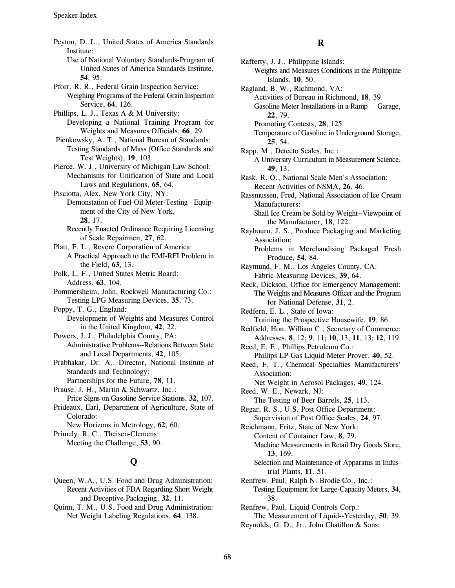Peyton, D. L., United States of America Standards Institute: Use of National Voluntary Standards-Program of United States of America Standards Institute, 54, 95. Pforr, R. R., Federal Grain Inspection Service: Weighing Programs of the Federal Grain Inspection Service, 64, 126. Phillips, L. J., Texas A & M University: Developing a National Training Program for Weights and Measures Officials, 66, 29. Pienkowsky, A. T., National Bureau of Standards: Testing Standards of Mass (Office Standards and Test Weights), 19, 103. Pierce, W. J., University of Michigan Law School: Mechanisms for Unification of State and Local Laws and Regulations, 65, 64. Pisciotta, Alex, New York City, NY: Demonstation of Fuel-Oil Meter-Testing Equipment of the City of New York, 28, 17. Recently Enacted Ordinance Requiring Licensing of Scale Repairmen, 27, 62. Platt, F. L., Revere Corporation of America: A Practical Approach to the EMI-RFI Problem in the Field, 63, 13. Polk, L. F., United States Metric Board: Address, 63, 104. Pommersheim, John, Rockwell Manufacturing Co.: Testing LPG Measuring Devices, 35, 73. Poppy, T. G., England: Development of Weights and Measures Control in the United Kingdom, 42, 22. Powers, J. J., Philadelphia County, PA: **Administrative Problems--Relations Between State** and Local Departments, 42, 105. Prabhakar, Dr. A., Director, National Institute of **Standards and Technology:** Partnerships for the Future, 78, 11. Prause, J. H., Martin & Schwartz, Inc.: Price Signs on Gasoline Service Stations, 32, 107. Prideaux, Earl, Department of Agriculture, State of Colorado: New Horizons in Metrology, 62, 60. Primely, R. C., Theisen-Clemens: Meeting the Challenge, 53, 90.

# $\mathbf Q$

- Queen, W.A., U.S. Food and Drug Administration: Recent Activities of FDA Regarding Short Weight and Deceptive Packaging, 32, 11.
- Ouinn, T. M., U.S. Food and Drug Administration: Net Weight Labeling Regulations, 64, 138.

 $\bf{R}$ Rafferty, J. J., Philippine Islands: Weights and Measures Conditions in the Philippine Islands, 10, 50. Ragland, B. W., Richmond, VA: Activities of Bureau in Richmond, 18, 39. Gasoline Meter Installations in a Ramp Garage, 22, 79. Promoting Contests, 28, 125. Temperature of Gasoline in Underground Storage, 25.54. Rapp, M., Detecto Scales, Inc.: A University Curriculum in Measurement Science, 49, 13. Rask, R. O., National Scale Men's Association: Recent Activities of NSMA, 26, 46. Rassmussen, Fred, National Association of Ice Cream Manufacturers: Shall Ice Cream be Sold by Weight--Viewpoint of the Manufacturer, 18, 122. Raybourn, J. S., Produce Packaging and Marketing Association: Problems in Merchandising Packaged Fresh Produce, 54, 84. Raymund, F. M., Los Angeles County, CA: Fabric-Measuring Devices, 39, 64. Reck, Dickson, Office for Emergency Management: The Weights and Measures Officer and the Program for National Defense, 31, 2. Redfern, E. L., State of Iowa: Training the Prospective Housewife, 19, 86. Redfield, Hon. William C., Secretary of Commerce: Addresses, 8, 12; 9, 11; 10, 13; 11, 13; 12, 119. Reed, E. E., Phillips Petroleum Co.: Phillips LP-Gas Liquid Meter Prover, 40, 52. Reed, F. T., Chemical Specialties Manufacturers' Association: Net Weight in Aerosol Packages, 49, 124. Reed, W. E., Newark, NJ: The Testing of Beer Barrels, 25, 113. Regar, R. S., U.S. Post Office Department: Supervision of Post Office Scales, 24, 97. Reichmann, Fritz, State of New York: Content of Container Law, 8, 79. Machine Measurements in Retail Dry Goods Store, 13, 169. Selection and Maintenance of Apparatus in Industrial Plants, 11, 51. Renfrew, Paul, Ralph N. Brodie Co., Inc.:

Testing Equipment for Large-Capacity Meters, 34, 38. Renfrew, Paul, Liquid Controls Corp.:

The Measurement of Liquid--Yesterday, 50, 39. Reynolds, G. D., Jr., John Chatillon & Sons: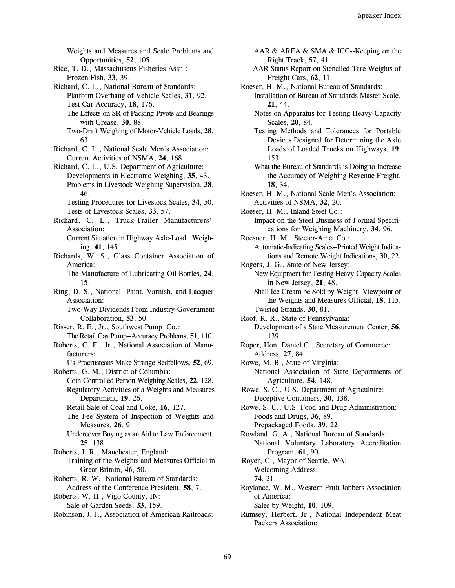Weights and Measures and Scale Problems and Opportunities, 52, 105.

- Rice, T. D., Massachusetts Fisheries Assn.: Frozen Fish, 33, 39.
- Richard, C. L., National Bureau of Standards: Platform Overhang of Vehicle Scales, 31, 92. Test Car Accuracy, 18, 176.
	- The Effects on SR of Packing Pivots and Bearings with Grease, 30, 88.
	- Two-Draft Weighing of Motor-Vehicle Loads, 28, 63.
- Richard, C. L., National Scale Men's Association: Current Activities of NSMA, 24, 168.
- Richard, C. L., U.S. Department of Agriculture: Developments in Electronic Weighing, 35, 43. Problems in Livestock Weighing Supervision, 38, 46.
	- Testing Procedures for Livestock Scales, 34, 50. Tests of Livestock Scales, 33, 57.
- Richard, C. L., Truck-Trailer Manufacturers' Association:

Current Situation in Highway Axle-Load Weighing, 41, 145.

Richards, W. S., Glass Container Association of America:

The Manufacture of Lubricating-Oil Bottles, 24, 15.

Ring, D. S., National Paint, Varnish, and Lacquer Association:

Two-Way Dividends From Industry-Government Collaboration, 53, 50.

- Risser, R. E., Jr., Southwest Pump Co.: The Retail Gas Pump--Accuracy Problems, 51, 110.
- Roberts, C. F., Jr., National Association of Manufacturers:

Us Procrusteans Make Strange Bedfellows, 52, 69.

- Roberts, G. M., District of Columbia: Coin-Controlled Person-Weighing Scales, 22, 128. Regulatory Activities of a Weights and Measures Department, 19, 26.
	- Retail Sale of Coal and Coke, 16, 127.
	- The Fee System of Inspection of Weights and Measures, 26, 9.
	- Undercover Buying as an Aid to Law Enforcement, 25. 138.
- Roberts, J. R., Manchester, England:

Training of the Weights and Measures Official in Great Britain, 46, 50.

- Roberts, R. W., National Bureau of Standards: Address of the Conference President, 58, 7.
- Roberts, W. H., Vigo County, IN: Sale of Garden Seeds, 33, 159.
- Robinson, J. J., Association of American Railroads:
- AAR & AREA & SMA & ICC--Keeping on the Right Track, 57, 41.
- AAR Status Report on Stenciled Tare Weights of Freight Cars, 62, 11.

Roeser, H. M., National Bureau of Standards:

- Installation of Bureau of Standards Master Scale, 21.44.
	- Notes on Apparatus for Testing Heavy-Capacity Scales, 20, 84.
- Testing Methods and Tolerances for Portable Devices Designed for Determining the Axle Loads of Loaded Trucks on Highways, 19, 153.
- What the Bureau of Standards is Doing to Increase the Accuracy of Weighing Revenue Freight, 18.34.
- Roeser, H. M., National Scale Men's Association: Activities of NSMA, 32, 20.

Roeser, H. M., Inland Steel Co.:

- Impact on the Steel Business of Formal Specifications for Weighing Machinery, 34, 96.
- Roesner, H. M., Steeter-Amet Co.: Automatic-Indicating Scales--Printed Weight Indications and Remote Weight Indications, 30, 22.
- Rogers, J. G., State of New Jersey:
- New Equipment for Testing Heavy-Capacity Scales in New Jersey, 21, 48.
- Shall Ice Cream be Sold by Weight--Viewpoint of the Weights and Measures Official, 18, 115. Twisted Strands, 30, 81.
- Roof, R. R., State of Pennsylvania: Development of a State Measurement Center, 56, 139.
- Roper, Hon. Daniel C., Secretary of Commerce: Address, 27, 84.
- Rowe, M. B., State of Virginia: National Association of State Departments of Agriculture, 54, 148.
- Rowe, S. C., U.S. Department of Agriculture: Deceptive Containers, 30, 138.
- Rowe, S. C., U.S. Food and Drug Administration: Foods and Drugs, 36, 89.

Prepackaged Foods, 39, 22.

- Rowland, G. A., National Bureau of Standards: National Voluntary Laboratory Accreditation Program, 61, 90.
- Royer, C., Mayor of Seattle, WA: Welcoming Address,
	- 74, 21.
- Roylance, W. M., Western Fruit Jobbers Association of America:

Sales by Weight, 10, 109.

Rumsey, Herbert, Jr., National Independent Meat Packers Association: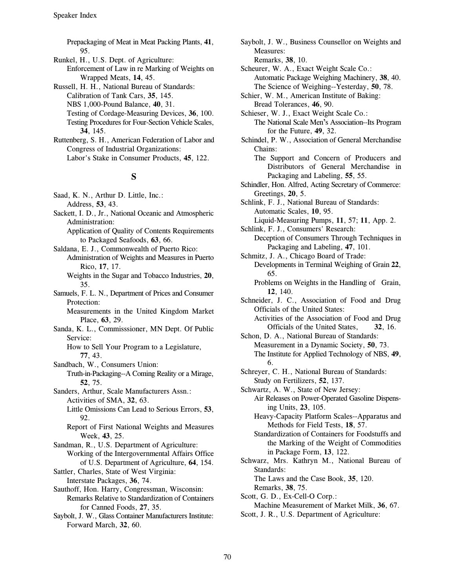Prepackaging of Meat in Meat Packing Plants, 41, 95.

- Runkel, H., U.S. Dept. of Agriculture: Enforcement of Law in re Marking of Weights on Wrapped Meats, 14, 45.
- Russell, H. H., National Bureau of Standards: Calibration of Tank Cars. 35, 145. NBS 1,000-Pound Balance, 40, 31. Testing of Cordage-Measuring Devices, 36, 100.
	- Testing Procedures for Four-Section Vehicle Scales, 34, 145.
- Ruttenberg, S. H., American Federation of Labor and Congress of Industrial Organizations: Labor's Stake in Consumer Products, 45, 122.

## S

- Saad, K. N., Arthur D. Little, Inc.: Address, 53, 43.
- Sackett, I. D., Jr., National Oceanic and Atmospheric Administration:
	- Application of Quality of Contents Requirements to Packaged Seafoods, 63, 66.
- Saldana, E. J., Commonwealth of Puerto Rico: Administration of Weights and Measures in Puerto Rico. 17, 17.
	- Weights in the Sugar and Tobacco Industries, 20, 35.
- Samuels, F. L. N., Department of Prices and Consumer Protection:

Measurements in the United Kingdom Market Place, 63, 29.

Sanda, K. L., Commisssioner, MN Dept. Of Public Service:

How to Sell Your Program to a Legislature, 77, 43.

- Sandbach, W., Consumers Union:
	- Truth-in-Packaging--A Coming Reality or a Mirage,  $52.75.$
- Sanders, Arthur, Scale Manufacturers Assn.: Activities of SMA, 32, 63.
	- Little Omissions Can Lead to Serious Errors, 53, 92.
	- Report of First National Weights and Measures Week, 43, 25.
- Sandman, R., U.S. Department of Agriculture: Working of the Intergovernmental Affairs Office of U.S. Department of Agriculture, 64, 154.
- Sattler, Charles, State of West Virginia: Interstate Packages, 36, 74.
- Sauthoff, Hon. Harry, Congressman, Wisconsin: Remarks Relative to Standardization of Containers for Canned Foods, 27, 35.
- Saybolt, J. W., Glass Container Manufacturers Institute: Forward March, 32, 60.

Saybolt, J. W., Business Counsellor on Weights and Measures:

Remarks, 38, 10.

- Scheurer, W. A., Exact Weight Scale Co.: Automatic Package Weighing Machinery, 38, 40. The Science of Weighing--Yesterday, 50, 78.
- Schier, W. M., American Institute of Baking: Bread Tolerances, 46, 90.

Schieser, W. J., Exact Weight Scale Co.:

- The National Scale Men's Association--Its Program for the Future, 49, 32.
- Schindel, P. W., Association of General Merchandise Chains:
	- The Support and Concern of Producers and Distributors of General Merchandise in Packaging and Labeling, 55, 55.
- Schindler, Hon. Alfred, Acting Secretary of Commerce: Greetings, 20, 5.
- Schlink, F. J., National Bureau of Standards: Automatic Scales, 10, 95.
- Liquid-Measuring Pumps, 11, 57; 11, App. 2. Schlink, F. J., Consumers' Research:
	- Deception of Consumers Through Techniques in Packaging and Labeling, 47, 101.
- Schmitz, J. A., Chicago Board of Trade: Developments in Terminal Weighing of Grain 22, 65.
	- Problems on Weights in the Handling of Grain, 12. 140.
- Schneider, J. C., Association of Food and Drug Officials of the United States:
	- Activities of the Association of Food and Drug Officials of the United States, 32, 16.
- Schon, D. A., National Bureau of Standards: Measurement in a Dynamic Society, 50, 73. The Institute for Applied Technology of NBS, 49, 6.
- Schreyer, C. H., National Bureau of Standards: Study on Fertilizers, 52, 137.
- Schwartz, A. W., State of New Jersey: Air Releases on Power-Operated Gasoline Dispensing Units, 23, 105.
	- Heavy-Capacity Platform Scales--Apparatus and Methods for Field Tests, 18, 57.
	- Standardization of Containers for Foodstuffs and the Marking of the Weight of Commodities in Package Form, 13, 122.
- Schwarz, Mrs. Kathryn M., National Bureau of Standards:

The Laws and the Case Book, 35, 120.

Remarks, 38, 75.

- Scott, G. D., Ex-Cell-O Corp.:
- Machine Measurement of Market Milk, 36, 67.
- Scott, J. R., U.S. Department of Agriculture: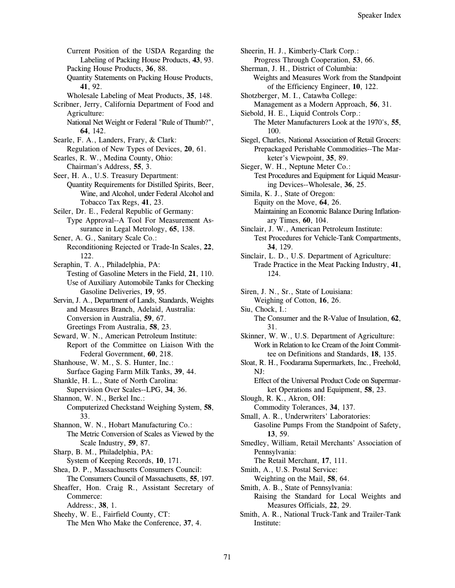Current Position of the USDA Regarding the Labeling of Packing House Products, 43, 93. Packing House Products, 36, 88. Quantity Statements on Packing House Products, 41, 92. Wholesale Labeling of Meat Products, 35, 148. Scribner, Jerry, California Department of Food and Agriculture: National Net Weight or Federal "Rule of Thumb?", 64, 142. Searle, F. A., Landers, Frary, & Clark: Regulation of New Types of Devices, 20, 61. Searles, R. W., Medina County, Ohio: Chairman's Address, 55, 3. Seer, H. A., U.S. Treasury Department: Quantity Requirements for Distilled Spirits, Beer, Wine, and Alcohol, under Federal Alcohol and Tobacco Tax Regs, 41, 23. Seiler, Dr. E., Federal Republic of Germany: Type Approval--A Tool For Measurement Assurance in Legal Metrology, 65, 138. Sener, A. G., Sanitary Scale Co.: Reconditioning Rejected or Trade-In Scales, 22, 122. Seraphin, T. A., Philadelphia, PA: Testing of Gasoline Meters in the Field, 21, 110. Use of Auxiliary Automobile Tanks for Checking Gasoline Deliveries, 19, 95. Servin, J. A., Department of Lands, Standards, Weights and Measures Branch, Adelaid, Australia: Conversion in Australia, 59, 67. Greetings From Australia, 58, 23. Seward, W. N., American Petroleum Institute: Report of the Committee on Liaison With the Federal Government, 60, 218. Shanhouse, W. M., S. S. Hunter, Inc.: Surface Gaging Farm Milk Tanks, 39, 44. Shankle, H. L., State of North Carolina: Supervision Over Scales--LPG, 34, 36. Shannon, W. N., Berkel Inc.: Computerized Checkstand Weighing System, 58, 33. Shannon, W. N., Hobart Manufacturing Co.: The Metric Conversion of Scales as Viewed by the Scale Industry, 59, 87. Sharp, B. M., Philadelphia, PA: System of Keeping Records, 10, 171. Shea, D. P., Massachusetts Consumers Council: The Consumers Council of Massachusetts, 55, 197. Sheaffer, Hon. Craig R., Assistant Secretary of Commerce: Address:, 38, 1. Sheehy, W. E., Fairfield County, CT: The Men Who Make the Conference, 37, 4.

Sheerin, H. J., Kimberly-Clark Corp.: Progress Through Cooperation, 53, 66. Sherman, J. H., District of Columbia: Weights and Measures Work from the Standpoint of the Efficiency Engineer, 10, 122. Shotzberger, M. I., Catawba College: Management as a Modern Approach, 56, 31. Siebold, H. E., Liquid Controls Corp.: The Meter Manufacturers Look at the 1970's, 55, 100. Siegel, Charles, National Association of Retail Grocers: Prepackaged Perishable Commodities--The Marketer's Viewpoint, 35, 89. Sieger, W. H., Neptune Meter Co.: Test Procedures and Equipment for Liquid Measuring Devices--Wholesale, 36, 25. Simila, K. J., State of Oregon: Equity on the Move, 64, 26. Maintaining an Economic Balance During Inflationary Times, 60, 104. Sinclair, J. W., American Petroleum Institute: Test Procedures for Vehicle-Tank Compartments, 34. 129. Sinclair, L. D., U.S. Department of Agriculture: Trade Practice in the Meat Packing Industry, 41, 124. Siren, J. N., Sr., State of Louisiana: Weighing of Cotton, 16, 26. Siu, Chock, I.: The Consumer and the R-Value of Insulation, 62, 31. Skinner, W. W., U.S. Department of Agriculture: Work in Relation to Ice Cream of the Joint Committee on Definitions and Standards, 18, 135. Sloat, R. H., Foodarama Supermarkets, Inc., Freehold,  $NI:$ Effect of the Universal Product Code on Supermarket Operations and Equipment, 58, 23. Slough, R. K., Akron, OH: Commodity Tolerances, 34, 137. Small, A. R., Underwriters' Laboratories: Gasoline Pumps From the Standpoint of Safety, 13.59. Smedley, William, Retail Merchants' Association of Pennsylvania: The Retail Merchant, 17, 111. Smith, A., U.S. Postal Service: Weighting on the Mail, 58, 64. Smith, A. B., State of Pennsylvania: Raising the Standard for Local Weights and Measures Officials, 22, 29. Smith, A. R., National Truck-Tank and Trailer-Tank Institute: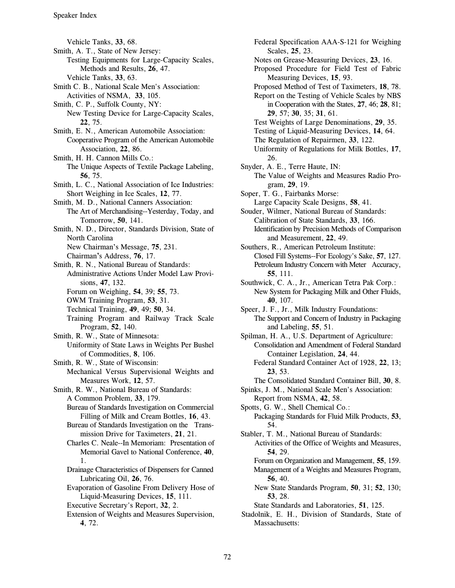Vehicle Tanks, 33, 68. Smith, A. T., State of New Jersey: Testing Equipments for Large-Capacity Scales, Methods and Results, 26, 47. Vehicle Tanks, 33, 63. Smith C. B., National Scale Men's Association: Activities of NSMA, 33, 105. Smith, C. P., Suffolk County, NY: New Testing Device for Large-Capacity Scales, 22.75. Smith, E. N., American Automobile Association: Cooperative Program of the American Automobile Association, 22, 86. Smith, H. H. Cannon Mills Co.: The Unique Aspects of Textile Package Labeling, 56, 75. Smith, L. C., National Association of Ice Industries: Short Weighing in Ice Scales, 12, 77. Smith, M. D., National Canners Association: The Art of Merchandising--Yesterday, Today, and Tomorrow, 50, 141. Smith, N. D., Director, Standards Division, State of North Carolina New Chairman's Message, 75, 231. Chairman's Address, 76, 17. Smith, R. N., National Bureau of Standards: Administrative Actions Under Model Law Provisions, 47, 132. Forum on Weighing, 54, 39; 55, 73. OWM Training Program, 53, 31. Technical Training, 49, 49; 50, 34. Training Program and Railway Track Scale Program, 52, 140. Smith, R. W., State of Minnesota: Uniformity of State Laws in Weights Per Bushel of Commodities, 8, 106. Smith, R. W., State of Wisconsin: Mechanical Versus Supervisional Weights and Measures Work, 12, 57. Smith, R. W., National Bureau of Standards: A Common Problem, 33, 179. Bureau of Standards Investigation on Commercial Filling of Milk and Cream Bottles, 16, 43. Bureau of Standards Investigation on the Transmission Drive for Taximeters, 21, 21. Charles C. Neale--In Memoriam: Presentation of Memorial Gavel to National Conference, 40, 1. Drainage Characteristics of Dispensers for Canned Lubricating Oil, 26, 76. Evaporation of Gasoline From Delivery Hose of Liquid-Measuring Devices, 15, 111. Executive Secretary's Report, 32, 2. Extension of Weights and Measures Supervision, 4, 72.

Federal Specification AAA-S-121 for Weighing Scales, 25, 23. Notes on Grease-Measuring Devices, 23, 16. Proposed Procedure for Field Test of Fabric Measuring Devices, 15, 93. Proposed Method of Test of Taximeters, 18, 78. Report on the Testing of Vehicle Scales by NBS in Cooperation with the States, 27, 46; 28, 81; 29, 57; 30, 35; 31, 61. Test Weights of Large Denominations, 29, 35. Testing of Liquid-Measuring Devices, 14, 64. The Regulation of Repairmen, 33, 122. Uniformity of Regulations for Milk Bottles, 17, 26. Snyder, A. E., Terre Haute, IN: The Value of Weights and Measures Radio Program, 29, 19. Soper, T. G., Fairbanks Morse: Large Capacity Scale Designs, 58, 41. Souder, Wilmer, National Bureau of Standards: Calibration of State Standards, 33, 166. Identification by Precision Methods of Comparison and Measurement, 22, 49. Southers, R., American Petroleum Institute: Closed Fill Systems--For Ecology's Sake, 57, 127. Petroleum Industry Concern with Meter Accuracy, 55, 111. Southwick, C. A., Jr., American Tetra Pak Corp.: New System for Packaging Milk and Other Fluids, 40, 107. Speer, J. F., Jr., Milk Industry Foundations: The Support and Concern of Industry in Packaging and Labeling, 55, 51. Spilman, H. A., U.S. Department of Agriculture: **Consolidation and Amendment of Federal Standard** Container Legislation, 24, 44. Federal Standard Container Act of 1928, 22, 13; 23, 53. The Consolidated Standard Container Bill, 30, 8. Spinks, J. M., National Scale Men's Association: Report from NSMA, 42, 58. Spotts, G. W., Shell Chemical Co.: Packaging Standards for Fluid Milk Products, 53, 54. Stabler, T. M., National Bureau of Standards: Activities of the Office of Weights and Measures, 54, 29. Forum on Organization and Management, 55, 159. Management of a Weights and Measures Program, 56, 40. New State Standards Program, 50, 31; 52, 130; 53.28. State Standards and Laboratories, 51, 125. Stadolnik, E. H., Division of Standards, State of Massachusetts: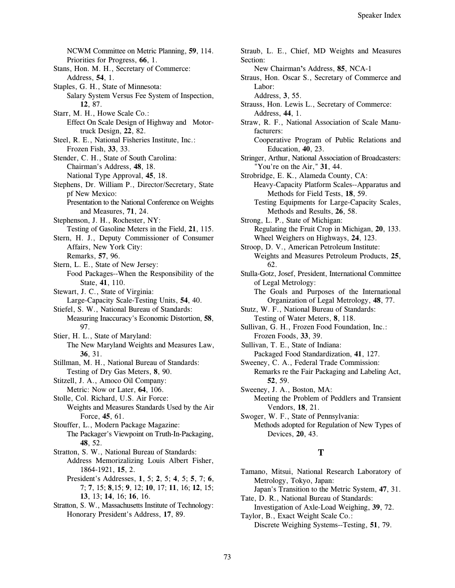NCWM Committee on Metric Planning, 59, 114. Priorities for Progress, 66, 1. Stans, Hon. M. H., Secretary of Commerce: Address, 54, 1. Staples, G. H., State of Minnesota: Salary System Versus Fee System of Inspection, 12.87. Starr, M. H., Howe Scale Co.: Effect On Scale Design of Highway and Motortruck Design, 22, 82. Steel, R. E., National Fisheries Institute, Inc.: Frozen Fish, 33, 33. Stender, C. H., State of South Carolina: Chairman's Address, 48, 18. National Type Approval, 45, 18. Stephens, Dr. William P., Director/Secretary, State pf New Mexico: Presentation to the National Conference on Weights and Measures, 71, 24. Stephenson, J. H., Rochester, NY: Testing of Gasoline Meters in the Field, 21, 115. Stern, H. J., Deputy Commissioner of Consumer Affairs, New York City: Remarks, 57, 96. Stern, L. E., State of New Jersey: Food Packages--When the Responsibility of the State, 41, 110. Stewart, J. C., State of Virginia: Large-Capacity Scale-Testing Units, 54, 40. Stiefel, S. W., National Bureau of Standards: Measuring Inaccuracy's Economic Distortion, 58, 97. Stier, H. L., State of Maryland: The New Maryland Weights and Measures Law,  $36.31.$ Stillman, M. H., National Bureau of Standards: Testing of Dry Gas Meters, 8, 90. Stitzell, J. A., Amoco Oil Company: Metric: Now or Later, 64, 106. Stolle, Col. Richard, U.S. Air Force: Weights and Measures Standards Used by the Air Force, 45, 61. Stouffer, L., Modern Package Magazine: The Packager's Viewpoint on Truth-In-Packaging, 48.52. Stratton, S. W., National Bureau of Standards: Address Memorizalizing Louis Albert Fisher, 1864-1921, 15, 2. President's Addresses, 1, 5; 2, 5; 4, 5; 5, 7; 6, 7; 7, 15; 8, 15; 9, 12; 10, 17; 11, 16; 12, 15; 13, 13; 14, 16; 16, 16. Stratton, S. W., Massachusetts Institute of Technology:

Honorary President's Address, 17, 89.

Straub, L. E., Chief, MD Weights and Measures Section: New Chairman's Address, 85, NCA-1 Straus, Hon. Oscar S., Secretary of Commerce and Labor: Address, 3, 55. Strauss, Hon. Lewis L., Secretary of Commerce: Address, 44, 1. Straw, R. F., National Association of Scale Manufacturers: Cooperative Program of Public Relations and Education, 40, 23. Stringer, Arthur, National Association of Broadcasters: "You're on the Air,"  $31, 44$ . Strobridge, E. K., Alameda County, CA: Heavy-Capacity Platform Scales--Apparatus and Methods for Field Tests, 18, 59. Testing Equipments for Large-Capacity Scales, Methods and Results, 26, 58. Strong, L. P., State of Michigan: Regulating the Fruit Crop in Michigan, 20, 133. Wheel Weighers on Highways, 24, 123. Stroop, D. V., American Petroleum Institute: Weights and Measures Petroleum Products, 25, 62. Stulla-Gotz, Josef, President, International Committee of Legal Metrology: The Goals and Purposes of the International Organization of Legal Metrology, 48, 77. Stutz, W. F., National Bureau of Standards: Testing of Water Meters, 8, 118. Sullivan, G. H., Frozen Food Foundation, Inc.: Frozen Foods, 33, 39. Sullivan, T. E., State of Indiana: Packaged Food Standardization, 41, 127. Sweeney, C. A., Federal Trade Commission: Remarks re the Fair Packaging and Labeling Act, 52, 59. Sweeney, J. A., Boston, MA: Meeting the Problem of Peddlers and Transient Vendors, 18, 21. Swoger, W. F., State of Pennsylvania: Methods adopted for Regulation of New Types of Devices, 20, 43. T Tamano, Mitsui, National Research Laboratory of Metrology, Tokyo, Japan:

Japan's Transition to the Metric System, 47, 31. Tate, D. R., National Bureau of Standards: Investigation of Axle-Load Weighing, 39, 72.

Taylor, B., Exact Weight Scale Co.: Discrete Weighing Systems--Testing, 51, 79.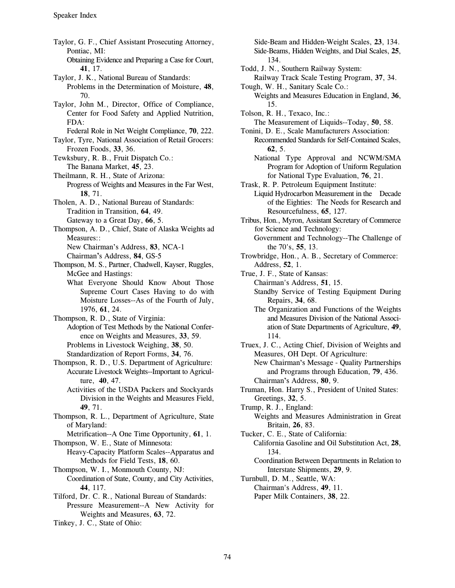Taylor, G. F., Chief Assistant Prosecuting Attorney, Pontiac. MI: Obtaining Evidence and Preparing a Case for Court, 41.17. Taylor, J. K., National Bureau of Standards: Problems in the Determination of Moisture, 48, 70. Taylor, John M., Director, Office of Compliance, Center for Food Safety and Applied Nutrition, FDA: Federal Role in Net Weight Compliance, 70, 222. Taylor, Tyre, National Association of Retail Grocers: Frozen Foods, 33, 36. Tewksbury, R. B., Fruit Dispatch Co.: The Banana Market, 45, 23. Theilmann, R. H., State of Arizona: Progress of Weights and Measures in the Far West, 18.71. Tholen, A. D., National Bureau of Standards: Tradition in Transition, 64, 49. Gateway to a Great Day, 66, 5. Thompson, A. D., Chief, State of Alaska Weights ad Measures:: New Chairman's Address, 83, NCA-1 Chairman's Address, 84, GS-5 Thompson, M. S., Partner, Chadwell, Kayser, Ruggles, McGee and Hastings: What Everyone Should Know About Those Supreme Court Cases Having to do with Moisture Losses--As of the Fourth of July, 1976, 61, 24. Thompson, R. D., State of Virginia: Adoption of Test Methods by the National Conference on Weights and Measures, 33, 59. Problems in Livestock Weighing, 38, 50. Standardization of Report Forms, 34, 76. Thompson, R. D., U.S. Department of Agriculture: Accurate Livestock Weights--Important to Agriculture, 40, 47. Activities of the USDA Packers and Stockyards Division in the Weights and Measures Field, 49, 71. Thompson, R. L., Department of Agriculture, State of Maryland: Metrification--A One Time Opportunity, 61, 1. Thompson, W. E., State of Minnesota: Heavy-Capacity Platform Scales--Apparatus and Methods for Field Tests, 18, 60. Thompson, W. I., Monmouth County, NJ: Coordination of State, County, and City Activities, 44. 117. Tilford, Dr. C. R., National Bureau of Standards: Pressure Measurement--A New Activity for Weights and Measures, 63, 72.

Tinkey, J. C., State of Ohio:

Side-Beam and Hidden-Weight Scales, 23, 134. Side-Beams, Hidden Weights, and Dial Scales, 25, 134.

- Todd, J. N., Southern Railway System: Railway Track Scale Testing Program, 37, 34.
- Tough, W. H., Sanitary Scale Co.: Weights and Measures Education in England, 36, 15.
- Tolson, R. H., Texaco, Inc.:
	- The Measurement of Liquids--Today, 50, 58.
	- Tonini, D. E., Scale Manufacturers Association: Recommended Standards for Self-Contained Scales,  $62.5.$ 
		- National Type Approval and NCWM/SMA Program for Adoption of Uniform Regulation for National Type Evaluation, 76, 21.

Trask, R. P. Petroleum Equipment Institute:

- Liquid Hydrocarbon Measurement in the Decade of the Eighties: The Needs for Research and Resourcefulness, 65, 127.
- Tribus, Hon., Myron, Assistant Secretary of Commerce for Science and Technology: Government and Technology--The Challenge of
	- the 70's, 55, 13.
- Trowbridge, Hon., A. B., Secretary of Commerce: Address, 52, 1.

True, J. F., State of Kansas:

Chairman's Address, 51, 15.

- Standby Service of Testing Equipment During Repairs, 34, 68.
- The Organization and Functions of the Weights and Measures Division of the National Association of State Departments of Agriculture, 49, 114.

Truex, J. C., Acting Chief, Division of Weights and Measures, OH Dept. Of Agriculture: New Chairman's Message - Quality Partnerships and Programs through Education, 79, 436. Chairman's Address, 80, 9.

Truman, Hon. Harry S., President of United States: Greetings, 32, 5.

Trump, R. J., England:

Weights and Measures Administration in Great Britain, 26, 83.

Tucker, C. E., State of California: California Gasoline and Oil Substitution Act, 28, 134.

Coordination Between Departments in Relation to Interstate Shipments, 29, 9.

Turnbull, D. M., Seattle, WA: Chairman's Address, 49, 11. Paper Milk Containers, 38, 22.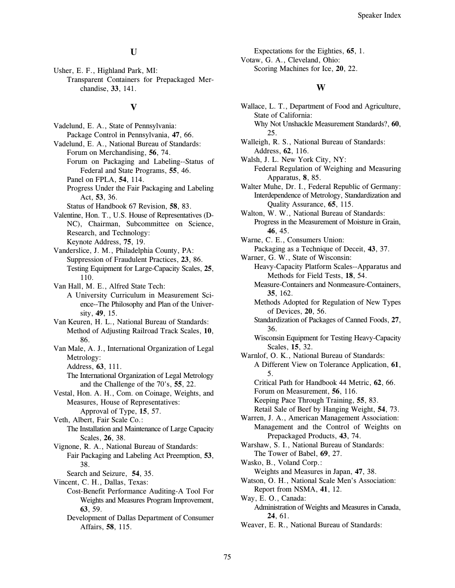### U

Usher, E. F., Highland Park, MI: Transparent Containers for Prepackaged Merchandise, 33, 141.

#### $\overline{\mathbf{V}}$

Vadelund, E. A., State of Pennsylvania: Package Control in Pennsylvania, 47, 66. Vadelund, E. A., National Bureau of Standards: Forum on Merchandising, 56, 74. Forum on Packaging and Labeling--Status of Federal and State Programs, 55, 46. Panel on FPLA, 54, 114. Progress Under the Fair Packaging and Labeling Act, 53, 36. Status of Handbook 67 Revision, 58, 83. Valentine, Hon. T., U.S. House of Representatives (D-NC), Chairman, Subcommittee on Science, Research, and Technology: Keynote Address, 75, 19. Vanderslice, J. M., Philadelphia County, PA: Suppression of Fraudulent Practices, 23, 86. Testing Equipment for Large-Capacity Scales, 25, 110. Van Hall, M. E., Alfred State Tech: A University Curriculum in Measurement Science--The Philosophy and Plan of the University, 49, 15. Van Keuren, H. L., National Bureau of Standards: Method of Adjusting Railroad Track Scales, 10, 86. Van Male, A. J., International Organization of Legal Metrology: Address, 63, 111. The International Organization of Legal Metrology and the Challenge of the 70's, 55, 22. Vestal, Hon. A. H., Com. on Coinage, Weights, and Measures, House of Representatives: Approval of Type, 15, 57. Veth, Albert, Fair Scale Co.: The Installation and Maintenance of Large Capacity Scales, 26, 38. Vignone, R. A., National Bureau of Standards: Fair Packaging and Labeling Act Preemption, 53, 38. Search and Seizure, 54, 35. Vincent, C. H., Dallas, Texas: Cost-Benefit Performance Auditing-A Tool For Weights and Measures Program Improvement,  $63, 59.$ Development of Dallas Department of Consumer Affairs, 58, 115.

Expectations for the Eighties, 65, 1. Votaw, G. A., Cleveland, Ohio: Scoring Machines for Ice, 20, 22.

#### W

- Wallace, L. T., Department of Food and Agriculture, State of California: Why Not Unshackle Measurement Standards?, 60, 25.
- Walleigh, R. S., National Bureau of Standards: Address, 62, 116.

Walsh, J. L. New York City, NY: Federal Regulation of Weighing and Measuring Apparatus, 8, 85.

Walter Muhe, Dr. I., Federal Republic of Germany: Interdependence of Metrology, Standardization and Ouality Assurance, 65, 115.

Walton, W. W., National Bureau of Standards: Progress in the Measurement of Moisture in Grain, 46.45.

Warne, C. E., Consumers Union: Packaging as a Technique of Deceit, 43, 37. Warner, G. W., State of Wisconsin:

Heavy-Capacity Platform Scales--Apparatus and Methods for Field Tests, 18, 54.

Measure-Containers and Nonmeasure-Containers. 35. 162.

- Methods Adopted for Regulation of New Types of Devices, 20, 56.
- Standardization of Packages of Canned Foods, 27, 36.
- Wisconsin Equipment for Testing Heavy-Capacity Scales, 15, 32.

Warnlof, O. K., National Bureau of Standards: A Different View on Tolerance Application, 61,  $5<sub>1</sub>$ 

Critical Path for Handbook 44 Metric, 62, 66.

Forum on Measurement, 56, 116.

Keeping Pace Through Training, 55, 83.

Retail Sale of Beef by Hanging Weight, 54, 73.

- Warren, J. A., American Management Association: Management and the Control of Weights on Prepackaged Products, 43, 74.
- Warshaw, S. I., National Bureau of Standards: The Tower of Babel, 69, 27.

Wasko, B., Voland Corp.: Weights and Measures in Japan, 47, 38.

- Watson, O. H., National Scale Men's Association: Report from NSMA, 41, 12.
- Way, E. O., Canada: Administration of Weights and Measures in Canada, 24.61.
- Weaver, E. R., National Bureau of Standards: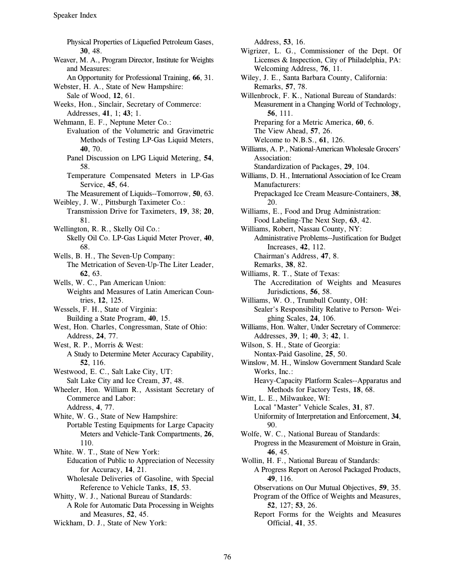Physical Properties of Liquefied Petroleum Gases, 30.48. Weaver, M. A., Program Director, Institute for Weights and Measures: An Opportunity for Professional Training, 66, 31. Webster, H. A., State of New Hampshire: Sale of Wood, 12, 61. Weeks, Hon., Sinclair, Secretary of Commerce: Addresses, 41, 1; 43; 1. Wehmann, E. F., Neptune Meter Co.: Evaluation of the Volumetric and Gravimetric Methods of Testing LP-Gas Liquid Meters, 40.70. Panel Discussion on LPG Liquid Metering, 54, 58. Temperature Compensated Meters in LP-Gas Service, 45, 64. The Measurement of Liquids--Tomorrow, 50, 63. Weibley, J. W., Pittsburgh Taximeter Co.: Transmission Drive for Taximeters, 19, 38; 20, 81. Wellington, R. R., Skelly Oil Co.: Skelly Oil Co. LP-Gas Liquid Meter Prover, 40, 68. Wells, B. H., The Seven-Up Company: The Metrication of Seven-Up-The Liter Leader, 62, 63. Wells, W. C., Pan American Union: Weights and Measures of Latin American Countries, 12, 125. Wessels, F. H., State of Virginia: Building a State Program, 40, 15. West, Hon. Charles, Congressman, State of Ohio: Address, 24, 77. West, R. P., Morris & West: A Study to Determine Meter Accuracy Capability, 52.116. Westwood, E. C., Salt Lake City, UT: Salt Lake City and Ice Cream, 37, 48. Wheeler, Hon. William R., Assistant Secretary of Commerce and Labor: Address, 4, 77. White, W. G., State of New Hampshire: Portable Testing Equipments for Large Capacity Meters and Vehicle-Tank Compartments, 26, 110. White. W. T., State of New York: Education of Public to Appreciation of Necessity for Accuracy, 14, 21. Wholesale Deliveries of Gasoline, with Special Reference to Vehicle Tanks, 15, 53. Whitty, W. J., National Bureau of Standards: A Role for Automatic Data Processing in Weights and Measures, 52, 45. Wickham, D. J., State of New York:

Address, 53, 16.

- Wigrizer, L. G., Commissioner of the Dept. Of Licenses & Inspection, City of Philadelphia, PA: Welcoming Address, 76, 11.
- Wiley, J. E., Santa Barbara County, California: Remarks, 57, 78.

Willenbrock, F. K., National Bureau of Standards: Measurement in a Changing World of Technology, 56, 111. Preparing for a Metric America, 60, 6. The View Ahead, 57, 26. Welcome to N.B.S., 61, 126. Williams, A. P., National-American Wholesale Grocers' Association: Standardization of Packages, 29, 104. Williams, D. H., International Association of Ice Cream Manufacturers: Prepackaged Ice Cream Measure-Containers, 38, 20. Williams, E., Food and Drug Administration: Food Labeling-The Next Step, 63, 42.

Williams, Robert, Nassau County, NY: Administrative Problems--Justification for Budget Increases, 42, 112. Chairman's Address, 47, 8. Remarks, 38, 82.

- Williams, R. T., State of Texas: The Accreditation of Weights and Measures Jurisdictions, 56, 58.
- Williams, W. O., Trumbull County, OH: Sealer's Responsibility Relative to Person-Weighing Scales, 24, 106.
- Williams, Hon. Walter, Under Secretary of Commerce: Addresses, 39, 1; 40, 3; 42, 1.
- Wilson, S. H., State of Georgia: Nontax-Paid Gasoline, 25, 50.
- Winslow, M. H., Winslow Government Standard Scale Works, Inc.: Heavy-Capacity Platform Scales--Apparatus and Methods for Factory Tests, 18, 68.
- Witt, L. E., Milwaukee, WI: Local "Master" Vehicle Scales, 31, 87. Uniformity of Interpretation and Enforcement, 34, 90.
- Wolfe, W. C., National Bureau of Standards: Progress in the Measurement of Moisture in Grain, 46.45.
- Wollin, H. F., National Bureau of Standards: A Progress Report on Aerosol Packaged Products, 49, 116.
	- Observations on Our Mutual Objectives, 59, 35. Program of the Office of Weights and Measures, 52, 127; 53, 26.
	- Report Forms for the Weights and Measures Official, 41, 35.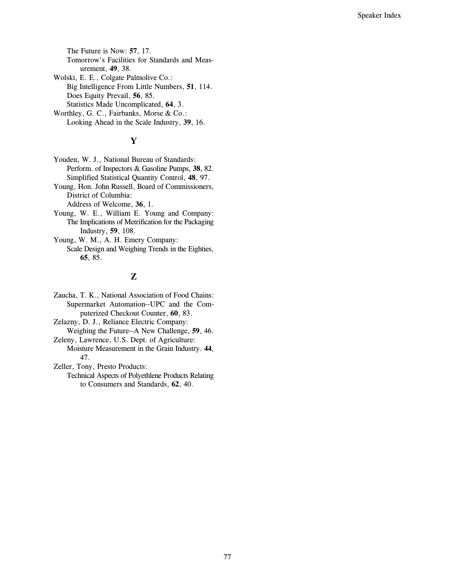The Future is Now: 57, 17. Tomorrow's Facilities for Standards and Measurement, 49, 38. Wolski, E. E., Colgate Palmolive Co.: Big Intelligence From Little Numbers, 51, 114. Does Equity Prevail, 56, 85. Statistics Made Uncomplicated, 64, 3. Worthley, G. C., Fairbanks, Morse & Co.: Looking Ahead in the Scale Industry, 39, 16.

# Y

Youden, W. J., National Bureau of Standards: Perform. of Inspectors & Gasoline Pumps, 38, 82. Simplified Statistical Quantity Control, 48, 97.

Young, Hon. John Russell, Board of Commissioners, District of Columbia:

Address of Welcome, 36, 1.

- Young, W. E., William E. Young and Company: The Implications of Metrification for the Packaging Industry, 59, 108.
- Young, W. M., A. H. Emery Company: Scale Design and Weighing Trends in the Eighties, 65, 85.

### $\mathbf{Z}$

Zaucha, T. K., National Association of Food Chains: Supermarket Automation--UPC and the Computerized Checkout Counter, 60, 83.

Zelazny, D. J., Reliance Electric Company:

Weighing the Future--A New Challenge, 59, 46.

Zeleny, Lawrence, U.S. Dept. of Agriculture: Moisture Measurement in the Grain Industry. 44, 47.

Zeller, Tony, Presto Products:

Technical Aspects of Polyethlene Products Relating to Consumers and Standards, 62, 40.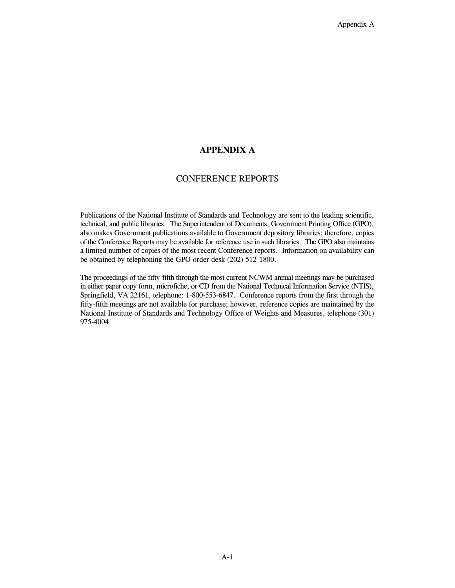### **APPENDIX A**

#### **CONFERENCE REPORTS**

Publications of the National Institute of Standards and Technology are sent to the leading scientific, technical, and public libraries. The Superintendent of Documents, Government Printing Office (GPO), also makes Government publications available to Government depository libraries; therefore, copies of the Conference Reports may be available for reference use in such libraries. The GPO also maintains a limited number of copies of the most recent Conference reports. Information on availability can be obtained by telephoning the GPO order desk (202) 512-1800.

The proceedings of the fifty-fifth through the most current NCWM annual meetings may be purchased in either paper copy form, microfiche, or CD from the National Technical Information Service (NTIS), Springfield, VA 22161, telephone: 1-800-553-6847. Conference reports from the first through the fifty-fifth meetings are not available for purchase; however, reference copies are maintained by the National Institute of Standards and Technology Office of Weights and Measures, telephone (301) 975-4004.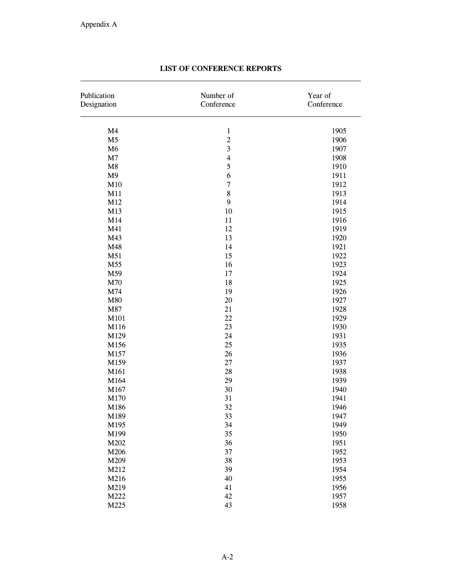| M <sub>4</sub><br>$\mathbf 1$<br>$\overline{c}$<br>M <sub>5</sub><br>$\overline{\mathbf{3}}$<br>M6<br>$\overline{\mathbf{4}}$<br>M7<br>5<br>M8<br>M <sub>9</sub><br>6<br>$\overline{7}$<br>M10<br>8<br>M11<br>9<br>M12<br>M13<br>10<br>M14<br>11 | Year of<br>Conference |
|--------------------------------------------------------------------------------------------------------------------------------------------------------------------------------------------------------------------------------------------------|-----------------------|
|                                                                                                                                                                                                                                                  | 1905                  |
|                                                                                                                                                                                                                                                  | 1906                  |
|                                                                                                                                                                                                                                                  | 1907                  |
|                                                                                                                                                                                                                                                  | 1908                  |
|                                                                                                                                                                                                                                                  | 1910                  |
|                                                                                                                                                                                                                                                  | 1911                  |
|                                                                                                                                                                                                                                                  | 1912                  |
|                                                                                                                                                                                                                                                  | 1913                  |
|                                                                                                                                                                                                                                                  | 1914                  |
|                                                                                                                                                                                                                                                  | 1915                  |
|                                                                                                                                                                                                                                                  | 1916                  |
| 12<br>M41                                                                                                                                                                                                                                        | 1919                  |
| 13<br>M43                                                                                                                                                                                                                                        | 1920                  |
| 14<br>M48                                                                                                                                                                                                                                        | 1921                  |
| 15<br>M51                                                                                                                                                                                                                                        | 1922                  |
| M55<br>16                                                                                                                                                                                                                                        | 1923                  |
| M59<br>17                                                                                                                                                                                                                                        | 1924                  |
| 18<br>M70                                                                                                                                                                                                                                        | 1925                  |
| M74<br>19                                                                                                                                                                                                                                        | 1926                  |
| 20<br>M80                                                                                                                                                                                                                                        | 1927                  |
| M87<br>21                                                                                                                                                                                                                                        | 1928                  |
| 22<br>M101                                                                                                                                                                                                                                       | 1929                  |
| 23<br>M116                                                                                                                                                                                                                                       | 1930                  |
| 24<br>M129                                                                                                                                                                                                                                       | 1931                  |
| 25<br>M156                                                                                                                                                                                                                                       | 1935                  |
| M157<br>26                                                                                                                                                                                                                                       | 1936                  |
| $27\,$<br>M159                                                                                                                                                                                                                                   | 1937                  |
| 28<br>M161                                                                                                                                                                                                                                       | 1938                  |
| 29<br>M164                                                                                                                                                                                                                                       | 1939                  |
| 30<br>M167                                                                                                                                                                                                                                       | 1940                  |
| M170<br>31                                                                                                                                                                                                                                       | 1941                  |
| 32<br>M186                                                                                                                                                                                                                                       | 1946                  |
| 33<br>M189                                                                                                                                                                                                                                       | 1947                  |
| M195<br>34                                                                                                                                                                                                                                       | 1949                  |
| 35<br>M199                                                                                                                                                                                                                                       | 1950                  |
| 36<br>M202                                                                                                                                                                                                                                       | 1951                  |
| 37<br>M206                                                                                                                                                                                                                                       | 1952                  |
| 38<br>M209                                                                                                                                                                                                                                       | 1953                  |
| 39<br>M212                                                                                                                                                                                                                                       | 1954                  |
| 40<br>M216                                                                                                                                                                                                                                       | 1955                  |
| 41<br>M219                                                                                                                                                                                                                                       | 1956                  |
| 42<br>M222                                                                                                                                                                                                                                       | 1957                  |
| M225<br>43                                                                                                                                                                                                                                       | 1958                  |

## LIST OF CONFERENCE REPORTS